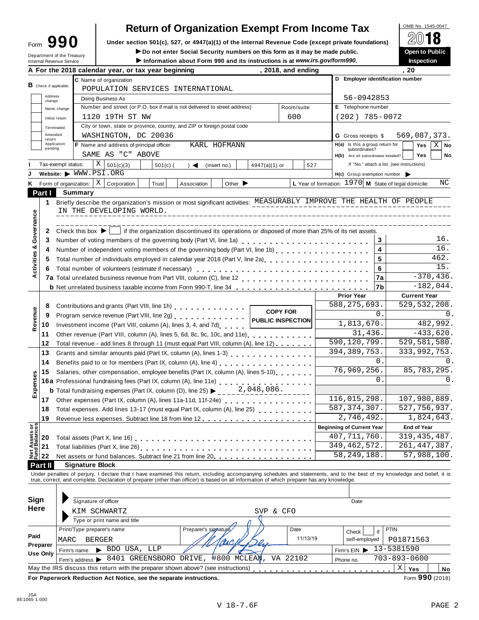| orm | 19<br>r |  |
|-----|---------|--|
|     |         |  |

# **Return of Organization Exempt From Income Tax**<br>section 501(c), 527, or 4947(a)(1) of the Internal Revenue Code (except private foundations)

**Under section 501(c), 527, or 4947(a)(1) of the Internal Revenue Code (except private foundations)** Form **990** À¾µ¼

Form **JJU** Under section 501(c), 527, or 4947(a)(1) or the internal Revenue Code (except private foundations)<br>
Department of the Treasury **Department of the Treasury Department of the Treasury** 

|                                        |                          | Department of the Treasury<br>Internal Revenue Service                                           |                                                                                                                                                    |                                          |  | ► Do not enter Social Security numbers on this form as it may be made public.<br>Information about Form 990 and its instructions is at www.irs.gov/form990.                                                                       |               |                    |                             |                 |             |                          |                                                        |                |                                                    |                         |                                            |      | Open to Public<br>Inspection |      |             |
|----------------------------------------|--------------------------|--------------------------------------------------------------------------------------------------|----------------------------------------------------------------------------------------------------------------------------------------------------|------------------------------------------|--|-----------------------------------------------------------------------------------------------------------------------------------------------------------------------------------------------------------------------------------|---------------|--------------------|-----------------------------|-----------------|-------------|--------------------------|--------------------------------------------------------|----------------|----------------------------------------------------|-------------------------|--------------------------------------------|------|------------------------------|------|-------------|
|                                        |                          |                                                                                                  |                                                                                                                                                    |                                          |  | A For the 2018 calendar year, or tax year beginning                                                                                                                                                                               |               |                    |                             |                 |             | , 2018, and ending       |                                                        |                |                                                    |                         |                                            | . 20 |                              |      |             |
|                                        |                          |                                                                                                  |                                                                                                                                                    | C Name of organization                   |  |                                                                                                                                                                                                                                   |               |                    |                             |                 |             |                          |                                                        |                |                                                    |                         | D Employer identification number           |      |                              |      |             |
|                                        | $B$ Check if applicable: |                                                                                                  |                                                                                                                                                    |                                          |  | POPULATION SERVICES INTERNATIONAL                                                                                                                                                                                                 |               |                    |                             |                 |             |                          |                                                        |                |                                                    |                         |                                            |      |                              |      |             |
|                                        | Address<br>change        |                                                                                                  |                                                                                                                                                    | Doing Business As                        |  |                                                                                                                                                                                                                                   |               |                    |                             |                 |             |                          |                                                        | 56-0942853     |                                                    |                         |                                            |      |                              |      |             |
|                                        |                          | Name change                                                                                      |                                                                                                                                                    |                                          |  | Number and street (or P.O. box if mail is not delivered to street address)                                                                                                                                                        |               |                    |                             |                 |             | Room/suite               |                                                        |                | E Telephone number                                 |                         |                                            |      |                              |      |             |
|                                        |                          | Initial return                                                                                   |                                                                                                                                                    | 1120 19TH ST NW                          |  |                                                                                                                                                                                                                                   |               |                    |                             |                 |             | 600                      |                                                        |                |                                                    |                         | $(202)$ 785-0072                           |      |                              |      |             |
|                                        |                          | Terminated                                                                                       |                                                                                                                                                    |                                          |  | City or town, state or province, country, and ZIP or foreign postal code                                                                                                                                                          |               |                    |                             |                 |             |                          |                                                        |                |                                                    |                         |                                            |      |                              |      |             |
|                                        | Amended<br>return        |                                                                                                  |                                                                                                                                                    |                                          |  | WASHINGTON, DC 20036                                                                                                                                                                                                              |               |                    |                             |                 |             |                          |                                                        |                | <b>G</b> Gross receipts \$                         |                         |                                            |      | 569,087,373.                 |      |             |
|                                        | pending                  | Application                                                                                      |                                                                                                                                                    | F Name and address of principal officer: |  |                                                                                                                                                                                                                                   |               |                    | KARL HOFMANN                |                 |             |                          |                                                        |                | $H(a)$ Is this a group return for<br>subordinates? |                         |                                            |      | Yes                          |      | $X \mid$ No |
|                                        |                          |                                                                                                  |                                                                                                                                                    | SAME AS "C" ABOVE                        |  |                                                                                                                                                                                                                                   |               |                    |                             |                 |             |                          |                                                        |                |                                                    |                         | H(b) Are all subordinates included?        |      | <b>Yes</b>                   |      | No          |
|                                        |                          | Tax-exempt status:                                                                               | X                                                                                                                                                  | 501(c)(3)                                |  | $501(c)$ (                                                                                                                                                                                                                        | $\rightarrow$ | (insert no.)       |                             | $4947(a)(1)$ or |             |                          | 527                                                    |                |                                                    |                         | If "No," attach a list. (see instructions) |      |                              |      |             |
|                                        |                          | Website: WWW.PSI.ORG                                                                             |                                                                                                                                                    |                                          |  |                                                                                                                                                                                                                                   |               |                    |                             |                 |             |                          |                                                        |                |                                                    |                         | $H(c)$ Group exemption number              |      |                              |      |             |
|                                        |                          | K Form of organization:                                                                          |                                                                                                                                                    | $X \mid$ Corporation                     |  | Trust                                                                                                                                                                                                                             | Association   |                    | Other $\blacktriangleright$ |                 |             |                          | L Year of formation: $1970$ M State of legal domicile: |                |                                                    |                         |                                            |      |                              |      | ΝC          |
|                                        | Part I                   | <b>Summary</b>                                                                                   |                                                                                                                                                    |                                          |  |                                                                                                                                                                                                                                   |               |                    |                             |                 |             |                          |                                                        |                |                                                    |                         |                                            |      |                              |      |             |
|                                        | 1.                       |                                                                                                  |                                                                                                                                                    |                                          |  | Briefly describe the organization's mission or most significant activities: MEASURABLY IMPROVE THE HEALTH OF PEOPLE                                                                                                               |               |                    |                             |                 |             |                          |                                                        |                |                                                    |                         |                                            |      |                              |      |             |
|                                        |                          |                                                                                                  |                                                                                                                                                    | IN THE DEVELOPING WORLD.                 |  |                                                                                                                                                                                                                                   |               |                    |                             |                 |             |                          |                                                        |                |                                                    |                         |                                            |      |                              |      |             |
|                                        |                          |                                                                                                  |                                                                                                                                                    |                                          |  |                                                                                                                                                                                                                                   |               |                    |                             |                 |             |                          |                                                        |                |                                                    |                         |                                            |      |                              |      |             |
| Governance                             | 2                        |                                                                                                  |                                                                                                                                                    |                                          |  | Check this box $\blacktriangleright$   if the organization discontinued its operations or disposed of more than 25% of its net assets.                                                                                            |               |                    |                             |                 |             |                          |                                                        |                |                                                    |                         |                                            |      |                              |      |             |
|                                        | 3                        |                                                                                                  |                                                                                                                                                    |                                          |  | Number of voting members of the governing body (Part VI, line 1a)                                                                                                                                                                 |               |                    |                             |                 |             |                          |                                                        |                |                                                    | 3                       |                                            |      |                              |      | 16.         |
| ಳ                                      | 4                        |                                                                                                  |                                                                                                                                                    |                                          |  |                                                                                                                                                                                                                                   |               |                    |                             |                 |             |                          |                                                        |                |                                                    | $\overline{\mathbf{4}}$ |                                            |      |                              | 16.  |             |
| Activities                             | 5                        |                                                                                                  |                                                                                                                                                    |                                          |  | Total number of individuals employed in calendar year 2018 (Part V, line 2a)                                                                                                                                                      |               |                    |                             |                 |             |                          |                                                        |                |                                                    | 5                       |                                            |      |                              | 462. |             |
|                                        | 6                        |                                                                                                  |                                                                                                                                                    |                                          |  | Total number of volunteers (estimate if necessary)                                                                                                                                                                                |               |                    |                             |                 |             |                          |                                                        |                |                                                    | 6                       |                                            |      |                              | 15.  |             |
|                                        |                          |                                                                                                  |                                                                                                                                                    |                                          |  |                                                                                                                                                                                                                                   |               |                    |                             |                 |             |                          |                                                        |                |                                                    | 7a                      |                                            |      | $-370, 436.$                 |      |             |
|                                        |                          |                                                                                                  |                                                                                                                                                    |                                          |  | <b>b</b> Net unrelated business taxable income from Form 990-T, line 34                                                                                                                                                           |               |                    |                             |                 |             |                          |                                                        |                |                                                    | 7b                      |                                            |      | $-182,044.$                  |      |             |
|                                        |                          |                                                                                                  |                                                                                                                                                    |                                          |  |                                                                                                                                                                                                                                   |               |                    |                             |                 |             |                          |                                                        |                | <b>Prior Year</b>                                  |                         |                                            |      | <b>Current Year</b>          |      |             |
| Revenue                                | 8                        | Contributions and grants (Part VIII, line 1h) [19] Contributions and grants (Part VIII, line 1h) |                                                                                                                                                    |                                          |  |                                                                                                                                                                                                                                   |               |                    |                             |                 |             | 588, 275, 693.           |                                                        | 529, 532, 208. |                                                    |                         |                                            |      |                              |      |             |
|                                        | 9                        | <b>COPY FOR</b>                                                                                  |                                                                                                                                                    |                                          |  |                                                                                                                                                                                                                                   |               |                    |                             |                 |             |                          | 0.                                                     |                |                                                    | 0.                      |                                            |      |                              |      |             |
|                                        | 10                       |                                                                                                  |                                                                                                                                                    |                                          |  | Investment income (Part VIII, column (A), lines 3, 4, and 7d)                                                                                                                                                                     |               |                    |                             |                 |             | <b>PUBLIC INSPECTION</b> |                                                        |                | 1,813,670.                                         |                         |                                            |      | 482,992.                     |      |             |
|                                        | 11                       |                                                                                                  |                                                                                                                                                    |                                          |  | Other revenue (Part VIII, column (A), lines 5, 6d, 8c, 9c, 10c, and 11e)                                                                                                                                                          |               |                    |                             |                 |             |                          |                                                        |                |                                                    | 31,436.                 |                                            |      | $-433,620.$                  |      |             |
|                                        | 12                       |                                                                                                  |                                                                                                                                                    |                                          |  | Total revenue - add lines 8 through 11 (must equal Part VIII, column (A), line 12)                                                                                                                                                |               |                    |                             |                 |             |                          |                                                        |                | 590, 120, 799.                                     |                         |                                            |      | 529,581,580.                 |      |             |
|                                        | 13                       |                                                                                                  |                                                                                                                                                    |                                          |  |                                                                                                                                                                                                                                   |               |                    |                             |                 |             |                          |                                                        |                | 394, 389, 753.                                     |                         |                                            |      | 333,992,753.                 |      |             |
|                                        | 14                       |                                                                                                  |                                                                                                                                                    |                                          |  |                                                                                                                                                                                                                                   |               |                    |                             |                 |             |                          |                                                        |                |                                                    | 0.                      |                                            |      |                              |      |             |
|                                        | 15                       |                                                                                                  | Benefits paid to or for members (Part IX, column (A), line 4)<br>Salaries, other compensation, employee benefits (Part IX, column (A), lines 5-10) |                                          |  |                                                                                                                                                                                                                                   |               |                    |                             |                 | 76,969,256. |                          | 85,783,295.                                            |                |                                                    |                         |                                            |      |                              |      |             |
| Expenses                               |                          |                                                                                                  |                                                                                                                                                    |                                          |  | 16a Professional fundraising fees (Part IX, column (A), line 11e)<br>16a Professional fundraising fees (Part IX, column (A), line 11e)                                                                                            |               |                    |                             |                 |             |                          |                                                        |                |                                                    | $\Omega$ .              |                                            |      |                              | 0.   |             |
|                                        |                          |                                                                                                  |                                                                                                                                                    |                                          |  | <b>b</b> Total fundraising expenses (Part IX, column (D), line 25) $\blacktriangleright$                                                                                                                                          |               |                    |                             | 2,048,086.      |             |                          |                                                        |                |                                                    |                         |                                            |      |                              |      |             |
|                                        | 17                       |                                                                                                  |                                                                                                                                                    |                                          |  | Other expenses (Part IX, column (A), lines 11a-11d, 11f-24e)                                                                                                                                                                      |               |                    |                             |                 |             |                          |                                                        |                | 116,015,298.                                       |                         |                                            |      | 107,980,889.                 |      |             |
|                                        | 18                       |                                                                                                  |                                                                                                                                                    |                                          |  | Total expenses. Add lines 13-17 (must equal Part IX, column (A), line 25)                                                                                                                                                         |               |                    |                             |                 |             |                          |                                                        |                | 587, 374, 307.                                     |                         |                                            |      | 527,756,937.                 |      |             |
|                                        | 19                       |                                                                                                  |                                                                                                                                                    |                                          |  |                                                                                                                                                                                                                                   |               |                    |                             |                 |             |                          |                                                        |                | 2,746,492.                                         |                         |                                            |      | 1,824,643.                   |      |             |
|                                        |                          |                                                                                                  |                                                                                                                                                    |                                          |  |                                                                                                                                                                                                                                   |               |                    |                             |                 |             |                          |                                                        |                | <b>Beginning of Current Year</b>                   |                         |                                            |      | <b>End of Year</b>           |      |             |
| <b>Net Assets or<br/>Fund Balances</b> | 20                       |                                                                                                  |                                                                                                                                                    |                                          |  |                                                                                                                                                                                                                                   |               |                    |                             |                 |             |                          |                                                        |                | $\overline{40}$ 7, 711, 760.                       |                         |                                            |      | 319, 435, 487.               |      |             |
|                                        | 21                       |                                                                                                  |                                                                                                                                                    |                                          |  |                                                                                                                                                                                                                                   |               |                    |                             |                 |             |                          |                                                        |                | 349, 462, 572.                                     |                         |                                            |      | 261, 447, 387.               |      |             |
|                                        | 22                       |                                                                                                  |                                                                                                                                                    |                                          |  | Net assets or fund balances. Subtract line 21 from line 20.                                                                                                                                                                       |               |                    |                             |                 |             |                          |                                                        |                | 58, 249, 188.                                      |                         |                                            |      | 57,988,100.                  |      |             |
|                                        | Part II                  |                                                                                                  | <b>Signature Block</b>                                                                                                                             |                                          |  |                                                                                                                                                                                                                                   |               |                    |                             |                 |             |                          |                                                        |                |                                                    |                         |                                            |      |                              |      |             |
|                                        |                          |                                                                                                  |                                                                                                                                                    |                                          |  | Under penalties of perjury, I declare that I have examined this return, including accompanying schedules and statements, and to the best of my knowledge and belief, it is<br>true, correct, and complete. Declaration of prepare |               |                    |                             |                 |             |                          |                                                        |                |                                                    |                         |                                            |      |                              |      |             |
|                                        |                          |                                                                                                  |                                                                                                                                                    |                                          |  |                                                                                                                                                                                                                                   |               |                    |                             |                 |             |                          |                                                        |                |                                                    |                         |                                            |      |                              |      |             |
|                                        |                          |                                                                                                  |                                                                                                                                                    |                                          |  |                                                                                                                                                                                                                                   |               |                    |                             |                 |             |                          |                                                        |                |                                                    |                         |                                            |      |                              |      |             |
| Sign                                   |                          |                                                                                                  | Signature of officer                                                                                                                               |                                          |  |                                                                                                                                                                                                                                   |               |                    |                             |                 |             |                          |                                                        |                | Date                                               |                         |                                            |      |                              |      |             |
| Here                                   |                          |                                                                                                  |                                                                                                                                                    | KIM SCHWARTZ                             |  |                                                                                                                                                                                                                                   |               |                    |                             |                 | SVP & CFO   |                          |                                                        |                |                                                    |                         |                                            |      |                              |      |             |
|                                        |                          |                                                                                                  |                                                                                                                                                    | Type or print name and title             |  |                                                                                                                                                                                                                                   |               |                    |                             |                 |             |                          |                                                        |                |                                                    |                         |                                            |      |                              |      |             |
|                                        |                          |                                                                                                  |                                                                                                                                                    | Print/Type preparer's name               |  |                                                                                                                                                                                                                                   |               | Preparer's signatu |                             |                 |             | Date                     |                                                        |                | Check                                              | if                      | PTIN                                       |      |                              |      |             |
| Paid                                   |                          | MARC                                                                                             | <b>BERGER</b>                                                                                                                                      |                                          |  |                                                                                                                                                                                                                                   |               |                    |                             |                 |             |                          | 11/13/19                                               |                | self-employed                                      |                         |                                            |      | P01871563                    |      |             |
|                                        | Preparer                 |                                                                                                  |                                                                                                                                                    | BDO USA, LLP                             |  |                                                                                                                                                                                                                                   |               |                    |                             |                 |             |                          |                                                        |                | Firm's $EIN$                                       |                         | 13-5381590                                 |      |                              |      |             |
|                                        | <b>Use Only</b>          | Firm's name                                                                                      | Firm's address >                                                                                                                                   |                                          |  | 8401 GREENSBORO DRIVE,                                                                                                                                                                                                            |               |                    | #800 MCLEAM                 |                 |             | VA 22102                 |                                                        |                |                                                    |                         | $703 - 893 - 0600$                         |      |                              |      |             |
|                                        |                          |                                                                                                  |                                                                                                                                                    |                                          |  | May the IRS discuss this return with the preparer shown above? (see instructions)                                                                                                                                                 |               |                    |                             |                 |             |                          |                                                        |                | Phone no.                                          |                         | $\mathbf X$                                |      |                              |      |             |
|                                        |                          |                                                                                                  |                                                                                                                                                    |                                          |  |                                                                                                                                                                                                                                   |               |                    |                             |                 |             |                          |                                                        |                |                                                    |                         |                                            | Yes  |                              |      | No          |
|                                        |                          |                                                                                                  |                                                                                                                                                    |                                          |  | For Paperwork Reduction Act Notice, see the separate instructions.                                                                                                                                                                |               |                    |                             |                 |             |                          |                                                        |                |                                                    |                         |                                            |      | Form 990 (2018)              |      |             |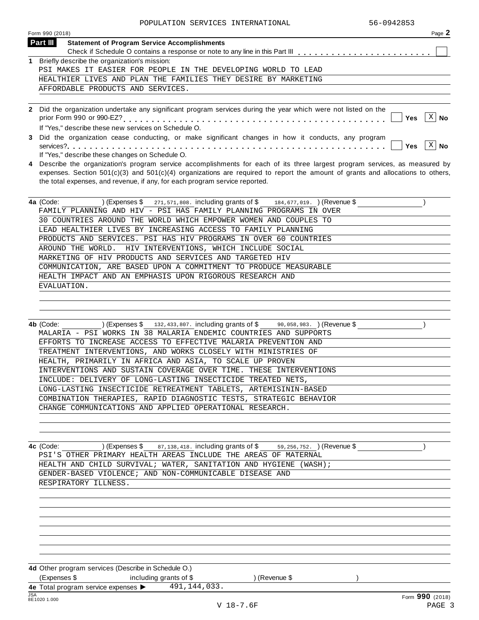POPULATION SERVICES INTERNATIONAL 56-0942853

| Page 2      |
|-------------|
|             |
|             |
|             |
|             |
|             |
|             |
|             |
| $X \mid$ No |
|             |

**3** Did the organization cease conducting, or make significant changes in how it conducts, any program services?m m m m m m m m m m m m m m m m m m m m m m m m m m m m m m m m m m m m m m m m m m m m m m m m m m m m m m m m m **Yes No** If "Yes," describe these changes on Schedule O.  $|Yes|X|$  No

**4** Describe the organization's program service accomplishments for each of its three largest program services, as measured by expenses. Section 501(c)(3) and 501(c)(4) organizations are required to report the amount of grants and allocations to others, the total expenses, and revenue, if any, for each program service reported.

| 4a (Code:<br>$(Expenses$ $\frac{3}{271,571,808}$ . including grants of $\frac{3}{2}$ 184,677,019. (Revenue $\frac{3}{2}$ ) |
|----------------------------------------------------------------------------------------------------------------------------|
| FAMILY PLANNING AND HIV - PSI HAS FAMILY PLANNING PROGRAMS IN OVER                                                         |
| 30 COUNTRIES AROUND THE WORLD WHICH EMPOWER WOMEN AND COUPLES TO                                                           |
| LEAD HEALTHIER LIVES BY INCREASING ACCESS TO FAMILY PLANNING                                                               |
| PRODUCTS AND SERVICES. PSI HAS HIV PROGRAMS IN OVER 60 COUNTRIES                                                           |
| AROUND THE WORLD. HIV INTERVENTIONS, WHICH INCLUDE SOCIAL                                                                  |
| MARKETING OF HIV PRODUCTS AND SERVICES AND TARGETED HIV                                                                    |
| COMMUNICATION, ARE BASED UPON A COMMITMENT TO PRODUCE MEASURABLE                                                           |
| HEALTH IMPACT AND AN EMPHASIS UPON RIGOROUS RESEARCH AND                                                                   |
| EVALUATION.                                                                                                                |
|                                                                                                                            |

| 4b (Code:<br>$(Expenses \$ $132,433,807$ . including grants of $\frac{6}{3}$ $90,058,983$ . (Revenue $\frac{6}{3}$ |  |
|--------------------------------------------------------------------------------------------------------------------|--|
| MALARIA - PSI WORKS IN 38 MALARIA ENDEMIC COUNTRIES AND SUPPORTS                                                   |  |
| EFFORTS TO INCREASE ACCESS TO EFFECTIVE MALARIA PREVENTION AND                                                     |  |
| TREATMENT INTERVENTIONS, AND WORKS CLOSELY WITH MINISTRIES OF                                                      |  |
| HEALTH, PRIMARILY IN AFRICA AND ASIA, TO SCALE UP PROVEN                                                           |  |
| INTERVENTIONS AND SUSTAIN COVERAGE OVER TIME. THESE INTERVENTIONS                                                  |  |
| INCLUDE: DELIVERY OF LONG-LASTING INSECTICIDE TREATED NETS,                                                        |  |
| LONG-LASTING INSECTICIDE RETREATMENT TABLETS, ARTEMISININ-BASED                                                    |  |
| COMBINATION THERAPIES, RAPID DIAGNOSTIC TESTS, STRATEGIC BEHAVIOR                                                  |  |
| CHANGE COMMUNICATIONS AND APPLIED OPERATIONAL RESEARCH.                                                            |  |
|                                                                                                                    |  |

**4c** (Code: ) (Expenses \$ 87,138,418. including grants of \$ 59,256,752. ) (Revenue \$ ) ) PSI'S OTHER PRIMARY HEALTH AREAS INCLUDE THE AREAS OF MATERNAL HEALTH AND CHILD SURVIVAL; WATER, SANITATION AND HYGIENE (WASH); GENDER-BASED VIOLENCE; AND NON-COMMUNICABLE DISEASE AND RESPIRATORY ILLNESS.

**4d** Other program services (Describe in Schedule O.) (Expenses \$ including grants of \$ ) (Revenue \$ ) **4e** Total program service expenses  $\blacktriangleright$ <br>  $\frac{\text{JSA}}{\text{BE}1020}$  1.000 491,144,033.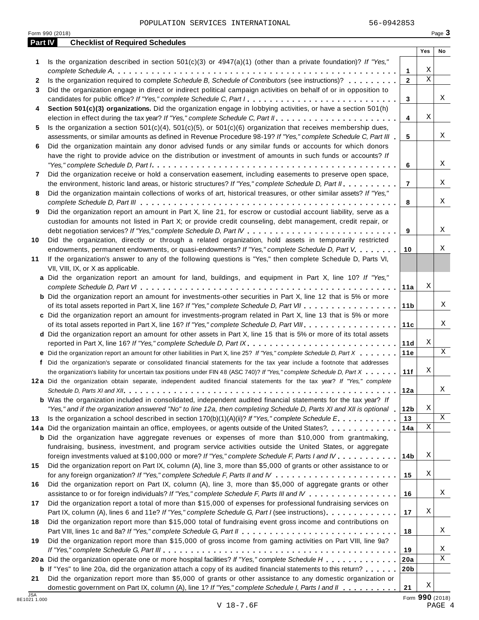POPULATION SERVICES INTERNATIONAL 56-0942853

|            | Form 990 (2018)                                                                                                                                                                                                                                                                                                                                                                               |                   |                  | Page 3 |
|------------|-----------------------------------------------------------------------------------------------------------------------------------------------------------------------------------------------------------------------------------------------------------------------------------------------------------------------------------------------------------------------------------------------|-------------------|------------------|--------|
| Part IV    | <b>Checklist of Required Schedules</b>                                                                                                                                                                                                                                                                                                                                                        |                   |                  |        |
|            |                                                                                                                                                                                                                                                                                                                                                                                               |                   | Yes              | No     |
| 1          | Is the organization described in section $501(c)(3)$ or $4947(a)(1)$ (other than a private foundation)? If "Yes,"                                                                                                                                                                                                                                                                             |                   |                  |        |
|            | Is the organization required to complete Schedule B, Schedule of Contributors (see instructions)?                                                                                                                                                                                                                                                                                             | 1<br>$\mathbf{2}$ | Χ<br>$\mathbf X$ |        |
| 2<br>3     | Did the organization engage in direct or indirect political campaign activities on behalf of or in opposition to                                                                                                                                                                                                                                                                              |                   |                  |        |
|            | candidates for public office? If "Yes," complete Schedule C, Part I.                                                                                                                                                                                                                                                                                                                          | 3                 |                  | Χ      |
| 4          | Section 501(c)(3) organizations. Did the organization engage in lobbying activities, or have a section 501(h)                                                                                                                                                                                                                                                                                 |                   |                  |        |
|            |                                                                                                                                                                                                                                                                                                                                                                                               | 4                 | Χ                |        |
| 5          | Is the organization a section $501(c)(4)$ , $501(c)(5)$ , or $501(c)(6)$ organization that receives membership dues,                                                                                                                                                                                                                                                                          |                   |                  |        |
|            | assessments, or similar amounts as defined in Revenue Procedure 98-19? If "Yes," complete Schedule C, Part III                                                                                                                                                                                                                                                                                | 5                 |                  | Χ      |
| 6          | Did the organization maintain any donor advised funds or any similar funds or accounts for which donors                                                                                                                                                                                                                                                                                       |                   |                  |        |
|            | have the right to provide advice on the distribution or investment of amounts in such funds or accounts? If                                                                                                                                                                                                                                                                                   |                   |                  |        |
|            | "Yes," complete Schedule D, Part $l_1, \ldots, l_k, \ldots, l_k, \ldots, l_k, \ldots, l_k, \ldots, l_k, \ldots, l_k, \ldots, l_k, \ldots, l_k, \ldots, l_k, \ldots, l_k, \ldots, l_k, \ldots, l_k, \ldots, l_k, \ldots, l_k, \ldots, l_k, \ldots, l_k, \ldots, l_k, \ldots, l_k, \ldots, l_k, \ldots, l_k, \ldots, l_k, \ldots, l_k, \ldots, l_k, \ldots, l_k, \ldots, l_k, \ldots, l_k, \ld$ | 6                 |                  | Χ      |
| 7          | Did the organization receive or hold a conservation easement, including easements to preserve open space,                                                                                                                                                                                                                                                                                     |                   |                  |        |
|            | the environment, historic land areas, or historic structures? If "Yes," complete Schedule D, Part II.                                                                                                                                                                                                                                                                                         | $\overline{7}$    |                  | Χ      |
| 8          | Did the organization maintain collections of works of art, historical treasures, or other similar assets? If "Yes,"                                                                                                                                                                                                                                                                           |                   |                  |        |
|            |                                                                                                                                                                                                                                                                                                                                                                                               | 8                 |                  | Χ      |
| 9          | Did the organization report an amount in Part X, line 21, for escrow or custodial account liability, serve as a                                                                                                                                                                                                                                                                               |                   |                  |        |
|            | custodian for amounts not listed in Part X; or provide credit counseling, debt management, credit repair, or                                                                                                                                                                                                                                                                                  | 9                 |                  | Χ      |
| 10         | Did the organization, directly or through a related organization, hold assets in temporarily restricted                                                                                                                                                                                                                                                                                       |                   |                  |        |
|            | endowments, permanent endowments, or quasi-endowments? If "Yes," complete Schedule D, Part V.                                                                                                                                                                                                                                                                                                 | 10                |                  | Χ      |
| 11         | If the organization's answer to any of the following questions is "Yes," then complete Schedule D, Parts VI,                                                                                                                                                                                                                                                                                  |                   |                  |        |
|            | VII, VIII, IX, or X as applicable.                                                                                                                                                                                                                                                                                                                                                            |                   |                  |        |
|            | a Did the organization report an amount for land, buildings, and equipment in Part X, line 10? If "Yes,"                                                                                                                                                                                                                                                                                      |                   |                  |        |
|            |                                                                                                                                                                                                                                                                                                                                                                                               | 11a               | Χ                |        |
|            | <b>b</b> Did the organization report an amount for investments-other securities in Part X, line 12 that is 5% or more                                                                                                                                                                                                                                                                         |                   |                  |        |
|            |                                                                                                                                                                                                                                                                                                                                                                                               | 11 <sub>b</sub>   |                  | Χ      |
|            | c Did the organization report an amount for investments-program related in Part X, line 13 that is 5% or more                                                                                                                                                                                                                                                                                 |                   |                  |        |
|            |                                                                                                                                                                                                                                                                                                                                                                                               | 11c               |                  | Χ      |
|            | d Did the organization report an amount for other assets in Part X, line 15 that is 5% or more of its total assets                                                                                                                                                                                                                                                                            |                   |                  |        |
|            | reported in Part X, line 16? If "Yes," complete Schedule D, Part IX.                                                                                                                                                                                                                                                                                                                          | 11d               | Χ                |        |
|            | e Did the organization report an amount for other liabilities in Part X, line 25? If "Yes," complete Schedule D, Part X                                                                                                                                                                                                                                                                       | 11e               |                  | Χ      |
|            | f Did the organization's separate or consolidated financial statements for the tax year include a footnote that addresses                                                                                                                                                                                                                                                                     |                   | Χ                |        |
|            | the organization's liability for uncertain tax positions under FIN 48 (ASC 740)? If "Yes," complete Schedule D, Part X<br>12a Did the organization obtain separate, independent audited financial statements for the tax year? If "Yes," complete                                                                                                                                             | 11f               |                  |        |
|            |                                                                                                                                                                                                                                                                                                                                                                                               | 12a               |                  | Χ      |
|            | <b>b</b> Was the organization included in consolidated, independent audited financial statements for the tax year? If                                                                                                                                                                                                                                                                         |                   |                  |        |
|            | "Yes," and if the organization answered "No" to line 12a, then completing Schedule D, Parts XI and XII is optional "                                                                                                                                                                                                                                                                          | 12 <sub>b</sub>   | Χ                |        |
| 13         | Is the organization a school described in section $170(b)(1)(A)(ii)?$ If "Yes," complete Schedule E.                                                                                                                                                                                                                                                                                          | 13                |                  | X      |
|            | 14a Did the organization maintain an office, employees, or agents outside of the United States?                                                                                                                                                                                                                                                                                               | 14a               | Χ                |        |
|            | <b>b</b> Did the organization have aggregate revenues or expenses of more than \$10,000 from grantmaking,                                                                                                                                                                                                                                                                                     |                   |                  |        |
|            | fundraising, business, investment, and program service activities outside the United States, or aggregate                                                                                                                                                                                                                                                                                     |                   |                  |        |
|            | foreign investments valued at \$100,000 or more? If "Yes," complete Schedule F, Parts I and IV                                                                                                                                                                                                                                                                                                | 14 <sub>b</sub>   | Χ                |        |
| 15         | Did the organization report on Part IX, column (A), line 3, more than \$5,000 of grants or other assistance to or                                                                                                                                                                                                                                                                             |                   |                  |        |
|            |                                                                                                                                                                                                                                                                                                                                                                                               | 15                | Χ                |        |
| 16         | Did the organization report on Part IX, column (A), line 3, more than \$5,000 of aggregate grants or other                                                                                                                                                                                                                                                                                    |                   |                  |        |
|            | assistance to or for foreign individuals? If "Yes," complete Schedule F, Parts III and IV                                                                                                                                                                                                                                                                                                     | 16                |                  | Χ      |
| 17         | Did the organization report a total of more than \$15,000 of expenses for professional fundraising services on                                                                                                                                                                                                                                                                                |                   | Χ                |        |
| 18         | Part IX, column (A), lines 6 and 11e? If "Yes," complete Schedule G, Part I (see instructions)<br>Did the organization report more than \$15,000 total of fundraising event gross income and contributions on                                                                                                                                                                                 | 17                |                  |        |
|            |                                                                                                                                                                                                                                                                                                                                                                                               | 18                |                  | Χ      |
| 19         | Did the organization report more than \$15,000 of gross income from gaming activities on Part VIII, line 9a?                                                                                                                                                                                                                                                                                  |                   |                  |        |
|            |                                                                                                                                                                                                                                                                                                                                                                                               | 19                |                  | Χ      |
|            | 20a Did the organization operate one or more hospital facilities? If "Yes," complete Schedule H                                                                                                                                                                                                                                                                                               | 20a               |                  | Χ      |
|            | <b>b</b> If "Yes" to line 20a, did the organization attach a copy of its audited financial statements to this return?                                                                                                                                                                                                                                                                         | 20 <sub>b</sub>   |                  |        |
| 21         | Did the organization report more than \$5,000 of grants or other assistance to any domestic organization or                                                                                                                                                                                                                                                                                   |                   |                  |        |
|            | domestic government on Part IX, column (A), line 1? If "Yes," complete Schedule I, Parts I and II                                                                                                                                                                                                                                                                                             | 21                | Χ                |        |
| <b>JSA</b> |                                                                                                                                                                                                                                                                                                                                                                                               |                   |                  |        |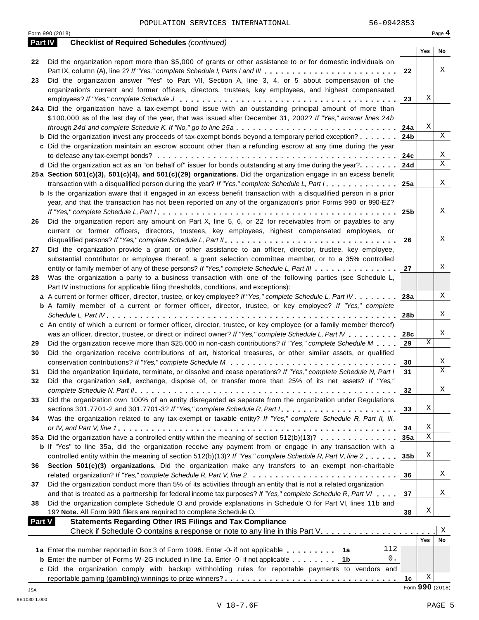Form <sup>990</sup> (2018) Page **4**

| Part IV       | <b>Checklist of Required Schedules (continued)</b>                                                                        |                 |                 |    |
|---------------|---------------------------------------------------------------------------------------------------------------------------|-----------------|-----------------|----|
|               |                                                                                                                           |                 | Yes             | No |
| 22            | Did the organization report more than \$5,000 of grants or other assistance to or for domestic individuals on             |                 |                 |    |
|               |                                                                                                                           | 22              |                 | X  |
| 23            | Did the organization answer "Yes" to Part VII, Section A, line 3, 4, or 5 about compensation of the                       |                 |                 |    |
|               | organization's current and former officers, directors, trustees, key employees, and highest compensated                   |                 |                 |    |
|               |                                                                                                                           | 23              | Χ               |    |
|               | 24a Did the organization have a tax-exempt bond issue with an outstanding principal amount of more than                   |                 |                 |    |
|               | \$100,000 as of the last day of the year, that was issued after December 31, 2002? If "Yes," answer lines 24b             |                 |                 |    |
|               |                                                                                                                           | 24a             | Χ               |    |
|               | <b>b</b> Did the organization invest any proceeds of tax-exempt bonds beyond a temporary period exception?                | 24 <sub>b</sub> |                 | X  |
|               | c Did the organization maintain an escrow account other than a refunding escrow at any time during the year               |                 |                 |    |
|               |                                                                                                                           | 24c             |                 | X  |
|               | d Did the organization act as an "on behalf of" issuer for bonds outstanding at any time during the year?                 | 24d             |                 | X  |
|               | 25a Section 501(c)(3), 501(c)(4), and 501(c)(29) organizations. Did the organization engage in an excess benefit          |                 |                 |    |
|               | transaction with a disqualified person during the year? If "Yes," complete Schedule L, Part I                             | 25a             |                 | X  |
|               | <b>b</b> Is the organization aware that it engaged in an excess benefit transaction with a disqualified person in a prior |                 |                 |    |
|               | year, and that the transaction has not been reported on any of the organization's prior Forms 990 or 990-EZ?              |                 |                 |    |
|               |                                                                                                                           | 25 <sub>b</sub> |                 | X  |
| 26            | Did the organization report any amount on Part X, line 5, 6, or 22 for receivables from or payables to any                |                 |                 |    |
|               | current or former officers, directors, trustees, key employees, highest compensated employees, or                         |                 |                 |    |
|               |                                                                                                                           | 26              |                 | X  |
| 27            | Did the organization provide a grant or other assistance to an officer, director, trustee, key employee,                  |                 |                 |    |
|               | substantial contributor or employee thereof, a grant selection committee member, or to a 35% controlled                   |                 |                 |    |
|               | entity or family member of any of these persons? If "Yes," complete Schedule L, Part III                                  | 27              |                 | Χ  |
| 28            | Was the organization a party to a business transaction with one of the following parties (see Schedule L,                 |                 |                 |    |
|               | Part IV instructions for applicable filing thresholds, conditions, and exceptions):                                       |                 |                 |    |
|               | a A current or former officer, director, trustee, or key employee? If "Yes," complete Schedule L, Part IV                 | 28a             |                 | Χ  |
|               | <b>b</b> A family member of a current or former officer, director, trustee, or key employee? If "Yes," complete           |                 |                 |    |
|               |                                                                                                                           | 28b             |                 | X  |
|               | c An entity of which a current or former officer, director, trustee, or key employee (or a family member thereof)         |                 |                 |    |
|               | was an officer, director, trustee, or direct or indirect owner? If "Yes," complete Schedule L, Part IV                    | 28c             |                 | Χ  |
| 29            | Did the organization receive more than \$25,000 in non-cash contributions? If "Yes," complete Schedule M                  | 29              | X               |    |
| 30            | Did the organization receive contributions of art, historical treasures, or other similar assets, or qualified            |                 |                 |    |
|               |                                                                                                                           | 30              |                 | X  |
| 31            | Did the organization liquidate, terminate, or dissolve and cease operations? If "Yes," complete Schedule N, Part I        | 31              |                 | X  |
| 32            | Did the organization sell, exchange, dispose of, or transfer more than 25% of its net assets? If "Yes,"                   |                 |                 |    |
|               |                                                                                                                           | 32              |                 | Χ  |
| 33            | Did the organization own 100% of an entity disregarded as separate from the organization under Regulations                |                 |                 |    |
|               |                                                                                                                           | 33              | Χ               |    |
| 34            | Was the organization related to any tax-exempt or taxable entity? If "Yes," complete Schedule R, Part II, III,            |                 |                 |    |
|               |                                                                                                                           | 34              | Χ               |    |
|               | 35a Did the organization have a controlled entity within the meaning of section 512(b)(13)?                               | 35a             | X               |    |
|               | <b>b</b> If "Yes" to line 35a, did the organization receive any payment from or engage in any transaction with a          |                 |                 |    |
|               | controlled entity within the meaning of section 512(b)(13)? If "Yes," complete Schedule R, Part V, line 2                 | 35 <sub>b</sub> | Χ               |    |
| 36            | Section 501(c)(3) organizations. Did the organization make any transfers to an exempt non-charitable                      |                 |                 |    |
|               | related organization? If "Yes," complete Schedule R, Part V, line 2                                                       | 36              |                 | Χ  |
| 37            | Did the organization conduct more than 5% of its activities through an entity that is not a related organization          |                 |                 |    |
|               | and that is treated as a partnership for federal income tax purposes? If "Yes," complete Schedule R, Part VI              | 37              |                 | Χ  |
| 38            | Did the organization complete Schedule O and provide explanations in Schedule O for Part VI, lines 11b and                |                 |                 |    |
|               | 19? Note. All Form 990 filers are required to complete Schedule O.                                                        | 38              | Χ               |    |
| <b>Part V</b> | <b>Statements Regarding Other IRS Filings and Tax Compliance</b>                                                          |                 |                 |    |
|               | Check if Schedule O contains a response or note to any line in this Part V.                                               |                 |                 | X  |
|               |                                                                                                                           |                 | <b>Yes</b>      | No |
|               | 112<br>1a Enter the number reported in Box 3 of Form 1096. Enter -0- if not applicable<br>1a                              |                 |                 |    |
|               | 0.<br><b>b</b> Enter the number of Forms W-2G included in line 1a. Enter -0- if not applicable<br>1b                      |                 |                 |    |
|               | c Did the organization comply with backup withholding rules for reportable payments to vendors and                        |                 |                 |    |
|               |                                                                                                                           | 1c              | Χ               |    |
| JSA           |                                                                                                                           |                 | Form 990 (2018) |    |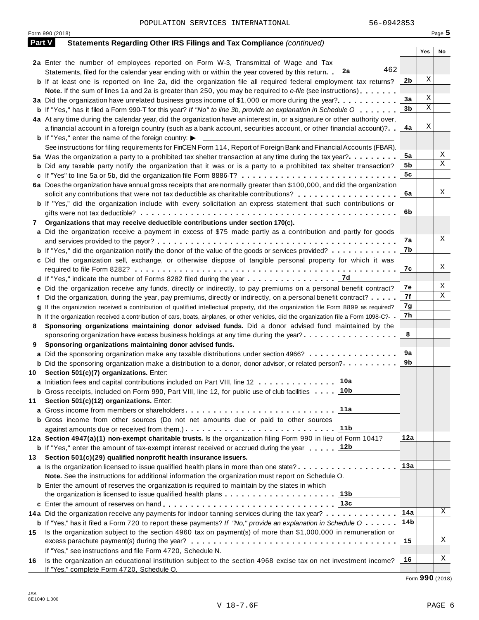|        | Form 990 (2018)                                                                                                                                            |     |     | Page 5 |
|--------|------------------------------------------------------------------------------------------------------------------------------------------------------------|-----|-----|--------|
| Part V | <b>Statements Regarding Other IRS Filings and Tax Compliance (continued)</b>                                                                               |     |     |        |
|        |                                                                                                                                                            |     | Yes | No     |
|        | 2a Enter the number of employees reported on Form W-3, Transmittal of Wage and Tax                                                                         |     |     |        |
|        | 462<br>Statements, filed for the calendar year ending with or within the year covered by this return. 2a                                                   |     |     |        |
|        | <b>b</b> If at least one is reported on line 2a, did the organization file all required federal employment tax returns?                                    | 2b  | Χ   |        |
|        | <b>Note.</b> If the sum of lines 1a and 2a is greater than 250, you may be required to e-file (see instructions).                                          |     |     |        |
|        | 3a Did the organization have unrelated business gross income of \$1,000 or more during the year?                                                           | 3a  | Χ   |        |
|        | <b>b</b> If "Yes," has it filed a Form 990-T for this year? If "No" to line 3b, provide an explanation in Schedule O                                       | 3b  | Χ   |        |
|        | 4a At any time during the calendar year, did the organization have an interest in, or a signature or other authority over,                                 |     |     |        |
|        | a financial account in a foreign country (such as a bank account, securities account, or other financial account)?                                         | 4a  | Χ   |        |
|        | <b>b</b> If "Yes," enter the name of the foreign country: $\blacktriangleright$                                                                            |     |     |        |
|        | See instructions for filing requirements for FinCEN Form 114, Report of Foreign Bank and Financial Accounts (FBAR).                                        |     |     |        |
|        | 5a Was the organization a party to a prohibited tax shelter transaction at any time during the tax year?                                                   | 5a  |     | Χ<br>Χ |
|        | <b>b</b> Did any taxable party notify the organization that it was or is a party to a prohibited tax shelter transaction?                                  | 5b  |     |        |
|        | c If "Yes" to line 5a or 5b, did the organization file Form 8886-T?                                                                                        | 5c  |     |        |
|        | 6a Does the organization have annual gross receipts that are normally greater than \$100,000, and did the organization                                     |     |     |        |
|        | solicit any contributions that were not tax deductible as charitable contributions?                                                                        | 6a  |     | Χ      |
|        | <b>b</b> If "Yes," did the organization include with every solicitation an express statement that such contributions or                                    |     |     |        |
|        |                                                                                                                                                            | 6b  |     |        |
| 7      | Organizations that may receive deductible contributions under section 170(c).                                                                              |     |     |        |
|        | a Did the organization receive a payment in excess of \$75 made partly as a contribution and partly for goods                                              |     |     | Χ      |
|        |                                                                                                                                                            | 7а  |     |        |
|        | <b>b</b> If "Yes," did the organization notify the donor of the value of the goods or services provided?                                                   | 7b  |     |        |
|        | c Did the organization sell, exchange, or otherwise dispose of tangible personal property for which it was                                                 |     |     | Χ      |
|        |                                                                                                                                                            | 7с  |     |        |
|        | 7d<br><b>d</b> If "Yes," indicate the number of Forms 8282 filed during the year $\dots \dots \dots \dots \dots$                                           |     |     | Χ      |
|        | e Did the organization receive any funds, directly or indirectly, to pay premiums on a personal benefit contract?                                          | 7е  |     | Χ      |
|        | f Did the organization, during the year, pay premiums, directly or indirectly, on a personal benefit contract?                                             | 7f  |     |        |
|        | If the organization received a contribution of qualified intellectual property, did the organization file Form 8899 as required?                           | 7g  |     |        |
|        | h If the organization received a contribution of cars, boats, airplanes, or other vehicles, did the organization file a Form 1098-C?                       | 7h  |     |        |
| 8      | Sponsoring organizations maintaining donor advised funds. Did a donor advised fund maintained by the                                                       | 8   |     |        |
|        | sponsoring organization have excess business holdings at any time during the year?                                                                         |     |     |        |
| 9      | Sponsoring organizations maintaining donor advised funds.                                                                                                  | 9а  |     |        |
|        | a Did the sponsoring organization make any taxable distributions under section 4966?                                                                       | 9b  |     |        |
|        | <b>b</b> Did the sponsoring organization make a distribution to a donor, donor advisor, or related person?                                                 |     |     |        |
|        | 10 Section 501(c)(7) organizations. Enter:                                                                                                                 |     |     |        |
|        |                                                                                                                                                            |     |     |        |
|        | <b>b</b> Gross receipts, included on Form 990, Part VIII, line 12, for public use of club facilities 10b                                                   |     |     |        |
| 11     | Section 501(c)(12) organizations. Enter:<br>11a                                                                                                            |     |     |        |
|        |                                                                                                                                                            |     |     |        |
|        | b Gross income from other sources (Do not net amounts due or paid to other sources<br>11b                                                                  |     |     |        |
|        |                                                                                                                                                            | 12a |     |        |
|        | 12a Section 4947(a)(1) non-exempt charitable trusts. Is the organization filing Form 990 in lieu of Form 1041?<br>12b                                      |     |     |        |
| 13     | <b>b</b> If "Yes," enter the amount of tax-exempt interest received or accrued during the year                                                             |     |     |        |
|        | Section 501(c)(29) qualified nonprofit health insurance issuers.<br>a Is the organization licensed to issue qualified health plans in more than one state? | 13а |     |        |
|        | Note. See the instructions for additional information the organization must report on Schedule O.                                                          |     |     |        |
|        | <b>b</b> Enter the amount of reserves the organization is required to maintain by the states in which                                                      |     |     |        |
|        | 13b<br>the organization is licensed to issue qualified health plans $\ldots \ldots \ldots \ldots \ldots \ldots \ldots$                                     |     |     |        |
|        | 13c                                                                                                                                                        |     |     |        |
|        | 14a Did the organization receive any payments for indoor tanning services during the tax year?                                                             | 14a |     | Χ      |
|        | <b>b</b> If "Yes," has it filed a Form 720 to report these payments? If "No," provide an explanation in Schedule $0 \cdot \cdot \cdot \cdot$               | 14b |     |        |
| 15     | Is the organization subject to the section 4960 tax on payment(s) of more than \$1,000,000 in remuneration or                                              |     |     |        |
|        |                                                                                                                                                            | 15  |     | Χ      |
|        | If "Yes," see instructions and file Form 4720, Schedule N.                                                                                                 |     |     |        |
| 16     | Is the organization an educational institution subject to the section 4968 excise tax on net investment income?                                            | 16  |     | Χ      |
|        | If "Yes," complete Form 4720, Schedule O.                                                                                                                  |     |     |        |

Form **990** (2018)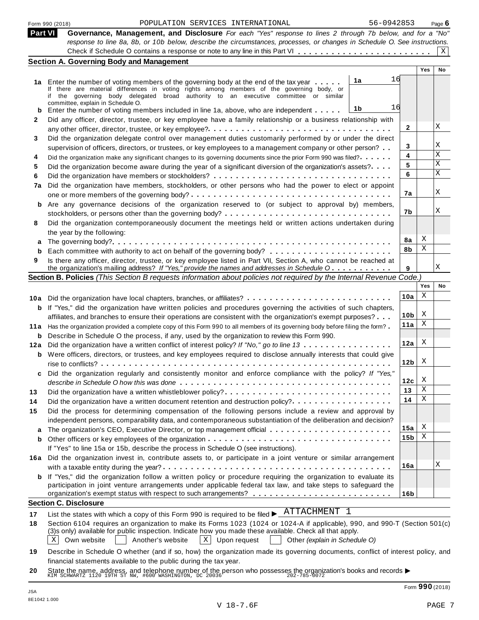|                | 56-0942853<br>POPULATION SERVICES INTERNATIONAL<br>Form 990 (2018)                                                                                                                                                                                                                         |              |            | Page 6       |
|----------------|--------------------------------------------------------------------------------------------------------------------------------------------------------------------------------------------------------------------------------------------------------------------------------------------|--------------|------------|--------------|
| <b>Part VI</b> | Governance, Management, and Disclosure For each "Yes" response to lines 2 through 7b below, and for a "No"<br>response to line 8a, 8b, or 10b below, describe the circumstances, processes, or changes in Schedule O. See instructions.<br><b>Section A. Governing Body and Management</b> |              |            | $\mathbf{X}$ |
|                |                                                                                                                                                                                                                                                                                            |              | <b>Yes</b> | No           |
|                | 1a<br>1a Enter the number of voting members of the governing body at the end of the tax year                                                                                                                                                                                               | 16           |            |              |
|                | If there are material differences in voting rights among members of the governing body, or                                                                                                                                                                                                 |              |            |              |
|                | if the governing body delegated broad authority to an executive committee or similar                                                                                                                                                                                                       |              |            |              |
| b              | committee, explain in Schedule O.<br>1b<br>Enter the number of voting members included in line 1a, above, who are independent                                                                                                                                                              | 16           |            |              |
| $\mathbf{2}$   | Did any officer, director, trustee, or key employee have a family relationship or a business relationship with                                                                                                                                                                             |              |            |              |
|                |                                                                                                                                                                                                                                                                                            | $\mathbf{2}$ |            | Χ            |
| 3              | Did the organization delegate control over management duties customarily performed by or under the direct                                                                                                                                                                                  |              |            |              |
|                | supervision of officers, directors, or trustees, or key employees to a management company or other person?                                                                                                                                                                                 | 3            |            | Χ            |
| 4              | Did the organization make any significant changes to its governing documents since the prior Form 990 was filed?                                                                                                                                                                           | 4            |            | $\mathbf x$  |
| 5              | Did the organization become aware during the year of a significant diversion of the organization's assets?                                                                                                                                                                                 | 5            |            | X            |
| 6              |                                                                                                                                                                                                                                                                                            | 6            |            | $\mathbf X$  |
| 7a             | Did the organization have members, stockholders, or other persons who had the power to elect or appoint                                                                                                                                                                                    |              |            |              |
|                |                                                                                                                                                                                                                                                                                            | 7a           |            | X            |
| b              | Are any governance decisions of the organization reserved to (or subject to approval by) members,                                                                                                                                                                                          |              |            |              |
|                | stockholders, or persons other than the governing body?                                                                                                                                                                                                                                    | 7b           |            | X            |
| 8              | Did the organization contemporaneously document the meetings held or written actions undertaken during                                                                                                                                                                                     |              |            |              |
|                | the year by the following:                                                                                                                                                                                                                                                                 |              |            |              |
| a              |                                                                                                                                                                                                                                                                                            | 8a           | X          |              |
| b              |                                                                                                                                                                                                                                                                                            | 8b           | X          |              |
| 9              | Is there any officer, director, trustee, or key employee listed in Part VII, Section A, who cannot be reached at                                                                                                                                                                           |              |            |              |
|                | the organization's mailing address? If "Yes," provide the names and addresses in Schedule $0, \ldots, \ldots, \ldots$                                                                                                                                                                      | 9            |            | X            |

|          | <b>Section B. Policies</b> (This Section B requests information about policies not required by the Internal Revenue Code.)                                                                                                      |                 |                           |              |
|----------|---------------------------------------------------------------------------------------------------------------------------------------------------------------------------------------------------------------------------------|-----------------|---------------------------|--------------|
|          |                                                                                                                                                                                                                                 |                 | Yes                       | <b>No</b>    |
| 10a      | Did the organization have local chapters, branches, or affiliates?                                                                                                                                                              | 10a             | X                         |              |
| b        | If "Yes," did the organization have written policies and procedures governing the activities of such chapters,<br>affiliates, and branches to ensure their operations are consistent with the organization's exempt purposes?   | 10 <sub>b</sub> | X                         |              |
|          | 11a Has the organization provided a complete copy of this Form 990 to all members of its governing body before filing the form?                                                                                                 | 11a             | X                         |              |
| b<br>12a | Describe in Schedule O the process, if any, used by the organization to review this Form 990.<br>Did the organization have a written conflict of interest policy? If "No," go to line 13                                        | 12a             | $\boldsymbol{\mathrm{X}}$ |              |
| b        | Were officers, directors, or trustees, and key employees required to disclose annually interests that could give                                                                                                                | 12 <sub>b</sub> | X                         |              |
| c        | Did the organization regularly and consistently monitor and enforce compliance with the policy? If "Yes,"                                                                                                                       | 12c             | X                         |              |
| 13       |                                                                                                                                                                                                                                 | 13              | X                         |              |
| 14       | Did the organization have a written document retention and destruction policy?                                                                                                                                                  | 14              | X                         |              |
| 15<br>a  | Did the process for determining compensation of the following persons include a review and approval by<br>independent persons, comparability data, and contemporaneous substantiation of the deliberation and decision?         | 15a             | X                         |              |
| b        |                                                                                                                                                                                                                                 | 15 <sub>b</sub> | X                         |              |
|          | If "Yes" to line 15a or 15b, describe the process in Schedule O (see instructions).                                                                                                                                             |                 |                           |              |
|          | 16a Did the organization invest in, contribute assets to, or participate in a joint venture or similar arrangement                                                                                                              | 16a             |                           | $\mathbf{X}$ |
| b        | If "Yes," did the organization follow a written policy or procedure requiring the organization to evaluate its<br>participation in joint venture arrangements under applicable federal tax law, and take steps to safeguard the | 16 <sub>b</sub> |                           |              |
|          | <b>Section C. Disclosure</b>                                                                                                                                                                                                    |                 |                           |              |
|          | $\pi$ mm $\pi$ $\pi$ m $\pi$ m $\pi$ m $\pi$                                                                                                                                                                                    |                 |                           |              |

| 17 List the states with which a copy of this Form 990 is required to be filed $\blacktriangleright$ ATTACHMENT I |  |
|------------------------------------------------------------------------------------------------------------------|--|
|                                                                                                                  |  |

**<sup>17</sup>** I Section 6104 requires an organization to make its Forms 1023 (1024 or 1024-A if applicable), 990, and 990-T (Section 501(c) **18** (3)s only) available for public inspection. Indicate how you made these available. Check all that apply.

 $\boxed{\text{X}}$  Own website **Another's website**  $\boxed{\text{X}}$  Upon request **Other** *(explain in Schedule O)* Another's website

**19** Describe in Schedule O whether (and if so, how) the organization made its governing documents, conflict of interest policy, and financial statements available to the public during the tax year.

**20** Inflaticial statements available to the public during the tax year.<br>State the name, address, and telephone number of the person who possesses the organization's books and records<br>KIM SCHWARTZ 1120 19TH ST NW, #600 WASHINGT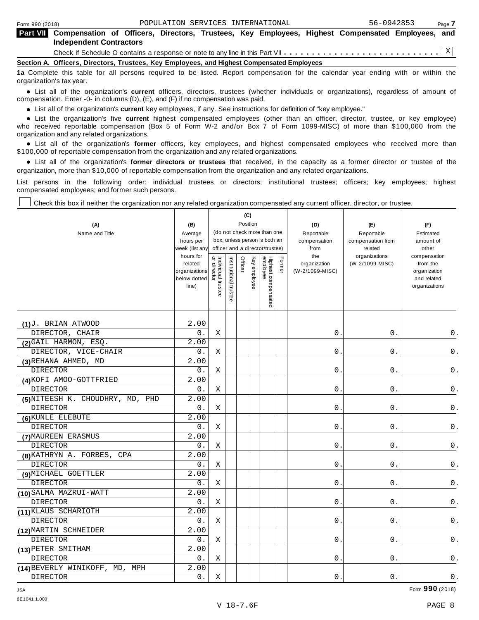|                                                                                            | <b>Part VII</b> Compensation of Officers, Directors, Trustees, Key Employees, Highest Compensated Employees, and                  |  |  |  |  |  |  |  |  |  |  |  |
|--------------------------------------------------------------------------------------------|-----------------------------------------------------------------------------------------------------------------------------------|--|--|--|--|--|--|--|--|--|--|--|
|                                                                                            | <b>Independent Contractors</b>                                                                                                    |  |  |  |  |  |  |  |  |  |  |  |
|                                                                                            |                                                                                                                                   |  |  |  |  |  |  |  |  |  |  |  |
| Section A. Officers, Directors, Trustees, Key Employees, and Highest Compensated Employees |                                                                                                                                   |  |  |  |  |  |  |  |  |  |  |  |
|                                                                                            | 1a Complete this table for all persons required to be listed. Report compensation for the calendar year ending with or within the |  |  |  |  |  |  |  |  |  |  |  |

organization's tax year. anization's lax year.<br>● List all of the organization's **current** officers, directors, trustees (whether individuals or organizations), regardless of amount of<br>nnensation Enter -0- in columns (D) (E) and (E) if no compensa compensation. Enter -0- in columns (D), (E), and (F) if no compensation was paid.

• List all of the organization's **current** key employees, if any. See instructions for definition of "key employee."<br>● List the experientials five expect highest expressed explores (other than an efficer director of

**Example in the organization's current** key employees, if any. See instructions for definition of key employee.<br>• List the organization's five **current** highest compensated employees (other than an officer, director, trust who received reportable compensation (Box 5 of Form W-2 and/or Box 7 of Form 1099-MISC) of more than \$100,000 from the

organization and any related organizations.<br>• List all of the organization's **former** officers, key employees, and highest compensated employees who received more than<br>\$1.00.000 of reportable componention from the erganiza \$100,000 of reportable compensation from the organization and any related organizations.

% List all of the organization's **former directors or trustees** that received, in the capacity as a former director or trustee of the organization, more than \$10,000 of reportable compensation from the organization and any related organizations.

List persons in the following order: individual trustees or directors; institutional trustees; officers; key employees; highest compensated employees; and former such persons.

Check this box if neither the organization nor any related organization compensated any current officer, director, or trustee.

| (A)<br>Name and Title            | (B)<br>Average<br>hours per<br>week (list any<br>hours for<br>related<br>organizations |                                   |                       | Officer | (C)<br>Position | (do not check more than one<br>box, unless person is both an<br>officer and a director/trustee) | Former | (D)<br>Reportable<br>compensation<br>from<br>the<br>organization<br>(W-2/1099-MISC) | (E)<br>Reportable<br>compensation from<br>related<br>organizations<br>(W-2/1099-MISC) | (F)<br>Estimated<br>amount of<br>other<br>compensation<br>from the<br>organization |
|----------------------------------|----------------------------------------------------------------------------------------|-----------------------------------|-----------------------|---------|-----------------|-------------------------------------------------------------------------------------------------|--------|-------------------------------------------------------------------------------------|---------------------------------------------------------------------------------------|------------------------------------------------------------------------------------|
|                                  | below dotted<br>line)                                                                  | Individual trustee<br>or director | Institutional trustee |         | Key employee    | Highest compensated<br>employee                                                                 |        |                                                                                     |                                                                                       | and related<br>organizations                                                       |
| $(1)^J$ . BRIAN ATWOOD           | 2.00                                                                                   |                                   |                       |         |                 |                                                                                                 |        |                                                                                     |                                                                                       |                                                                                    |
| DIRECTOR, CHAIR                  | 0.                                                                                     | X                                 |                       |         |                 |                                                                                                 |        | 0.                                                                                  | 0.                                                                                    | 0.                                                                                 |
| (2) GAIL HARMON, ESQ.            | 2.00                                                                                   |                                   |                       |         |                 |                                                                                                 |        |                                                                                     |                                                                                       |                                                                                    |
| DIRECTOR, VICE-CHAIR             | 0.                                                                                     | X                                 |                       |         |                 |                                                                                                 |        | $0$ .                                                                               | $0$ .                                                                                 | $\mathsf 0$ .                                                                      |
| (3) REHANA AHMED, MD             | 2.00                                                                                   |                                   |                       |         |                 |                                                                                                 |        |                                                                                     |                                                                                       |                                                                                    |
| <b>DIRECTOR</b>                  | 0.                                                                                     | Χ                                 |                       |         |                 |                                                                                                 |        | $0$ .                                                                               | $0$ .                                                                                 | $\mathsf 0$ .                                                                      |
| (4) KOFI AMOO-GOTTFRIED          | 2.00                                                                                   |                                   |                       |         |                 |                                                                                                 |        |                                                                                     |                                                                                       |                                                                                    |
| DIRECTOR                         | 0.                                                                                     | Χ                                 |                       |         |                 |                                                                                                 |        | 0.                                                                                  | 0.                                                                                    | 0.                                                                                 |
| (5) NITEESH K. CHOUDHRY, MD, PHD | 2.00                                                                                   |                                   |                       |         |                 |                                                                                                 |        |                                                                                     |                                                                                       |                                                                                    |
| DIRECTOR                         | 0.                                                                                     | X                                 |                       |         |                 |                                                                                                 |        | 0.                                                                                  | 0.                                                                                    | $\mathsf 0$ .                                                                      |
| (6) KUNLE ELEBUTE                | 2.00                                                                                   |                                   |                       |         |                 |                                                                                                 |        |                                                                                     |                                                                                       |                                                                                    |
| <b>DIRECTOR</b>                  | 0.                                                                                     | Χ                                 |                       |         |                 |                                                                                                 |        | 0.                                                                                  | $0$ .                                                                                 | 0.                                                                                 |
| (7) MAUREEN ERASMUS              | 2.00                                                                                   |                                   |                       |         |                 |                                                                                                 |        |                                                                                     |                                                                                       |                                                                                    |
| <b>DIRECTOR</b>                  | 0.                                                                                     | Χ                                 |                       |         |                 |                                                                                                 |        | 0.                                                                                  | 0.                                                                                    | $0$ .                                                                              |
| (8) KATHRYN A. FORBES, CPA       | 2.00                                                                                   |                                   |                       |         |                 |                                                                                                 |        |                                                                                     |                                                                                       |                                                                                    |
| <b>DIRECTOR</b>                  | 0.                                                                                     | Χ                                 |                       |         |                 |                                                                                                 |        | $0$ .                                                                               | 0.                                                                                    | 0.                                                                                 |
| (9) MICHAEL GOETTLER             | 2.00                                                                                   |                                   |                       |         |                 |                                                                                                 |        |                                                                                     |                                                                                       |                                                                                    |
| <b>DIRECTOR</b>                  | 0.                                                                                     | Χ                                 |                       |         |                 |                                                                                                 |        | $0$ .                                                                               | $0$ .                                                                                 | 0.                                                                                 |
| (10) SALMA MAZRUI-WATT           | 2.00                                                                                   |                                   |                       |         |                 |                                                                                                 |        |                                                                                     |                                                                                       |                                                                                    |
| <b>DIRECTOR</b>                  | 0.                                                                                     | Χ                                 |                       |         |                 |                                                                                                 |        | 0.                                                                                  | 0.                                                                                    | $0$ .                                                                              |
| (11) KLAUS SCHARIOTH             | 2.00                                                                                   |                                   |                       |         |                 |                                                                                                 |        |                                                                                     |                                                                                       |                                                                                    |
| <b>DIRECTOR</b>                  | 0.                                                                                     | Χ                                 |                       |         |                 |                                                                                                 |        | 0.                                                                                  | 0.                                                                                    | 0.                                                                                 |
| (12) MARTIN SCHNEIDER            | 2.00                                                                                   |                                   |                       |         |                 |                                                                                                 |        |                                                                                     |                                                                                       |                                                                                    |
| <b>DIRECTOR</b>                  | $0$ .                                                                                  | Χ                                 |                       |         |                 |                                                                                                 |        | 0.                                                                                  | 0.                                                                                    | 0.                                                                                 |
| (13) PETER SMITHAM               | 2.00                                                                                   |                                   |                       |         |                 |                                                                                                 |        |                                                                                     |                                                                                       |                                                                                    |
| <b>DIRECTOR</b>                  | 0.                                                                                     | Χ                                 |                       |         |                 |                                                                                                 |        | 0.                                                                                  | 0.                                                                                    | 0.                                                                                 |
| (14) BEVERLY WINIKOFF, MD, MPH   | 2.00                                                                                   |                                   |                       |         |                 |                                                                                                 |        |                                                                                     |                                                                                       |                                                                                    |
| <b>DIRECTOR</b>                  | 0.                                                                                     | Χ                                 |                       |         |                 |                                                                                                 |        | 0.                                                                                  | $0$ .                                                                                 | $0$ .                                                                              |

JSA Form **990** (2018)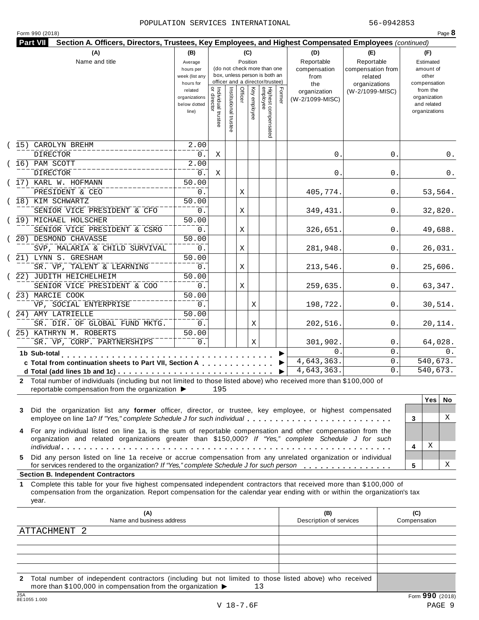|  | Form 990 (2018) |  |
|--|-----------------|--|
|  |                 |  |

|    | (A)                                                                                                                                                                                                                                                       | (B)                         |                                   |                       |         | (C)          |                                                              |        | (D)                     | (E)                          | (F)                          |
|----|-----------------------------------------------------------------------------------------------------------------------------------------------------------------------------------------------------------------------------------------------------------|-----------------------------|-----------------------------------|-----------------------|---------|--------------|--------------------------------------------------------------|--------|-------------------------|------------------------------|------------------------------|
|    | Name and title                                                                                                                                                                                                                                            | Average                     |                                   |                       |         | Position     |                                                              |        | Reportable              | Reportable                   | Estimated                    |
|    |                                                                                                                                                                                                                                                           | hours per<br>week (list any |                                   |                       |         |              | (do not check more than one<br>box, unless person is both an |        | compensation<br>from    | compensation from<br>related | amount of<br>other           |
|    |                                                                                                                                                                                                                                                           | hours for                   |                                   |                       |         |              | officer and a director/trustee)                              |        | the                     | organizations                | compensation                 |
|    |                                                                                                                                                                                                                                                           | related                     |                                   |                       |         |              |                                                              |        | organization            | (W-2/1099-MISC)              | from the                     |
|    |                                                                                                                                                                                                                                                           | organizations               |                                   |                       | Officer |              |                                                              | Former | (W-2/1099-MISC)         |                              | organization                 |
|    |                                                                                                                                                                                                                                                           | below dotted<br>line)       |                                   |                       |         | Key employee |                                                              |        |                         |                              | and related<br>organizations |
|    |                                                                                                                                                                                                                                                           |                             | Individual trustee<br>or director |                       |         |              |                                                              |        |                         |                              |                              |
|    |                                                                                                                                                                                                                                                           |                             |                                   | Institutional trustee |         |              | Highest compensated<br>employee                              |        |                         |                              |                              |
|    |                                                                                                                                                                                                                                                           |                             |                                   |                       |         |              |                                                              |        |                         |                              |                              |
|    | (15) CAROLYN BREHM                                                                                                                                                                                                                                        | 2.00                        |                                   |                       |         |              |                                                              |        |                         |                              |                              |
|    | <b>DIRECTOR</b>                                                                                                                                                                                                                                           | 0.                          | Χ                                 |                       |         |              |                                                              |        | 0.                      | 0.                           |                              |
|    | $(16)$ PAM SCOTT                                                                                                                                                                                                                                          | 2.00                        |                                   |                       |         |              |                                                              |        |                         |                              |                              |
|    | <b>DIRECTOR</b>                                                                                                                                                                                                                                           | 0.                          | Χ                                 |                       |         |              |                                                              |        | 0.                      | 0.                           |                              |
|    | (17) KARL W. HOFMANN                                                                                                                                                                                                                                      | 50.00                       |                                   |                       |         |              |                                                              |        |                         |                              |                              |
|    | PRESIDENT & CEO                                                                                                                                                                                                                                           | 0.                          |                                   |                       | Χ       |              |                                                              |        | 405,774.                | 0.                           | 53,564.                      |
|    | (18) KIM SCHWARTZ                                                                                                                                                                                                                                         | 50.00                       |                                   |                       |         |              |                                                              |        |                         |                              |                              |
|    | SENIOR VICE PRESIDENT & CFO                                                                                                                                                                                                                               | 0.                          |                                   |                       | Χ       |              |                                                              |        | 349,431.                | 0.                           | 32,820.                      |
|    | (19) MICHAEL HOLSCHER                                                                                                                                                                                                                                     | 50.00                       |                                   |                       |         |              |                                                              |        |                         |                              |                              |
|    | SENIOR VICE PRESIDENT & CSRO                                                                                                                                                                                                                              | 0.                          |                                   |                       | Χ       |              |                                                              |        | 326,651.                | 0.                           | 49,688.                      |
|    | (20) DESMOND CHAVASSE                                                                                                                                                                                                                                     | 50.00                       |                                   |                       |         |              |                                                              |        |                         |                              |                              |
|    | SVP, MALARIA & CHILD SURVIVAL                                                                                                                                                                                                                             | 0.                          |                                   |                       | Χ       |              |                                                              |        | 281,948.                | 0.                           | 26,031.                      |
|    | (21) LYNN S. GRESHAM                                                                                                                                                                                                                                      | 50.00                       |                                   |                       |         |              |                                                              |        |                         |                              |                              |
|    | SR. VP, TALENT & LEARNING                                                                                                                                                                                                                                 | 0.                          |                                   |                       | Χ       |              |                                                              |        | 213,546.                | 0.                           | 25,606.                      |
|    | (22) JUDITH HEICHELHEIM                                                                                                                                                                                                                                   | 50.00                       |                                   |                       |         |              |                                                              |        |                         |                              |                              |
|    | SENIOR VICE PRESIDENT & COO                                                                                                                                                                                                                               | 0.                          |                                   |                       | Χ       |              |                                                              |        | 259,635.                | 0.                           | 63,347.                      |
|    | (23) MARCIE COOK                                                                                                                                                                                                                                          | 50.00                       |                                   |                       |         |              |                                                              |        |                         |                              |                              |
|    | VP, SOCIAL ENTERPRISE                                                                                                                                                                                                                                     | 0.                          |                                   |                       |         | Χ            |                                                              |        | 198,722.                | 0.                           | 30,514.                      |
|    | (24) AMY LATRIELLE                                                                                                                                                                                                                                        | 50.00                       |                                   |                       |         |              |                                                              |        |                         |                              |                              |
|    | SR. DIR. OF GLOBAL FUND MKTG.                                                                                                                                                                                                                             | 0.                          |                                   |                       |         | Χ            |                                                              |        | 202,516.                | 0.                           | 20,114.                      |
|    | 25) KATHRYN M. ROBERTS                                                                                                                                                                                                                                    | 50.00                       |                                   |                       |         |              |                                                              |        |                         |                              |                              |
|    | SR. VP, CORP. PARTNERSHIPS                                                                                                                                                                                                                                | 0.                          |                                   |                       |         | Χ            |                                                              |        | 301,902.                | 0.                           | 64,028.                      |
|    | 1b Sub-total<br>.                                                                                                                                                                                                                                         |                             |                                   |                       |         |              |                                                              |        | 0.                      | 0.                           |                              |
|    | c Total from continuation sheets to Part VII, Section A                                                                                                                                                                                                   |                             |                                   |                       |         |              |                                                              |        | 4,643,363.              | 0.                           | 540,673.                     |
|    |                                                                                                                                                                                                                                                           |                             |                                   |                       |         |              |                                                              | ▶      | 4,643,363.              | 0.                           | 540,673.                     |
|    | 2 Total number of individuals (including but not limited to those listed above) who received more than \$100,000 of                                                                                                                                       |                             |                                   |                       |         |              |                                                              |        |                         |                              |                              |
|    | reportable compensation from the organization ▶                                                                                                                                                                                                           |                             | 195                               |                       |         |              |                                                              |        |                         |                              |                              |
|    |                                                                                                                                                                                                                                                           |                             |                                   |                       |         |              |                                                              |        |                         |                              | <b>Yes</b><br>No.            |
| 3  | Did the organization list any former officer, director, or trustee, key employee, or highest compensated                                                                                                                                                  |                             |                                   |                       |         |              |                                                              |        |                         |                              | X                            |
|    | employee on line 1a? If "Yes," complete Schedule J for such individual                                                                                                                                                                                    |                             |                                   |                       |         |              |                                                              |        |                         |                              | 3                            |
| 4  | For any individual listed on line 1a, is the sum of reportable compensation and other compensation from the                                                                                                                                               |                             |                                   |                       |         |              |                                                              |        |                         |                              |                              |
|    | organization and related organizations greater than \$150,000? If "Yes," complete Schedule J for such                                                                                                                                                     |                             |                                   |                       |         |              |                                                              |        |                         |                              | Χ                            |
|    |                                                                                                                                                                                                                                                           |                             |                                   |                       |         |              |                                                              |        |                         |                              | 4                            |
| 5. | Did any person listed on line 1a receive or accrue compensation from any unrelated organization or individual<br>for services rendered to the organization? If "Yes," complete Schedule J for such person                                                 |                             |                                   |                       |         |              |                                                              |        |                         |                              | х<br>5                       |
|    | <b>Section B. Independent Contractors</b>                                                                                                                                                                                                                 |                             |                                   |                       |         |              |                                                              |        |                         |                              |                              |
| 1. | Complete this table for your five highest compensated independent contractors that received more than \$100,000 of<br>compensation from the organization. Report compensation for the calendar year ending with or within the organization's tax<br>year. |                             |                                   |                       |         |              |                                                              |        |                         |                              |                              |
|    |                                                                                                                                                                                                                                                           |                             |                                   |                       |         |              |                                                              |        | (B)                     |                              | (C)                          |
|    | (A)                                                                                                                                                                                                                                                       |                             |                                   |                       |         |              |                                                              |        |                         |                              |                              |
|    | Name and business address<br>ATTACHMENT 2                                                                                                                                                                                                                 |                             |                                   |                       |         |              |                                                              |        | Description of services |                              | Compensation                 |

**2** Total number of independent contractors (including but not limited to those listed above) who received more than \$100,000 in compensation from the organization  $\blacktriangleright$  13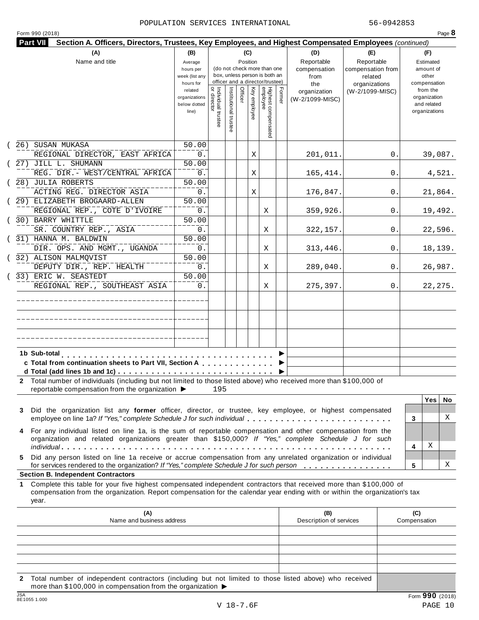|  | Form 990 (2018) |  |
|--|-----------------|--|
|  |                 |  |

| (A)                                                                                                                                                                                                                                                             | (B)                                                     |                                   |                       | (C)      |              |                                                              |        | (D)                                            | (E)                                         | (F)                                               |
|-----------------------------------------------------------------------------------------------------------------------------------------------------------------------------------------------------------------------------------------------------------------|---------------------------------------------------------|-----------------------------------|-----------------------|----------|--------------|--------------------------------------------------------------|--------|------------------------------------------------|---------------------------------------------|---------------------------------------------------|
| Name and title                                                                                                                                                                                                                                                  | Average<br>hours per                                    |                                   |                       | Position |              | (do not check more than one<br>box, unless person is both an |        | Reportable<br>compensation                     | Reportable<br>compensation from             | Estimated<br>amount of                            |
|                                                                                                                                                                                                                                                                 | week (list any<br>hours for<br>related<br>organizations |                                   |                       | Officer  |              | officer and a director/trustee)                              | Former | from<br>the<br>organization<br>(W-2/1099-MISC) | related<br>organizations<br>(W-2/1099-MISC) | other<br>compensation<br>from the<br>organization |
|                                                                                                                                                                                                                                                                 | below dotted<br>line)                                   | Individual trustee<br>or director | Institutional trustee |          | Key employee | Highest compensated<br>employee                              |        |                                                |                                             | and related<br>organizations                      |
| (26) SUSAN MUKASA                                                                                                                                                                                                                                               | 50.00                                                   |                                   |                       |          |              |                                                              |        |                                                |                                             |                                                   |
| REGIONAL DIRECTOR, EAST AFRICA                                                                                                                                                                                                                                  | 0.                                                      |                                   |                       |          | Χ            |                                                              |        | 201,011.                                       | 0.                                          | 39,087.                                           |
| (27) JILL L. SHUMANN                                                                                                                                                                                                                                            | 50.00                                                   |                                   |                       |          |              |                                                              |        |                                                |                                             |                                                   |
| REG. DIR. - WEST/CENTRAL AFRICA                                                                                                                                                                                                                                 | $0$ .                                                   |                                   |                       |          | Χ            |                                                              |        | 165,414.                                       | 0.                                          | 4,521.                                            |
| (28) JULIA ROBERTS                                                                                                                                                                                                                                              | 50.00                                                   |                                   |                       |          |              |                                                              |        |                                                |                                             |                                                   |
| ACTING REG. DIRECTOR ASIA                                                                                                                                                                                                                                       | $0$ .                                                   |                                   |                       |          | Χ            |                                                              |        | 176,847.                                       | 0.                                          | 21,864.                                           |
| (29) ELIZABETH BROGAARD-ALLEN                                                                                                                                                                                                                                   | 50.00                                                   |                                   |                       |          |              |                                                              |        |                                                |                                             |                                                   |
| REGIONAL REP., COTE D'IVOIRE                                                                                                                                                                                                                                    | $0$ .                                                   |                                   |                       |          |              | Χ                                                            |        | 359,926.                                       | 0.                                          | 19,492.                                           |
| (30) BARRY WHITTLE                                                                                                                                                                                                                                              | 50.00                                                   |                                   |                       |          |              |                                                              |        |                                                |                                             |                                                   |
| SR. COUNTRY REP., ASIA                                                                                                                                                                                                                                          | $0$ .                                                   |                                   |                       |          |              | Χ                                                            |        | 322,157.                                       | 0.                                          | 22,596.                                           |
| (31) HANNA M. BALDWIN                                                                                                                                                                                                                                           | 50.00                                                   |                                   |                       |          |              |                                                              |        |                                                |                                             |                                                   |
| DIR. OPS. AND MGMT., UGANDA                                                                                                                                                                                                                                     | $0$ .                                                   |                                   |                       |          |              | Χ                                                            |        | 313,446.                                       | 0.                                          | 18,139.                                           |
| (32) ALISON MALMQVIST                                                                                                                                                                                                                                           | 50.00                                                   |                                   |                       |          |              |                                                              |        |                                                |                                             |                                                   |
| DEPUTY DIR., REP. HEALTH                                                                                                                                                                                                                                        | 0.                                                      |                                   |                       |          |              | X                                                            |        | 289,040.                                       | 0.                                          | 26,987.                                           |
| (33) ERIC W. SEASTEDT                                                                                                                                                                                                                                           | 50.00                                                   |                                   |                       |          |              |                                                              |        |                                                |                                             |                                                   |
| REGIONAL REP., SOUTHEAST ASIA                                                                                                                                                                                                                                   | 0.                                                      |                                   |                       |          |              | Χ                                                            |        | 275,397.                                       | 0.                                          | 22, 275.                                          |
|                                                                                                                                                                                                                                                                 |                                                         |                                   |                       |          |              |                                                              |        |                                                |                                             |                                                   |
|                                                                                                                                                                                                                                                                 |                                                         |                                   |                       |          |              |                                                              |        |                                                |                                             |                                                   |
|                                                                                                                                                                                                                                                                 |                                                         |                                   |                       |          |              |                                                              |        |                                                |                                             |                                                   |
|                                                                                                                                                                                                                                                                 |                                                         |                                   |                       |          |              |                                                              |        |                                                |                                             |                                                   |
| c Total from continuation sheets to Part VII, Section A                                                                                                                                                                                                         |                                                         |                                   |                       |          |              |                                                              |        |                                                |                                             |                                                   |
| 2 Total number of individuals (including but not limited to those listed above) who received more than \$100,000 of                                                                                                                                             |                                                         |                                   |                       |          |              |                                                              |        |                                                |                                             |                                                   |
| reportable compensation from the organization ▶                                                                                                                                                                                                                 |                                                         | 195                               |                       |          |              |                                                              |        |                                                |                                             |                                                   |
|                                                                                                                                                                                                                                                                 |                                                         |                                   |                       |          |              |                                                              |        |                                                |                                             | <b>Yes</b><br>No.                                 |
| Did the organization list any former officer, director, or trustee, key employee, or highest compensated<br>3                                                                                                                                                   |                                                         |                                   |                       |          |              |                                                              |        |                                                |                                             |                                                   |
| employee on line 1a? If "Yes," complete Schedule J for such individual                                                                                                                                                                                          |                                                         |                                   |                       |          |              |                                                              |        |                                                |                                             | X<br>3                                            |
| For any individual listed on line 1a, is the sum of reportable compensation and other compensation from the<br>4<br>organization and related organizations greater than \$150,000? If "Yes," complete Schedule J for such                                       |                                                         |                                   |                       |          |              |                                                              |        |                                                |                                             |                                                   |
| Did any person listed on line 1a receive or accrue compensation from any unrelated organization or individual<br>5.                                                                                                                                             |                                                         |                                   |                       |          |              |                                                              |        |                                                |                                             | Χ<br>4                                            |
| for services rendered to the organization? If "Yes," complete Schedule J for such person                                                                                                                                                                        |                                                         |                                   |                       |          |              |                                                              |        |                                                |                                             | X<br>5                                            |
| <b>Section B. Independent Contractors</b>                                                                                                                                                                                                                       |                                                         |                                   |                       |          |              |                                                              |        |                                                |                                             |                                                   |
| Complete this table for your five highest compensated independent contractors that received more than \$100,000 of<br>1.<br>compensation from the organization. Report compensation for the calendar year ending with or within the organization's tax<br>year. |                                                         |                                   |                       |          |              |                                                              |        |                                                |                                             |                                                   |
|                                                                                                                                                                                                                                                                 |                                                         |                                   |                       |          |              |                                                              |        | (B)                                            |                                             | (C)                                               |
| (A)                                                                                                                                                                                                                                                             |                                                         |                                   |                       |          |              |                                                              |        |                                                |                                             |                                                   |
| Name and business address                                                                                                                                                                                                                                       |                                                         |                                   |                       |          |              |                                                              |        | Description of services                        |                                             | Compensation                                      |
|                                                                                                                                                                                                                                                                 |                                                         |                                   |                       |          |              |                                                              |        |                                                |                                             |                                                   |

**2** Total number of independent contractors (including but not limited to those listed above) who received more than \$100,000 in compensation from the organization  $\blacktriangleright$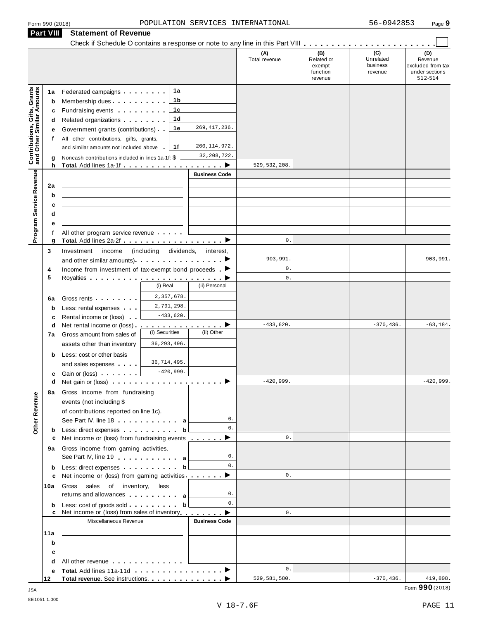|                                                                                             | Part VIII                                             | <b>Statement of Revenue</b>                                                                                                                                                                                                                                                                                                                                                                                                                                                                                                                                                                                                                                                         |                                                                                  |                                             |                                                    |                                         |                                                                  |
|---------------------------------------------------------------------------------------------|-------------------------------------------------------|-------------------------------------------------------------------------------------------------------------------------------------------------------------------------------------------------------------------------------------------------------------------------------------------------------------------------------------------------------------------------------------------------------------------------------------------------------------------------------------------------------------------------------------------------------------------------------------------------------------------------------------------------------------------------------------|----------------------------------------------------------------------------------|---------------------------------------------|----------------------------------------------------|-----------------------------------------|------------------------------------------------------------------|
|                                                                                             |                                                       |                                                                                                                                                                                                                                                                                                                                                                                                                                                                                                                                                                                                                                                                                     |                                                                                  | (A)<br>Total revenue                        | (B)<br>Related or<br>exempt<br>function<br>revenue | (C)<br>Unrelated<br>business<br>revenue | (D)<br>Revenue<br>excluded from tax<br>under sections<br>512-514 |
| <b>Contributions, Gifts, Grants</b><br>and Other Similar Amounts<br>Program Service Revenue | 1a<br>b<br>c<br>d<br>е<br>f<br>g<br>h<br>2a<br>b<br>c | 1a<br>Federated campaigns <b>Federated</b><br>1b<br>Membership dues<br>1c<br>Fundraising events <b>Fundraising</b><br>1 <sub>d</sub><br>Related organizations <b>contains</b> and <b>Related</b> organizations<br>1e<br>Government grants (contributions)<br>All other contributions, gifts, grants,<br>1f<br>and similar amounts not included above<br>Noncash contributions included in lines 1a-1f: \$<br>Total. Add lines 1a-1f<br><u> 1989 - Johann Stein, mars an deutscher Stein und der Stein und der Stein und der Stein und der Stein und der</u><br><u> 1989 - Andrea State Barbara, amerikan personal di sebagai personal di sebagai personal di sebagai personal d</u> | 269, 417, 236.<br>260, 114, 972.<br>32, 208, 722.<br>. 2<br><b>Business Code</b> | 529, 532, 208.                              |                                                    |                                         |                                                                  |
|                                                                                             | d                                                     |                                                                                                                                                                                                                                                                                                                                                                                                                                                                                                                                                                                                                                                                                     |                                                                                  |                                             |                                                    |                                         |                                                                  |
|                                                                                             | е<br>f                                                | All other program service revenue                                                                                                                                                                                                                                                                                                                                                                                                                                                                                                                                                                                                                                                   |                                                                                  |                                             |                                                    |                                         |                                                                  |
|                                                                                             | g                                                     |                                                                                                                                                                                                                                                                                                                                                                                                                                                                                                                                                                                                                                                                                     |                                                                                  | $\mathbf{0}$ .                              |                                                    |                                         |                                                                  |
|                                                                                             | 3<br>4<br>5                                           | Investment<br>income<br>(including dividends,<br>Income from investment of tax-exempt bond proceeds $\blacksquare$                                                                                                                                                                                                                                                                                                                                                                                                                                                                                                                                                                  | interest,                                                                        | 903,991.<br>$\mathbb O$ .<br>$\mathbf{0}$ . |                                                    |                                         | 903,991.                                                         |
|                                                                                             | 6a<br>b                                               | (i) Real<br>2,357,678.<br>Gross rents<br>2,791,298.<br>Less: rental expenses<br>$-433,620.$                                                                                                                                                                                                                                                                                                                                                                                                                                                                                                                                                                                         | (ii) Personal                                                                    |                                             |                                                    |                                         |                                                                  |
|                                                                                             | c<br>d<br>7a                                          | Rental income or (loss)<br><u>.</u> ><br>Net rental income or (loss)<br>(i) Securities<br>Gross amount from sales of<br>36, 293, 496.<br>assets other than inventory                                                                                                                                                                                                                                                                                                                                                                                                                                                                                                                | (ii) Other                                                                       | $-433,620.$                                 |                                                    | $-370, 436.$                            | $-63, 184.$                                                      |
|                                                                                             | b<br>c                                                | Less: cost or other basis<br>36,714,495.<br>and sales expenses<br>$-420,999.$<br>Gain or (loss)                                                                                                                                                                                                                                                                                                                                                                                                                                                                                                                                                                                     |                                                                                  |                                             |                                                    |                                         |                                                                  |
| Other Revenue                                                                               | d<br>8а                                               | Gross income from fundraising<br>events (not including \$<br>of contributions reported on line 1c).<br>See Part IV, line 18 a                                                                                                                                                                                                                                                                                                                                                                                                                                                                                                                                                       | 0.                                                                               | $-420,999$                                  |                                                    |                                         | $-420,999$                                                       |
|                                                                                             | b                                                     | Less: direct expenses b<br>Net income or (loss) from fundraising events _______ ▶                                                                                                                                                                                                                                                                                                                                                                                                                                                                                                                                                                                                   | 0.                                                                               | $\mathbf{0}$ .                              |                                                    |                                         |                                                                  |
|                                                                                             | c<br>9а                                               | Gross income from gaming activities.<br>See Part IV, line 19 expansion and a                                                                                                                                                                                                                                                                                                                                                                                                                                                                                                                                                                                                        | 0.                                                                               |                                             |                                                    |                                         |                                                                  |
|                                                                                             | b                                                     | Less: direct expenses b                                                                                                                                                                                                                                                                                                                                                                                                                                                                                                                                                                                                                                                             | 0.                                                                               |                                             |                                                    |                                         |                                                                  |
|                                                                                             | c<br>10a                                              | Net income or (loss) from gaming activities <u>. ▶</u><br>Gross<br>sales of inventory,<br>less<br>returns and allowances and allowances                                                                                                                                                                                                                                                                                                                                                                                                                                                                                                                                             | 0.                                                                               | $\mathbf{0}$ .                              |                                                    |                                         |                                                                  |
|                                                                                             | b                                                     | Less: $cost$ of goods sold b                                                                                                                                                                                                                                                                                                                                                                                                                                                                                                                                                                                                                                                        | 0.                                                                               | $\mathbf{0}$ .                              |                                                    |                                         |                                                                  |
|                                                                                             |                                                       | Miscellaneous Revenue                                                                                                                                                                                                                                                                                                                                                                                                                                                                                                                                                                                                                                                               | <b>Business Code</b>                                                             |                                             |                                                    |                                         |                                                                  |
|                                                                                             | 11a<br>b                                              | <u> 1989 - Andrea State Barbara, amerikan personal di personal dengan personal dengan personal dengan personal de</u>                                                                                                                                                                                                                                                                                                                                                                                                                                                                                                                                                               |                                                                                  |                                             |                                                    |                                         |                                                                  |
|                                                                                             | c                                                     | <u> 1989 - John Harry Harry Harry Harry Harry Harry Harry Harry Harry Harry Harry Harry Harry Harry Harry Harry H</u>                                                                                                                                                                                                                                                                                                                                                                                                                                                                                                                                                               |                                                                                  |                                             |                                                    |                                         |                                                                  |
|                                                                                             | d                                                     | All other revenue entitled and the state of the state of the state of the state of the state of the state of the state of the state of the state of the state of the state of the state of the state of the state of the state                                                                                                                                                                                                                                                                                                                                                                                                                                                      |                                                                                  |                                             |                                                    |                                         |                                                                  |
|                                                                                             | е                                                     |                                                                                                                                                                                                                                                                                                                                                                                                                                                                                                                                                                                                                                                                                     |                                                                                  | $\mathbf{0}$ .                              |                                                    |                                         |                                                                  |
|                                                                                             | 12                                                    |                                                                                                                                                                                                                                                                                                                                                                                                                                                                                                                                                                                                                                                                                     |                                                                                  | 529,581,580.                                |                                                    | $-370, 436.$                            | 419,808.<br>000 L                                                |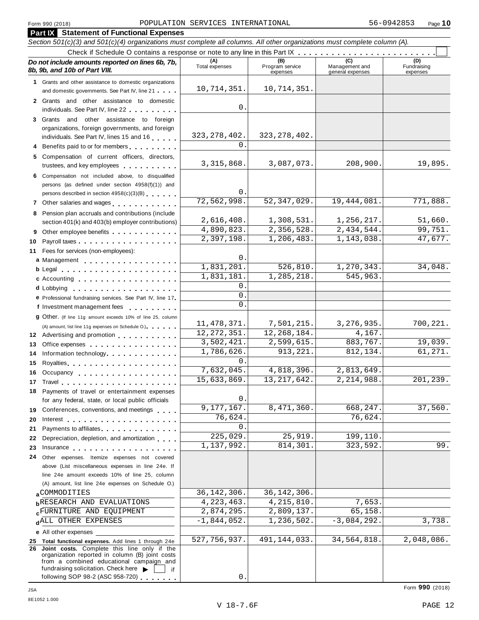|    | <b>Part IX</b> Statement of Functional Expenses                                                                                                                                                                                |                       |                                    |                                    |                                |
|----|--------------------------------------------------------------------------------------------------------------------------------------------------------------------------------------------------------------------------------|-----------------------|------------------------------------|------------------------------------|--------------------------------|
|    | Section 501(c)(3) and 501(c)(4) organizations must complete all columns. All other organizations must complete column (A).                                                                                                     |                       |                                    |                                    |                                |
|    |                                                                                                                                                                                                                                |                       |                                    |                                    |                                |
|    | Do not include amounts reported on lines 6b, 7b,<br>8b, 9b, and 10b of Part VIII.                                                                                                                                              | (A)<br>Total expenses | (B)<br>Program service<br>expenses | Management and<br>general expenses | (D)<br>Fundraising<br>expenses |
|    | 1 Grants and other assistance to domestic organizations                                                                                                                                                                        |                       |                                    |                                    |                                |
|    | and domestic governments. See Part IV, line 21                                                                                                                                                                                 | 10,714,351.           | 10,714,351.                        |                                    |                                |
|    | 2 Grants and other assistance to domestic                                                                                                                                                                                      |                       |                                    |                                    |                                |
|    | individuals. See Part IV, line 22 <b>Canadia</b>                                                                                                                                                                               | 0                     |                                    |                                    |                                |
|    | 3 Grants and other assistance to foreign                                                                                                                                                                                       |                       |                                    |                                    |                                |
|    | organizations, foreign governments, and foreign                                                                                                                                                                                | 323, 278, 402.        | 323, 278, 402.                     |                                    |                                |
|    | individuals. See Part IV, lines 15 and 16                                                                                                                                                                                      | 0                     |                                    |                                    |                                |
|    | 4 Benefits paid to or for members                                                                                                                                                                                              |                       |                                    |                                    |                                |
|    | 5 Compensation of current officers, directors,<br>trustees, and key employees                                                                                                                                                  | 3, 315, 868.          | 3,087,073.                         | 208,900.                           | 19,895.                        |
|    | 6 Compensation not included above, to disqualified                                                                                                                                                                             |                       |                                    |                                    |                                |
|    | persons (as defined under section 4958(f)(1)) and                                                                                                                                                                              |                       |                                    |                                    |                                |
|    | persons described in section 4958(c)(3)(B)                                                                                                                                                                                     | 0.                    |                                    |                                    |                                |
|    | 7 Other salaries and wages <b>contained contained contained contained contained contained contained contained </b>                                                                                                             | 72,562,998.           | 52, 347, 029.                      | 19,444,081.                        | 771,888.                       |
|    | 8 Pension plan accruals and contributions (include                                                                                                                                                                             | 2,616,408.            | 1,308,531.                         | 1,256,217.                         | 51,660.                        |
|    | section 401(k) and 403(b) employer contributions)                                                                                                                                                                              | 4,890,823.            | 2,356,528.                         | 2,434,544.                         | 99,751.                        |
|    | 9 Other employee benefits                                                                                                                                                                                                      | 2,397,198.            | 1,206,483.                         | 1,143,038.                         | 47,677.                        |
| 10 |                                                                                                                                                                                                                                |                       |                                    |                                    |                                |
| 11 | Fees for services (non-employees):                                                                                                                                                                                             | 0                     |                                    |                                    |                                |
|    | a Management                                                                                                                                                                                                                   | 1,831,201.            | 526, 810.                          | 1,270,343.                         | 34,048.                        |
|    |                                                                                                                                                                                                                                | 1,831,181             | 1,285,218.                         | 545,963.                           |                                |
|    | c Accounting                                                                                                                                                                                                                   | 0                     |                                    |                                    |                                |
|    | e Professional fundraising services. See Part IV, line 17                                                                                                                                                                      | 0                     |                                    |                                    |                                |
|    | f Investment management fees                                                                                                                                                                                                   | $\Omega$              |                                    |                                    |                                |
|    |                                                                                                                                                                                                                                |                       |                                    |                                    |                                |
|    | <b>g</b> Other. (If line 11g amount exceeds 10% of line 25, column                                                                                                                                                             | 11, 478, 371.         | 7,501,215.                         | 3, 276, 935.                       | 700,221.                       |
|    | (A) amount, list line 11g expenses on Schedule O.).<br>12 Advertising and promotion                                                                                                                                            | 12, 272, 351.         | 12, 268, 184.                      | 4,167.                             |                                |
| 13 | Office expenses expenses                                                                                                                                                                                                       | 3,502,421.            | 2,599,615.                         | 883,767.                           | 19,039.                        |
| 14 | Information technology.                                                                                                                                                                                                        | 1,786,626.            | 913, 221.                          | 812,134.                           | 61,271.                        |
| 15 |                                                                                                                                                                                                                                | 0                     |                                    |                                    |                                |
|    | 16 Occupancy                                                                                                                                                                                                                   | 7,632,045             | $\overline{4,818}$ , 396.          | 2,813,649.                         |                                |
|    |                                                                                                                                                                                                                                | 15,633,869.           | 13, 217, 642.                      | 2,214,988.                         | 201,239.                       |
|    | 18 Payments of travel or entertainment expenses                                                                                                                                                                                |                       |                                    |                                    |                                |
|    | for any federal, state, or local public officials                                                                                                                                                                              | 0                     |                                    |                                    |                                |
|    | 19 Conferences, conventions, and meetings                                                                                                                                                                                      | 9,177,167.            | 8,471,360.                         | 668,247.                           | 37,560.                        |
| 20 | Interest                                                                                                                                                                                                                       | 76,624                |                                    | 76,624.                            |                                |
| 21 | Payments to affiliates <b>Exercise Services</b>                                                                                                                                                                                | 0                     |                                    |                                    |                                |
| 22 | Depreciation, depletion, and amortization                                                                                                                                                                                      | 225,029.              | 25,919.                            | 199,110.                           |                                |
| 23 | Insurance in the same state of the state of the state of the state of the state of the state of the state of the state of the state of the state of the state of the state of the state of the state of the state of the state | 1,137,992.            | 814,301.                           | 323,592.                           | 99.                            |
| 24 | Other expenses. Itemize expenses not covered                                                                                                                                                                                   |                       |                                    |                                    |                                |
|    | above (List miscellaneous expenses in line 24e. If                                                                                                                                                                             |                       |                                    |                                    |                                |
|    | line 24e amount exceeds 10% of line 25, column                                                                                                                                                                                 |                       |                                    |                                    |                                |
|    | (A) amount, list line 24e expenses on Schedule O.)                                                                                                                                                                             |                       |                                    |                                    |                                |
|    | aCOMMODITIES                                                                                                                                                                                                                   | 36, 142, 306.         | 36, 142, 306.                      |                                    |                                |
|    | <b>b</b> RESEARCH AND EVALUATIONS                                                                                                                                                                                              | 4, 223, 463.          | 4, 215, 810.                       | 7,653.                             |                                |
|    | <b>CEURNITURE AND EQUIPMENT</b>                                                                                                                                                                                                | 2,874,295.            | 2,809,137.                         | 65,158                             |                                |
|    | dALL OTHER EXPENSES                                                                                                                                                                                                            | $-1,844,052.$         | 1,236,502.                         | $-3,084,292.$                      | 3,738.                         |
|    | e All other expenses                                                                                                                                                                                                           |                       |                                    |                                    |                                |
|    | 25 Total functional expenses. Add lines 1 through 24e<br>26 Joint costs. Complete this line only if the                                                                                                                        | 527,756,937.          | 491, 144, 033.                     | 34,564,818.                        | 2,048,086.                     |
|    | organization reported in column (B) joint costs<br>from a combined educational campaign and<br>fundraising solicitation. Check here $\blacktriangleright$<br>if                                                                |                       |                                    |                                    |                                |
|    | following SOP 08-2 (ASC 058-720)                                                                                                                                                                                               |                       |                                    |                                    |                                |

following SOP 98-2 (ASC 958-720)

 $\overline{0}$  .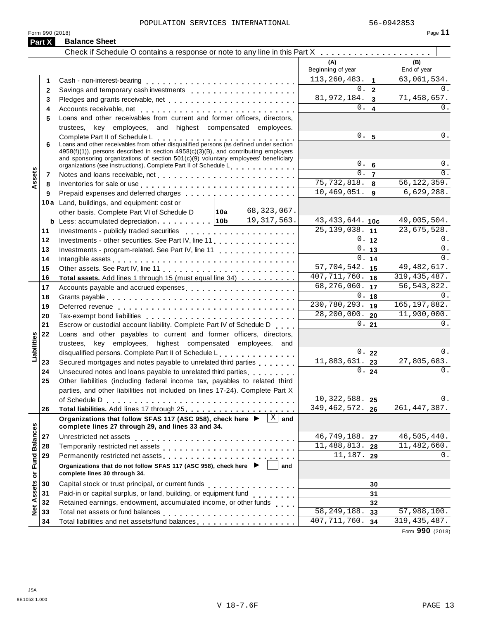| Part X                      | <b>Balance Sheet</b>                                                                                                                                                                                                           |                                        |                           |
|-----------------------------|--------------------------------------------------------------------------------------------------------------------------------------------------------------------------------------------------------------------------------|----------------------------------------|---------------------------|
|                             |                                                                                                                                                                                                                                |                                        |                           |
|                             |                                                                                                                                                                                                                                | (A)<br>Beginning of year               | (B)<br>End of year        |
| 1                           |                                                                                                                                                                                                                                | 113, 260, 483.<br>$\mathbf{1}$         | 63,061,534.               |
| $\mathbf{2}$                |                                                                                                                                                                                                                                | 0.<br>$\overline{2}$                   | 0.                        |
| 3                           |                                                                                                                                                                                                                                | 81,972,184.<br>$\overline{\mathbf{3}}$ | 71,458,657.               |
| 4                           | Accounts receivable, net enterprise and accounts receivable, net enterprise and accounts received and accounts                                                                                                                 | 0.<br>$\overline{\mathbf{4}}$          | 0.                        |
| 5                           | Loans and other receivables from current and former officers, directors,                                                                                                                                                       |                                        |                           |
|                             | trustees, key employees, and highest compensated employees.                                                                                                                                                                    |                                        |                           |
|                             |                                                                                                                                                                                                                                | 0.<br>$5\phantom{a}$                   | 0.                        |
| 6                           | Complete Part II of Schedule L<br>Loans and other receivables from other disqualified persons (as defined under section                                                                                                        |                                        |                           |
|                             | $4958(f)(1)$ , persons described in section $4958(c)(3)(B)$ , and contributing employers                                                                                                                                       |                                        |                           |
|                             | and sponsoring organizations of section 501(c)(9) voluntary employees' beneficiary                                                                                                                                             | 0.<br>$6\phantom{a}$                   | 0.                        |
|                             | organizations (see instructions). Complete Part II of Schedule L.                                                                                                                                                              | 0.                                     | 0.                        |
| ssets<br>7                  |                                                                                                                                                                                                                                | $\overline{7}$<br>75,732,818.          | 56, 122, 359.             |
| 8<br>⋖                      | Inventories for sale or use enterpreteral resources and resources for sale or use of the set of the set of the                                                                                                                 | 8<br>10,469,051.                       | 6,629,288.                |
| 9                           |                                                                                                                                                                                                                                | 9                                      |                           |
|                             | 10a Land, buildings, and equipment: cost or                                                                                                                                                                                    |                                        |                           |
|                             | 68,323,067.<br> 10a <br>other basis. Complete Part VI of Schedule D                                                                                                                                                            |                                        |                           |
|                             | 19, 317, 563.                                                                                                                                                                                                                  | 43, 433, 644. 10c                      | 49,005,504.               |
| 11                          |                                                                                                                                                                                                                                | 25, 139, 038.<br>11                    | 23,675,528.               |
| 12                          | Investments - other securities. See Part IV, line 11                                                                                                                                                                           | 0.1<br>12                              | 0.                        |
| 13                          | Investments - program-related. See Part IV, line 11                                                                                                                                                                            | 0.<br>13                               | 0.                        |
| 14                          | Intangible assets experience in the contract of the contract of the contract of the contract of the contract of the contract of the contract of the contract of the contract of the contract of the contract of the contract o | 0.<br>14                               | 0.                        |
| 15                          |                                                                                                                                                                                                                                | $\overline{57,704,542.}$<br>15         | 49, 482, 617.             |
| 16                          | Total assets. Add lines 1 through 15 (must equal line 34)                                                                                                                                                                      | 407, 711, 760.<br>16                   | 319, 435, 487.            |
| 17                          | Accounts payable and accrued expenses entitled and accrue and accrued expenses                                                                                                                                                 | 68,276,060.<br>17                      | 56, 543, 822.             |
| 18                          |                                                                                                                                                                                                                                | 0.<br>18                               | $0$ .                     |
| 19                          |                                                                                                                                                                                                                                | 230,780,293.<br>19                     | 165, 197, 882.            |
| 20                          | Tax-exempt bond liabilities entering the state of the state of the state of the state of the state of the state of the state of the state of the state of the state of the state of the state of the state of the state of the | 28,200,000.<br>20                      | 11,900,000.               |
| 21                          | Escrow or custodial account liability. Complete Part IV of Schedule D                                                                                                                                                          | 0.<br>21                               | 0.                        |
| 22                          | Loans and other payables to current and former officers, directors,                                                                                                                                                            |                                        |                           |
|                             | trustees, key employees, highest compensated employees, and                                                                                                                                                                    |                                        |                           |
| Liabilities                 | disqualified persons. Complete Part II of Schedule L.                                                                                                                                                                          | 0.1<br>22                              | 0.                        |
| 23                          | Secured mortgages and notes payable to unrelated third parties                                                                                                                                                                 | 11,883,631.<br>23                      | 27,805,683.               |
| 24                          |                                                                                                                                                                                                                                | 0.<br>24                               | 0.                        |
| 25                          | Other liabilities (including federal income tax, payables to related third                                                                                                                                                     |                                        |                           |
|                             | parties, and other liabilities not included on lines 17-24). Complete Part X                                                                                                                                                   |                                        |                           |
|                             |                                                                                                                                                                                                                                | 10, 322, 588.<br>25                    | 0.                        |
| 26                          |                                                                                                                                                                                                                                | 349, 462, 572.<br>26                   | 261, 447, 387.            |
|                             | $\mathbf{X}$<br>Organizations that follow SFAS 117 (ASC 958), check here ▶<br>and<br>complete lines 27 through 29, and lines 33 and 34.                                                                                        |                                        |                           |
| 27                          |                                                                                                                                                                                                                                | 46,749,188.<br>27                      | 46,505,440.               |
| 28                          |                                                                                                                                                                                                                                | 11,488,813.<br>28                      | $\overline{11,482,660}$ . |
| 29                          |                                                                                                                                                                                                                                | 11,187.<br>29                          | 0.                        |
| Net Assets or Fund Balances | Organizations that do not follow SFAS 117 (ASC 958), check here ▶<br>and<br>complete lines 30 through 34.                                                                                                                      |                                        |                           |
|                             |                                                                                                                                                                                                                                |                                        |                           |
| 30                          | Capital stock or trust principal, or current funds<br>                                                                                                                                                                         | 30                                     |                           |
| 31                          | Paid-in or capital surplus, or land, building, or equipment fund<br>                                                                                                                                                           | 31                                     |                           |
| 32                          | Retained earnings, endowment, accumulated income, or other funds [11].                                                                                                                                                         | 32                                     |                           |
| 33                          |                                                                                                                                                                                                                                | $\overline{58,249,188}$ .<br>33        | 57,988,100.               |
| 34                          | Total liabilities and net assets/fund balances                                                                                                                                                                                 | 407, 711, 760.<br>34                   | 319, 435, 487.            |

Form **990** (2018)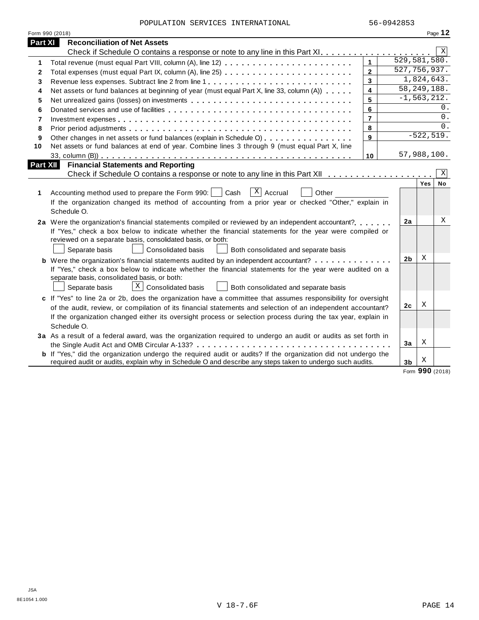POPULATION SERVICES INTERNATIONAL 56-0942853

|          | Form 990 (2018)                                                                                                       |                         |                           |             | Page 12     |
|----------|-----------------------------------------------------------------------------------------------------------------------|-------------------------|---------------------------|-------------|-------------|
| Part XI  | <b>Reconciliation of Net Assets</b>                                                                                   |                         |                           |             |             |
|          |                                                                                                                       |                         |                           |             | $\mathbf X$ |
| 1        |                                                                                                                       | $\mathbf{1}$            | $\overline{529,581,580.}$ |             |             |
| 2        |                                                                                                                       | $\overline{2}$          | 527, 756, 937.            |             |             |
| 3        |                                                                                                                       | 3                       |                           | 1,824,643.  |             |
| 4        | Net assets or fund balances at beginning of year (must equal Part X, line 33, column (A))                             | $\overline{\mathbf{4}}$ | 58, 249, 188.             |             |             |
| 5        | Net unrealized gains (losses) on investments                                                                          | 5                       | $-1, 563, 212.$           |             |             |
| 6        |                                                                                                                       | 6                       |                           |             | 0.          |
| 7        |                                                                                                                       | $\overline{7}$          |                           |             | 0.          |
| 8        |                                                                                                                       | 8                       |                           |             | 0.          |
| 9        | Other changes in net assets or fund balances (explain in Schedule O)                                                  | 9                       |                           | $-522,519.$ |             |
| 10       | Net assets or fund balances at end of year. Combine lines 3 through 9 (must equal Part X, line                        |                         |                           |             |             |
|          |                                                                                                                       | 10                      | 57,988,100.               |             |             |
| Part XII | <b>Financial Statements and Reporting</b>                                                                             |                         |                           |             |             |
|          |                                                                                                                       |                         |                           |             | X           |
|          |                                                                                                                       |                         |                           | Yes         | <b>No</b>   |
| 1        | $X$ Accrual<br>Accounting method used to prepare the Form 990:     Cash<br>Other                                      |                         |                           |             |             |
|          | If the organization changed its method of accounting from a prior year or checked "Other," explain in                 |                         |                           |             |             |
|          | Schedule O.                                                                                                           |                         |                           |             |             |
|          | 2a Were the organization's financial statements compiled or reviewed by an independent accountant?                    |                         | 2a                        |             | Χ           |
|          | If "Yes," check a box below to indicate whether the financial statements for the year were compiled or                |                         |                           |             |             |
|          | reviewed on a separate basis, consolidated basis, or both:                                                            |                         |                           |             |             |
|          | Separate basis<br><b>Consolidated basis</b><br>Both consolidated and separate basis                                   |                         |                           |             |             |
|          | <b>b</b> Were the organization's financial statements audited by an independent accountant?                           |                         | 2 <sub>b</sub>            | X           |             |
|          | If "Yes," check a box below to indicate whether the financial statements for the year were audited on a               |                         |                           |             |             |
|          | separate basis, consolidated basis, or both:                                                                          |                         |                           |             |             |
|          | $X$ Consolidated basis<br>Both consolidated and separate basis<br>Separate basis                                      |                         |                           |             |             |
|          | c If "Yes" to line 2a or 2b, does the organization have a committee that assumes responsibility for oversight         |                         |                           |             |             |
|          | of the audit, review, or compilation of its financial statements and selection of an independent accountant?          |                         | 2c                        | Χ           |             |
|          | If the organization changed either its oversight process or selection process during the tax year, explain in         |                         |                           |             |             |
|          | Schedule O.                                                                                                           |                         |                           |             |             |
|          | 3a As a result of a federal award, was the organization required to undergo an audit or audits as set forth in        |                         |                           |             |             |
|          |                                                                                                                       |                         | 3a                        | X           |             |
|          | <b>b</b> If "Yes," did the organization undergo the required audit or audits? If the organization did not undergo the |                         |                           |             |             |
|          | required audit or audits, explain why in Schedule O and describe any steps taken to undergo such audits.              |                         | 3 <sub>b</sub>            | Χ           |             |

Form **990** (2018)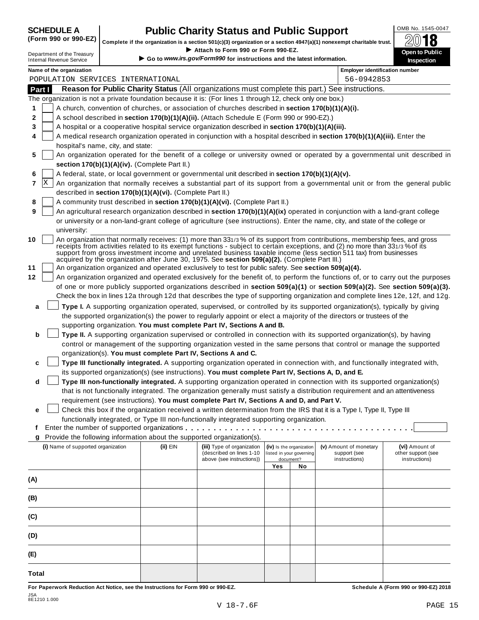# **CHEDULE A Public Charity Status and Public Support**  $\frac{\text{OMB No. 1545-0047}}{\text{OMB}}$

(Form 990 or 990-EZ) complete if the organization is a section 501(c)(3) organization or a section 4947(a)(1) nonexempt charitable trust.  $2018$ 

|         |                                                               |                                                            | Complete if the organization is a section 501(c)(3) organization or a section 4947(a)(1) nonexempt charitable trust.                                                                                  |     |                                                      |                                        | 4V<br>10                             |
|---------|---------------------------------------------------------------|------------------------------------------------------------|-------------------------------------------------------------------------------------------------------------------------------------------------------------------------------------------------------|-----|------------------------------------------------------|----------------------------------------|--------------------------------------|
|         | Department of the Treasury<br><b>Internal Revenue Service</b> |                                                            | Attach to Form 990 or Form 990-EZ.<br>Go to www.irs.gov/Form990 for instructions and the latest information.                                                                                          |     |                                                      |                                        | Open to Public<br><b>Inspection</b>  |
|         | Name of the organization                                      |                                                            |                                                                                                                                                                                                       |     |                                                      | <b>Employer identification number</b>  |                                      |
|         | POPULATION SERVICES INTERNATIONAL                             |                                                            |                                                                                                                                                                                                       |     |                                                      | 56-0942853                             |                                      |
| Part I  |                                                               |                                                            | Reason for Public Charity Status (All organizations must complete this part.) See instructions.                                                                                                       |     |                                                      |                                        |                                      |
|         |                                                               |                                                            | The organization is not a private foundation because it is: (For lines 1 through 12, check only one box.)                                                                                             |     |                                                      |                                        |                                      |
| 1       |                                                               |                                                            | A church, convention of churches, or association of churches described in section 170(b)(1)(A)(i).                                                                                                    |     |                                                      |                                        |                                      |
| 2       |                                                               |                                                            | A school described in section 170(b)(1)(A)(ii). (Attach Schedule E (Form 990 or 990-EZ).)                                                                                                             |     |                                                      |                                        |                                      |
| 3       |                                                               |                                                            | A hospital or a cooperative hospital service organization described in section 170(b)(1)(A)(iii).                                                                                                     |     |                                                      |                                        |                                      |
| 4       |                                                               |                                                            | A medical research organization operated in conjunction with a hospital described in section 170(b)(1)(A)(iii). Enter the                                                                             |     |                                                      |                                        |                                      |
|         | hospital's name, city, and state:                             |                                                            |                                                                                                                                                                                                       |     |                                                      |                                        |                                      |
| 5       |                                                               |                                                            | An organization operated for the benefit of a college or university owned or operated by a governmental unit described in                                                                             |     |                                                      |                                        |                                      |
|         |                                                               | section 170(b)(1)(A)(iv). (Complete Part II.)              |                                                                                                                                                                                                       |     |                                                      |                                        |                                      |
| 6       |                                                               |                                                            | A federal, state, or local government or governmental unit described in section 170(b)(1)(A)(v).                                                                                                      |     |                                                      |                                        |                                      |
| ΙX<br>7 |                                                               |                                                            | An organization that normally receives a substantial part of its support from a governmental unit or from the general public                                                                          |     |                                                      |                                        |                                      |
|         |                                                               | described in section 170(b)(1)(A)(vi). (Complete Part II.) |                                                                                                                                                                                                       |     |                                                      |                                        |                                      |
| 8       |                                                               |                                                            | A community trust described in section 170(b)(1)(A)(vi). (Complete Part II.)                                                                                                                          |     |                                                      |                                        |                                      |
| 9       |                                                               |                                                            | An agricultural research organization described in section 170(b)(1)(A)(ix) operated in conjunction with a land-grant college                                                                         |     |                                                      |                                        |                                      |
|         |                                                               |                                                            | or university or a non-land-grant college of agriculture (see instructions). Enter the name, city, and state of the college or                                                                        |     |                                                      |                                        |                                      |
|         | university:                                                   |                                                            | An organization that normally receives: (1) more than 331/3% of its support from contributions, membership fees, and gross                                                                            |     |                                                      |                                        |                                      |
| 10      |                                                               |                                                            | receipts from activities related to its exempt functions - subject to certain exceptions, and (2) no more than 331/3% of its                                                                          |     |                                                      |                                        |                                      |
|         |                                                               |                                                            | support from gross investment income and unrelated business taxable income (less section 511 tax) from businesses                                                                                     |     |                                                      |                                        |                                      |
|         |                                                               |                                                            | acquired by the organization after June 30, 1975. See section 509(a)(2). (Complete Part III.)<br>An organization organized and operated exclusively to test for public safety. See section 509(a)(4). |     |                                                      |                                        |                                      |
| 12      |                                                               |                                                            | An organization organized and operated exclusively for the benefit of, to perform the functions of, or to carry out the purposes                                                                      |     |                                                      |                                        |                                      |
|         |                                                               |                                                            | of one or more publicly supported organizations described in section 509(a)(1) or section 509(a)(2). See section 509(a)(3).                                                                           |     |                                                      |                                        |                                      |
|         |                                                               |                                                            | Check the box in lines 12a through 12d that describes the type of supporting organization and complete lines 12e, 12f, and 12g.                                                                       |     |                                                      |                                        |                                      |
| a       |                                                               |                                                            | Type I. A supporting organization operated, supervised, or controlled by its supported organization(s), typically by giving                                                                           |     |                                                      |                                        |                                      |
|         |                                                               |                                                            | the supported organization(s) the power to regularly appoint or elect a majority of the directors or trustees of the                                                                                  |     |                                                      |                                        |                                      |
|         |                                                               |                                                            | supporting organization. You must complete Part IV, Sections A and B.                                                                                                                                 |     |                                                      |                                        |                                      |
| b       |                                                               |                                                            | Type II. A supporting organization supervised or controlled in connection with its supported organization(s), by having                                                                               |     |                                                      |                                        |                                      |
|         |                                                               |                                                            | control or management of the supporting organization vested in the same persons that control or manage the supported                                                                                  |     |                                                      |                                        |                                      |
|         |                                                               |                                                            | organization(s). You must complete Part IV, Sections A and C.                                                                                                                                         |     |                                                      |                                        |                                      |
| c       |                                                               |                                                            | Type III functionally integrated. A supporting organization operated in connection with, and functionally integrated with,                                                                            |     |                                                      |                                        |                                      |
|         |                                                               |                                                            | its supported organization(s) (see instructions). You must complete Part IV, Sections A, D, and E.                                                                                                    |     |                                                      |                                        |                                      |
| d       |                                                               |                                                            | Type III non-functionally integrated. A supporting organization operated in connection with its supported organization(s)                                                                             |     |                                                      |                                        |                                      |
|         |                                                               |                                                            | that is not functionally integrated. The organization generally must satisfy a distribution requirement and an attentiveness                                                                          |     |                                                      |                                        |                                      |
|         |                                                               |                                                            | requirement (see instructions). You must complete Part IV, Sections A and D, and Part V.                                                                                                              |     |                                                      |                                        |                                      |
| е       |                                                               |                                                            | Check this box if the organization received a written determination from the IRS that it is a Type I, Type II, Type III                                                                               |     |                                                      |                                        |                                      |
|         |                                                               |                                                            | functionally integrated, or Type III non-functionally integrated supporting organization.                                                                                                             |     |                                                      |                                        |                                      |
| f       |                                                               |                                                            |                                                                                                                                                                                                       |     |                                                      |                                        |                                      |
| g       |                                                               |                                                            | Provide the following information about the supported organization(s).                                                                                                                                |     |                                                      |                                        |                                      |
|         | (i) Name of supported organization                            | (ii) EIN                                                   | (iii) Type of organization<br>(described on lines 1-10                                                                                                                                                |     | (iv) Is the organization<br>listed in your governing | (v) Amount of monetary<br>support (see | (vi) Amount of<br>other support (see |
|         |                                                               |                                                            | above (see instructions))                                                                                                                                                                             |     | document?                                            | instructions)                          | instructions)                        |
|         |                                                               |                                                            |                                                                                                                                                                                                       | Yes | No                                                   |                                        |                                      |
| (A)     |                                                               |                                                            |                                                                                                                                                                                                       |     |                                                      |                                        |                                      |
|         |                                                               |                                                            |                                                                                                                                                                                                       |     |                                                      |                                        |                                      |
| (B)     |                                                               |                                                            |                                                                                                                                                                                                       |     |                                                      |                                        |                                      |
|         |                                                               |                                                            |                                                                                                                                                                                                       |     |                                                      |                                        |                                      |
| (C)     |                                                               |                                                            |                                                                                                                                                                                                       |     |                                                      |                                        |                                      |
|         |                                                               |                                                            |                                                                                                                                                                                                       |     |                                                      |                                        |                                      |
| (D)     |                                                               |                                                            |                                                                                                                                                                                                       |     |                                                      |                                        |                                      |
|         |                                                               |                                                            |                                                                                                                                                                                                       |     |                                                      |                                        |                                      |
| (E)     |                                                               |                                                            |                                                                                                                                                                                                       |     |                                                      |                                        |                                      |

For Paperwork Reduction Act Notice, see the Instructions for Form 990 or 990-EZ. Schedule A (Form 990 or 990-EZ) 2018

**Total**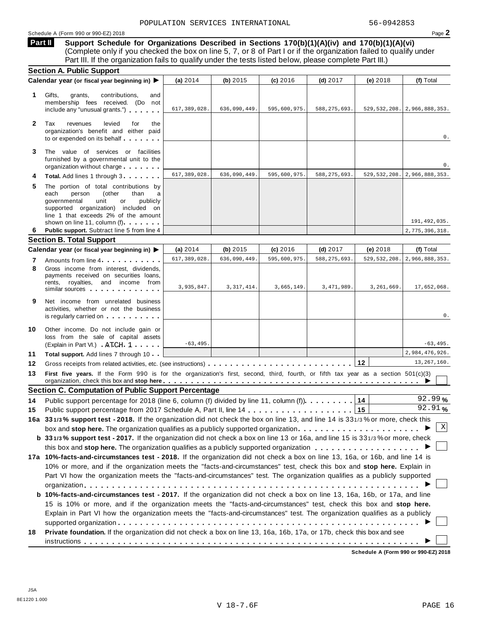**Support Schedule for Organizations Described in Sections 170(b)(1)(A)(iv) and 170(b)(1)(A)(vi)** Complete only if you checked the box on line 5, 7, or 8 of Part I or if the organization failed to qualify under Part III. If the organization fails to qualify under the tests listed below, please complete Part III.) **Part II**

| <b>Section A. Public Support</b>                                                                                                                                                                                                                                                                                |                                                                                  |              |                                                            |                |            |                                                                                                                                                                                                                                                                                                                                                                                             |
|-----------------------------------------------------------------------------------------------------------------------------------------------------------------------------------------------------------------------------------------------------------------------------------------------------------------|----------------------------------------------------------------------------------|--------------|------------------------------------------------------------|----------------|------------|---------------------------------------------------------------------------------------------------------------------------------------------------------------------------------------------------------------------------------------------------------------------------------------------------------------------------------------------------------------------------------------------|
| Calendar year (or fiscal year beginning in) ▶                                                                                                                                                                                                                                                                   | (a) 2014                                                                         | (b) $2015$   | $(c)$ 2016                                                 | $(d)$ 2017     | (e) 2018   | (f) Total                                                                                                                                                                                                                                                                                                                                                                                   |
| Gifts,<br>grants,<br>contributions,<br>and<br>membership fees received. (Do not<br>include any "unusual grants.")                                                                                                                                                                                               | 617,389,028.                                                                     | 636,090,449. | 595,600,975.                                               | 588, 275, 693. |            | 529, 532, 208. 2, 966, 888, 353.                                                                                                                                                                                                                                                                                                                                                            |
| Tax<br>levied<br>revenues<br>for<br>the<br>organization's benefit and either paid<br>to or expended on its behalf                                                                                                                                                                                               |                                                                                  |              |                                                            |                |            | 0.                                                                                                                                                                                                                                                                                                                                                                                          |
| The value of services or facilities<br>furnished by a governmental unit to the<br>organization without charge                                                                                                                                                                                                   |                                                                                  |              |                                                            |                |            | 0.                                                                                                                                                                                                                                                                                                                                                                                          |
| Total. Add lines 1 through 3                                                                                                                                                                                                                                                                                    | 617, 389, 028.                                                                   | 636,090,449. | 595,600,975.                                               | 588, 275, 693. |            | 529, 532, 208. 2, 966, 888, 353.                                                                                                                                                                                                                                                                                                                                                            |
| The portion of total contributions by<br>each<br>person<br>(other<br>than<br>a<br>governmental<br>unit<br>publicly<br>or<br>supported organization) included on<br>line 1 that exceeds 2% of the amount<br>shown on line 11, column (f)                                                                         |                                                                                  |              |                                                            |                |            | 191,492,035.                                                                                                                                                                                                                                                                                                                                                                                |
| Public support. Subtract line 5 from line 4                                                                                                                                                                                                                                                                     |                                                                                  |              |                                                            |                |            | 2,775,396,318.                                                                                                                                                                                                                                                                                                                                                                              |
|                                                                                                                                                                                                                                                                                                                 |                                                                                  |              |                                                            |                |            |                                                                                                                                                                                                                                                                                                                                                                                             |
|                                                                                                                                                                                                                                                                                                                 | (a) $2014$                                                                       | (b) $2015$   | (c) 2016                                                   | $(d)$ 2017     | (e) 2018   | (f) Total                                                                                                                                                                                                                                                                                                                                                                                   |
| Amounts from line 4.                                                                                                                                                                                                                                                                                            | 617, 389, 028.                                                                   | 636,090,449. | 595,600,975                                                | 588, 275, 693. |            | 2,966,888,353.                                                                                                                                                                                                                                                                                                                                                                              |
| Gross income from interest. dividends.<br>payments received on securities loans,<br>rents, royalties, and income from<br>similar sources and the same similar sources                                                                                                                                           | 3,935,847.                                                                       | 3, 317, 414. | 3,665,149.                                                 | 3,471,989.     | 3,261,669. | 17,652,068.                                                                                                                                                                                                                                                                                                                                                                                 |
| Net income from unrelated business<br>activities, whether or not the business<br>is regularly carried on the control of the state of the state of the state of the state of the state of the state of the state of the state of the state of the state of the state of the state of the state of the state of t |                                                                                  |              |                                                            |                |            | 0.                                                                                                                                                                                                                                                                                                                                                                                          |
| Other income. Do not include gain or<br>loss from the sale of capital assets<br>(Explain in Part VI.) ATCH 1                                                                                                                                                                                                    | $-63, 495.$                                                                      |              |                                                            |                |            | $-63, 495.$                                                                                                                                                                                                                                                                                                                                                                                 |
| <b>Total support.</b> Add lines 7 through 10                                                                                                                                                                                                                                                                    |                                                                                  |              |                                                            |                |            | 2,984,476,926.                                                                                                                                                                                                                                                                                                                                                                              |
|                                                                                                                                                                                                                                                                                                                 |                                                                                  |              |                                                            |                |            | 13, 267, 160.                                                                                                                                                                                                                                                                                                                                                                               |
|                                                                                                                                                                                                                                                                                                                 |                                                                                  |              |                                                            |                |            |                                                                                                                                                                                                                                                                                                                                                                                             |
|                                                                                                                                                                                                                                                                                                                 |                                                                                  |              |                                                            |                |            |                                                                                                                                                                                                                                                                                                                                                                                             |
| Public support percentage for 2018 (line 6, column (f) divided by line 11, column (f)).                                                                                                                                                                                                                         |                                                                                  |              |                                                            |                | 14         | 92.99%                                                                                                                                                                                                                                                                                                                                                                                      |
|                                                                                                                                                                                                                                                                                                                 |                                                                                  |              |                                                            |                |            |                                                                                                                                                                                                                                                                                                                                                                                             |
|                                                                                                                                                                                                                                                                                                                 |                                                                                  |              |                                                            |                | 15         | 92.91%                                                                                                                                                                                                                                                                                                                                                                                      |
| 16a 331/3% support test - 2018. If the organization did not check the box on line 13, and line 14 is 331/3% or more, check this                                                                                                                                                                                 |                                                                                  |              |                                                            |                |            |                                                                                                                                                                                                                                                                                                                                                                                             |
|                                                                                                                                                                                                                                                                                                                 |                                                                                  |              |                                                            |                |            | Χ                                                                                                                                                                                                                                                                                                                                                                                           |
| b 331/3% support test - 2017. If the organization did not check a box on line 13 or 16a, and line 15 is 331/3% or more, check                                                                                                                                                                                   |                                                                                  |              |                                                            |                |            |                                                                                                                                                                                                                                                                                                                                                                                             |
|                                                                                                                                                                                                                                                                                                                 |                                                                                  |              |                                                            |                |            |                                                                                                                                                                                                                                                                                                                                                                                             |
| 17a 10%-facts-and-circumstances test - 2018. If the organization did not check a box on line 13, 16a, or 16b, and line 14 is                                                                                                                                                                                    |                                                                                  |              |                                                            |                |            |                                                                                                                                                                                                                                                                                                                                                                                             |
| 10% or more, and if the organization meets the "facts-and-circumstances" test, check this box and stop here. Explain in                                                                                                                                                                                         |                                                                                  |              |                                                            |                |            |                                                                                                                                                                                                                                                                                                                                                                                             |
| Part VI how the organization meets the "facts-and-circumstances" test. The organization qualifies as a publicly supported                                                                                                                                                                                       |                                                                                  |              |                                                            |                |            |                                                                                                                                                                                                                                                                                                                                                                                             |
|                                                                                                                                                                                                                                                                                                                 |                                                                                  |              |                                                            |                |            |                                                                                                                                                                                                                                                                                                                                                                                             |
| b 10%-facts-and-circumstances test - 2017. If the organization did not check a box on line 13, 16a, 16b, or 17a, and line                                                                                                                                                                                       |                                                                                  |              |                                                            |                |            |                                                                                                                                                                                                                                                                                                                                                                                             |
| 15 is 10% or more, and if the organization meets the "facts-and-circumstances" test, check this box and stop here.                                                                                                                                                                                              |                                                                                  |              |                                                            |                |            |                                                                                                                                                                                                                                                                                                                                                                                             |
| Explain in Part VI how the organization meets the "facts-and-circumstances" test. The organization qualifies as a publicly                                                                                                                                                                                      |                                                                                  |              |                                                            |                |            |                                                                                                                                                                                                                                                                                                                                                                                             |
| Private foundation. If the organization did not check a box on line 13, 16a, 16b, 17a, or 17b, check this box and see                                                                                                                                                                                           |                                                                                  |              |                                                            |                |            |                                                                                                                                                                                                                                                                                                                                                                                             |
|                                                                                                                                                                                                                                                                                                                 | <b>Section B. Total Support</b><br>Calendar year (or fiscal year beginning in) ▶ |              | <b>Section C. Computation of Public Support Percentage</b> |                |            | 529, 532, 208.<br>12<br>First five years. If the Form 990 is for the organization's first, second, third, fourth, or fifth tax year as a section 501(c)(3)<br>organization, check this box and stop here entired to the state of the state of the state of the state of the state of the state of the state of the state of the state of the state of the state of the state of the state o |

**Schedule A (Form 990 or 990-EZ) 2018**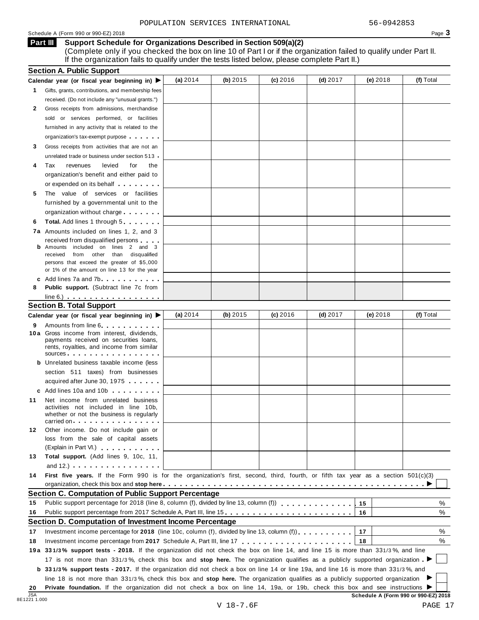## Schedule A (Form 990 or 990-EZ) 2018 Page 3

**Support Schedule for Organizations Described in Section 509(a)(2)** (Complete only if you checked the box on line 10 of Part I or if the organization failed to qualify under Part II. If the organization fails to qualify under the tests listed below, please complete Part II.) **Part III**

|                  | <b>Section A. Public Support</b>                                                                                                                      |          |          |          |            |            |                                      |
|------------------|-------------------------------------------------------------------------------------------------------------------------------------------------------|----------|----------|----------|------------|------------|--------------------------------------|
|                  | Calendar year (or fiscal year beginning in) $\blacktriangleright$                                                                                     | (a) 2014 | (b) 2015 | (c) 2016 | $(d)$ 2017 | $(e)$ 2018 | (f) Total                            |
| 1                | Gifts, grants, contributions, and membership fees                                                                                                     |          |          |          |            |            |                                      |
|                  | received. (Do not include any "unusual grants.")                                                                                                      |          |          |          |            |            |                                      |
| 2                | Gross receipts from admissions, merchandise                                                                                                           |          |          |          |            |            |                                      |
|                  | sold or services performed, or facilities                                                                                                             |          |          |          |            |            |                                      |
|                  | furnished in any activity that is related to the                                                                                                      |          |          |          |            |            |                                      |
|                  | organization's tax-exempt purpose                                                                                                                     |          |          |          |            |            |                                      |
| 3                | Gross receipts from activities that are not an                                                                                                        |          |          |          |            |            |                                      |
|                  | unrelated trade or business under section 513 .                                                                                                       |          |          |          |            |            |                                      |
| 4                | Tax<br>revenues<br>levied<br>for<br>the                                                                                                               |          |          |          |            |            |                                      |
|                  | organization's benefit and either paid to                                                                                                             |          |          |          |            |            |                                      |
|                  | or expended on its behalf                                                                                                                             |          |          |          |            |            |                                      |
| 5                | The value of services or facilities                                                                                                                   |          |          |          |            |            |                                      |
|                  | furnished by a governmental unit to the                                                                                                               |          |          |          |            |            |                                      |
|                  | organization without charge                                                                                                                           |          |          |          |            |            |                                      |
| 6                | <b>Total.</b> Add lines 1 through 5                                                                                                                   |          |          |          |            |            |                                      |
|                  | 7a Amounts included on lines 1, 2, and 3                                                                                                              |          |          |          |            |            |                                      |
|                  | received from disqualified persons                                                                                                                    |          |          |          |            |            |                                      |
|                  | <b>b</b> Amounts included on lines 2 and 3<br>from other than disqualified<br>received                                                                |          |          |          |            |            |                                      |
|                  | persons that exceed the greater of \$5,000                                                                                                            |          |          |          |            |            |                                      |
|                  | or 1% of the amount on line 13 for the year                                                                                                           |          |          |          |            |            |                                      |
|                  | c Add lines 7a and 7b                                                                                                                                 |          |          |          |            |            |                                      |
| 8                | <b>Public support.</b> (Subtract line 7c from                                                                                                         |          |          |          |            |            |                                      |
|                  | $line 6.)$                                                                                                                                            |          |          |          |            |            |                                      |
|                  | <b>Section B. Total Support</b>                                                                                                                       |          |          |          |            |            |                                      |
|                  | Calendar year (or fiscal year beginning in) ▶                                                                                                         | (a) 2014 | (b) 2015 | (c) 2016 | $(d)$ 2017 | (e) 2018   | (f) Total                            |
| 9                | Amounts from line 6                                                                                                                                   |          |          |          |            |            |                                      |
|                  | 10 a Gross income from interest, dividends,<br>payments received on securities loans,                                                                 |          |          |          |            |            |                                      |
|                  | rents, royalties, and income from similar                                                                                                             |          |          |          |            |            |                                      |
|                  | sources                                                                                                                                               |          |          |          |            |            |                                      |
|                  | <b>b</b> Unrelated business taxable income (less                                                                                                      |          |          |          |            |            |                                      |
|                  | section 511 taxes) from businesses                                                                                                                    |          |          |          |            |            |                                      |
|                  | acquired after June 30, 1975                                                                                                                          |          |          |          |            |            |                                      |
|                  |                                                                                                                                                       |          |          |          |            |            |                                      |
| 11               | Net income from unrelated business<br>activities not included in line 10b,                                                                            |          |          |          |            |            |                                      |
|                  | whether or not the business is regularly                                                                                                              |          |          |          |            |            |                                      |
|                  | carried on the carried on the carried on                                                                                                              |          |          |          |            |            |                                      |
| 12               | Other income. Do not include gain or                                                                                                                  |          |          |          |            |            |                                      |
|                  | loss from the sale of capital assets                                                                                                                  |          |          |          |            |            |                                      |
|                  | (Explain in Part VI.)                                                                                                                                 |          |          |          |            |            |                                      |
| 13               | Total support. (Add lines 9, 10c, 11,                                                                                                                 |          |          |          |            |            |                                      |
|                  | and 12.) $\cdots$ $\cdots$ $\cdots$ $\cdots$ $\cdots$                                                                                                 |          |          |          |            |            |                                      |
| 14               | First five years. If the Form 990 is for the organization's first, second, third, fourth, or fifth tax year as a section 501(c)(3)                    |          |          |          |            |            |                                      |
|                  |                                                                                                                                                       |          |          |          |            |            |                                      |
|                  | <b>Section C. Computation of Public Support Percentage</b><br>Public support percentage for 2018 (line 8, column (f), divided by line 13, column (f)) |          |          |          |            |            |                                      |
| 15<br>16         | Public support percentage from 2017 Schedule A, Part III, line 15                                                                                     |          |          |          |            | 15         | ℅<br>%                               |
|                  | Section D. Computation of Investment Income Percentage                                                                                                |          |          |          |            | 16         |                                      |
|                  |                                                                                                                                                       |          |          |          |            |            |                                      |
| 17               | Investment income percentage for 2018 (line 10c, column (f), divided by line 13, column (f)).                                                         |          |          |          |            | 17         | %<br>%                               |
| 18               |                                                                                                                                                       |          |          |          |            | 18         |                                      |
|                  | 19a 331/3% support tests - 2018. If the organization did not check the box on line 14, and line 15 is more than 331/3%, and line                      |          |          |          |            |            |                                      |
|                  | 17 is not more than 331/3%, check this box and stop here. The organization qualifies as a publicly supported organization                             |          |          |          |            |            |                                      |
|                  | <b>b</b> 331/3% support tests - 2017. If the organization did not check a box on line 14 or line 19a, and line 16 is more than 331/3%, and            |          |          |          |            |            |                                      |
|                  | line 18 is not more than 331/3%, check this box and stop here. The organization qualifies as a publicly supported organization                        |          |          |          |            |            |                                      |
| 20<br><b>JSA</b> | Private foundation. If the organization did not check a box on line 14, 19a, or 19b, check this box and see instructions I                            |          |          |          |            |            | Schedule A (Form 990 or 990-EZ) 2018 |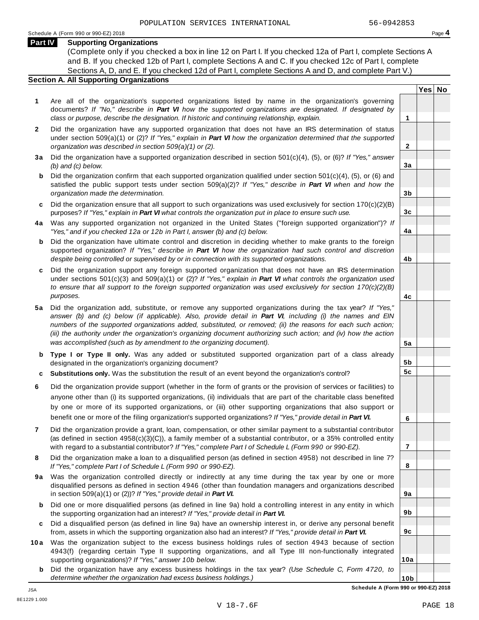**Yes No**

**2**

**3a**

**3b**

**3c**

**4a**

**4b**

**4c**

**5a**

**5b 5c**

**6**

**7**

**8**

**9a**

**9b**

**9c**

**10a**

### **Part IV Supporting Organizations**

(Complete only if you checked a box in line 12 on Part I. If you checked 12a of Part I, complete Sections A and B. If you checked 12b of Part I, complete Sections A and C. If you checked 12c of Part I, complete Sections A, D, and E. If you checked 12d of Part I, complete Sections A and D, and complete Part V.)

# **Section A. All Supporting Organizations**

- **1** Are all of the organization's supported organizations listed by name in the organization's governing documents? *If "No," describe in Part VI how the supported organizations are designated. If designated by class or purpose, describe the designation. If historic and continuing relationship, explain.* **1**
- **2** Did the organization have any supported organization that does not have an IRS determination of status under section 509(a)(1) or (2)? *If"Yes," explain in Part VI how the organization determined that the supported organization was described in section 509(a)(1) or (2).*
- **3 a** Did the organization have a supported organization described in section 501(c)(4), (5), or (6)? *If "Yes," answer (b) and (c) below.*
- **b** Did the organization confirm that each supported organization qualified under section 501(c)(4), (5), or (6) and | satisfied the public support tests under section 509(a)(2)? *If "Yes," describe in Part VI when and how the organization made the determination.*
- **c** Did the organization ensure that all support to such organizations was used exclusively for section 170(c)(2)(B) purposes? *If"Yes," explain in Part VI what controls the organization put in place to ensure such use.*
- **4 a** Was any supported organization not organized in the United States ("foreign supported organization")? *If "Yes," and if you checked 12a or 12b in Part I, answer (b) and (c) below.*
- **b** Did the organization have ultimate control and discretion in deciding whether to make grants to the foreign | supported organization? *If "Yes," describe in Part VI how the organization had such control and discretion despite being controlled or supervised by or in connection with its supported organizations.*
- **c** Did the organization support any foreign supported organization that does not have an IRS determination under sections 501(c)(3) and 509(a)(1) or (2)? *If "Yes," explain in Part VI what controls the organization used to ensure that all support to the foreign supported organization was used exclusively for section 170(c)(2)(B) purposes.*
- **5 a** Did the organization add, substitute, or remove any supported organizations during the tax year? *If "Yes,"* answer (b) and (c) below (if applicable). Also, provide detail in Part VI, including (i) the names and EIN *numbers of the supported organizations added, substituted, or removed; (ii) the reasons for each such action;* (iii) the authority under the organization's organizing document authorizing such action; and (iv) how the action *was accomplished (such as by amendment to the organizing document).*
- **b Type I or Type II only.** Was any added or substituted supported organization part of a class already designated in the organization's organizing document?
- **c Substitutions only.** Was the substitution the result of an event beyond the organization's control?
- **6** Did the organization provide support (whether in the form of grants or the provision of services or facilities) to anyone other than (i) its supported organizations, (ii) individuals that are part of the charitable class benefited by one or more of its supported organizations, or (iii) other supporting organizations that also support or benefit one or more of the filing organization's supported organizations? *If"Yes," provide detail in Part VI.*
- **7** Did the organization provide a grant, loan, compensation, or other similar payment to a substantial contributor (as defined in section 4958(c)(3)(C)), a family member of a substantial contributor, or a 35% controlled entity with regard to a substantial contributor? *If"Yes," complete Part I of Schedule L (Form 990 or 990-EZ).*
- **8** Did the organization make a loan to a disqualified person (as defined in section 4958) not described in line 7? *If "Yes," complete Part I of Schedule L (Form 990 or 990-EZ).*
- **9a** Was the organization controlled directly or indirectly at any time during the tax year by one or more | disqualified persons as defined in section 4946 (other than foundation managers and organizations described in section 509(a)(1) or (2))? *If"Yes," provide detail in Part VI.*
- **b** Did one or more disqualified persons (as defined in line 9a) hold a controlling interest in any entity in which | the supporting organization had an interest? *If"Yes," provide detail in Part VI.*
- **c** Did a disqualified person (as defined in line 9a) have an ownership interest in, or derive any personal benefit from, assets in which the supporting organization also had an interest? *If"Yes," provide detail in Part VI.*
- **10a** Was the organization subject to the excess business holdings rules of section 4943 because of section | 4943(f) (regarding certain Type II supporting organizations, and all Type III non-functionally integrated supporting organizations)? *If"Yes," answer 10b below.*
	- **b** Did the organization have any excess business holdings in the tax year? *(Use Schedule C, Form 4720, to determine whether the organization had excess business holdings.)*

**10b Schedule A (Form 990 or 990-EZ) 2018**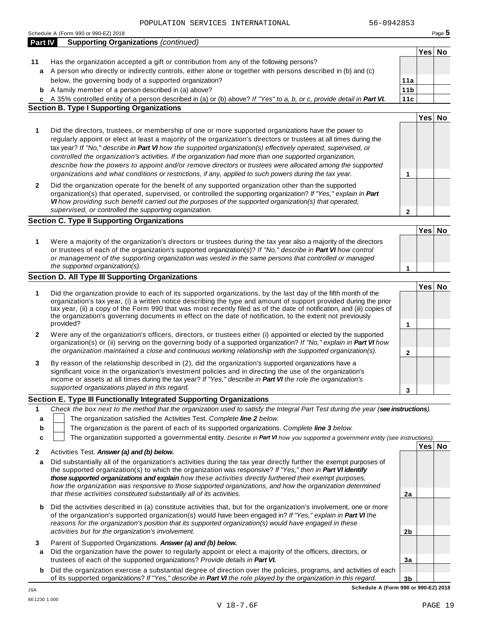Schedule <sup>A</sup> (Form <sup>990</sup> or 990-EZ) <sup>2018</sup> Page **5**

| <b>Part IV</b> | <b>Supporting Organizations (continued)</b>                                                                                                                                                                                              |                 |        |  |
|----------------|------------------------------------------------------------------------------------------------------------------------------------------------------------------------------------------------------------------------------------------|-----------------|--------|--|
|                |                                                                                                                                                                                                                                          |                 | Yes No |  |
| 11             | Has the organization accepted a gift or contribution from any of the following persons?                                                                                                                                                  |                 |        |  |
| a              | A person who directly or indirectly controls, either alone or together with persons described in (b) and (c)                                                                                                                             |                 |        |  |
|                | below, the governing body of a supported organization?                                                                                                                                                                                   | 11a             |        |  |
| b              | A family member of a person described in (a) above?                                                                                                                                                                                      | 11 <sub>b</sub> |        |  |
|                | c A 35% controlled entity of a person described in (a) or (b) above? If "Yes" to a, b, or c, provide detail in Part VI.                                                                                                                  | 11c             |        |  |
|                | <b>Section B. Type I Supporting Organizations</b>                                                                                                                                                                                        |                 |        |  |
|                |                                                                                                                                                                                                                                          |                 | Yes No |  |
|                |                                                                                                                                                                                                                                          |                 |        |  |
| 1              | Did the directors, trustees, or membership of one or more supported organizations have the power to                                                                                                                                      |                 |        |  |
|                | regularly appoint or elect at least a majority of the organization's directors or trustees at all times during the                                                                                                                       |                 |        |  |
|                | tax year? If "No," describe in Part VI how the supported organization(s) effectively operated, supervised, or                                                                                                                            |                 |        |  |
|                | controlled the organization's activities. If the organization had more than one supported organization,                                                                                                                                  |                 |        |  |
|                | describe how the powers to appoint and/or remove directors or trustees were allocated among the supported                                                                                                                                |                 |        |  |
|                | organizations and what conditions or restrictions, if any, applied to such powers during the tax year.                                                                                                                                   | 1               |        |  |
| $\mathbf{2}$   | Did the organization operate for the benefit of any supported organization other than the supported                                                                                                                                      |                 |        |  |
|                | organization(s) that operated, supervised, or controlled the supporting organization? If "Yes," explain in Part                                                                                                                          |                 |        |  |
|                | VI how providing such benefit carried out the purposes of the supported organization(s) that operated,                                                                                                                                   |                 |        |  |
|                | supervised, or controlled the supporting organization.                                                                                                                                                                                   | $\mathbf{2}$    |        |  |
|                | <b>Section C. Type II Supporting Organizations</b>                                                                                                                                                                                       |                 |        |  |
|                |                                                                                                                                                                                                                                          |                 | Yes No |  |
| 1              | Were a majority of the organization's directors or trustees during the tax year also a majority of the directors                                                                                                                         |                 |        |  |
|                | or trustees of each of the organization's supported organization(s)? If "No," describe in Part VI how control                                                                                                                            |                 |        |  |
|                | or management of the supporting organization was vested in the same persons that controlled or managed                                                                                                                                   |                 |        |  |
|                | the supported organization(s).                                                                                                                                                                                                           | 1               |        |  |
|                | <b>Section D. All Type III Supporting Organizations</b>                                                                                                                                                                                  |                 |        |  |
|                |                                                                                                                                                                                                                                          |                 | Yes No |  |
| 1              | Did the organization provide to each of its supported organizations, by the last day of the fifth month of the                                                                                                                           |                 |        |  |
|                | organization's tax year, (i) a written notice describing the type and amount of support provided during the prior                                                                                                                        |                 |        |  |
|                | tax year, (ii) a copy of the Form 990 that was most recently filed as of the date of notification, and (iii) copies of                                                                                                                   |                 |        |  |
|                | the organization's governing documents in effect on the date of notification, to the extent not previously                                                                                                                               |                 |        |  |
|                | provided?                                                                                                                                                                                                                                | 1               |        |  |
| 2              | Were any of the organization's officers, directors, or trustees either (i) appointed or elected by the supported                                                                                                                         |                 |        |  |
|                | organization(s) or (ii) serving on the governing body of a supported organization? If "No," explain in Part VI how                                                                                                                       |                 |        |  |
|                | the organization maintained a close and continuous working relationship with the supported organization(s).                                                                                                                              | $\mathbf{2}$    |        |  |
| 3              | By reason of the relationship described in (2), did the organization's supported organizations have a                                                                                                                                    |                 |        |  |
|                | significant voice in the organization's investment policies and in directing the use of the organization's                                                                                                                               |                 |        |  |
|                | income or assets at all times during the tax year? If "Yes," describe in Part VI the role the organization's                                                                                                                             |                 |        |  |
|                | supported organizations played in this regard.                                                                                                                                                                                           | 3               |        |  |
|                | Section E. Type III Functionally Integrated Supporting Organizations                                                                                                                                                                     |                 |        |  |
| 1              | Check the box next to the method that the organization used to satisfy the Integral Part Test during the year (see instructions).                                                                                                        |                 |        |  |
| a              | The organization satisfied the Activities Test. Complete line 2 below.                                                                                                                                                                   |                 |        |  |
| b              | The organization is the parent of each of its supported organizations. Complete line 3 below.                                                                                                                                            |                 |        |  |
| c              | The organization supported a governmental entity. Describe in Part VI how you supported a government entity (see instructions).                                                                                                          |                 |        |  |
|                |                                                                                                                                                                                                                                          |                 | Yes No |  |
| 2              | Activities Test. Answer (a) and (b) below.                                                                                                                                                                                               |                 |        |  |
| a              | Did substantially all of the organization's activities during the tax year directly further the exempt purposes of                                                                                                                       |                 |        |  |
|                | the supported organization(s) to which the organization was responsive? If "Yes," then in Part VI identify                                                                                                                               |                 |        |  |
|                | those supported organizations and explain how these activities directly furthered their exempt purposes,                                                                                                                                 |                 |        |  |
|                | how the organization was responsive to those supported organizations, and how the organization determined                                                                                                                                |                 |        |  |
|                | that these activities constituted substantially all of its activities.                                                                                                                                                                   | 2a              |        |  |
|                |                                                                                                                                                                                                                                          |                 |        |  |
|                |                                                                                                                                                                                                                                          |                 |        |  |
| b              | Did the activities described in (a) constitute activities that, but for the organization's involvement, one or more                                                                                                                      |                 |        |  |
|                | of the organization's supported organization(s) would have been engaged in? If "Yes," explain in Part VI the                                                                                                                             |                 |        |  |
|                | reasons for the organization's position that its supported organization(s) would have engaged in these                                                                                                                                   |                 |        |  |
|                | activities but for the organization's involvement.                                                                                                                                                                                       | 2 <sub>b</sub>  |        |  |
| 3              | Parent of Supported Organizations. Answer (a) and (b) below.                                                                                                                                                                             |                 |        |  |
| a              | Did the organization have the power to regularly appoint or elect a majority of the officers, directors, or                                                                                                                              |                 |        |  |
|                | trustees of each of the supported organizations? Provide details in Part VI.                                                                                                                                                             | 3a              |        |  |
| b              | Did the organization exercise a substantial degree of direction over the policies, programs, and activities of each<br>of its supported organizations? If "Yes," describe in Part VI the role played by the organization in this regard. | 3 <sub>b</sub>  |        |  |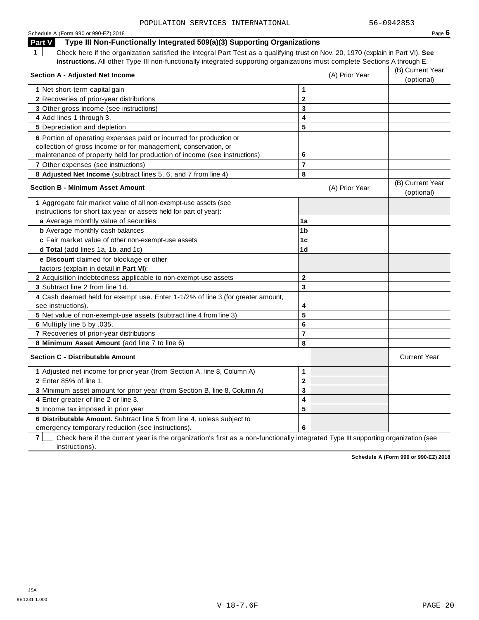| Schedule A (Form 990 or 990-EZ) 2018                                                                                                            |                         |                | Page $6$                       |
|-------------------------------------------------------------------------------------------------------------------------------------------------|-------------------------|----------------|--------------------------------|
| Type III Non-Functionally Integrated 509(a)(3) Supporting Organizations<br>Part V                                                               |                         |                |                                |
| $\mathbf 1$<br>Check here if the organization satisfied the Integral Part Test as a qualifying trust on Nov. 20, 1970 (explain in Part VI). See |                         |                |                                |
| instructions. All other Type III non-functionally integrated supporting organizations must complete Sections A through E.                       |                         |                |                                |
| Section A - Adjusted Net Income                                                                                                                 |                         | (A) Prior Year | (B) Current Year               |
|                                                                                                                                                 |                         |                | (optional)                     |
| 1 Net short-term capital gain                                                                                                                   | $\mathbf{1}$            |                |                                |
| 2 Recoveries of prior-year distributions                                                                                                        | $\overline{2}$          |                |                                |
| 3 Other gross income (see instructions)                                                                                                         | 3                       |                |                                |
| 4 Add lines 1 through 3.                                                                                                                        | 4                       |                |                                |
| 5 Depreciation and depletion                                                                                                                    | 5                       |                |                                |
| 6 Portion of operating expenses paid or incurred for production or                                                                              |                         |                |                                |
| collection of gross income or for management, conservation, or                                                                                  |                         |                |                                |
| maintenance of property held for production of income (see instructions)                                                                        | 6                       |                |                                |
| 7 Other expenses (see instructions)                                                                                                             | $\overline{7}$          |                |                                |
| 8 Adjusted Net Income (subtract lines 5, 6, and 7 from line 4)                                                                                  | 8                       |                |                                |
| <b>Section B - Minimum Asset Amount</b>                                                                                                         |                         | (A) Prior Year | (B) Current Year<br>(optional) |
| 1 Aggregate fair market value of all non-exempt-use assets (see                                                                                 |                         |                |                                |
| instructions for short tax year or assets held for part of year):                                                                               |                         |                |                                |
| a Average monthly value of securities                                                                                                           | 1a                      |                |                                |
| <b>b</b> Average monthly cash balances                                                                                                          | 1b                      |                |                                |
| c Fair market value of other non-exempt-use assets                                                                                              | 1 <sub>c</sub>          |                |                                |
| d Total (add lines 1a, 1b, and 1c)                                                                                                              | 1 <sub>d</sub>          |                |                                |
|                                                                                                                                                 |                         |                |                                |
| e Discount claimed for blockage or other<br>factors (explain in detail in Part VI):                                                             |                         |                |                                |
| 2 Acquisition indebtedness applicable to non-exempt-use assets                                                                                  | $\mathbf{2}$            |                |                                |
| 3 Subtract line 2 from line 1d.                                                                                                                 | $\overline{3}$          |                |                                |
|                                                                                                                                                 |                         |                |                                |
| 4 Cash deemed held for exempt use. Enter 1-1/2% of line 3 (for greater amount,<br>see instructions).                                            | 4                       |                |                                |
|                                                                                                                                                 | 5                       |                |                                |
| 5 Net value of non-exempt-use assets (subtract line 4 from line 3)                                                                              | 6                       |                |                                |
| 6 Multiply line 5 by .035.<br>7 Recoveries of prior-year distributions                                                                          | $\overline{7}$          |                |                                |
| 8 Minimum Asset Amount (add line 7 to line 6)                                                                                                   | 8                       |                |                                |
| <b>Section C - Distributable Amount</b>                                                                                                         |                         |                | <b>Current Year</b>            |
|                                                                                                                                                 |                         |                |                                |
| 1 Adjusted net income for prior year (from Section A, line 8, Column A)                                                                         | $\mathbf{1}$            |                |                                |
| 2 Enter 85% of line 1.                                                                                                                          | $\mathbf 2$             |                |                                |
| 3 Minimum asset amount for prior year (from Section B, line 8, Column A)                                                                        | 3                       |                |                                |
| 4 Enter greater of line 2 or line 3.                                                                                                            | $\overline{\mathbf{4}}$ |                |                                |
| 5 Income tax imposed in prior year                                                                                                              | 5                       |                |                                |
| 6 Distributable Amount. Subtract line 5 from line 4, unless subject to                                                                          |                         |                |                                |
| emergency temporary reduction (see instructions).                                                                                               | 6                       |                |                                |

**7** | Check here if the current year is the organization's first as a non-functionally integrated Type III supporting organization (see instructions).

**Schedule A (Form 990 or 990-EZ) 2018**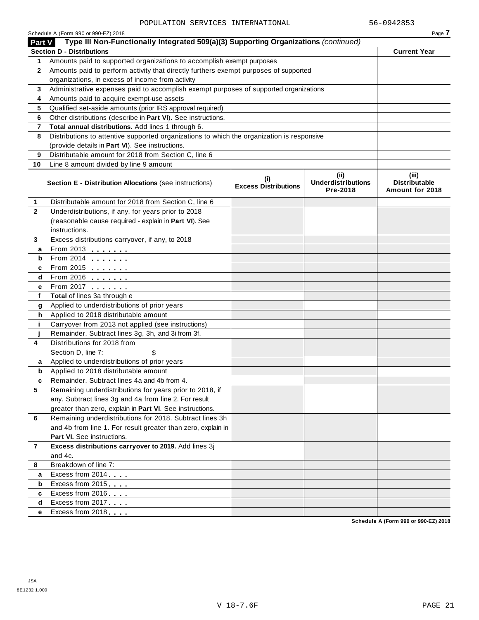|                | Schedule A (Form 990 or 990-EZ) 2018                                                       |                                    |                                               | Page 7                                           |
|----------------|--------------------------------------------------------------------------------------------|------------------------------------|-----------------------------------------------|--------------------------------------------------|
| Part V         | Type III Non-Functionally Integrated 509(a)(3) Supporting Organizations (continued)        |                                    |                                               |                                                  |
|                | <b>Section D - Distributions</b>                                                           |                                    |                                               | <b>Current Year</b>                              |
| 1              | Amounts paid to supported organizations to accomplish exempt purposes                      |                                    |                                               |                                                  |
| $\mathbf{2}$   | Amounts paid to perform activity that directly furthers exempt purposes of supported       |                                    |                                               |                                                  |
|                | organizations, in excess of income from activity                                           |                                    |                                               |                                                  |
| 3              | Administrative expenses paid to accomplish exempt purposes of supported organizations      |                                    |                                               |                                                  |
| 4              | Amounts paid to acquire exempt-use assets                                                  |                                    |                                               |                                                  |
| 5              | Qualified set-aside amounts (prior IRS approval required)                                  |                                    |                                               |                                                  |
| 6              | Other distributions (describe in Part VI). See instructions.                               |                                    |                                               |                                                  |
| 7              | Total annual distributions. Add lines 1 through 6.                                         |                                    |                                               |                                                  |
| 8              | Distributions to attentive supported organizations to which the organization is responsive |                                    |                                               |                                                  |
|                | (provide details in Part VI). See instructions.                                            |                                    |                                               |                                                  |
| 9              | Distributable amount for 2018 from Section C, line 6                                       |                                    |                                               |                                                  |
| 10             | Line 8 amount divided by line 9 amount                                                     |                                    |                                               |                                                  |
|                | Section E - Distribution Allocations (see instructions)                                    | (i)<br><b>Excess Distributions</b> | (ii)<br><b>Underdistributions</b><br>Pre-2018 | (iii)<br><b>Distributable</b><br>Amount for 2018 |
| 1              | Distributable amount for 2018 from Section C, line 6                                       |                                    |                                               |                                                  |
| $\mathbf{2}$   | Underdistributions, if any, for years prior to 2018                                        |                                    |                                               |                                                  |
|                | (reasonable cause required - explain in Part VI). See                                      |                                    |                                               |                                                  |
|                | instructions.                                                                              |                                    |                                               |                                                  |
| 3              | Excess distributions carryover, if any, to 2018                                            |                                    |                                               |                                                  |
| a              | From 2013                                                                                  |                                    |                                               |                                                  |
| b              | From 2014                                                                                  |                                    |                                               |                                                  |
| c              | From 2015 <b></b>                                                                          |                                    |                                               |                                                  |
| d              | From 2016                                                                                  |                                    |                                               |                                                  |
| е              | From 2017                                                                                  |                                    |                                               |                                                  |
| f              | Total of lines 3a through e                                                                |                                    |                                               |                                                  |
| g              | Applied to underdistributions of prior years                                               |                                    |                                               |                                                  |
| h              | Applied to 2018 distributable amount                                                       |                                    |                                               |                                                  |
| j.             | Carryover from 2013 not applied (see instructions)                                         |                                    |                                               |                                                  |
|                | Remainder. Subtract lines 3g, 3h, and 3i from 3f.                                          |                                    |                                               |                                                  |
| 4              | Distributions for 2018 from                                                                |                                    |                                               |                                                  |
|                | Section D, line 7:<br>\$                                                                   |                                    |                                               |                                                  |
| a              | Applied to underdistributions of prior years                                               |                                    |                                               |                                                  |
| b              | Applied to 2018 distributable amount                                                       |                                    |                                               |                                                  |
|                | Remainder. Subtract lines 4a and 4b from 4                                                 |                                    |                                               |                                                  |
| 5              | Remaining underdistributions for years prior to 2018, if                                   |                                    |                                               |                                                  |
|                | any. Subtract lines 3g and 4a from line 2. For result                                      |                                    |                                               |                                                  |
|                | greater than zero, explain in Part VI. See instructions.                                   |                                    |                                               |                                                  |
| 6              | Remaining underdistributions for 2018. Subtract lines 3h                                   |                                    |                                               |                                                  |
|                | and 4b from line 1. For result greater than zero, explain in                               |                                    |                                               |                                                  |
|                | Part VI. See instructions.                                                                 |                                    |                                               |                                                  |
| $\overline{7}$ | Excess distributions carryover to 2019. Add lines 3j                                       |                                    |                                               |                                                  |
|                | and 4c.                                                                                    |                                    |                                               |                                                  |
| 8              | Breakdown of line 7:                                                                       |                                    |                                               |                                                  |
| a              | Excess from 2014                                                                           |                                    |                                               |                                                  |
| b              | Excess from 2015                                                                           |                                    |                                               |                                                  |
| c              | Excess from 2016                                                                           |                                    |                                               |                                                  |
| d              | Excess from 2017                                                                           |                                    |                                               |                                                  |
| е              | Excess from 2018                                                                           |                                    |                                               |                                                  |
|                |                                                                                            |                                    |                                               |                                                  |

**Schedule A (Form 990 or 990-EZ) 2018**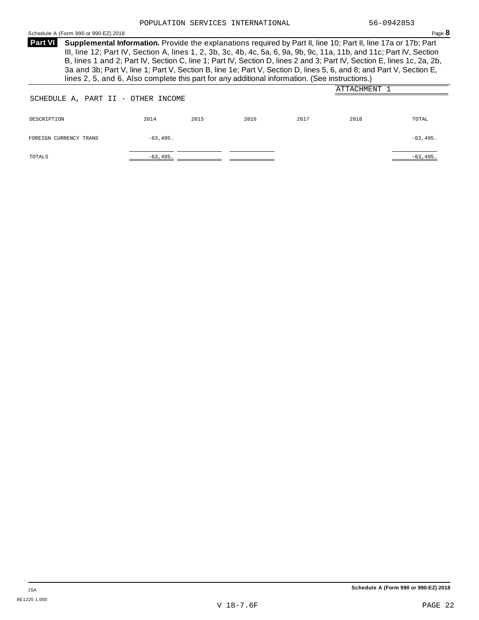Schedule <sup>A</sup> (Form <sup>990</sup> or 990-EZ) <sup>2018</sup> Page **8**

**Supplemental Information.** Provide the explanations required by Part II, line 10; Part II, line 17a or 17b; Part **Part VI** III, line 12; Part IV, Section A, lines 1, 2, 3b, 3c, 4b, 4c, 5a, 6, 9a, 9b, 9c, 11a, 11b, and 11c; Part IV, Section B, lines 1 and 2; Part IV, Section C, line 1; Part IV, Section D, lines 2 and 3; Part IV, Section E, lines 1c, 2a, 2b, 3a and 3b; Part V, line 1; Part V, Section B, line 1e; Part V, Section D, lines 5, 6, and 8; and Part V, Section E, lines 2, 5, and 6. Also complete this part for any additional information. (See instructions.)

| SCHEDULE A, PART II - OTHER INCOME |             |      |      |      | ATTACHMENT 1 |             |
|------------------------------------|-------------|------|------|------|--------------|-------------|
| DESCRIPTION                        | 2014        | 2015 | 2016 | 2017 | 2018         | TOTAL       |
| FOREIGN CURRENCY TRANS             | $-63, 495.$ |      |      |      |              | $-63, 495.$ |
| TOTALS                             | $-63,495.$  |      |      |      |              | $-63, 495.$ |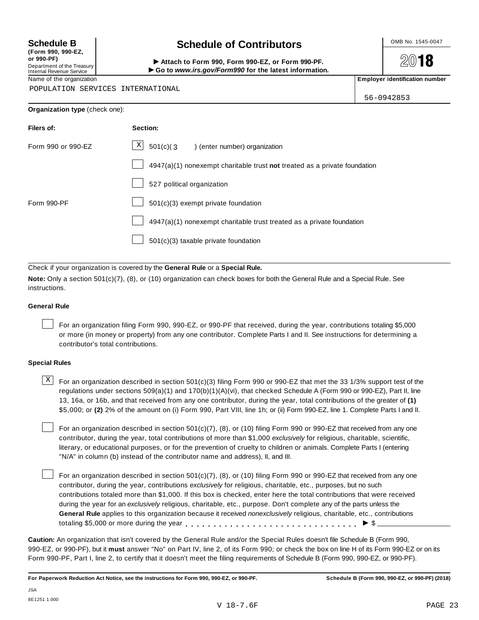**(Form 990, 990-EZ, or 990-PF)** Department of the Treasury<br>Internal Revenue Service

# **Schedule B chedule of Contributors**

(Porm 990, Form 990, Form 990-EZ, or Form 990-PF.<br>Department of the Treasury → Attach to Form 990, Form 990-EZ, or Form 990-PF.<br>Internal Revenue Service → → Go to www.irs.gov/Form990 for the latest information.<br>Name of th

**2018** 

POPULATION SERVICES INTERNATIONAL

56-0942853

| <b>Organization type (check one):</b> |                                                                           |
|---------------------------------------|---------------------------------------------------------------------------|
| Filers of:                            | Section:                                                                  |
| Form 990 or 990-EZ                    | $\mathbf{X}$<br>501(c)(3)<br>) (enter number) organization                |
|                                       | 4947(a)(1) nonexempt charitable trust not treated as a private foundation |
|                                       | 527 political organization                                                |
| Form 990-PF                           | 501(c)(3) exempt private foundation                                       |

4947(a)(1) nonexempt charitable trust treated as a private foundation

501(c)(3) taxable private foundation

Check if your organization is covered by the **General Rule** or a **Special Rule.**

**Note:** Only a section 501(c)(7), (8), or (10) organization can check boxes for both the General Rule and a Special Rule. See instructions.

### **General Rule**

For an organization filing Form 990, 990-EZ, or 990-PF that received, during the year, contributions totaling \$5,000 or more (in money or property) from any one contributor. Complete Parts I and II. See instructions for determining a contributor's total contributions.

### **Special Rules**

 $\text{X}$  For an organization described in section 501(c)(3) filing Form 990 or 990-EZ that met the 33 1/3% support test of the regulations under sections 509(a)(1) and 170(b)(1)(A)(vi), that checked Schedule A (Form 990 or 990-EZ), Part II, line 13, 16a, or 16b, and that received from any one contributor, during the year, total contributions of the greater of **(1)** \$5,000; or **(2)** 2% of the amount on (i) Form 990, Part VIII, line 1h; or (ii) Form 990-EZ, line 1. Complete Parts I and II.

For an organization described in section 501(c)(7), (8), or (10) filing Form 990 or 990-EZ that received from any one contributor, during the year, total contributions of more than \$1,000 *exclusively* for religious, charitable, scientific, literary, or educational purposes, or for the prevention of cruelty to children or animals. Complete Parts I (entering "N/A" in column (b) instead of the contributor name and address), II, and III.

For an organization described in section  $501(c)(7)$ , (8), or (10) filing Form 990 or 990-EZ that received from any one contributor, during the year, contributions *exclusively* for religious, charitable, etc., purposes, but no such contributions totaled more than \$1,000. If this box is checked, enter here the total contributions that were received during the year for an *exclusively* religious, charitable, etc., purpose. Don't complete any of the parts unless the **General Rule** applies to this organization because it received *nonexclusively* religious, charitable, etc., contributions totaling \$5,000 or more during the year  $\ldots \ldots \ldots \ldots \ldots \ldots \ldots \ldots \ldots \vdots \vdots$ 

**Caution:** An organization that isn't covered by the General Rule and/or the Special Rules doesn't file Schedule B (Form 990, 990-EZ, or 990-PF), but it **must** answer "No" on Part IV, line 2, of its Form 990; or check the box on line H of its Form 990-EZ or on its Form 990-PF, Part I, line 2, to certify that it doesn't meet the filing requirements of Schedule B (Form 990, 990-EZ, or 990-PF).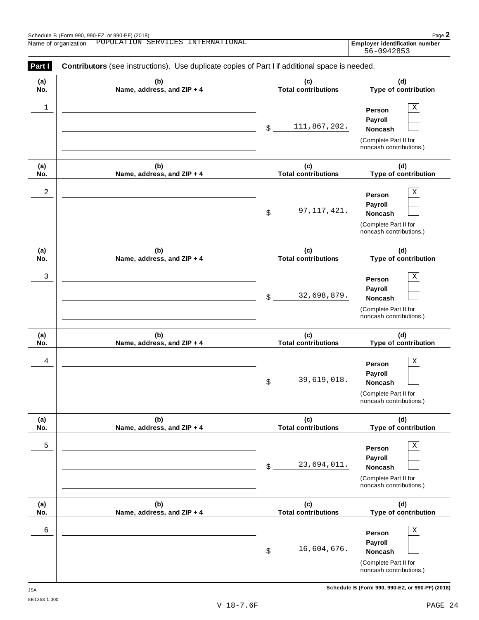| (a)        | (b)                               | (c)                               | (d)                                                                                                                  |
|------------|-----------------------------------|-----------------------------------|----------------------------------------------------------------------------------------------------------------------|
| No.        | Name, address, and ZIP + 4        | <b>Total contributions</b>        | Type of contribution                                                                                                 |
| 1          |                                   | 111,867,202.<br>\$                | Χ<br>Person<br>Payroll<br><b>Noncash</b><br>(Complete Part II for<br>noncash contributions.)                         |
| (a)        | (b)                               | (c)<br><b>Total contributions</b> | (d)                                                                                                                  |
| No.<br>2   | Name, address, and ZIP + 4        | 97, 117, 421.<br>\$               | Type of contribution<br>Х<br>Person<br>Payroll<br><b>Noncash</b><br>(Complete Part II for<br>noncash contributions.) |
| (a)<br>No. | (b)<br>Name, address, and ZIP + 4 | (c)<br><b>Total contributions</b> | (d)<br>Type of contribution                                                                                          |
| 3          |                                   | 32,698,879.<br>\$                 | Χ<br>Person<br>Payroll<br><b>Noncash</b><br>(Complete Part II for<br>noncash contributions.)                         |
| (a)<br>No. | (b)<br>Name, address, and ZIP + 4 | (c)<br><b>Total contributions</b> | (d)<br>Type of contribution                                                                                          |
| 4          |                                   | 39,619,018.<br>\$                 | Х<br>Person<br>Payroll<br><b>Noncash</b><br>(Complete Part II for<br>noncash contributions.)                         |
| (a)<br>No. | (b)<br>Name, address, and ZIP + 4 | (c)<br><b>Total contributions</b> | (d)<br>Type of contribution                                                                                          |
| 5          |                                   | 23,694,011.<br>\$                 | Χ<br>Person<br>Payroll<br>Noncash<br>(Complete Part II for<br>noncash contributions.)                                |
| (a)<br>No. | (b)<br>Name, address, and ZIP + 4 | (c)<br><b>Total contributions</b> | (d)<br>Type of contribution                                                                                          |
| 6          |                                   | 16,604,676.<br>\$                 | Χ<br>Person<br>Payroll<br>Noncash<br>(Complete Part II for<br>noncash contributions.)                                |

**Schedule B (Form 990, 990-EZ, or 990-PF) (2018)** JSA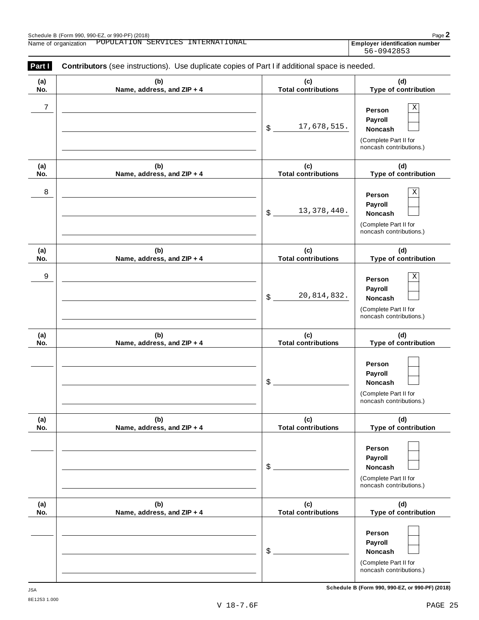| (a)        | (b)                               | (c)                                        | (d)                                                                                   |
|------------|-----------------------------------|--------------------------------------------|---------------------------------------------------------------------------------------|
| No.        | Name, address, and ZIP + 4        | <b>Total contributions</b>                 | Type of contribution                                                                  |
| 7          |                                   | 17,678,515.<br>$\boldsymbol{\mathsf{S}}$   | Χ<br>Person<br>Payroll<br>Noncash<br>(Complete Part II for                            |
|            |                                   |                                            | noncash contributions.)                                                               |
| (a)<br>No. | (b)<br>Name, address, and ZIP + 4 | (c)<br><b>Total contributions</b>          | (d)<br>Type of contribution                                                           |
| 8          |                                   | 13, 378, 440.<br>$\boldsymbol{\mathsf{S}}$ | Χ<br>Person<br>Payroll<br>Noncash<br>(Complete Part II for<br>noncash contributions.) |
| (a)<br>No. | (b)<br>Name, address, and ZIP + 4 | (c)<br><b>Total contributions</b>          | (d)<br>Type of contribution                                                           |
| 9          |                                   | 20,814,832.<br>$\boldsymbol{\mathsf{S}}$   | Χ<br>Person<br>Payroll<br>Noncash<br>(Complete Part II for<br>noncash contributions.) |
| (a)<br>No. | (b)<br>Name, address, and ZIP + 4 | (c)<br><b>Total contributions</b>          | (d)<br>Type of contribution                                                           |
|            |                                   | \$                                         | Person<br>Payroll<br>Noncash<br>(Complete Part II for<br>noncash contributions.)      |
| (a)<br>No. | (b)<br>Name, address, and ZIP + 4 | (c)<br><b>Total contributions</b>          | (d)<br>Type of contribution                                                           |
|            |                                   | \$                                         | Person<br>Payroll<br>Noncash<br>(Complete Part II for<br>noncash contributions.)      |
| (a)<br>No. | (b)<br>Name, address, and ZIP + 4 | (c)<br><b>Total contributions</b>          | (d)<br>Type of contribution                                                           |
|            |                                   | \$                                         | Person<br>Payroll<br>Noncash<br>(Complete Part II for<br>noncash contributions.)      |

**Schedule B (Form 990, 990-EZ, or 990-PF) (2018)** JSA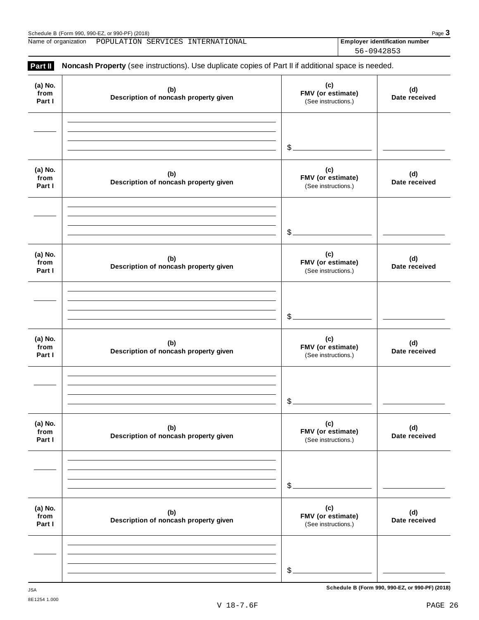Schedule B (Form 990, 990-EZ, or 990-PF) (2018)<br>
Name of organization POPULATION SERVICES INTERNATIONAL **Page 3**<br>
Page 3 Name of organization **Employer identification number** POPULATION SERVICES INTERNATIONAL

56-0942853

| Part II                   | Noncash Property (see instructions). Use duplicate copies of Part II if additional space is needed. |                                                 |                      |
|---------------------------|-----------------------------------------------------------------------------------------------------|-------------------------------------------------|----------------------|
| (a) No.<br>from<br>Part I | (b)<br>Description of noncash property given                                                        | (c)<br>FMV (or estimate)<br>(See instructions.) | (d)<br>Date received |
|                           |                                                                                                     | $\mathcal{L}_{-}$                               |                      |
| (a) No.<br>from<br>Part I | (b)<br>Description of noncash property given                                                        | (c)<br>FMV (or estimate)<br>(See instructions.) | (d)<br>Date received |
|                           |                                                                                                     | $\mathcal{L}_{-}$                               |                      |
| (a) No.<br>from<br>Part I | (b)<br>Description of noncash property given                                                        | (c)<br>FMV (or estimate)<br>(See instructions.) | (d)<br>Date received |
|                           |                                                                                                     | $$$ .                                           |                      |
| (a) No.<br>from<br>Part I | (b)<br>Description of noncash property given                                                        | (c)<br>FMV (or estimate)<br>(See instructions.) | (d)<br>Date received |
|                           |                                                                                                     | \$                                              |                      |
| (a) No.<br>from<br>Part I | (b)<br>Description of noncash property given                                                        | (c)<br>FMV (or estimate)<br>(See instructions.) | (d)<br>Date received |
|                           |                                                                                                     | \$                                              |                      |
| (a) No.<br>from<br>Part I | (b)<br>Description of noncash property given                                                        | (c)<br>FMV (or estimate)<br>(See instructions.) | (d)<br>Date received |
|                           |                                                                                                     | \$                                              |                      |

**Schedule B (Form 990, 990-EZ, or 990-PF) (2018)** JSA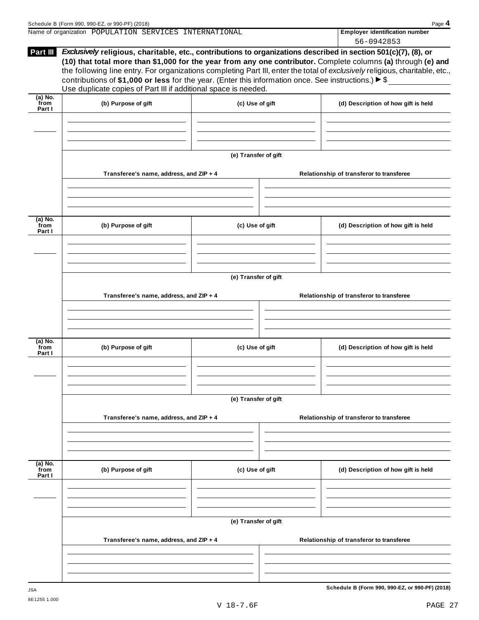| Part III                  | Exclusively religious, charitable, etc., contributions to organizations described in section 501(c)(7), (8), or<br>(10) that total more than \$1,000 for the year from any one contributor. Complete columns (a) through (e) and<br>the following line entry. For organizations completing Part III, enter the total of exclusively religious, charitable, etc.,<br>contributions of \$1,000 or less for the year. (Enter this information once. See instructions.) ▶ \$<br>Use duplicate copies of Part III if additional space is needed.<br>$(a)$ No. |                      |  |                                          |  |  |
|---------------------------|----------------------------------------------------------------------------------------------------------------------------------------------------------------------------------------------------------------------------------------------------------------------------------------------------------------------------------------------------------------------------------------------------------------------------------------------------------------------------------------------------------------------------------------------------------|----------------------|--|------------------------------------------|--|--|
| from<br>Part I            | (b) Purpose of gift                                                                                                                                                                                                                                                                                                                                                                                                                                                                                                                                      | (c) Use of gift      |  | (d) Description of how gift is held      |  |  |
|                           |                                                                                                                                                                                                                                                                                                                                                                                                                                                                                                                                                          |                      |  |                                          |  |  |
|                           |                                                                                                                                                                                                                                                                                                                                                                                                                                                                                                                                                          | (e) Transfer of gift |  |                                          |  |  |
|                           | Transferee's name, address, and ZIP + 4                                                                                                                                                                                                                                                                                                                                                                                                                                                                                                                  |                      |  | Relationship of transferor to transferee |  |  |
| (a) No.<br>from<br>Part I | (b) Purpose of gift                                                                                                                                                                                                                                                                                                                                                                                                                                                                                                                                      | (c) Use of gift      |  | (d) Description of how gift is held      |  |  |
|                           |                                                                                                                                                                                                                                                                                                                                                                                                                                                                                                                                                          |                      |  |                                          |  |  |
|                           |                                                                                                                                                                                                                                                                                                                                                                                                                                                                                                                                                          | (e) Transfer of gift |  |                                          |  |  |
|                           | Transferee's name, address, and ZIP + 4                                                                                                                                                                                                                                                                                                                                                                                                                                                                                                                  |                      |  | Relationship of transferor to transferee |  |  |
| (a) No.<br>from<br>Part I | (b) Purpose of gift                                                                                                                                                                                                                                                                                                                                                                                                                                                                                                                                      | (c) Use of gift      |  | (d) Description of how gift is held      |  |  |
|                           |                                                                                                                                                                                                                                                                                                                                                                                                                                                                                                                                                          | (e) Transfer of gift |  |                                          |  |  |
|                           | Transferee's name, address, and ZIP + 4                                                                                                                                                                                                                                                                                                                                                                                                                                                                                                                  |                      |  | Relationship of transferor to transferee |  |  |
| (a) No.<br>from<br>Part I | (b) Purpose of gift                                                                                                                                                                                                                                                                                                                                                                                                                                                                                                                                      | (c) Use of gift      |  | (d) Description of how gift is held      |  |  |
|                           |                                                                                                                                                                                                                                                                                                                                                                                                                                                                                                                                                          |                      |  |                                          |  |  |
|                           | Transferee's name, address, and ZIP + 4                                                                                                                                                                                                                                                                                                                                                                                                                                                                                                                  | (e) Transfer of gift |  | Relationship of transferor to transferee |  |  |
|                           |                                                                                                                                                                                                                                                                                                                                                                                                                                                                                                                                                          |                      |  |                                          |  |  |

Name of organization **Employer identification number** POPULATION SERVICES INTERNATIONAL

56-0942853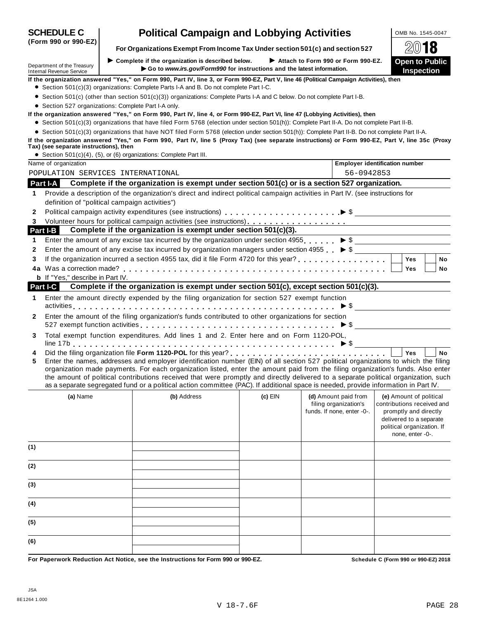|                          |                                                                    | If the organization answered "Yes," on Form 990, Part IV, line 3, or Form 990-EZ, Part V, line 46 (Political Campaign Activities), then<br>• Section 501(c)(3) organizations: Complete Parts I-A and B. Do not complete Part I-C.                                                                                                                                                                                                                                                                                                                    |           |                                                                             |                                                                                                                                                             |
|--------------------------|--------------------------------------------------------------------|------------------------------------------------------------------------------------------------------------------------------------------------------------------------------------------------------------------------------------------------------------------------------------------------------------------------------------------------------------------------------------------------------------------------------------------------------------------------------------------------------------------------------------------------------|-----------|-----------------------------------------------------------------------------|-------------------------------------------------------------------------------------------------------------------------------------------------------------|
|                          |                                                                    | ● Section 501(c) (other than section 501(c)(3)) organizations: Complete Parts I-A and C below. Do not complete Part I-B.                                                                                                                                                                                                                                                                                                                                                                                                                             |           |                                                                             |                                                                                                                                                             |
|                          | • Section 527 organizations: Complete Part I-A only.               |                                                                                                                                                                                                                                                                                                                                                                                                                                                                                                                                                      |           |                                                                             |                                                                                                                                                             |
|                          |                                                                    | If the organization answered "Yes," on Form 990, Part IV, line 4, or Form 990-EZ, Part VI, line 47 (Lobbying Activities), then                                                                                                                                                                                                                                                                                                                                                                                                                       |           |                                                                             |                                                                                                                                                             |
|                          |                                                                    | • Section 501(c)(3) organizations that have filed Form 5768 (election under section 501(h)): Complete Part II-A. Do not complete Part II-B.                                                                                                                                                                                                                                                                                                                                                                                                          |           |                                                                             |                                                                                                                                                             |
|                          |                                                                    | • Section 501(c)(3) organizations that have NOT filed Form 5768 (election under section 501(h)): Complete Part II-B. Do not complete Part II-A.                                                                                                                                                                                                                                                                                                                                                                                                      |           |                                                                             |                                                                                                                                                             |
|                          | Tax) (see separate instructions), then                             | If the organization answered "Yes," on Form 990, Part IV, line 5 (Proxy Tax) (see separate instructions) or Form 990-EZ, Part V, line 35c (Proxy                                                                                                                                                                                                                                                                                                                                                                                                     |           |                                                                             |                                                                                                                                                             |
|                          | • Section 501(c)(4), (5), or (6) organizations: Complete Part III. |                                                                                                                                                                                                                                                                                                                                                                                                                                                                                                                                                      |           |                                                                             |                                                                                                                                                             |
|                          | Name of organization                                               |                                                                                                                                                                                                                                                                                                                                                                                                                                                                                                                                                      |           |                                                                             | <b>Employer identification number</b>                                                                                                                       |
|                          | POPULATION SERVICES INTERNATIONAL                                  |                                                                                                                                                                                                                                                                                                                                                                                                                                                                                                                                                      |           | 56-0942853                                                                  |                                                                                                                                                             |
|                          | Part I-A                                                           | Complete if the organization is exempt under section 501(c) or is a section 527 organization.                                                                                                                                                                                                                                                                                                                                                                                                                                                        |           |                                                                             |                                                                                                                                                             |
| 1                        |                                                                    | Provide a description of the organization's direct and indirect political campaign activities in Part IV. (see instructions for                                                                                                                                                                                                                                                                                                                                                                                                                      |           |                                                                             |                                                                                                                                                             |
|                          | definition of "political campaign activities")                     |                                                                                                                                                                                                                                                                                                                                                                                                                                                                                                                                                      |           |                                                                             |                                                                                                                                                             |
| 2                        |                                                                    |                                                                                                                                                                                                                                                                                                                                                                                                                                                                                                                                                      |           |                                                                             |                                                                                                                                                             |
| 3                        |                                                                    |                                                                                                                                                                                                                                                                                                                                                                                                                                                                                                                                                      |           |                                                                             |                                                                                                                                                             |
|                          | Part I-B                                                           | Complete if the organization is exempt under section 501(c)(3).                                                                                                                                                                                                                                                                                                                                                                                                                                                                                      |           |                                                                             |                                                                                                                                                             |
| 1                        |                                                                    | Enter the amount of any excise tax incurred by the organization under section 4955. $\triangleright$ \$                                                                                                                                                                                                                                                                                                                                                                                                                                              |           |                                                                             |                                                                                                                                                             |
| $\mathbf{2}$             |                                                                    | Enter the amount of any excise tax incurred by organization managers under section 4955 $\bullet$                                                                                                                                                                                                                                                                                                                                                                                                                                                    |           |                                                                             |                                                                                                                                                             |
| 3                        |                                                                    |                                                                                                                                                                                                                                                                                                                                                                                                                                                                                                                                                      |           |                                                                             | <b>Yes</b><br>No                                                                                                                                            |
|                          |                                                                    |                                                                                                                                                                                                                                                                                                                                                                                                                                                                                                                                                      |           |                                                                             | Yes<br>No                                                                                                                                                   |
|                          | <b>b</b> If "Yes," describe in Part IV.                            |                                                                                                                                                                                                                                                                                                                                                                                                                                                                                                                                                      |           |                                                                             |                                                                                                                                                             |
|                          | Part I-C                                                           | Complete if the organization is exempt under section 501(c), except section 501(c)(3).                                                                                                                                                                                                                                                                                                                                                                                                                                                               |           |                                                                             |                                                                                                                                                             |
| 1                        |                                                                    | Enter the amount directly expended by the filing organization for section 527 exempt function                                                                                                                                                                                                                                                                                                                                                                                                                                                        |           |                                                                             |                                                                                                                                                             |
| $\mathbf{2}$             |                                                                    | Enter the amount of the filing organization's funds contributed to other organizations for section<br>527 exempt function activities $\ldots \ldots \ldots \ldots \ldots \ldots \ldots \ldots \ldots \ldots \ldots$                                                                                                                                                                                                                                                                                                                                  |           |                                                                             |                                                                                                                                                             |
| 3                        |                                                                    | Total exempt function expenditures. Add lines 1 and 2. Enter here and on Form 1120-POL,                                                                                                                                                                                                                                                                                                                                                                                                                                                              |           |                                                                             |                                                                                                                                                             |
| 4                        |                                                                    |                                                                                                                                                                                                                                                                                                                                                                                                                                                                                                                                                      |           |                                                                             | Yes<br>No                                                                                                                                                   |
| 5                        |                                                                    | Enter the names, addresses and employer identification number (EIN) of all section 527 political organizations to which the filing<br>organization made payments. For each organization listed, enter the amount paid from the filing organization's funds. Also enter<br>the amount of political contributions received that were promptly and directly delivered to a separate political organization, such<br>as a separate segregated fund or a political action committee (PAC). If additional space is needed, provide information in Part IV. |           |                                                                             |                                                                                                                                                             |
|                          |                                                                    |                                                                                                                                                                                                                                                                                                                                                                                                                                                                                                                                                      |           |                                                                             |                                                                                                                                                             |
|                          | (a) Name                                                           | (b) Address                                                                                                                                                                                                                                                                                                                                                                                                                                                                                                                                          | $(c)$ EIN | (d) Amount paid from<br>filing organization's<br>funds. If none, enter -0-. | (e) Amount of political<br>contributions received and<br>promptly and directly<br>delivered to a separate<br>political organization. If<br>none, enter -0-. |
| (1)                      |                                                                    |                                                                                                                                                                                                                                                                                                                                                                                                                                                                                                                                                      |           |                                                                             |                                                                                                                                                             |
|                          |                                                                    |                                                                                                                                                                                                                                                                                                                                                                                                                                                                                                                                                      |           |                                                                             |                                                                                                                                                             |
|                          |                                                                    |                                                                                                                                                                                                                                                                                                                                                                                                                                                                                                                                                      |           |                                                                             |                                                                                                                                                             |
|                          |                                                                    |                                                                                                                                                                                                                                                                                                                                                                                                                                                                                                                                                      |           |                                                                             |                                                                                                                                                             |
| (2)<br>(3)<br>(4)<br>(5) |                                                                    |                                                                                                                                                                                                                                                                                                                                                                                                                                                                                                                                                      |           |                                                                             |                                                                                                                                                             |

# **(Form 990 or 990-EZ)**

**SCHEDULE C Political Campaign and Lobbying Activities LOMB No. 1545-0047** 

**For Organizations Exempt From Income Tax Under section 501(c) and section 527 <br>Complete if the organization is described below. <br><b>Attach to Form 990 or Form 990-EZ.** Open to Public

■ Complete if the organization is described below. ■ Attach to Form 990 or Form 990-EZ. ■ Open to Publical Biology Form 990 for instructions and the latest information.

Department of the Treasury ▶ Complete if the organization is described below. ▶ Attach to Form 990 or Form 990-EZ. **Open to Public**<br>Internal Revenue Service ▶ Co to *www.irs.gov/Form990* for instructions and the latest in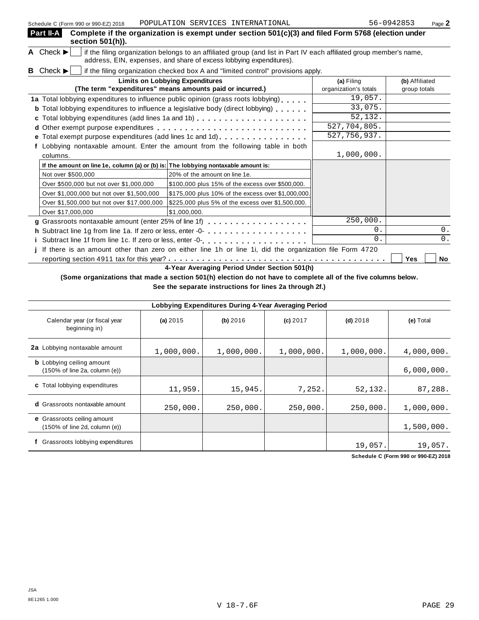| Schedule C (Form 990 or 990-EZ) 2018                                               | FUFULAIIUN SERVICES INIERNAIIUNAL                                                                                                                                                          |                                     | <b>しいこい エムいしつ</b><br>Page Z    |
|------------------------------------------------------------------------------------|--------------------------------------------------------------------------------------------------------------------------------------------------------------------------------------------|-------------------------------------|--------------------------------|
| Part II-A<br>section 501(h)).                                                      | Complete if the organization is exempt under section $501(c)(3)$ and filed Form 5768 (election under                                                                                       |                                     |                                |
| A Check $\blacktriangleright$                                                      | if the filing organization belongs to an affiliated group (and list in Part IV each affiliated group member's name,<br>address, EIN, expenses, and share of excess lobbying expenditures). |                                     |                                |
| <b>B</b> Check $\blacktriangleright$                                               | if the filing organization checked box A and "limited control" provisions apply.                                                                                                           |                                     |                                |
|                                                                                    | <b>Limits on Lobbying Expenditures</b><br>(The term "expenditures" means amounts paid or incurred.)                                                                                        | (a) Filing<br>organization's totals | (b) Affiliated<br>group totals |
|                                                                                    | 1a Total lobbying expenditures to influence public opinion (grass roots lobbying)                                                                                                          | 19,057.                             |                                |
|                                                                                    | <b>b</b> Total lobbying expenditures to influence a legislative body (direct lobbying)                                                                                                     | 33,075.                             |                                |
|                                                                                    |                                                                                                                                                                                            | 52, 132.                            |                                |
|                                                                                    |                                                                                                                                                                                            | 527,704,805.                        |                                |
| е                                                                                  | Total exempt purpose expenditures (add lines 1c and 1d)                                                                                                                                    | 527, 756, 937.                      |                                |
|                                                                                    | f Lobbying nontaxable amount. Enter the amount from the following table in both                                                                                                            |                                     |                                |
| columns.                                                                           |                                                                                                                                                                                            | 1,000,000.                          |                                |
| If the amount on line 1e, column (a) or (b) is: The lobbying nontaxable amount is: |                                                                                                                                                                                            |                                     |                                |
| Not over \$500,000                                                                 | 20% of the amount on line 1e.                                                                                                                                                              |                                     |                                |
| Over \$500,000 but not over \$1,000,000                                            | \$100,000 plus 15% of the excess over \$500,000.                                                                                                                                           |                                     |                                |
| Over \$1,000,000 but not over \$1,500,000                                          | \$175,000 plus 10% of the excess over \$1,000,000.                                                                                                                                         |                                     |                                |
| Over \$1,500,000 but not over \$17,000,000                                         | \$225,000 plus 5% of the excess over \$1,500,000.                                                                                                                                          |                                     |                                |
| Over \$17,000,000                                                                  | \$1,000,000.                                                                                                                                                                               |                                     |                                |
|                                                                                    |                                                                                                                                                                                            | 250,000.                            |                                |
|                                                                                    | h Subtract line 1g from line 1a. If zero or less, enter -0-                                                                                                                                | 0.                                  | 0.                             |
|                                                                                    |                                                                                                                                                                                            | 0.                                  | 0.                             |
|                                                                                    | If there is an amount other than zero on either line 1h or line 1i, did the organization file Form 4720                                                                                    |                                     |                                |
|                                                                                    |                                                                                                                                                                                            |                                     | Yes<br>No                      |

**4-Year Averaging Period Under Section 501(h)**

(Some organizations that made a section 501(h) election do not have to complete all of the five columns below.

**See the separate instructions for lines 2a through 2f.)**

| Lobbying Expenditures During 4-Year Averaging Period                                   |            |            |            |            |            |  |  |  |
|----------------------------------------------------------------------------------------|------------|------------|------------|------------|------------|--|--|--|
| Calendar year (or fiscal year<br>beginning in)                                         | (a) $2015$ | (b) 2016   | $(c)$ 2017 | $(d)$ 2018 | (e) Total  |  |  |  |
| 2a Lobbying nontaxable amount                                                          | 1,000,000. | 1,000,000. | 1,000,000. | 1,000,000. | 4,000,000. |  |  |  |
| <b>b</b> Lobbying ceiling amount<br>$(150\% \text{ of line } 2a, \text{ column } (e))$ |            |            |            |            | 6,000,000. |  |  |  |
| c Total lobbying expenditures                                                          | 11,959.    | 15,945.    | 7,252.     | 52,132.    | 87,288.    |  |  |  |
| <b>d</b> Grassroots nontaxable amount                                                  | 250,000.   | 250,000.   | 250,000.   | 250,000.   | 1,000,000. |  |  |  |
| e Grassroots ceiling amount<br>(150% of line 2d, column (e))                           |            |            |            |            | 1,500,000. |  |  |  |
| Grassroots lobbying expenditures                                                       |            |            |            | 19,057.    | 19,057.    |  |  |  |

**Schedule C (Form 990 or 990-EZ) 2018**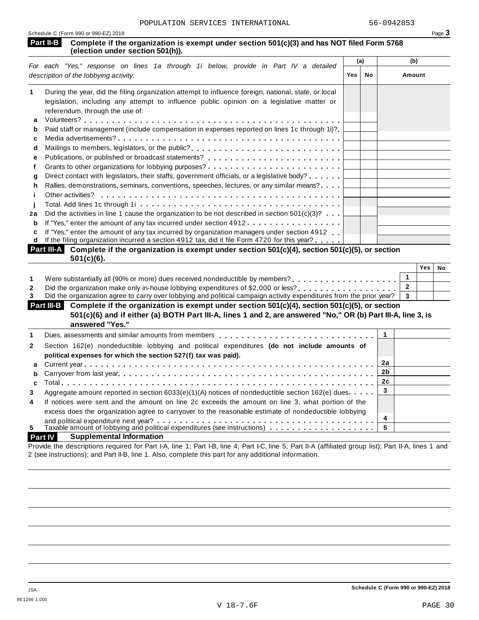| Schedule C (Form 990 or 990-EZ) 2018                                                                                                     | Page 3 |
|------------------------------------------------------------------------------------------------------------------------------------------|--------|
| Part II-B Complete if the organization is exempt under section 501(c)(3) and has NOT filed Form 5768<br>(election under section 501(h)). |        |
|                                                                                                                                          |        |

|    | For each "Yes," response on lines 1a through 1i below, provide in Part IV a detailed                                     | (a) |    | (b)    |
|----|--------------------------------------------------------------------------------------------------------------------------|-----|----|--------|
|    | description of the lobbying activity.                                                                                    | Yes | No | Amount |
| 1  | During the year, did the filing organization attempt to influence foreign, national, state, or local                     |     |    |        |
|    | legislation, including any attempt to influence public opinion on a legislative matter or                                |     |    |        |
|    | referendum, through the use of:                                                                                          |     |    |        |
| a  |                                                                                                                          |     |    |        |
| b  | Paid staff or management (include compensation in expenses reported on lines 1c through 1i)?                             |     |    |        |
| c  |                                                                                                                          |     |    |        |
| d  | Mailings to members, legislators, or the public?                                                                         |     |    |        |
| е  |                                                                                                                          |     |    |        |
|    |                                                                                                                          |     |    |        |
| a  | Direct contact with legislators, their staffs, government officials, or a legislative body?                              |     |    |        |
| h  | Rallies, demonstrations, seminars, conventions, speeches, lectures, or any similar means?.                               |     |    |        |
|    | Other activities?                                                                                                        |     |    |        |
|    |                                                                                                                          |     |    |        |
| 2a | Did the activities in line 1 cause the organization to be not described in section $501(c)(3)$ ?                         |     |    |        |
| b  | If "Yes," enter the amount of any tax incurred under section 4912.                                                       |     |    |        |
| c  | If "Yes," enter the amount of any tax incurred by organization managers under section 4912                               |     |    |        |
| d  | If the filing organization incurred a section 4912 tax, did it file Form 4720 for this year?                             |     |    |        |
|    | <b>Part III.</b> Complete if the exacujaction is exampt under eastion $E(1/\alpha)/4$ eastion $E(1/\alpha)/E$ or eastion |     |    |        |

| <b>Part III-A</b> Complete if the organization is exempt under section $501(c)(4)$ , section $501(c)(5)$ , or section<br>$501(c)(6)$ . |     |    |
|----------------------------------------------------------------------------------------------------------------------------------------|-----|----|
|                                                                                                                                        | Yes | No |
| Were substantially all (90% or more) dues received nondeductible by members?                                                           |     |    |
|                                                                                                                                        |     |    |
| Did the organization agree to carry over lobbying and political campaign activity expenditures from the prior year?                    |     |    |

|  | Did the organization agree to carry over loppying and political campaign activity expenditures from the prior year?   3                                                                                                        |  |  |
|--|--------------------------------------------------------------------------------------------------------------------------------------------------------------------------------------------------------------------------------|--|--|
|  | Part III-B Complete if the organization is exempt under section 501(c)(4), section 501(c)(5), or section                                                                                                                       |  |  |
|  | 501(c)(6) and if either (a) BOTH Part III-A, lines 1 and 2, are answered "No," OR (b) Part III-A, line 3, is                                                                                                                   |  |  |
|  | answered "Yes."                                                                                                                                                                                                                |  |  |
|  | Dues, assessments and similar amounts from members quarely exercised and service and service and supplied by the state of the state of the state of the state of the state of the state of the state of the state of the state |  |  |
|  |                                                                                                                                                                                                                                |  |  |

| $\mathbf{2}$   | Section 162(e) nondeductible lobbying and political expenditures (do not include amounts of                                                                                                              |    |  |
|----------------|----------------------------------------------------------------------------------------------------------------------------------------------------------------------------------------------------------|----|--|
|                | political expenses for which the section 527(f) tax was paid).                                                                                                                                           |    |  |
|                |                                                                                                                                                                                                          | 2a |  |
|                |                                                                                                                                                                                                          |    |  |
|                |                                                                                                                                                                                                          |    |  |
| 3              | Aggregate amount reported in section 6033(e)(1)(A) notices of nondeductible section 162(e) dues                                                                                                          |    |  |
| $\overline{4}$ | If notices were sent and the amount on line 2c exceeds the amount on line 3, what portion of the<br>excess does the organization agree to carryover to the reasonable estimate of nondeductible lobbying |    |  |
|                |                                                                                                                                                                                                          |    |  |
| 5.             |                                                                                                                                                                                                          |    |  |
|                |                                                                                                                                                                                                          |    |  |

# **Part IV Supplemental Information**

Provide the descriptions required for Part I-A, line 1; Part I-B, line 4; Part I-C, line 5; Part II-A (affiliated group list); Part II-A, lines 1 and 2 (see instructions); and Part II-B, line 1. Also, complete this part for any additional information.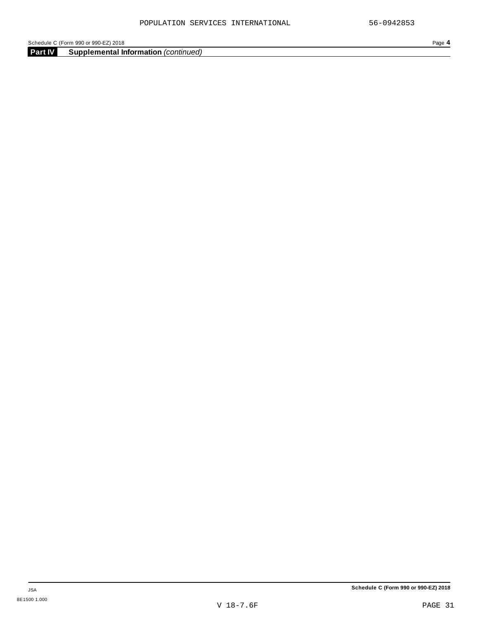**Part IV Supplemental Information** *(continued)*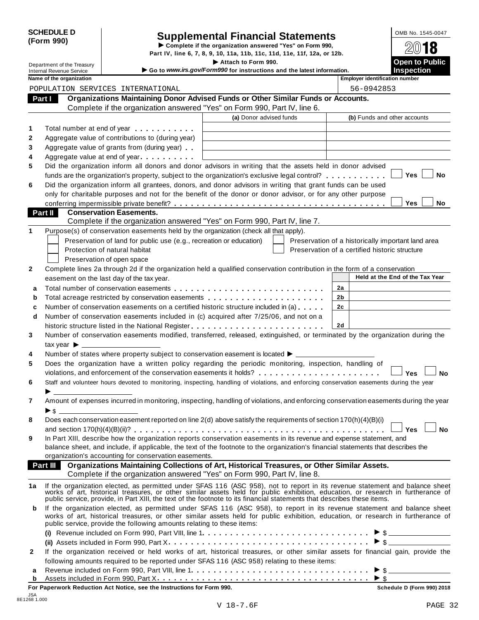|            | <b>SCHEDULE D</b> |
|------------|-------------------|
| (Form 990) |                   |

# Supplemental Financial Statements<br>
Example if the organization answered "Yes" on Form 990,<br>
Part IV, line 6, 7, 8, 9, 10, 11a, 11b, 11c, 11d, 11e, 11f, 12a, or 12b.

Department of the Treasury **I Attach 1990.** The S. 7, 8, 9, 10, 11a, 11b, 11c, 11d, 11e, 11f, 12a, or 12b.<br> **Department of the Treasury Inches Containery Containery Containery Containery Containery Containery** 

**Example 1 Bend and Service** I Command Revenue Service Internal Revenue Service I Connections **instructions**<br>Internal Revenue Service Inspection<br>Nome of the acception instructions and the latest information. Inspection In

| lame of the organization |  |
|--------------------------|--|
|--------------------------|--|

|                  | Name of the organization                                                                                                                                                                                                       | <b>Employer identification number</b>                                                                |
|------------------|--------------------------------------------------------------------------------------------------------------------------------------------------------------------------------------------------------------------------------|------------------------------------------------------------------------------------------------------|
|                  | POPULATION SERVICES INTERNATIONAL                                                                                                                                                                                              | 56-0942853                                                                                           |
|                  | Organizations Maintaining Donor Advised Funds or Other Similar Funds or Accounts.<br>Part I                                                                                                                                    |                                                                                                      |
|                  | Complete if the organization answered "Yes" on Form 990, Part IV, line 6.                                                                                                                                                      |                                                                                                      |
|                  | (a) Donor advised funds                                                                                                                                                                                                        | (b) Funds and other accounts                                                                         |
| 1                | Total number at end of year                                                                                                                                                                                                    |                                                                                                      |
| $\boldsymbol{2}$ | Aggregate value of contributions to (during year)                                                                                                                                                                              |                                                                                                      |
| 3                | Aggregate value of grants from (during year)                                                                                                                                                                                   |                                                                                                      |
| 4                | Aggregate value at end of year                                                                                                                                                                                                 |                                                                                                      |
| 5                | Did the organization inform all donors and donor advisors in writing that the assets held in donor advised                                                                                                                     |                                                                                                      |
|                  | funds are the organization's property, subject to the organization's exclusive legal control?                                                                                                                                  | Yes<br>No                                                                                            |
| 6                | Did the organization inform all grantees, donors, and donor advisors in writing that grant funds can be used                                                                                                                   |                                                                                                      |
|                  | only for charitable purposes and not for the benefit of the donor or donor advisor, or for any other purpose                                                                                                                   |                                                                                                      |
|                  |                                                                                                                                                                                                                                | Yes<br>No                                                                                            |
|                  | <b>Conservation Easements.</b><br>Part II                                                                                                                                                                                      |                                                                                                      |
|                  | Complete if the organization answered "Yes" on Form 990, Part IV, line 7.                                                                                                                                                      |                                                                                                      |
| 1                | Purpose(s) of conservation easements held by the organization (check all that apply).                                                                                                                                          |                                                                                                      |
|                  | Preservation of land for public use (e.g., recreation or education)                                                                                                                                                            |                                                                                                      |
|                  | Protection of natural habitat                                                                                                                                                                                                  | Preservation of a historically important land area<br>Preservation of a certified historic structure |
|                  |                                                                                                                                                                                                                                |                                                                                                      |
|                  | Preservation of open space<br>Complete lines 2a through 2d if the organization held a qualified conservation contribution in the form of a conservation                                                                        |                                                                                                      |
| 2                |                                                                                                                                                                                                                                | Held at the End of the Tax Year                                                                      |
|                  | easement on the last day of the tax year.                                                                                                                                                                                      |                                                                                                      |
| а                |                                                                                                                                                                                                                                | 2a                                                                                                   |
| b                |                                                                                                                                                                                                                                | 2b                                                                                                   |
| c                | Number of conservation easements on a certified historic structure included in (a)                                                                                                                                             | 2c                                                                                                   |
| d                | Number of conservation easements included in (c) acquired after 7/25/06, and not on a                                                                                                                                          |                                                                                                      |
|                  | historic structure listed in the National Register                                                                                                                                                                             | 2d                                                                                                   |
| 3                | Number of conservation easements modified, transferred, released, extinguished, or terminated by the organization during the                                                                                                   |                                                                                                      |
|                  | tax year $\blacktriangleright$ $\_\_$                                                                                                                                                                                          |                                                                                                      |
| 4                | Number of states where property subject to conservation easement is located $\blacktriangleright$ ____                                                                                                                         |                                                                                                      |
| 5                | Does the organization have a written policy regarding the periodic monitoring, inspection, handling of                                                                                                                         |                                                                                                      |
|                  | violations, and enforcement of the conservation easements it holds?                                                                                                                                                            | Yes<br>No                                                                                            |
| 6                | Staff and volunteer hours devoted to monitoring, inspecting, handling of violations, and enforcing conservation easements during the year                                                                                      |                                                                                                      |
|                  |                                                                                                                                                                                                                                |                                                                                                      |
| 7                | Amount of expenses incurred in monitoring, inspecting, handling of violations, and enforcing conservation easements during the year                                                                                            |                                                                                                      |
|                  | $\blacktriangleright$ \$                                                                                                                                                                                                       |                                                                                                      |
| 8                | Does each conservation easement reported on line 2(d) above satisfy the requirements of section 170(h)(4)(B)(i)                                                                                                                |                                                                                                      |
|                  |                                                                                                                                                                                                                                |                                                                                                      |
| 9                | In Part XIII, describe how the organization reports conservation easements in its revenue and expense statement, and                                                                                                           |                                                                                                      |
|                  | balance sheet, and include, if applicable, the text of the footnote to the organization's financial statements that describes the                                                                                              |                                                                                                      |
|                  | organization's accounting for conservation easements.<br>Part III                                                                                                                                                              |                                                                                                      |
|                  | Organizations Maintaining Collections of Art, Historical Treasures, or Other Similar Assets.<br>Complete if the organization answered "Yes" on Form 990, Part IV, line 8.                                                      |                                                                                                      |
|                  |                                                                                                                                                                                                                                |                                                                                                      |
| 1a               | If the organization elected, as permitted under SFAS 116 (ASC 958), not to report in its revenue statement and balance sheet works of art, historical treasures, or other similar assets held for public exhibition, education |                                                                                                      |
|                  |                                                                                                                                                                                                                                |                                                                                                      |
| b                | If the organization elected, as permitted under SFAS 116 (ASC 958), to report in its revenue statement and balance sheet                                                                                                       |                                                                                                      |
|                  | works of art, historical treasures, or other similar assets held for public exhibition, education, or research in furtherance of                                                                                               |                                                                                                      |
|                  | public service, provide the following amounts relating to these items:                                                                                                                                                         |                                                                                                      |
|                  |                                                                                                                                                                                                                                | $\triangleright$ \$                                                                                  |
|                  |                                                                                                                                                                                                                                |                                                                                                      |
| $\mathbf{2}$     | If the organization received or held works of art, historical treasures, or other similar assets for financial gain, provide the                                                                                               |                                                                                                      |
|                  | following amounts required to be reported under SFAS 116 (ASC 958) relating to these items:                                                                                                                                    |                                                                                                      |
| а                |                                                                                                                                                                                                                                |                                                                                                      |
| b                |                                                                                                                                                                                                                                |                                                                                                      |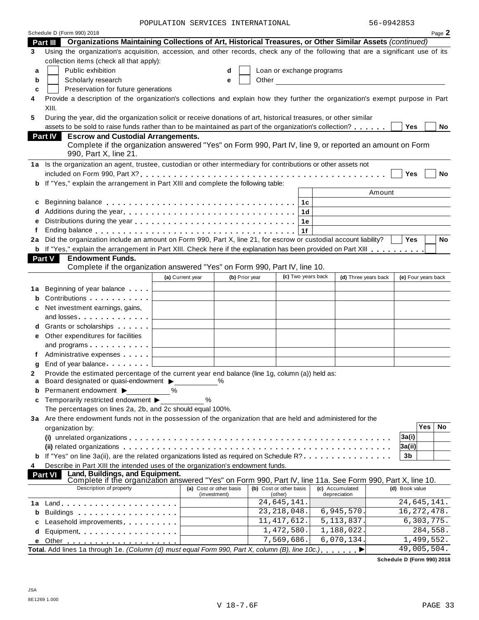POPULATION SERVICES INTERNATIONAL 56-0942853

|    | Schedule D (Form 990) 2018                                                                                                                                                                                                        |                                                  |                                              |                                    |                                                                                                                                                                                                                               |                |                             | Page 2    |
|----|-----------------------------------------------------------------------------------------------------------------------------------------------------------------------------------------------------------------------------------|--------------------------------------------------|----------------------------------------------|------------------------------------|-------------------------------------------------------------------------------------------------------------------------------------------------------------------------------------------------------------------------------|----------------|-----------------------------|-----------|
|    | Organizations Maintaining Collections of Art, Historical Treasures, or Other Similar Assets (continued)<br>Part III                                                                                                               |                                                  |                                              |                                    |                                                                                                                                                                                                                               |                |                             |           |
| 3  | Using the organization's acquisition, accession, and other records, check any of the following that are a significant use of its                                                                                                  |                                                  |                                              |                                    |                                                                                                                                                                                                                               |                |                             |           |
|    | collection items (check all that apply):                                                                                                                                                                                          |                                                  |                                              |                                    |                                                                                                                                                                                                                               |                |                             |           |
| a  | Public exhibition                                                                                                                                                                                                                 |                                                  | d                                            | Loan or exchange programs          |                                                                                                                                                                                                                               |                |                             |           |
| b  | Scholarly research                                                                                                                                                                                                                |                                                  | е                                            |                                    | Other and the contract of the contract of the contract of the contract of the contract of the contract of the contract of the contract of the contract of the contract of the contract of the contract of the contract of the |                |                             |           |
| c  | Preservation for future generations                                                                                                                                                                                               |                                                  |                                              |                                    |                                                                                                                                                                                                                               |                |                             |           |
| 4  | Provide a description of the organization's collections and explain how they further the organization's exempt purpose in Part                                                                                                    |                                                  |                                              |                                    |                                                                                                                                                                                                                               |                |                             |           |
|    | XIII.                                                                                                                                                                                                                             |                                                  |                                              |                                    |                                                                                                                                                                                                                               |                |                             |           |
| 5  | During the year, did the organization solicit or receive donations of art, historical treasures, or other similar                                                                                                                 |                                                  |                                              |                                    |                                                                                                                                                                                                                               |                |                             |           |
|    | assets to be sold to raise funds rather than to be maintained as part of the organization's collection?                                                                                                                           |                                                  |                                              |                                    |                                                                                                                                                                                                                               | Yes            |                             | No        |
|    | <b>Part IV</b><br><b>Escrow and Custodial Arrangements.</b>                                                                                                                                                                       |                                                  |                                              |                                    |                                                                                                                                                                                                                               |                |                             |           |
|    | Complete if the organization answered "Yes" on Form 990, Part IV, line 9, or reported an amount on Form                                                                                                                           |                                                  |                                              |                                    |                                                                                                                                                                                                                               |                |                             |           |
|    | 990, Part X, line 21.                                                                                                                                                                                                             |                                                  |                                              |                                    |                                                                                                                                                                                                                               |                |                             |           |
|    | 1a Is the organization an agent, trustee, custodian or other intermediary for contributions or other assets not                                                                                                                   |                                                  |                                              |                                    |                                                                                                                                                                                                                               |                |                             |           |
|    |                                                                                                                                                                                                                                   |                                                  |                                              |                                    |                                                                                                                                                                                                                               | Yes            |                             | <b>No</b> |
| b  | If "Yes," explain the arrangement in Part XIII and complete the following table:                                                                                                                                                  |                                                  |                                              |                                    |                                                                                                                                                                                                                               |                |                             |           |
|    |                                                                                                                                                                                                                                   |                                                  |                                              |                                    | Amount                                                                                                                                                                                                                        |                |                             |           |
| с  |                                                                                                                                                                                                                                   |                                                  |                                              | 1c                                 |                                                                                                                                                                                                                               |                |                             |           |
|    |                                                                                                                                                                                                                                   |                                                  |                                              |                                    |                                                                                                                                                                                                                               |                |                             |           |
| d  |                                                                                                                                                                                                                                   |                                                  |                                              | 1 <sub>d</sub>                     |                                                                                                                                                                                                                               |                |                             |           |
| e  |                                                                                                                                                                                                                                   |                                                  |                                              | 1e                                 |                                                                                                                                                                                                                               |                |                             |           |
| f  | Ending balance enterprised and the series are a series and series are a series and the series are a series and<br>Did the organization include an amount on Form 990, Part X, line 21, for escrow or custodial account liability? |                                                  |                                              | 1f                                 |                                                                                                                                                                                                                               |                |                             | No        |
| 2a |                                                                                                                                                                                                                                   |                                                  |                                              |                                    |                                                                                                                                                                                                                               | Yes            |                             |           |
| b  | If "Yes," explain the arrangement in Part XIII. Check here if the explanation has been provided on Part XIII                                                                                                                      |                                                  |                                              |                                    |                                                                                                                                                                                                                               |                |                             |           |
|    | Part V<br><b>Endowment Funds.</b>                                                                                                                                                                                                 |                                                  |                                              |                                    |                                                                                                                                                                                                                               |                |                             |           |
|    | Complete if the organization answered "Yes" on Form 990, Part IV, line 10.                                                                                                                                                        |                                                  |                                              | (c) Two years back                 |                                                                                                                                                                                                                               |                |                             |           |
|    |                                                                                                                                                                                                                                   | (a) Current year                                 | (b) Prior year                               |                                    | (d) Three years back                                                                                                                                                                                                          |                | (e) Four years back         |           |
| 1a | Beginning of year balance                                                                                                                                                                                                         | the control of the control of the control of     |                                              |                                    |                                                                                                                                                                                                                               |                |                             |           |
|    | Contributions                                                                                                                                                                                                                     |                                                  |                                              |                                    |                                                                                                                                                                                                                               |                |                             |           |
| с  | Net investment earnings, gains,                                                                                                                                                                                                   |                                                  |                                              |                                    |                                                                                                                                                                                                                               |                |                             |           |
|    | and losses                                                                                                                                                                                                                        | the control of the control of the control of the |                                              |                                    |                                                                                                                                                                                                                               |                |                             |           |
| d  | Grants or scholarships                                                                                                                                                                                                            |                                                  |                                              |                                    |                                                                                                                                                                                                                               |                |                             |           |
| е  | Other expenditures for facilities                                                                                                                                                                                                 |                                                  |                                              |                                    |                                                                                                                                                                                                                               |                |                             |           |
|    | and programs $\ldots \ldots \ldots$                                                                                                                                                                                               |                                                  | the control of the control of the control of |                                    |                                                                                                                                                                                                                               |                |                             |           |
| f  |                                                                                                                                                                                                                                   |                                                  |                                              |                                    |                                                                                                                                                                                                                               |                |                             |           |
| g  | End of year balance [1]                                                                                                                                                                                                           |                                                  |                                              |                                    |                                                                                                                                                                                                                               |                |                             |           |
| 2  | Provide the estimated percentage of the current year end balance (line 1g, column (a)) held as:                                                                                                                                   |                                                  |                                              |                                    |                                                                                                                                                                                                                               |                |                             |           |
|    | Board designated or quasi-endowment > % %                                                                                                                                                                                         |                                                  |                                              |                                    |                                                                                                                                                                                                                               |                |                             |           |
| b  | Permanent endowment ▶                                                                                                                                                                                                             | $\%$                                             |                                              |                                    |                                                                                                                                                                                                                               |                |                             |           |
| C  | Temporarily restricted endowment ▶                                                                                                                                                                                                | %                                                |                                              |                                    |                                                                                                                                                                                                                               |                |                             |           |
|    | The percentages on lines 2a, 2b, and 2c should equal 100%.                                                                                                                                                                        |                                                  |                                              |                                    |                                                                                                                                                                                                                               |                |                             |           |
|    | 3a Are there endowment funds not in the possession of the organization that are held and administered for the                                                                                                                     |                                                  |                                              |                                    |                                                                                                                                                                                                                               |                |                             |           |
|    | organization by:                                                                                                                                                                                                                  |                                                  |                                              |                                    |                                                                                                                                                                                                                               |                | <b>Yes</b>                  | No        |
|    |                                                                                                                                                                                                                                   |                                                  |                                              |                                    |                                                                                                                                                                                                                               | 3a(i)          |                             |           |
|    |                                                                                                                                                                                                                                   |                                                  |                                              |                                    |                                                                                                                                                                                                                               | 3a(ii)         |                             |           |
| b  | If "Yes" on line 3a(ii), are the related organizations listed as required on Schedule R?                                                                                                                                          |                                                  |                                              |                                    |                                                                                                                                                                                                                               | 3 <sub>b</sub> |                             |           |
| 4  | Describe in Part XIII the intended uses of the organization's endowment funds.                                                                                                                                                    |                                                  |                                              |                                    |                                                                                                                                                                                                                               |                |                             |           |
|    | Land, Buildings, and Equipment.<br><b>Part VI</b>                                                                                                                                                                                 |                                                  |                                              |                                    |                                                                                                                                                                                                                               |                |                             |           |
|    | Complete if the organization answered "Yes" on Form 990, Part IV, line 11a. See Form 990, Part X, line 10.<br>Description of property                                                                                             |                                                  |                                              |                                    |                                                                                                                                                                                                                               |                |                             |           |
|    |                                                                                                                                                                                                                                   | (a) Cost or other basis                          | (investment)                                 | (b) Cost or other basis<br>(other) | (c) Accumulated<br>depreciation                                                                                                                                                                                               | (d) Book value |                             |           |
|    |                                                                                                                                                                                                                                   |                                                  |                                              | $\overline{24}$ , 645, 141.        |                                                                                                                                                                                                                               |                | $\overline{24}$ , 645, 141. |           |
| b  |                                                                                                                                                                                                                                   |                                                  |                                              | 23, 218, 048.                      | 6,945,570.                                                                                                                                                                                                                    |                | 16, 272, 478.               |           |
| C  | Leasehold improvements entitled and the set of the set of the set of the set of the set of the set of the set of the set of the set of the set of the set of the set of the set of the set of the set of the set of the set of    |                                                  |                                              | 11, 417, 612.                      | 5, 113, 837.                                                                                                                                                                                                                  |                | 6,303,775.                  |           |
| d  | Equipment                                                                                                                                                                                                                         |                                                  |                                              | 1,472,580.                         | 1,188,022.                                                                                                                                                                                                                    |                | 284,558.                    |           |
|    |                                                                                                                                                                                                                                   |                                                  |                                              | 7,569,686.                         | 6,070,134.                                                                                                                                                                                                                    |                | 1,499,552.                  |           |
|    | Total. Add lines 1a through 1e. (Column (d) must equal Form 990, Part X, column (B), line 10c.)                                                                                                                                   |                                                  |                                              |                                    |                                                                                                                                                                                                                               |                | 49,005,504.                 |           |
|    |                                                                                                                                                                                                                                   |                                                  |                                              |                                    |                                                                                                                                                                                                                               |                |                             |           |

**Schedule D (Form 990) 2018**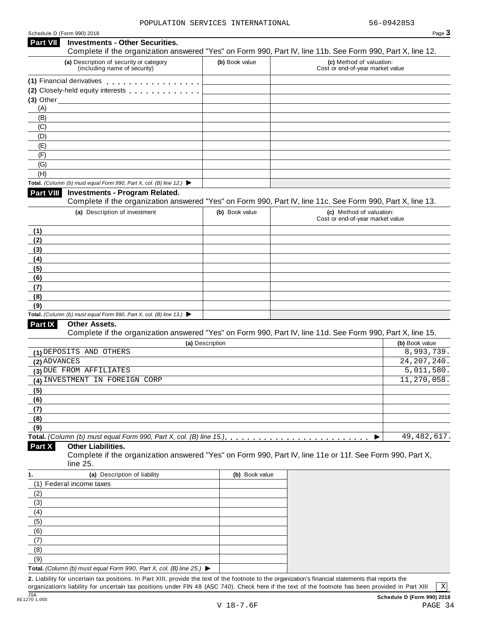|                 | Schedule D (Form 990) 2018                                                                                                                           |                 |                                                              | Page 3                      |
|-----------------|------------------------------------------------------------------------------------------------------------------------------------------------------|-----------------|--------------------------------------------------------------|-----------------------------|
| <b>Part VII</b> | <b>Investments - Other Securities.</b><br>Complete if the organization answered "Yes" on Form 990, Part IV, line 11b. See Form 990, Part X, line 12. |                 |                                                              |                             |
|                 | (a) Description of security or category<br>(including name of security)                                                                              | (b) Book value  | (c) Method of valuation:<br>Cost or end-of-year market value |                             |
|                 | (1) Financial derivatives                                                                                                                            |                 |                                                              |                             |
|                 | (2) Closely-held equity interests [1] [1] Closely-held equity interests                                                                              |                 |                                                              |                             |
|                 | $(3)$ Other $(3)$                                                                                                                                    |                 |                                                              |                             |
| (A)             |                                                                                                                                                      |                 |                                                              |                             |
| (B)             |                                                                                                                                                      |                 |                                                              |                             |
| (C)             |                                                                                                                                                      |                 |                                                              |                             |
| (D)             |                                                                                                                                                      |                 |                                                              |                             |
| (E)             |                                                                                                                                                      |                 |                                                              |                             |
| (F)             |                                                                                                                                                      |                 |                                                              |                             |
| (G)             |                                                                                                                                                      |                 |                                                              |                             |
| (H)             |                                                                                                                                                      |                 |                                                              |                             |
|                 | Total. (Column (b) must equal Form 990, Part X, col. (B) line 12.) $\blacktriangleright$                                                             |                 |                                                              |                             |
| Part VIII       | <b>Investments - Program Related.</b><br>Complete if the organization answered "Yes" on Form 990, Part IV, line 11c. See Form 990, Part X, line 13.  |                 |                                                              |                             |
|                 | (a) Description of investment                                                                                                                        | (b) Book value  | (c) Method of valuation:<br>Cost or end-of-year market value |                             |
| (1)             |                                                                                                                                                      |                 |                                                              |                             |
| (2)             |                                                                                                                                                      |                 |                                                              |                             |
| (3)             |                                                                                                                                                      |                 |                                                              |                             |
| (4)             |                                                                                                                                                      |                 |                                                              |                             |
| (5)             |                                                                                                                                                      |                 |                                                              |                             |
| (6)             |                                                                                                                                                      |                 |                                                              |                             |
| (7)             |                                                                                                                                                      |                 |                                                              |                             |
| (8)             |                                                                                                                                                      |                 |                                                              |                             |
| (9)             |                                                                                                                                                      |                 |                                                              |                             |
|                 | Total. (Column (b) must equal Form 990, Part X, col. (B) line 13.) $\blacktriangleright$                                                             |                 |                                                              |                             |
| Part IX         | <b>Other Assets.</b>                                                                                                                                 |                 |                                                              |                             |
|                 | Complete if the organization answered "Yes" on Form 990, Part IV, line 11d. See Form 990, Part X, line 15.                                           |                 |                                                              |                             |
|                 |                                                                                                                                                      | (a) Description |                                                              | (b) Book value              |
| (2) ADVANCES    | (1) DEPOSITS AND OTHERS                                                                                                                              |                 |                                                              | 8,993,739.<br>24, 207, 240. |
|                 | (3) DUE FROM AFFILIATES                                                                                                                              |                 |                                                              | 5,011,580.                  |
|                 | (4) INVESTMENT IN FOREIGN CORP                                                                                                                       |                 |                                                              | 11,270,058                  |
|                 |                                                                                                                                                      |                 |                                                              |                             |
| (5)             |                                                                                                                                                      |                 |                                                              |                             |
| (6)<br>(7)      |                                                                                                                                                      |                 |                                                              |                             |
| (8)             |                                                                                                                                                      |                 |                                                              |                             |
| (9)             |                                                                                                                                                      |                 |                                                              |                             |
|                 |                                                                                                                                                      |                 | ▶                                                            | $\overline{49,482,617}$ .   |
| Part X          | <b>Other Liabilities.</b><br>Complete if the organization answered "Yes" on Form 990, Part IV, line 11e or 11f. See Form 990, Part X,                |                 |                                                              |                             |
|                 | line 25.                                                                                                                                             |                 |                                                              |                             |
| 1.              | (a) Description of liability                                                                                                                         | (b) Book value  |                                                              |                             |
|                 | (1) Federal income taxes                                                                                                                             |                 |                                                              |                             |
| (2)             |                                                                                                                                                      |                 |                                                              |                             |
| (3)             |                                                                                                                                                      |                 |                                                              |                             |
| (4)             |                                                                                                                                                      |                 |                                                              |                             |
| (5)             |                                                                                                                                                      |                 |                                                              |                             |
| (6)<br>(7)      |                                                                                                                                                      |                 |                                                              |                             |
| (8)             |                                                                                                                                                      |                 |                                                              |                             |
| (9)             |                                                                                                                                                      |                 |                                                              |                             |
|                 | Total. (Column (b) must equal Form 990, Part X, col. (B) line 25.) $\blacktriangleright$                                                             |                 |                                                              |                             |
|                 | 2. Liability for uncertain tax positions. In Part XIII, provide the text of the footnote to the organization's financial statements that reports the |                 |                                                              |                             |
|                 |                                                                                                                                                      |                 |                                                              |                             |

organization's liability for uncertain tax positions under FIN 48 (ASC 740). Check here ifthe text of the footnote has been provided in Part XIII

 $\boxed{\text{X}}$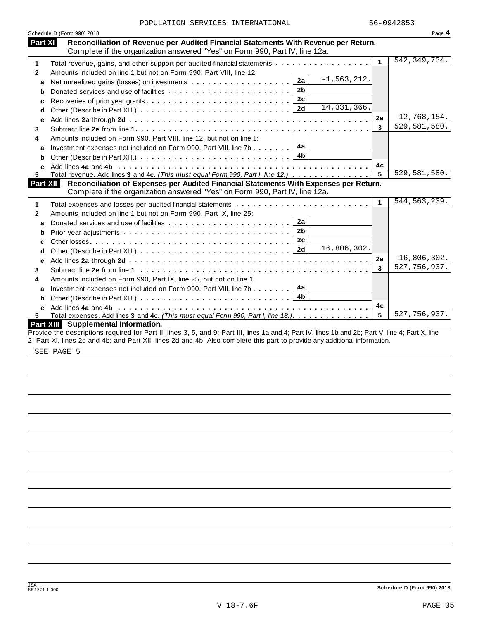|  |  | POPULATION SERVICES INTERNATIONAL |
|--|--|-----------------------------------|
|--|--|-----------------------------------|

|   | Schedule D (Form 990) 2018                                                                                                                                                    |              | Page 4         |
|---|-------------------------------------------------------------------------------------------------------------------------------------------------------------------------------|--------------|----------------|
|   | Part XI<br>Reconciliation of Revenue per Audited Financial Statements With Revenue per Return.<br>Complete if the organization answered "Yes" on Form 990, Part IV, line 12a. |              |                |
|   | Total revenue, gains, and other support per audited financial statements                                                                                                      | $\mathbf{1}$ | 542, 349, 734. |
|   | Amounts included on line 1 but not on Form 990, Part VIII, line 12:                                                                                                           |              |                |
| a | $-1, 563, 212.$<br>2a                                                                                                                                                         |              |                |
| b | 2 <sub>b</sub><br>Donated services and use of facilities                                                                                                                      |              |                |
|   | 2c                                                                                                                                                                            |              |                |
| d | 14, 331, 366.                                                                                                                                                                 |              |                |
| е |                                                                                                                                                                               | 2e           | 12,768,154.    |
|   |                                                                                                                                                                               | 3            | 529,581,580.   |
|   | Amounts included on Form 990, Part VIII, line 12, but not on line 1:                                                                                                          |              |                |
|   | 4a<br>Investment expenses not included on Form 990, Part VIII, line 7b                                                                                                        |              |                |
| b | 4 <sub>b</sub>                                                                                                                                                                |              |                |
| C |                                                                                                                                                                               | 4c           |                |
|   | Total revenue. Add lines 3 and 4c. (This must equal Form 990, Part I, line 12.)                                                                                               | 5            | 529,581,580.   |
|   | Reconciliation of Expenses per Audited Financial Statements With Expenses per Return.<br>Part XII                                                                             |              |                |
|   | Complete if the organization answered "Yes" on Form 990, Part IV, line 12a.                                                                                                   |              |                |
|   |                                                                                                                                                                               | 1            | 544, 563, 239. |
|   | Amounts included on line 1 but not on Form 990, Part IX, line 25:                                                                                                             |              |                |
| a | 2a<br>Donated services and use of facilities                                                                                                                                  |              |                |
| b | 2 <sub>b</sub>                                                                                                                                                                |              |                |
|   | 2 <sub>c</sub>                                                                                                                                                                |              |                |
|   | 16,806,302.<br>2d                                                                                                                                                             |              |                |
|   |                                                                                                                                                                               | 2e           | 16,806,302.    |
|   |                                                                                                                                                                               | 3            | 527, 756, 937. |
|   | Amounts included on Form 990, Part IX, line 25, but not on line 1:                                                                                                            |              |                |
|   | 4a<br>Investment expenses not included on Form 990, Part VIII, line 7b                                                                                                        |              |                |
| b |                                                                                                                                                                               |              |                |
|   |                                                                                                                                                                               | 4c           |                |
| C | Total expenses. Add lines 3 and 4c. (This must equal Form 990, Part I, line 18.)                                                                                              | 5            | 527,756,937.   |
|   |                                                                                                                                                                               |              |                |

SEE PAGE 5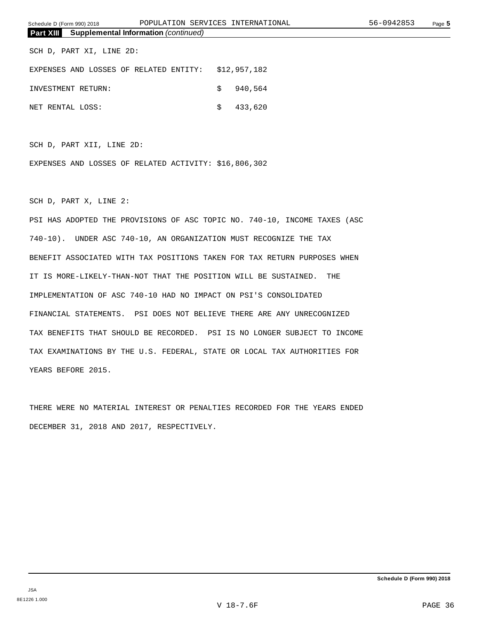SCH D, PART XI, LINE 2D:

| EXPENSES AND LOSSES OF RELATED ENTITY: \$12,957,182 |  |  |                |
|-----------------------------------------------------|--|--|----------------|
| INVESTMENT RETURN:                                  |  |  | \$940.564      |
| NET RENTAL LOSS:                                    |  |  | $\sin 433.620$ |

SCH D, PART XII, LINE 2D:

EXPENSES AND LOSSES OF RELATED ACTIVITY: \$16,806,302

SCH D, PART X, LINE 2:

PSI HAS ADOPTED THE PROVISIONS OF ASC TOPIC NO. 740-10, INCOME TAXES (ASC 740-10). UNDER ASC 740-10, AN ORGANIZATION MUST RECOGNIZE THE TAX BENEFIT ASSOCIATED WITH TAX POSITIONS TAKEN FOR TAX RETURN PURPOSES WHEN IT IS MORE-LIKELY-THAN-NOT THAT THE POSITION WILL BE SUSTAINED. THE IMPLEMENTATION OF ASC 740-10 HAD NO IMPACT ON PSI'S CONSOLIDATED FINANCIAL STATEMENTS. PSI DOES NOT BELIEVE THERE ARE ANY UNRECOGNIZED TAX BENEFITS THAT SHOULD BE RECORDED. PSI IS NO LONGER SUBJECT TO INCOME TAX EXAMINATIONS BY THE U.S. FEDERAL, STATE OR LOCAL TAX AUTHORITIES FOR YEARS BEFORE 2015.

THERE WERE NO MATERIAL INTEREST OR PENALTIES RECORDED FOR THE YEARS ENDED DECEMBER 31, 2018 AND 2017, RESPECTIVELY.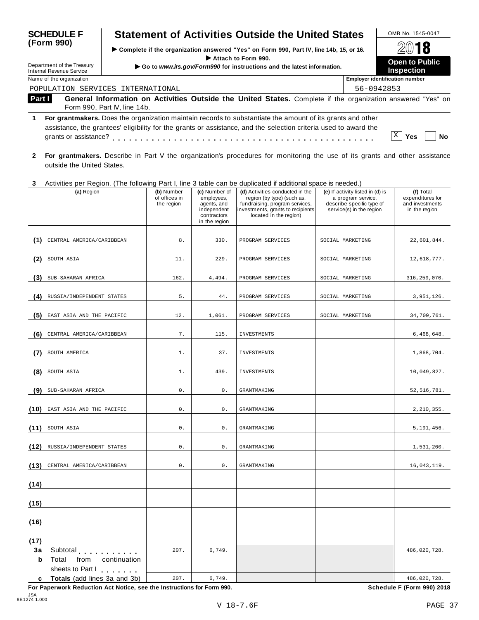| <b>SCHEDULE F</b>                                           | <b>Statement of Activities Outside the United States</b>                                                                                                                                                                       | OMB No. 1545-0047<br>2018<br>Open to Public<br><b>Inspection</b> |                                       |
|-------------------------------------------------------------|--------------------------------------------------------------------------------------------------------------------------------------------------------------------------------------------------------------------------------|------------------------------------------------------------------|---------------------------------------|
| (Form 990)<br>Department of the Treasury                    | ► Complete if the organization answered "Yes" on Form 990, Part IV, line 14b, 15, or 16.<br>Attach to Form 990.<br>Go to www.irs.gov/Form990 for instructions and the latest information.                                      |                                                                  |                                       |
| <b>Internal Revenue Service</b><br>Name of the organization |                                                                                                                                                                                                                                |                                                                  | <b>Employer identification number</b> |
|                                                             | POPULATION SERVICES INTERNATIONAL                                                                                                                                                                                              |                                                                  | 56-0942853                            |
| Part I                                                      | General Information on Activities Outside the United States. Complete if the organization answered "Yes" on<br>Form 990, Part IV, line 14b.                                                                                    |                                                                  |                                       |
| grants or assistance?                                       | For grantmakers. Does the organization maintain records to substantiate the amount of its grants and other<br>assistance, the grantees' eligibility for the grants or assistance, and the selection criteria used to award the |                                                                  | Χ<br>Yes<br>No                        |
|                                                             | For grantmakers. Describe in Part V the organization's procedures for monitoring the use of its grants and other assistance                                                                                                    |                                                                  |                                       |

| a recommended booding in Fait V and digameations procedured not intermeding and doe of no grante and canonality |  |  |  |  |
|-----------------------------------------------------------------------------------------------------------------|--|--|--|--|
| outside the United States.                                                                                      |  |  |  |  |
|                                                                                                                 |  |  |  |  |

# **3** Activities per Region. (The following Part I, line 3 table can be duplicated if additional space is needed.)

|                        | (a) Region                                                                                    | (b) Number<br>of offices in<br>the region | (c) Number of<br>employees,<br>agents, and<br>independent<br>contractors<br>in the region | (d) Activities conducted in the<br>region (by type) (such as,<br>fundraising, program services,<br>investments, grants to recipients<br>located in the region) | (e) If activity listed in (d) is<br>a program service,<br>describe specific type of<br>service(s) in the region | (f) Total<br>expenditures for<br>and investments<br>in the region |
|------------------------|-----------------------------------------------------------------------------------------------|-------------------------------------------|-------------------------------------------------------------------------------------------|----------------------------------------------------------------------------------------------------------------------------------------------------------------|-----------------------------------------------------------------------------------------------------------------|-------------------------------------------------------------------|
| (1)                    | CENTRAL AMERICA/CARIBBEAN                                                                     | $8$ .                                     | 330.                                                                                      | PROGRAM SERVICES                                                                                                                                               | SOCIAL MARKETING                                                                                                | 22,601,844.                                                       |
| (2)                    | SOUTH ASIA                                                                                    | 11.                                       | 229.                                                                                      | PROGRAM SERVICES                                                                                                                                               | SOCIAL MARKETING                                                                                                | 12,618,777.                                                       |
| (3)                    | SUB-SAHARAN AFRICA                                                                            | 162.                                      | 4,494.                                                                                    | PROGRAM SERVICES                                                                                                                                               | SOCIAL MARKETING                                                                                                | 316, 259, 070.                                                    |
| (4)                    | RUSSIA/INDEPENDENT STATES                                                                     | 5.                                        | 44.                                                                                       | PROGRAM SERVICES                                                                                                                                               | SOCIAL MARKETING                                                                                                | 3,951,126.                                                        |
| (5)                    | EAST ASIA AND THE PACIFIC                                                                     | 12.                                       | 1,061.                                                                                    | PROGRAM SERVICES                                                                                                                                               | SOCIAL MARKETING                                                                                                | 34,709,761.                                                       |
| (6)                    | CENTRAL AMERICA/CARIBBEAN                                                                     | 7.                                        | 115.                                                                                      | INVESTMENTS                                                                                                                                                    |                                                                                                                 | 6,468,648.                                                        |
| (7)                    | SOUTH AMERICA                                                                                 | $1$ .                                     | 37.                                                                                       | INVESTMENTS                                                                                                                                                    |                                                                                                                 | 1,868,704.                                                        |
| (8)                    | SOUTH ASIA                                                                                    | $1$ .                                     | 439.                                                                                      | INVESTMENTS                                                                                                                                                    |                                                                                                                 | 10,049,827.                                                       |
| (9)                    | SUB-SAHARAN AFRICA                                                                            | 0.                                        | $\mathsf{0}$ .                                                                            | <b>GRANTMAKING</b>                                                                                                                                             |                                                                                                                 | 52, 516, 781.                                                     |
| (10)                   | EAST ASIA AND THE PACIFIC                                                                     | $0$ .                                     | $0$ .                                                                                     | <b>GRANTMAKING</b>                                                                                                                                             |                                                                                                                 | 2, 210, 355.                                                      |
| (11)                   | SOUTH ASIA                                                                                    | 0.                                        | $0$ .                                                                                     | <b>GRANTMAKING</b>                                                                                                                                             |                                                                                                                 | 5, 191, 456.                                                      |
| (12)                   | RUSSIA/INDEPENDENT STATES                                                                     | 0.                                        | $\mathsf{0}$ .                                                                            | <b>GRANTMAKING</b>                                                                                                                                             |                                                                                                                 | 1,531,260.                                                        |
| (13)                   | CENTRAL AMERICA/CARIBBEAN                                                                     | 0.                                        | $\mathsf{0}$ .                                                                            | <b>GRANTMAKING</b>                                                                                                                                             |                                                                                                                 | 16,043,119.                                                       |
| (14)                   |                                                                                               |                                           |                                                                                           |                                                                                                                                                                |                                                                                                                 |                                                                   |
| (15)                   |                                                                                               |                                           |                                                                                           |                                                                                                                                                                |                                                                                                                 |                                                                   |
| (16)                   |                                                                                               |                                           |                                                                                           |                                                                                                                                                                |                                                                                                                 |                                                                   |
| (17)                   |                                                                                               |                                           |                                                                                           |                                                                                                                                                                |                                                                                                                 |                                                                   |
| 3a<br>$\mathbf b$<br>c | Subtotal<br>Total<br>from<br>continuation<br>sheets to Part I<br>Totals (add lines 3a and 3b) | 207.<br>207.                              | 6,749.<br>6,749.                                                                          |                                                                                                                                                                |                                                                                                                 | 486,020,728.<br>486,020,728.                                      |

**For Paperwork Reduction Act Notice, see the Instructions for Form 990. Schedule F (Form 990) 2018**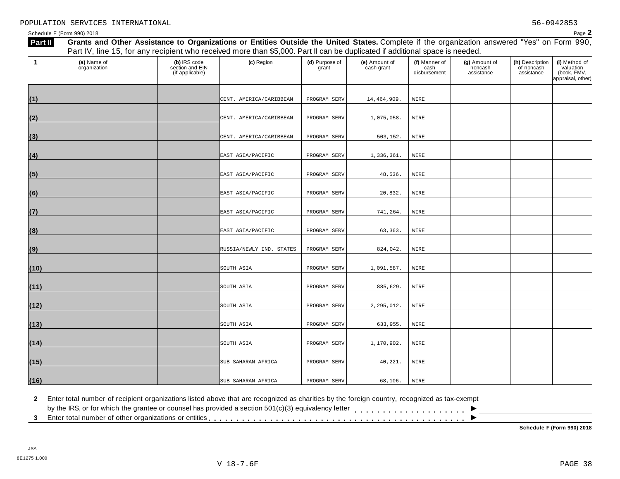| Part II | Grants and Other Assistance to Organizations or Entities Outside the United States. Complete if the organization answered "Yes" on Form 990,<br>Part IV, line 15, for any recipient who received more than \$5,000. Part II can be duplicated if additional space is needed. |                                                    |                          |                         |                             |                                       |                                        |                                             |                                                                |  |  |
|---------|------------------------------------------------------------------------------------------------------------------------------------------------------------------------------------------------------------------------------------------------------------------------------|----------------------------------------------------|--------------------------|-------------------------|-----------------------------|---------------------------------------|----------------------------------------|---------------------------------------------|----------------------------------------------------------------|--|--|
| -1      | (a) Name of<br>organization                                                                                                                                                                                                                                                  | (b) IRS code<br>section and EIN<br>(if applicable) | (c) Region               | (d) Purpose of<br>grant | (e) Amount of<br>cash grant | (f) Manner of<br>cash<br>disbursement | (g) Amount of<br>noncash<br>assistance | (h) Description<br>of noncash<br>assistance | (i) Method of<br>valuation<br>(book, FMV,<br>appraisal, other) |  |  |
| (1)     |                                                                                                                                                                                                                                                                              |                                                    | CENT. AMERICA/CARIBBEAN  | PROGRAM SERV            | 14, 464, 909.               | WIRE                                  |                                        |                                             |                                                                |  |  |
| (2)     |                                                                                                                                                                                                                                                                              |                                                    | CENT. AMERICA/CARIBBEAN  | PROGRAM SERV            | 1,075,058.                  | WIRE                                  |                                        |                                             |                                                                |  |  |
| (3)     |                                                                                                                                                                                                                                                                              |                                                    | CENT. AMERICA/CARIBBEAN  | PROGRAM SERV            | 503,152.                    | WIRE                                  |                                        |                                             |                                                                |  |  |
| (4)     |                                                                                                                                                                                                                                                                              |                                                    | EAST ASIA/PACIFIC        | PROGRAM SERV            | 1,336,361.                  | WIRE                                  |                                        |                                             |                                                                |  |  |
| (5)     |                                                                                                                                                                                                                                                                              |                                                    | EAST ASIA/PACIFIC        | PROGRAM SERV            | 48,536.                     | WIRE                                  |                                        |                                             |                                                                |  |  |
| (6)     |                                                                                                                                                                                                                                                                              |                                                    | EAST ASIA/PACIFIC        | PROGRAM SERV            | 20,832.                     | WIRE                                  |                                        |                                             |                                                                |  |  |
| (7)     |                                                                                                                                                                                                                                                                              |                                                    | EAST ASIA/PACIFIC        | PROGRAM SERV            | 741,264.                    | WIRE                                  |                                        |                                             |                                                                |  |  |
| (8)     |                                                                                                                                                                                                                                                                              |                                                    | EAST ASIA/PACIFIC        | PROGRAM SERV            | 63, 363.                    | WIRE                                  |                                        |                                             |                                                                |  |  |
| (9)     |                                                                                                                                                                                                                                                                              |                                                    | RUSSIA/NEWLY IND. STATES | PROGRAM SERV            | 824,042.                    | WIRE                                  |                                        |                                             |                                                                |  |  |
| (10)    |                                                                                                                                                                                                                                                                              |                                                    | SOUTH ASIA               | PROGRAM SERV            | 1,091,587.                  | WIRE                                  |                                        |                                             |                                                                |  |  |
| (11)    |                                                                                                                                                                                                                                                                              |                                                    | SOUTH ASIA               | PROGRAM SERV            | 885,629.                    | WIRE                                  |                                        |                                             |                                                                |  |  |
| (12)    |                                                                                                                                                                                                                                                                              |                                                    | SOUTH ASIA               | PROGRAM SERV            | 2,295,012.                  | WIRE                                  |                                        |                                             |                                                                |  |  |
| (13)    |                                                                                                                                                                                                                                                                              |                                                    | SOUTH ASIA               | PROGRAM SERV            | 633,955.                    | WIRE                                  |                                        |                                             |                                                                |  |  |
| (14)    |                                                                                                                                                                                                                                                                              |                                                    | SOUTH ASIA               | PROGRAM SERV            | 1,170,902.                  | WIRE                                  |                                        |                                             |                                                                |  |  |
| (15)    |                                                                                                                                                                                                                                                                              |                                                    | SUB-SAHARAN AFRICA       | PROGRAM SERV            | 40,221.                     | WIRE                                  |                                        |                                             |                                                                |  |  |
| (16)    |                                                                                                                                                                                                                                                                              |                                                    | SUB-SAHARAN AFRICA       | PROGRAM SERV            | 68,106.                     | WIRE                                  |                                        |                                             |                                                                |  |  |

**2** Enter total number of recipient organizations listed above that are recognized as charities by the foreign country, recognized as tax-exempt

 $\blacksquare$ <br>by the IRS, or for which the grantee or counsel has provided a section 501(c)(3) equivalency letter<br>3 Enter total number of other organizations or entities

**Schedule F (Form 990) 2018**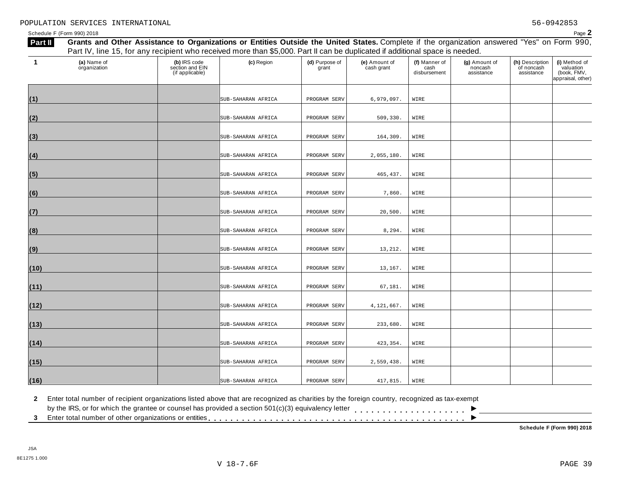| Part II | Grants and Other Assistance to Organizations or Entities Outside the United States. Complete if the organization answered "Yes" on Form 990,<br>Part IV, line 15, for any recipient who received more than \$5,000. Part II can be duplicated if additional space is needed. |                                                    |                    |                         |                             |                                       |                                        |                                             |                                                                |  |  |  |
|---------|------------------------------------------------------------------------------------------------------------------------------------------------------------------------------------------------------------------------------------------------------------------------------|----------------------------------------------------|--------------------|-------------------------|-----------------------------|---------------------------------------|----------------------------------------|---------------------------------------------|----------------------------------------------------------------|--|--|--|
| -1      | (a) Name of<br>organization                                                                                                                                                                                                                                                  | (b) IRS code<br>section and EIN<br>(if applicable) | (c) Region         | (d) Purpose of<br>grant | (e) Amount of<br>cash grant | (f) Manner of<br>cash<br>disbursement | (g) Amount of<br>noncash<br>assistance | (h) Description<br>of noncash<br>assistance | (i) Method of<br>valuation<br>(book, FMV,<br>appraisal, other) |  |  |  |
| (1)     |                                                                                                                                                                                                                                                                              |                                                    | SUB-SAHARAN AFRICA | PROGRAM SERV            | 6,979,097.                  | WIRE                                  |                                        |                                             |                                                                |  |  |  |
| (2)     |                                                                                                                                                                                                                                                                              |                                                    | SUB-SAHARAN AFRICA | PROGRAM SERV            | 509, 330.                   | WIRE                                  |                                        |                                             |                                                                |  |  |  |
| (3)     |                                                                                                                                                                                                                                                                              |                                                    | SUB-SAHARAN AFRICA | PROGRAM SERV            | 164,309.                    | WIRE                                  |                                        |                                             |                                                                |  |  |  |
| (4)     |                                                                                                                                                                                                                                                                              |                                                    | SUB-SAHARAN AFRICA | PROGRAM SERV            | 2,055,180.                  | WIRE                                  |                                        |                                             |                                                                |  |  |  |
| (5)     |                                                                                                                                                                                                                                                                              |                                                    | SUB-SAHARAN AFRICA | PROGRAM SERV            | 465, 437.                   | WIRE                                  |                                        |                                             |                                                                |  |  |  |
| (6)     |                                                                                                                                                                                                                                                                              |                                                    | SUB-SAHARAN AFRICA | PROGRAM SERV            | 7,860.                      | WIRE                                  |                                        |                                             |                                                                |  |  |  |
| (7)     |                                                                                                                                                                                                                                                                              |                                                    | SUB-SAHARAN AFRICA | PROGRAM SERV            | 20,500.                     | WIRE                                  |                                        |                                             |                                                                |  |  |  |
| (8)     |                                                                                                                                                                                                                                                                              |                                                    | SUB-SAHARAN AFRICA | PROGRAM SERV            | 8,294.                      | WIRE                                  |                                        |                                             |                                                                |  |  |  |
| (9)     |                                                                                                                                                                                                                                                                              |                                                    | SUB-SAHARAN AFRICA | PROGRAM SERV            | 13,212.                     | WIRE                                  |                                        |                                             |                                                                |  |  |  |
| (10)    |                                                                                                                                                                                                                                                                              |                                                    | SUB-SAHARAN AFRICA | PROGRAM SERV            | 13,167.                     | WIRE                                  |                                        |                                             |                                                                |  |  |  |
| (11)    |                                                                                                                                                                                                                                                                              |                                                    | SUB-SAHARAN AFRICA | PROGRAM SERV            | 67,181.                     | WIRE                                  |                                        |                                             |                                                                |  |  |  |
| (12)    |                                                                                                                                                                                                                                                                              |                                                    | SUB-SAHARAN AFRICA | PROGRAM SERV            | 4,121,667.                  | WIRE                                  |                                        |                                             |                                                                |  |  |  |
| (13)    |                                                                                                                                                                                                                                                                              |                                                    | SUB-SAHARAN AFRICA | PROGRAM SERV            | 233,680.                    | WIRE                                  |                                        |                                             |                                                                |  |  |  |
| (14)    |                                                                                                                                                                                                                                                                              |                                                    | SUB-SAHARAN AFRICA | PROGRAM SERV            | 423,354.                    | WIRE                                  |                                        |                                             |                                                                |  |  |  |
| (15)    |                                                                                                                                                                                                                                                                              |                                                    | SUB-SAHARAN AFRICA | PROGRAM SERV            | 2,559,438.                  | WIRE                                  |                                        |                                             |                                                                |  |  |  |
| (16)    |                                                                                                                                                                                                                                                                              |                                                    | SUB-SAHARAN AFRICA | PROGRAM SERV            | 417,815.                    | WIRE                                  |                                        |                                             |                                                                |  |  |  |

**2** Enter total number of recipient organizations listed above that are recognized as charities by the foreign country, recognized as tax-exempt

 $\blacksquare$ <br>by the IRS, or for which the grantee or counsel has provided a section 501(c)(3) equivalency letter<br>3 Enter total number of other organizations or entities

**Schedule F (Form 990) 2018**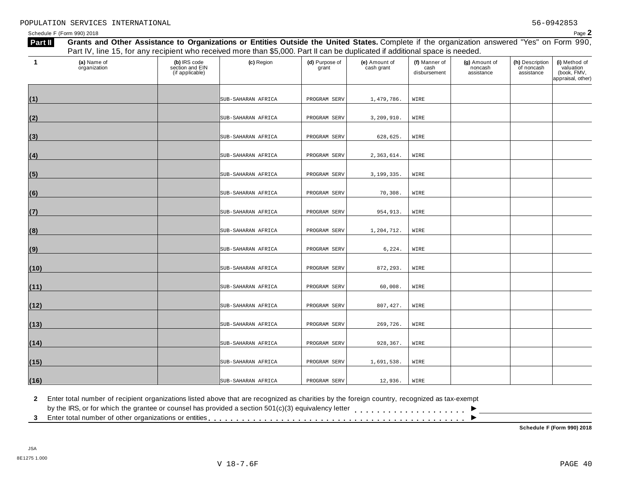| Part II | Grants and Other Assistance to Organizations or Entities Outside the United States. Complete if the organization answered "Yes" on Form 990,<br>Part IV, line 15, for any recipient who received more than \$5,000. Part II can be duplicated if additional space is needed. |                                                    |                    |                         |                             |                                       |                                        |                                             |                                                                |  |  |  |
|---------|------------------------------------------------------------------------------------------------------------------------------------------------------------------------------------------------------------------------------------------------------------------------------|----------------------------------------------------|--------------------|-------------------------|-----------------------------|---------------------------------------|----------------------------------------|---------------------------------------------|----------------------------------------------------------------|--|--|--|
|         |                                                                                                                                                                                                                                                                              |                                                    |                    |                         |                             |                                       |                                        |                                             |                                                                |  |  |  |
| -1      | (a) Name of<br>organization                                                                                                                                                                                                                                                  | (b) IRS code<br>section and EIN<br>(if applicable) | (c) Region         | (d) Purpose of<br>grant | (e) Amount of<br>cash grant | (f) Manner of<br>cash<br>disbursement | (g) Amount of<br>noncash<br>assistance | (h) Description<br>of noncash<br>assistance | (i) Method of<br>valuation<br>(book, FMV,<br>appraisal, other) |  |  |  |
| (1)     |                                                                                                                                                                                                                                                                              |                                                    | SUB-SAHARAN AFRICA | PROGRAM SERV            | 1,479,786.                  | WIRE                                  |                                        |                                             |                                                                |  |  |  |
| (2)     |                                                                                                                                                                                                                                                                              |                                                    | SUB-SAHARAN AFRICA | PROGRAM SERV            | 3,209,910.                  | WIRE                                  |                                        |                                             |                                                                |  |  |  |
| (3)     |                                                                                                                                                                                                                                                                              |                                                    | SUB-SAHARAN AFRICA | PROGRAM SERV            | 628,625.                    | WIRE                                  |                                        |                                             |                                                                |  |  |  |
| (4)     |                                                                                                                                                                                                                                                                              |                                                    | SUB-SAHARAN AFRICA | PROGRAM SERV            | 2,363,614.                  | WIRE                                  |                                        |                                             |                                                                |  |  |  |
| (5)     |                                                                                                                                                                                                                                                                              |                                                    | SUB-SAHARAN AFRICA | PROGRAM SERV            | 3,199,335.                  | WIRE                                  |                                        |                                             |                                                                |  |  |  |
| (6)     |                                                                                                                                                                                                                                                                              |                                                    | SUB-SAHARAN AFRICA | PROGRAM SERV            | 70,308.                     | WIRE                                  |                                        |                                             |                                                                |  |  |  |
| (7)     |                                                                                                                                                                                                                                                                              |                                                    | SUB-SAHARAN AFRICA | PROGRAM SERV            | 954,913.                    | WIRE                                  |                                        |                                             |                                                                |  |  |  |
| (8)     |                                                                                                                                                                                                                                                                              |                                                    | SUB-SAHARAN AFRICA | PROGRAM SERV            | 1,204,712.                  | WIRE                                  |                                        |                                             |                                                                |  |  |  |
| (9)     |                                                                                                                                                                                                                                                                              |                                                    | SUB-SAHARAN AFRICA | PROGRAM SERV            | 6, 224.                     | WIRE                                  |                                        |                                             |                                                                |  |  |  |
| (10)    |                                                                                                                                                                                                                                                                              |                                                    | SUB-SAHARAN AFRICA | PROGRAM SERV            | 872,293.                    | WIRE                                  |                                        |                                             |                                                                |  |  |  |
| (11)    |                                                                                                                                                                                                                                                                              |                                                    | SUB-SAHARAN AFRICA | PROGRAM SERV            | 60,008.                     | WIRE                                  |                                        |                                             |                                                                |  |  |  |
| (12)    |                                                                                                                                                                                                                                                                              |                                                    | SUB-SAHARAN AFRICA | PROGRAM SERV            | 807,427.                    | WIRE                                  |                                        |                                             |                                                                |  |  |  |
| (13)    |                                                                                                                                                                                                                                                                              |                                                    | SUB-SAHARAN AFRICA | PROGRAM SERV            | 269,726.                    | WIRE                                  |                                        |                                             |                                                                |  |  |  |
| (14)    |                                                                                                                                                                                                                                                                              |                                                    | SUB-SAHARAN AFRICA | PROGRAM SERV            | 928,367.                    | WIRE                                  |                                        |                                             |                                                                |  |  |  |
| (15)    |                                                                                                                                                                                                                                                                              |                                                    | SUB-SAHARAN AFRICA | PROGRAM SERV            | 1,691,538.                  | WIRE                                  |                                        |                                             |                                                                |  |  |  |
| (16)    |                                                                                                                                                                                                                                                                              |                                                    | SUB-SAHARAN AFRICA | PROGRAM SERV            | 12,936.                     | WIRE                                  |                                        |                                             |                                                                |  |  |  |

**2** Enter total number of recipient organizations listed above that are recognized as charities by the foreign country, recognized as tax-exempt

 $\blacksquare$ <br>by the IRS, or for which the grantee or counsel has provided a section 501(c)(3) equivalency letter<br>3 Enter total number of other organizations or entities

**Schedule F (Form 990) 2018**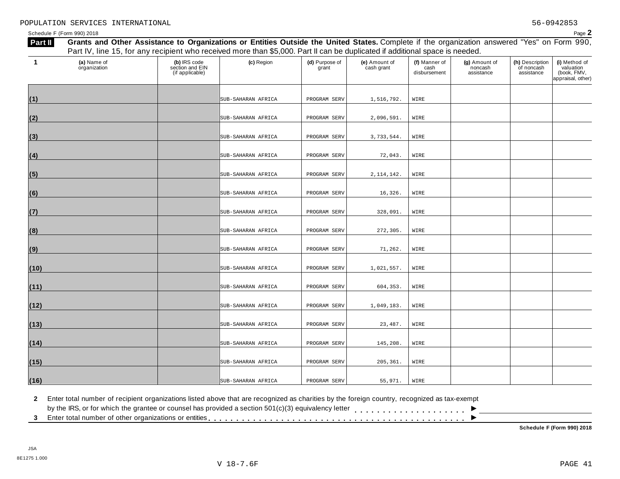| Part II | Grants and Other Assistance to Organizations or Entities Outside the United States. Complete if the organization answered "Yes" on Form 990,<br>Part IV, line 15, for any recipient who received more than \$5,000. Part II can be duplicated if additional space is needed. |                                                    |                    |                         |                             |                                       |                                        |                                             |                                                                |  |  |  |
|---------|------------------------------------------------------------------------------------------------------------------------------------------------------------------------------------------------------------------------------------------------------------------------------|----------------------------------------------------|--------------------|-------------------------|-----------------------------|---------------------------------------|----------------------------------------|---------------------------------------------|----------------------------------------------------------------|--|--|--|
| -1      | (a) Name of<br>organization                                                                                                                                                                                                                                                  | (b) IRS code<br>section and EIN<br>(if applicable) | (c) Region         | (d) Purpose of<br>grant | (e) Amount of<br>cash grant | (f) Manner of<br>cash<br>disbursement | (g) Amount of<br>noncash<br>assistance | (h) Description<br>of noncash<br>assistance | (i) Method of<br>valuation<br>(book, FMV,<br>appraisal, other) |  |  |  |
| (1)     |                                                                                                                                                                                                                                                                              |                                                    | SUB-SAHARAN AFRICA | PROGRAM SERV            | 1,516,792.                  | WIRE                                  |                                        |                                             |                                                                |  |  |  |
| (2)     |                                                                                                                                                                                                                                                                              |                                                    | SUB-SAHARAN AFRICA | PROGRAM SERV            | 2,096,591.                  | WIRE                                  |                                        |                                             |                                                                |  |  |  |
| (3)     |                                                                                                                                                                                                                                                                              |                                                    | SUB-SAHARAN AFRICA | PROGRAM SERV            | 3,733,544.                  | WIRE                                  |                                        |                                             |                                                                |  |  |  |
| (4)     |                                                                                                                                                                                                                                                                              |                                                    | SUB-SAHARAN AFRICA | PROGRAM SERV            | 72,043.                     | WIRE                                  |                                        |                                             |                                                                |  |  |  |
| (5)     |                                                                                                                                                                                                                                                                              |                                                    | SUB-SAHARAN AFRICA | PROGRAM SERV            | 2, 114, 142.                | WIRE                                  |                                        |                                             |                                                                |  |  |  |
| (6)     |                                                                                                                                                                                                                                                                              |                                                    | SUB-SAHARAN AFRICA | PROGRAM SERV            | 16,326.                     | WIRE                                  |                                        |                                             |                                                                |  |  |  |
| (7)     |                                                                                                                                                                                                                                                                              |                                                    | SUB-SAHARAN AFRICA | PROGRAM SERV            | 328,091.                    | WIRE                                  |                                        |                                             |                                                                |  |  |  |
| (8)     |                                                                                                                                                                                                                                                                              |                                                    | SUB-SAHARAN AFRICA | PROGRAM SERV            | 272,305.                    | WIRE                                  |                                        |                                             |                                                                |  |  |  |
| (9)     |                                                                                                                                                                                                                                                                              |                                                    | SUB-SAHARAN AFRICA | PROGRAM SERV            | 71,262.                     | WIRE                                  |                                        |                                             |                                                                |  |  |  |
| (10)    |                                                                                                                                                                                                                                                                              |                                                    | SUB-SAHARAN AFRICA | PROGRAM SERV            | 1,021,557.                  | WIRE                                  |                                        |                                             |                                                                |  |  |  |
| (11)    |                                                                                                                                                                                                                                                                              |                                                    | SUB-SAHARAN AFRICA | PROGRAM SERV            | 604,353.                    | WIRE                                  |                                        |                                             |                                                                |  |  |  |
| (12)    |                                                                                                                                                                                                                                                                              |                                                    | SUB-SAHARAN AFRICA | PROGRAM SERV            | 1,049,183.                  | WIRE                                  |                                        |                                             |                                                                |  |  |  |
| (13)    |                                                                                                                                                                                                                                                                              |                                                    | SUB-SAHARAN AFRICA | PROGRAM SERV            | 23, 487.                    | WIRE                                  |                                        |                                             |                                                                |  |  |  |
| (14)    |                                                                                                                                                                                                                                                                              |                                                    | SUB-SAHARAN AFRICA | PROGRAM SERV            | 145,208.                    | WIRE                                  |                                        |                                             |                                                                |  |  |  |
| (15)    |                                                                                                                                                                                                                                                                              |                                                    | SUB-SAHARAN AFRICA | PROGRAM SERV            | 205,361.                    | WIRE                                  |                                        |                                             |                                                                |  |  |  |
| (16)    |                                                                                                                                                                                                                                                                              |                                                    | SUB-SAHARAN AFRICA | PROGRAM SERV            | 55,971.                     | WIRE                                  |                                        |                                             |                                                                |  |  |  |

**2** Enter total number of recipient organizations listed above that are recognized as charities by the foreign country, recognized as tax-exempt

 $\blacksquare$ <br>by the IRS, or for which the grantee or counsel has provided a section 501(c)(3) equivalency letter<br>3 Enter total number of other organizations or entities

**Schedule F (Form 990) 2018**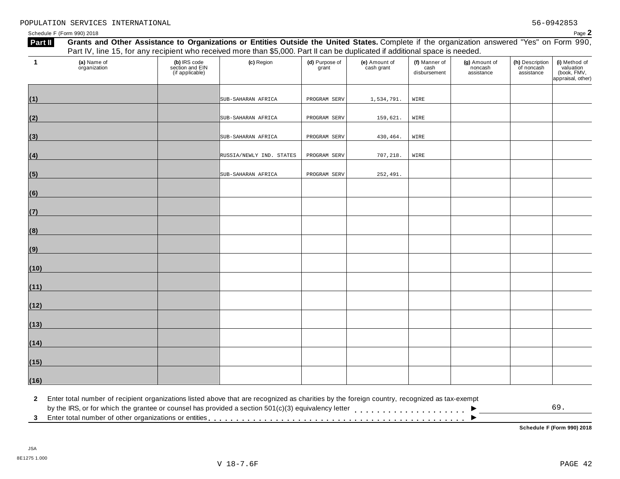| $\mathbf{1}$ | (a) Name of<br>organization | (b) IRS code<br>section and EIN<br>(if applicable) | (c) Region               | (d) Purpose of<br>grant | (e) Amount of<br>cash grant | (f) Manner of<br>cash<br>disbursement | (g) Amount of<br>noncash<br>assistance | (h) Description<br>of noncash<br>assistance | (i) Method of<br>valuation<br>(book, FMV,<br>appraisal, other) |
|--------------|-----------------------------|----------------------------------------------------|--------------------------|-------------------------|-----------------------------|---------------------------------------|----------------------------------------|---------------------------------------------|----------------------------------------------------------------|
| (1)          |                             |                                                    | SUB-SAHARAN AFRICA       | PROGRAM SERV            | 1,534,791.                  | WIRE                                  |                                        |                                             |                                                                |
| (2)          |                             |                                                    | SUB-SAHARAN AFRICA       | PROGRAM SERV            | 159,621.                    | WIRE                                  |                                        |                                             |                                                                |
| (3)          |                             |                                                    | SUB-SAHARAN AFRICA       | PROGRAM SERV            | 430,464.                    | WIRE                                  |                                        |                                             |                                                                |
| (4)          |                             |                                                    | RUSSIA/NEWLY IND. STATES | PROGRAM SERV            | 707,218.                    | WIRE                                  |                                        |                                             |                                                                |
| (5)          |                             |                                                    | SUB-SAHARAN AFRICA       | PROGRAM SERV            | 252,491.                    |                                       |                                        |                                             |                                                                |
| (6)          |                             |                                                    |                          |                         |                             |                                       |                                        |                                             |                                                                |
| (7)          |                             |                                                    |                          |                         |                             |                                       |                                        |                                             |                                                                |
| (8)          |                             |                                                    |                          |                         |                             |                                       |                                        |                                             |                                                                |
| (9)          |                             |                                                    |                          |                         |                             |                                       |                                        |                                             |                                                                |
| (10)         |                             |                                                    |                          |                         |                             |                                       |                                        |                                             |                                                                |
| (11)         |                             |                                                    |                          |                         |                             |                                       |                                        |                                             |                                                                |
| (12)         |                             |                                                    |                          |                         |                             |                                       |                                        |                                             |                                                                |
| (13)         |                             |                                                    |                          |                         |                             |                                       |                                        |                                             |                                                                |
| (14)         |                             |                                                    |                          |                         |                             |                                       |                                        |                                             |                                                                |
| (15)         |                             |                                                    |                          |                         |                             |                                       |                                        |                                             |                                                                |
| (16)         |                             |                                                    |                          |                         |                             |                                       |                                        |                                             |                                                                |

**2** Enter total number of recipient organizations listed above that are recognized as charities by the foreign country, recognized as tax-exempt  $\blacksquare$ <br>by the IRS, or for which the grantee or counsel has provided a section 501(c)(3) equivalency letter<br>3 Enter total number of other organizations or entities

 $\overline{\phantom{a}}$ 

**Schedule F (Form 990) 2018**

69.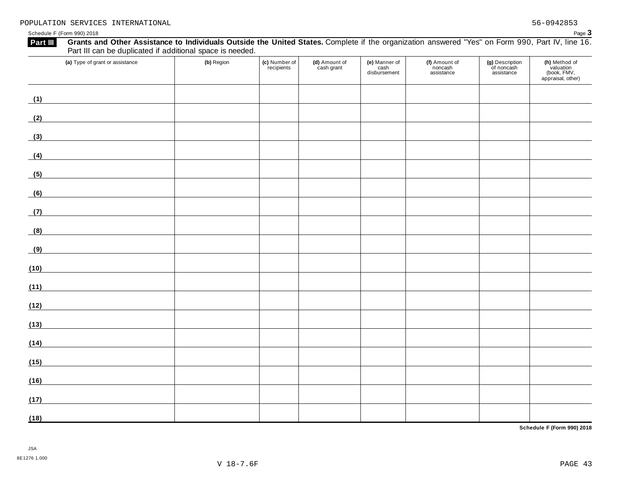| Grants and Other Assistance to Individuals Outside the United States. Complete if the organization answered "Yes" on Form 990, Part IV, line 16.<br>Part III<br>Part III can be duplicated if additional space is needed. |            |                             |                             |                                       |                                        |                                             |                                                                |
|---------------------------------------------------------------------------------------------------------------------------------------------------------------------------------------------------------------------------|------------|-----------------------------|-----------------------------|---------------------------------------|----------------------------------------|---------------------------------------------|----------------------------------------------------------------|
| (a) Type of grant or assistance                                                                                                                                                                                           | (b) Region | (c) Number of<br>recipients | (d) Amount of<br>cash grant | (e) Manner of<br>cash<br>disbursement | (f) Amount of<br>noncash<br>assistance | (g) Description<br>of noncash<br>assistance | (h) Method of<br>valuation<br>(book, FMV,<br>appraisal, other) |
| (1)<br><u> 1986 - Jan Barbara Barbara, prima prima prima prima prima prima prima prima prima prima prima prima prima pr</u>                                                                                               |            |                             |                             |                                       |                                        |                                             |                                                                |
| (2)                                                                                                                                                                                                                       |            |                             |                             |                                       |                                        |                                             |                                                                |
| (3)                                                                                                                                                                                                                       |            |                             |                             |                                       |                                        |                                             |                                                                |
| (4)                                                                                                                                                                                                                       |            |                             |                             |                                       |                                        |                                             |                                                                |
| (5)                                                                                                                                                                                                                       |            |                             |                             |                                       |                                        |                                             |                                                                |
| (6)                                                                                                                                                                                                                       |            |                             |                             |                                       |                                        |                                             |                                                                |
| <u> 1980 - Johann Barbara, martxa al</u><br>(7)                                                                                                                                                                           |            |                             |                             |                                       |                                        |                                             |                                                                |
| (8)                                                                                                                                                                                                                       |            |                             |                             |                                       |                                        |                                             |                                                                |
| (9)<br><u> 1980 - Johann Barbara, martxa a</u>                                                                                                                                                                            |            |                             |                             |                                       |                                        |                                             |                                                                |
| (10)                                                                                                                                                                                                                      |            |                             |                             |                                       |                                        |                                             |                                                                |
| (11)                                                                                                                                                                                                                      |            |                             |                             |                                       |                                        |                                             |                                                                |
| (12)<br><u> 1989 - Jan Barbara Barbara, prima popular popular popular popular popular popular popular popular popular po</u>                                                                                              |            |                             |                             |                                       |                                        |                                             |                                                                |
| (13)                                                                                                                                                                                                                      |            |                             |                             |                                       |                                        |                                             |                                                                |
| (14)<br><u> 1989 - Andrea Station Barbara, amerikan per</u>                                                                                                                                                               |            |                             |                             |                                       |                                        |                                             |                                                                |
| (15)                                                                                                                                                                                                                      |            |                             |                             |                                       |                                        |                                             |                                                                |
| (16)                                                                                                                                                                                                                      |            |                             |                             |                                       |                                        |                                             |                                                                |
| (17)                                                                                                                                                                                                                      |            |                             |                             |                                       |                                        |                                             |                                                                |
| (18)                                                                                                                                                                                                                      |            |                             |                             |                                       |                                        |                                             |                                                                |

**Schedule F (Form 990) 2018**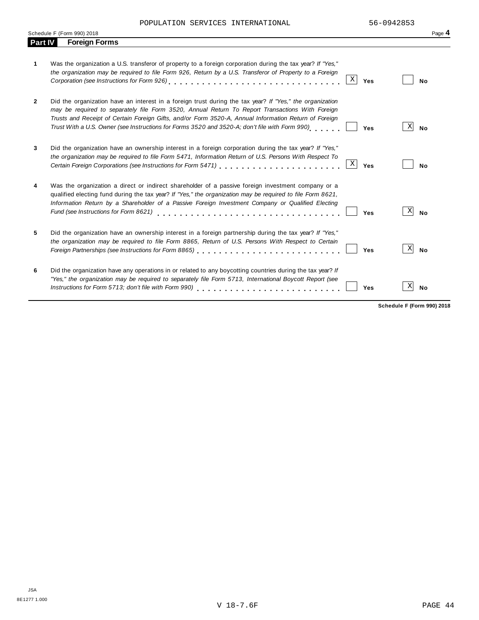POPULATION SERVICES INTERNATIONAL 56-0942853

|         | Schedule F (Form 990) 2018                                                                                                                                                                                                                                                                                                                                                                                                    | Page 4         |
|---------|-------------------------------------------------------------------------------------------------------------------------------------------------------------------------------------------------------------------------------------------------------------------------------------------------------------------------------------------------------------------------------------------------------------------------------|----------------|
| Part IV | <b>Foreign Forms</b>                                                                                                                                                                                                                                                                                                                                                                                                          |                |
| 1.      | Was the organization a U.S. transferor of property to a foreign corporation during the tax year? If "Yes,"<br>the organization may be required to file Form 926, Return by a U.S. Transferor of Property to a Foreign<br>Χ<br>Yes                                                                                                                                                                                             | No             |
| 2       | Did the organization have an interest in a foreign trust during the tax year? If "Yes," the organization<br>may be required to separately file Form 3520, Annual Return To Report Transactions With Foreign<br>Trusts and Receipt of Certain Foreign Gifts, and/or Form 3520-A, Annual Information Return of Foreign<br>Trust With a U.S. Owner (see Instructions for Forms 3520 and 3520-A; don't file with Form 990)<br>Yes | Χ<br><b>No</b> |
| 3       | Did the organization have an ownership interest in a foreign corporation during the tax year? If "Yes,"<br>the organization may be required to file Form 5471, Information Return of U.S. Persons With Respect To<br>$\mathbf X$<br>Certain Foreign Corporations (see Instructions for Form 5471) [11] [12] Certain Foreign Corporations (see Instructions for Form 5471)<br>Yes                                              | No             |
| 4       | Was the organization a direct or indirect shareholder of a passive foreign investment company or a<br>qualified electing fund during the tax year? If "Yes," the organization may be required to file Form 8621,<br>Information Return by a Shareholder of a Passive Foreign Investment Company or Qualified Electing<br>Fund (see Instructions for Form 8621)<br>Yes                                                         | X<br><b>No</b> |
| 5       | Did the organization have an ownership interest in a foreign partnership during the tax year? If "Yes,"<br>the organization may be required to file Form 8865, Return of U.S. Persons With Respect to Certain<br>Yes                                                                                                                                                                                                          | X<br><b>No</b> |
| 6       | Did the organization have any operations in or related to any boycotting countries during the tax year? If<br>"Yes," the organization may be required to separately file Form 5713, International Boycott Report (see<br>Instructions for Form 5713; don't file with Form 990)<br>Yes                                                                                                                                         | X<br><b>No</b> |

**Schedule F (Form 990) 2018**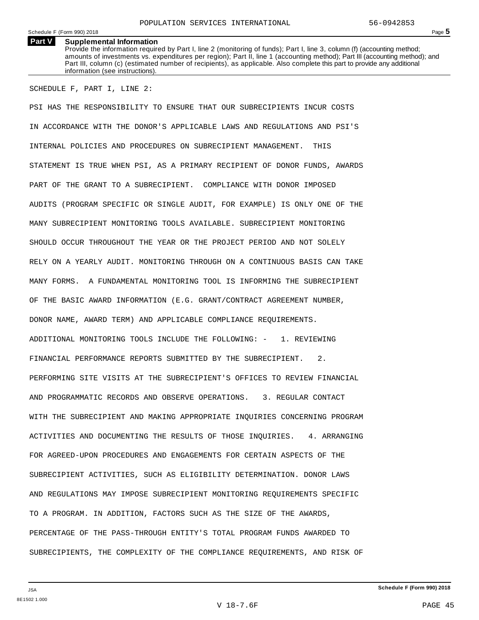### **Part V Supplemental Information**

Provide the information required by Part I, line 2 (monitoring of funds); Part I, line 3, column (f) (accounting method; amounts of investments vs. expenditures per region); Part II, line 1 (accounting method); Part III (accounting method); and Part III, column (c) (estimated number of recipients), as applicable. Also complete this part to provide any additional information (see instructions).

SCHEDULE F, PART I, LINE 2:

PSI HAS THE RESPONSIBILITY TO ENSURE THAT OUR SUBRECIPIENTS INCUR COSTS IN ACCORDANCE WITH THE DONOR'S APPLICABLE LAWS AND REGULATIONS AND PSI'S INTERNAL POLICIES AND PROCEDURES ON SUBRECIPIENT MANAGEMENT. THIS STATEMENT IS TRUE WHEN PSI, AS A PRIMARY RECIPIENT OF DONOR FUNDS, AWARDS PART OF THE GRANT TO A SUBRECIPIENT. COMPLIANCE WITH DONOR IMPOSED AUDITS (PROGRAM SPECIFIC OR SINGLE AUDIT, FOR EXAMPLE) IS ONLY ONE OF THE MANY SUBRECIPIENT MONITORING TOOLS AVAILABLE. SUBRECIPIENT MONITORING SHOULD OCCUR THROUGHOUT THE YEAR OR THE PROJECT PERIOD AND NOT SOLELY RELY ON A YEARLY AUDIT. MONITORING THROUGH ON A CONTINUOUS BASIS CAN TAKE MANY FORMS. A FUNDAMENTAL MONITORING TOOL IS INFORMING THE SUBRECIPIENT OF THE BASIC AWARD INFORMATION (E.G. GRANT/CONTRACT AGREEMENT NUMBER, DONOR NAME, AWARD TERM) AND APPLICABLE COMPLIANCE REQUIREMENTS. ADDITIONAL MONITORING TOOLS INCLUDE THE FOLLOWING: - 1. REVIEWING FINANCIAL PERFORMANCE REPORTS SUBMITTED BY THE SUBRECIPIENT. 2. PERFORMING SITE VISITS AT THE SUBRECIPIENT'S OFFICES TO REVIEW FINANCIAL AND PROGRAMMATIC RECORDS AND OBSERVE OPERATIONS. 3. REGULAR CONTACT WITH THE SUBRECIPIENT AND MAKING APPROPRIATE INQUIRIES CONCERNING PROGRAM ACTIVITIES AND DOCUMENTING THE RESULTS OF THOSE INQUIRIES. 4. ARRANGING FOR AGREED-UPON PROCEDURES AND ENGAGEMENTS FOR CERTAIN ASPECTS OF THE SUBRECIPIENT ACTIVITIES, SUCH AS ELIGIBILITY DETERMINATION. DONOR LAWS AND REGULATIONS MAY IMPOSE SUBRECIPIENT MONITORING REQUIREMENTS SPECIFIC TO A PROGRAM. IN ADDITION, FACTORS SUCH AS THE SIZE OF THE AWARDS, PERCENTAGE OF THE PASS-THROUGH ENTITY'S TOTAL PROGRAM FUNDS AWARDED TO SUBRECIPIENTS, THE COMPLEXITY OF THE COMPLIANCE REQUIREMENTS, AND RISK OF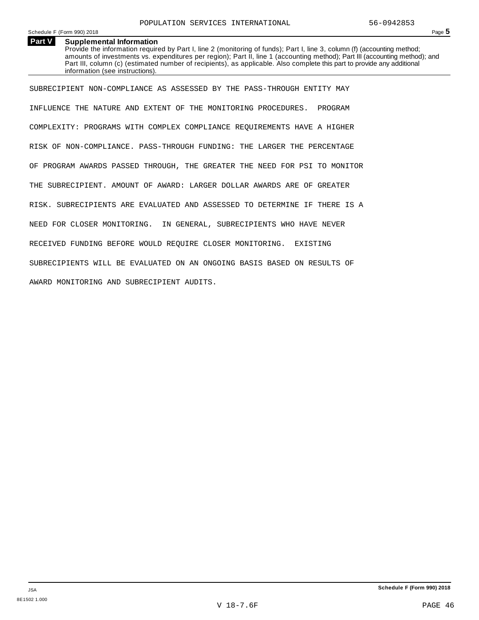## **Part V Supplemental Information**

Provide the information required by Part I, line 2 (monitoring of funds); Part I, line 3, column (f) (accounting method; amounts of investments vs. expenditures per region); Part II, line 1 (accounting method); Part III (accounting method); and Part III, column (c) (estimated number of recipients), as applicable. Also complete this part to provide any additional information (see instructions).

SUBRECIPIENT NON-COMPLIANCE AS ASSESSED BY THE PASS-THROUGH ENTITY MAY INFLUENCE THE NATURE AND EXTENT OF THE MONITORING PROCEDURES. PROGRAM COMPLEXITY: PROGRAMS WITH COMPLEX COMPLIANCE REQUIREMENTS HAVE A HIGHER RISK OF NON-COMPLIANCE. PASS-THROUGH FUNDING: THE LARGER THE PERCENTAGE OF PROGRAM AWARDS PASSED THROUGH, THE GREATER THE NEED FOR PSI TO MONITOR THE SUBRECIPIENT. AMOUNT OF AWARD: LARGER DOLLAR AWARDS ARE OF GREATER RISK. SUBRECIPIENTS ARE EVALUATED AND ASSESSED TO DETERMINE IF THERE IS A NEED FOR CLOSER MONITORING. IN GENERAL, SUBRECIPIENTS WHO HAVE NEVER RECEIVED FUNDING BEFORE WOULD REQUIRE CLOSER MONITORING. EXISTING SUBRECIPIENTS WILL BE EVALUATED ON AN ONGOING BASIS BASED ON RESULTS OF AWARD MONITORING AND SUBRECIPIENT AUDITS.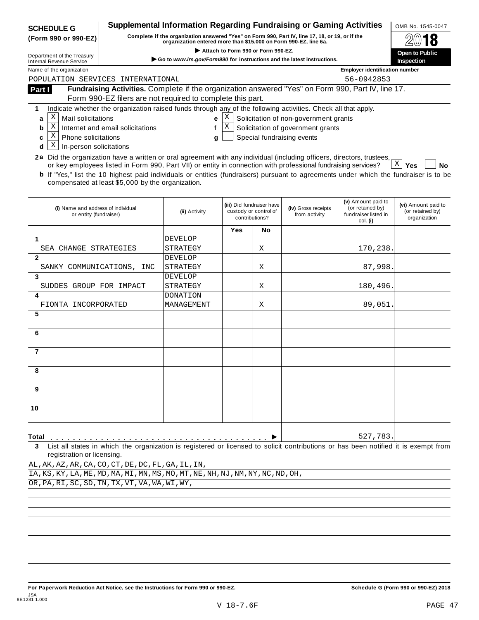| <b>SCHEDULE G</b>                                                                                                                                                      |                                  | Supplemental Information Regarding Fundraising or Gaming Activities                                                                                                 |                                         |                                    |                                       |                                        | OMB No. 1545-0047                |
|------------------------------------------------------------------------------------------------------------------------------------------------------------------------|----------------------------------|---------------------------------------------------------------------------------------------------------------------------------------------------------------------|-----------------------------------------|------------------------------------|---------------------------------------|----------------------------------------|----------------------------------|
| (Form 990 or 990-EZ)                                                                                                                                                   |                                  | Complete if the organization answered "Yes" on Form 990, Part IV, line 17, 18, or 19, or if the<br>organization entered more than \$15,000 on Form 990-EZ, line 6a. |                                         |                                    |                                       |                                        |                                  |
|                                                                                                                                                                        |                                  |                                                                                                                                                                     |                                         | Attach to Form 990 or Form 990-EZ. |                                       |                                        | Open to Public                   |
| Department of the Treasury<br><b>Internal Revenue Service</b>                                                                                                          |                                  | Go to www.irs.gov/Form990 for instructions and the latest instructions.                                                                                             |                                         |                                    |                                       |                                        | Inspection                       |
| Name of the organization                                                                                                                                               |                                  |                                                                                                                                                                     |                                         |                                    |                                       | <b>Employer identification number</b>  |                                  |
| POPULATION SERVICES INTERNATIONAL                                                                                                                                      |                                  |                                                                                                                                                                     |                                         |                                    |                                       | 56-0942853                             |                                  |
| Part I                                                                                                                                                                 |                                  | Fundraising Activities. Complete if the organization answered "Yes" on Form 990, Part IV, line 17.                                                                  |                                         |                                    |                                       |                                        |                                  |
|                                                                                                                                                                        |                                  | Form 990-EZ filers are not required to complete this part.                                                                                                          |                                         |                                    |                                       |                                        |                                  |
| Indicate whether the organization raised funds through any of the following activities. Check all that apply.<br>1                                                     |                                  |                                                                                                                                                                     |                                         |                                    |                                       |                                        |                                  |
| Χ<br>Mail solicitations<br>a                                                                                                                                           |                                  | e                                                                                                                                                                   | Χ                                       |                                    | Solicitation of non-government grants |                                        |                                  |
| Χ<br>b                                                                                                                                                                 | Internet and email solicitations | $\mathbf{f}$                                                                                                                                                        | $\mathbf X$                             |                                    | Solicitation of government grants     |                                        |                                  |
| X<br>Phone solicitations<br>c                                                                                                                                          |                                  | g                                                                                                                                                                   |                                         |                                    | Special fundraising events            |                                        |                                  |
| Χ<br>In-person solicitations<br>d                                                                                                                                      |                                  |                                                                                                                                                                     |                                         |                                    |                                       |                                        |                                  |
| 2a Did the organization have a written or oral agreement with any individual (including officers, directors, trustees,                                                 |                                  |                                                                                                                                                                     |                                         |                                    |                                       |                                        |                                  |
| or key employees listed in Form 990, Part VII) or entity in connection with professional fundraising services?                                                         |                                  |                                                                                                                                                                     |                                         |                                    |                                       |                                        | $X \mid Y$ es<br><b>No</b>       |
| <b>b</b> If "Yes," list the 10 highest paid individuals or entities (fundraisers) pursuant to agreements under which the fundraiser is to be                           |                                  |                                                                                                                                                                     |                                         |                                    |                                       |                                        |                                  |
| compensated at least \$5,000 by the organization.                                                                                                                      |                                  |                                                                                                                                                                     |                                         |                                    |                                       |                                        |                                  |
|                                                                                                                                                                        |                                  |                                                                                                                                                                     |                                         |                                    |                                       |                                        |                                  |
| (i) Name and address of individual                                                                                                                                     |                                  |                                                                                                                                                                     |                                         | (iii) Did fundraiser have          | (iv) Gross receipts                   | (v) Amount paid to<br>(or retained by) | (vi) Amount paid to              |
| or entity (fundraiser)                                                                                                                                                 |                                  | (ii) Activity                                                                                                                                                       | custody or control of<br>contributions? |                                    | from activity                         | fundraiser listed in                   | (or retained by)<br>organization |
|                                                                                                                                                                        |                                  |                                                                                                                                                                     | Yes                                     | No                                 |                                       | col. (i)                               |                                  |
| 1                                                                                                                                                                      |                                  | <b>DEVELOP</b>                                                                                                                                                      |                                         |                                    |                                       |                                        |                                  |
| SEA CHANGE STRATEGIES                                                                                                                                                  |                                  | STRATEGY                                                                                                                                                            |                                         | Χ                                  |                                       | 170,238.                               |                                  |
| $\mathbf{2}$                                                                                                                                                           |                                  | <b>DEVELOP</b>                                                                                                                                                      |                                         |                                    |                                       |                                        |                                  |
| SANKY COMMUNICATIONS, INC                                                                                                                                              |                                  | STRATEGY                                                                                                                                                            |                                         | Χ                                  |                                       | 87,998.                                |                                  |
| 3                                                                                                                                                                      |                                  | <b>DEVELOP</b>                                                                                                                                                      |                                         |                                    |                                       |                                        |                                  |
| SUDDES GROUP FOR IMPACT                                                                                                                                                |                                  | STRATEGY                                                                                                                                                            |                                         | Χ                                  |                                       | 180,496.                               |                                  |
|                                                                                                                                                                        |                                  | <b>DONATION</b>                                                                                                                                                     |                                         |                                    |                                       |                                        |                                  |
| FIONTA INCORPORATED                                                                                                                                                    |                                  | MANAGEMENT                                                                                                                                                          |                                         | Χ                                  |                                       | 89,051                                 |                                  |
| 5                                                                                                                                                                      |                                  |                                                                                                                                                                     |                                         |                                    |                                       |                                        |                                  |
|                                                                                                                                                                        |                                  |                                                                                                                                                                     |                                         |                                    |                                       |                                        |                                  |
| 6                                                                                                                                                                      |                                  |                                                                                                                                                                     |                                         |                                    |                                       |                                        |                                  |
|                                                                                                                                                                        |                                  |                                                                                                                                                                     |                                         |                                    |                                       |                                        |                                  |
| $\overline{7}$                                                                                                                                                         |                                  |                                                                                                                                                                     |                                         |                                    |                                       |                                        |                                  |
|                                                                                                                                                                        |                                  |                                                                                                                                                                     |                                         |                                    |                                       |                                        |                                  |
| 8                                                                                                                                                                      |                                  |                                                                                                                                                                     |                                         |                                    |                                       |                                        |                                  |
|                                                                                                                                                                        |                                  |                                                                                                                                                                     |                                         |                                    |                                       |                                        |                                  |
| 9                                                                                                                                                                      |                                  |                                                                                                                                                                     |                                         |                                    |                                       |                                        |                                  |
|                                                                                                                                                                        |                                  |                                                                                                                                                                     |                                         |                                    |                                       |                                        |                                  |
| 10                                                                                                                                                                     |                                  |                                                                                                                                                                     |                                         |                                    |                                       |                                        |                                  |
|                                                                                                                                                                        |                                  |                                                                                                                                                                     |                                         |                                    |                                       |                                        |                                  |
|                                                                                                                                                                        |                                  |                                                                                                                                                                     |                                         |                                    |                                       |                                        |                                  |
| Total                                                                                                                                                                  |                                  |                                                                                                                                                                     |                                         |                                    |                                       | 527,783.                               |                                  |
| List all states in which the organization is registered or licensed to solicit contributions or has been notified it is exempt from<br>3<br>registration or licensing. |                                  |                                                                                                                                                                     |                                         |                                    |                                       |                                        |                                  |
| AL, AK, AZ, AR, CA, CO, CT, DE, DC, FL, GA, IL, IN,                                                                                                                    |                                  |                                                                                                                                                                     |                                         |                                    |                                       |                                        |                                  |
| IA, KS, KY, LA, ME, MD, MA, MI, MN, MS, MO, MT, NE, NH, NJ, NM, NY, NC, ND, OH,                                                                                        |                                  |                                                                                                                                                                     |                                         |                                    |                                       |                                        |                                  |
| OR, PA, RI, SC, SD, TN, TX, VT, VA, WA, WI, WY,                                                                                                                        |                                  |                                                                                                                                                                     |                                         |                                    |                                       |                                        |                                  |
|                                                                                                                                                                        |                                  |                                                                                                                                                                     |                                         |                                    |                                       |                                        |                                  |
|                                                                                                                                                                        |                                  |                                                                                                                                                                     |                                         |                                    |                                       |                                        |                                  |

For Paperwork Reduction Act Notice, see the Instructions for Form 990 or 990-EZ. Schedule G (Form 990 or 990-EZ) 2018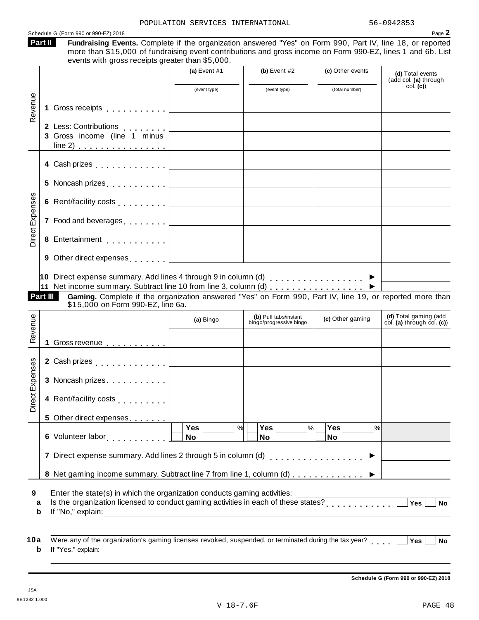Schedule G (Form 990 or 990-EZ) 2018  $\overline{\phantom{a}}$  **Page**  $2$ 

|        |                                                                                                                                                                                                                                | (a) Event $#1$                                 | (b) Event $#2$                                                  | (c) Other events | (d) Total events<br>(add col. (a) through                                                                                                                       |
|--------|--------------------------------------------------------------------------------------------------------------------------------------------------------------------------------------------------------------------------------|------------------------------------------------|-----------------------------------------------------------------|------------------|-----------------------------------------------------------------------------------------------------------------------------------------------------------------|
|        |                                                                                                                                                                                                                                | (event type)                                   | (event type)                                                    | (total number)   | col. (c)                                                                                                                                                        |
|        | 1 Gross receipts                                                                                                                                                                                                               |                                                |                                                                 |                  |                                                                                                                                                                 |
|        |                                                                                                                                                                                                                                |                                                |                                                                 |                  |                                                                                                                                                                 |
|        | 2 Less: Contributions  <br>3 Gross income (line 1 minus                                                                                                                                                                        |                                                |                                                                 |                  |                                                                                                                                                                 |
|        |                                                                                                                                                                                                                                |                                                |                                                                 |                  |                                                                                                                                                                 |
|        | 4 Cash prizes <u>  _ _ _ _ _ _ _ _ _</u> _ _ _ _ _ _ _                                                                                                                                                                         |                                                |                                                                 |                  |                                                                                                                                                                 |
|        |                                                                                                                                                                                                                                |                                                |                                                                 |                  |                                                                                                                                                                 |
|        |                                                                                                                                                                                                                                |                                                |                                                                 |                  |                                                                                                                                                                 |
|        | 7 Food and beverages entertainment and several property and several property of the set of the set of the set of the set of the set of the set of the set of the set of the set of the set of the set of the set of the set of |                                                |                                                                 |                  |                                                                                                                                                                 |
|        | 8 Entertainment <u>  _ _ _ _ _ _ _ _ _</u> _ _ _                                                                                                                                                                               |                                                |                                                                 |                  |                                                                                                                                                                 |
|        | 9 Other direct expenses [                                                                                                                                                                                                      |                                                |                                                                 |                  |                                                                                                                                                                 |
|        |                                                                                                                                                                                                                                |                                                |                                                                 |                  |                                                                                                                                                                 |
|        |                                                                                                                                                                                                                                | \$15,000 on Form 990-EZ, line 6a.<br>(a) Bingo | (b) Pull tabs/instant<br>bingo/progressive bingo                | (c) Other gaming |                                                                                                                                                                 |
|        | 1 Gross revenue                                                                                                                                                                                                                |                                                |                                                                 |                  |                                                                                                                                                                 |
|        | 2 Cash prizes [1, 1, 1, 1, 1, 1, 1, 1]                                                                                                                                                                                         |                                                |                                                                 |                  |                                                                                                                                                                 |
|        | 3 Noncash prizes                                                                                                                                                                                                               |                                                |                                                                 |                  |                                                                                                                                                                 |
|        | 4 Rent/facility costs                                                                                                                                                                                                          |                                                |                                                                 |                  |                                                                                                                                                                 |
|        | 5 Other direct expenses                                                                                                                                                                                                        |                                                |                                                                 |                  | Gaming. Complete if the organization answered "Yes" on Form 990, Part IV, line 19, or reported more than<br>(d) Total gaming (add<br>col. (a) through col. (c)) |
|        |                                                                                                                                                                                                                                | Yes<br>No                                      | $\frac{9}{6}$<br>Yes $\overline{\qquad \qquad }$ %<br><b>No</b> | No               | %                                                                                                                                                               |
|        |                                                                                                                                                                                                                                |                                                |                                                                 |                  |                                                                                                                                                                 |
|        | 7 Direct expense summary. Add lines 2 through 5 in column (d)                                                                                                                                                                  |                                                |                                                                 |                  |                                                                                                                                                                 |
|        | 8 Net gaming income summary. Subtract line 7 from line 1, column (d) ▶                                                                                                                                                         |                                                |                                                                 |                  |                                                                                                                                                                 |
| a<br>b | Enter the state(s) in which the organization conducts gaming activities:<br>Is the organization licensed to conduct gaming activities in each of these states?<br>If "Ne " explain:                                            |                                                |                                                                 |                  | Yes<br><b>No</b>                                                                                                                                                |

**Schedule G (Form 990 or 990-EZ) 2018**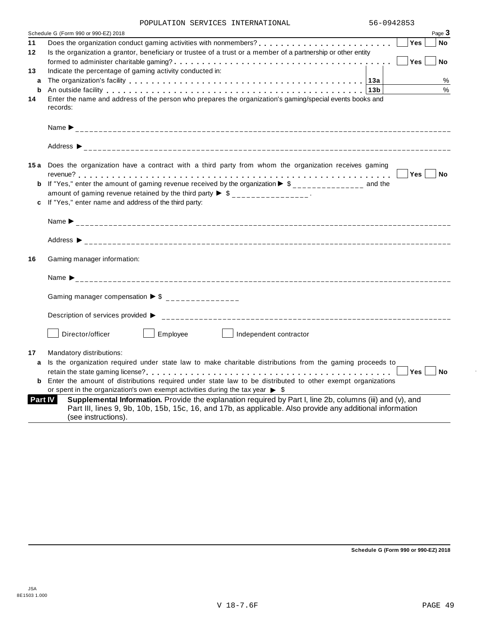|                | POPULAIIUN SERVICES INIERNAIIUNAL                                                                                                                                                                                                             |                  |
|----------------|-----------------------------------------------------------------------------------------------------------------------------------------------------------------------------------------------------------------------------------------------|------------------|
|                | Schedule G (Form 990 or 990-EZ) 2018                                                                                                                                                                                                          | Page 3           |
| 11             |                                                                                                                                                                                                                                               | Yes<br><b>No</b> |
| 12             | Is the organization a grantor, beneficiary or trustee of a trust or a member of a partnership or other entity                                                                                                                                 |                  |
|                |                                                                                                                                                                                                                                               | Yes<br><b>No</b> |
| 13             | Indicate the percentage of gaming activity conducted in:                                                                                                                                                                                      |                  |
| a              | The organization's facility enterpreened in the enterpreened in the enterpreened in the organization's facility                                                                                                                               | %                |
| b              | An outside facility enterpreened and the series of the control of the control of the control of the control of the control of the control of the control of the control of the control of the control of the control of the co                | $\%$             |
| 14             | Enter the name and address of the person who prepares the organization's gaming/special events books and<br>records:                                                                                                                          |                  |
|                |                                                                                                                                                                                                                                               |                  |
|                |                                                                                                                                                                                                                                               |                  |
|                | 15a Does the organization have a contract with a third party from whom the organization receives gaming                                                                                                                                       |                  |
|                |                                                                                                                                                                                                                                               | Yes No           |
|                | <b>b</b> If "Yes," enter the amount of gaming revenue received by the organization $\triangleright$ \$______________ and the                                                                                                                  |                  |
|                | amount of gaming revenue retained by the third party $\triangleright$ \$ _______________.                                                                                                                                                     |                  |
|                | c If "Yes," enter name and address of the third party:                                                                                                                                                                                        |                  |
|                |                                                                                                                                                                                                                                               |                  |
|                |                                                                                                                                                                                                                                               |                  |
| 16             | Gaming manager information:                                                                                                                                                                                                                   |                  |
|                |                                                                                                                                                                                                                                               |                  |
|                |                                                                                                                                                                                                                                               |                  |
|                | Gaming manager compensation $\triangleright$ \$ ______________                                                                                                                                                                                |                  |
|                | Description of services provided ▶                                                                                                                                                                                                            |                  |
|                | Director/officer<br>Employee<br>Independent contractor                                                                                                                                                                                        |                  |
| 17             | Mandatory distributions:                                                                                                                                                                                                                      |                  |
| a              | Is the organization required under state law to make charitable distributions from the gaming proceeds to                                                                                                                                     |                  |
|                |                                                                                                                                                                                                                                               | Yes<br><b>No</b> |
| b              | Enter the amount of distributions required under state law to be distributed to other exempt organizations                                                                                                                                    |                  |
|                | or spent in the organization's own exempt activities during the tax year $\triangleright$ \$                                                                                                                                                  |                  |
|                |                                                                                                                                                                                                                                               |                  |
| <b>Part IV</b> | Supplemental Information. Provide the explanation required by Part I, line 2b, columns (iii) and (v), and<br>Part III, lines 9, 9b, 10b, 15b, 15c, 16, and 17b, as applicable. Also provide any additional information<br>(see instructions). |                  |

**Schedule G (Form 990 or 990-EZ) 2018**

 $\ddot{\phantom{a}}$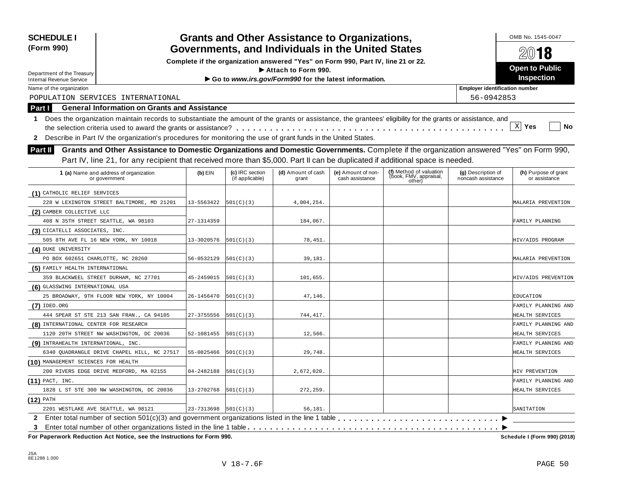| <b>SCHEDULE I</b><br>(Form 990)                                                                                                                                                                                                                                                                  |            |                                    | <b>Grants and Other Assistance to Organizations,</b><br>Governments, and Individuals in the United States |                                       |                                                             |                                          | OMB No. 1545-0047<br>2018             |
|--------------------------------------------------------------------------------------------------------------------------------------------------------------------------------------------------------------------------------------------------------------------------------------------------|------------|------------------------------------|-----------------------------------------------------------------------------------------------------------|---------------------------------------|-------------------------------------------------------------|------------------------------------------|---------------------------------------|
|                                                                                                                                                                                                                                                                                                  |            |                                    | Complete if the organization answered "Yes" on Form 990, Part IV, line 21 or 22.                          |                                       |                                                             |                                          |                                       |
| Department of the Treasury                                                                                                                                                                                                                                                                       |            |                                    | Attach to Form 990.                                                                                       |                                       |                                                             |                                          | <b>Open to Public</b>                 |
| <b>Internal Revenue Service</b>                                                                                                                                                                                                                                                                  |            |                                    | Go to www.irs.gov/Form990 for the latest information.                                                     |                                       |                                                             |                                          | <b>Inspection</b>                     |
| Name of the organization                                                                                                                                                                                                                                                                         |            |                                    |                                                                                                           |                                       |                                                             | <b>Employer identification number</b>    |                                       |
| POPULATION SERVICES INTERNATIONAL                                                                                                                                                                                                                                                                |            |                                    |                                                                                                           |                                       |                                                             | 56-0942853                               |                                       |
| <b>General Information on Grants and Assistance</b><br>Part I                                                                                                                                                                                                                                    |            |                                    |                                                                                                           |                                       |                                                             |                                          |                                       |
| Does the organization maintain records to substantiate the amount of the grants or assistance, the grantees' eligibility for the grants or assistance, and<br>1<br>Describe in Part IV the organization's procedures for monitoring the use of grant funds in the United States.<br>$\mathbf{2}$ |            |                                    |                                                                                                           |                                       |                                                             |                                          | $X$ Yes<br>No                         |
| Grants and Other Assistance to Domestic Organizations and Domestic Governments. Complete if the organization answered "Yes" on Form 990,<br><b>Part II</b><br>Part IV, line 21, for any recipient that received more than \$5,000. Part II can be duplicated if additional space is needed.      |            |                                    |                                                                                                           |                                       |                                                             |                                          |                                       |
| 1 (a) Name and address of organization<br>or government                                                                                                                                                                                                                                          | $(b)$ EIN  | (c) IRC section<br>(if applicable) | (d) Amount of cash<br>grant                                                                               | (e) Amount of non-<br>cash assistance | (f) Method of valuation<br>(book, FMV, appraisal,<br>other) | (g) Description of<br>noncash assistance | (h) Purpose of grant<br>or assistance |
| (1) CATHOLIC RELIEF SERVICES                                                                                                                                                                                                                                                                     |            |                                    |                                                                                                           |                                       |                                                             |                                          |                                       |
| 228 W LEXINGTON STREET BALTIMORE, MD 21201                                                                                                                                                                                                                                                       | 13-5563422 | 501(C)(3)                          | 4,004,254.                                                                                                |                                       |                                                             |                                          | MALARIA PREVENTION                    |
| (2) CAMBER COLLECTIVE LLC                                                                                                                                                                                                                                                                        |            |                                    |                                                                                                           |                                       |                                                             |                                          |                                       |
| 408 N 35TH STREET SEATTLE, WA 98103                                                                                                                                                                                                                                                              | 27-1314359 |                                    | 184,067.                                                                                                  |                                       |                                                             |                                          | FAMILY PLANNING                       |
| (3) CICATELLI ASSOCIATES, INC.                                                                                                                                                                                                                                                                   |            |                                    |                                                                                                           |                                       |                                                             |                                          |                                       |
| 505 8TH AVE FL 16 NEW YORK, NY 10018                                                                                                                                                                                                                                                             | 13-3020576 | 501(C)(3)                          | 78,451.                                                                                                   |                                       |                                                             |                                          | HIV/AIDS PROGRAM                      |
| (4) DUKE UNIVERSITY                                                                                                                                                                                                                                                                              |            |                                    |                                                                                                           |                                       |                                                             |                                          |                                       |
| PO BOX 602651 CHARLOTTE, NC 28260                                                                                                                                                                                                                                                                | 56-0532129 | 501(C)(3)                          | 39,181.                                                                                                   |                                       |                                                             |                                          | MALARIA PREVENTION                    |
| (5) FAMILY HEALTH INTERNATIONAL                                                                                                                                                                                                                                                                  |            |                                    |                                                                                                           |                                       |                                                             |                                          |                                       |
| 359 BLACKWEEL STREET DURHAM, NC 27701                                                                                                                                                                                                                                                            | 45-2459015 | 501(C)(3)                          | 101,655                                                                                                   |                                       |                                                             |                                          | HIV/AIDS PREVENTION                   |
| (6) GLASSWING INTERNATIONAL USA                                                                                                                                                                                                                                                                  |            |                                    |                                                                                                           |                                       |                                                             |                                          |                                       |
| 25 BROADWAY, 9TH FLOOR NEW YORK, NY 10004                                                                                                                                                                                                                                                        | 26-1456470 | 501(C)(3)                          | 47,146.                                                                                                   |                                       |                                                             |                                          | EDUCATION                             |
| $(7)$ IDEO.ORG                                                                                                                                                                                                                                                                                   |            |                                    |                                                                                                           |                                       |                                                             |                                          | FAMILY PLANNING AND                   |
| 444 SPEAR ST STE 213 SAN FRAN., CA 94105                                                                                                                                                                                                                                                         | 27-3755556 | 501(C)(3)                          | 744,417.                                                                                                  |                                       |                                                             |                                          | HEALTH SERVICES                       |
| (8) INTERNATIONAL CENTER FOR RESEARCH                                                                                                                                                                                                                                                            |            |                                    |                                                                                                           |                                       |                                                             |                                          | FAMILY PLANNING AND                   |
| 1120 20TH STREET NW WASHINGTON, DC 20036                                                                                                                                                                                                                                                         | 52-1081455 | 501(C)(3)                          | 12,566.                                                                                                   |                                       |                                                             |                                          | HEALTH SERVICES                       |
| (9) INTRAHEALTH INTERNATIONAL, INC.                                                                                                                                                                                                                                                              |            |                                    |                                                                                                           |                                       |                                                             |                                          | FAMILY PLANNING AND                   |
| 6340 QUADRANGLE DRIVE CHAPEL HILL, NC 27517                                                                                                                                                                                                                                                      | 55-0825466 | 501(C)(3)                          | 29,748                                                                                                    |                                       |                                                             |                                          | HEALTH SERVICES                       |
| (10) MANAGEMENT SCIENCES FOR HEALTH                                                                                                                                                                                                                                                              |            |                                    |                                                                                                           |                                       |                                                             |                                          |                                       |
| 200 RIVERS EDGE DRIVE MEDFORD, MA 02155                                                                                                                                                                                                                                                          | 04-2482188 | 501(C)(3)                          | 2,672,020.                                                                                                |                                       |                                                             |                                          | HIV PREVENTION                        |
| $(11)$ PACT, INC.                                                                                                                                                                                                                                                                                |            |                                    |                                                                                                           |                                       |                                                             |                                          | FAMILY PLANNING AND                   |
| 1828 L ST STE 300 NW WASHINGTON, DC 20036                                                                                                                                                                                                                                                        | 13-2702768 | 501(C)(3)                          | 272,259.                                                                                                  |                                       |                                                             |                                          | HEALTH SERVICES                       |
| (12) PATH                                                                                                                                                                                                                                                                                        |            |                                    |                                                                                                           |                                       |                                                             |                                          |                                       |
| 2201 WESTLAKE AVE SEATTLE, WA 98121                                                                                                                                                                                                                                                              | 23-7313698 | 501(C)(3)                          | 56,181.                                                                                                   |                                       |                                                             |                                          | SANITATION                            |
| $\mathbf{2}$<br>3                                                                                                                                                                                                                                                                                |            |                                    |                                                                                                           |                                       |                                                             |                                          |                                       |

 $\overline{P}$  **For Paperwork Reduction Act Notice, see the Instructions for Form 990.** 

Schedule I (Form 990) (2018)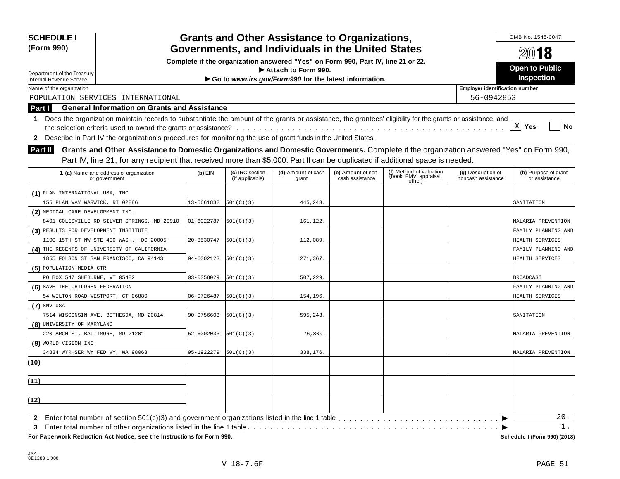| <b>SCHEDULE I</b><br>(Form 990)                                                                                                                                                                                                                                                    |            |                                    | <b>Grants and Other Assistance to Organizations,</b><br>Governments, and Individuals in the United States |                                       |                                                             |                                          | OMB No. 1545-0047<br>2018             |
|------------------------------------------------------------------------------------------------------------------------------------------------------------------------------------------------------------------------------------------------------------------------------------|------------|------------------------------------|-----------------------------------------------------------------------------------------------------------|---------------------------------------|-------------------------------------------------------------|------------------------------------------|---------------------------------------|
|                                                                                                                                                                                                                                                                                    |            |                                    | Complete if the organization answered "Yes" on Form 990, Part IV, line 21 or 22.                          |                                       |                                                             |                                          |                                       |
| Department of the Treasury                                                                                                                                                                                                                                                         |            |                                    | Attach to Form 990.                                                                                       |                                       |                                                             |                                          | <b>Open to Public</b>                 |
| <b>Internal Revenue Service</b>                                                                                                                                                                                                                                                    |            |                                    | Go to www.irs.gov/Form990 for the latest information.                                                     |                                       |                                                             |                                          | <b>Inspection</b>                     |
| Name of the organization                                                                                                                                                                                                                                                           |            |                                    |                                                                                                           |                                       |                                                             | <b>Employer identification number</b>    |                                       |
| POPULATION SERVICES INTERNATIONAL                                                                                                                                                                                                                                                  |            |                                    |                                                                                                           |                                       |                                                             | 56-0942853                               |                                       |
| <b>General Information on Grants and Assistance</b><br><b>Part I</b>                                                                                                                                                                                                               |            |                                    |                                                                                                           |                                       |                                                             |                                          |                                       |
| Does the organization maintain records to substantiate the amount of the grants or assistance, the grantees' eligibility for the grants or assistance, and<br>1<br>2 Describe in Part IV the organization's procedures for monitoring the use of grant funds in the United States. |            |                                    |                                                                                                           |                                       |                                                             |                                          | $X$ Yes<br>No                         |
| Grants and Other Assistance to Domestic Organizations and Domestic Governments. Complete if the organization answered "Yes" on Form 990,<br>Part II                                                                                                                                |            |                                    |                                                                                                           |                                       |                                                             |                                          |                                       |
| Part IV, line 21, for any recipient that received more than \$5,000. Part II can be duplicated if additional space is needed.<br>1 (a) Name and address of organization<br>or government                                                                                           | $(b)$ EIN  | (c) IRC section<br>(if applicable) | (d) Amount of cash<br>grant                                                                               | (e) Amount of non-<br>cash assistance | (f) Method of valuation<br>(book, FMV, appraisal,<br>other) | (g) Description of<br>noncash assistance | (h) Purpose of grant<br>or assistance |
| (1) PLAN INTERNATIONAL USA, INC                                                                                                                                                                                                                                                    |            |                                    |                                                                                                           |                                       |                                                             |                                          |                                       |
| 155 PLAN WAY WARWICK, RI 02886                                                                                                                                                                                                                                                     | 13-5661832 | 501(C)(3)                          | 445.243.                                                                                                  |                                       |                                                             |                                          | SANITATION                            |
| (2) MEDICAL CARE DEVELOPMENT INC.                                                                                                                                                                                                                                                  |            |                                    |                                                                                                           |                                       |                                                             |                                          |                                       |
| 8401 COLESVILLE RD SILVER SPRINGS, MD 20910                                                                                                                                                                                                                                        | 01-6022787 | 501(C)(3)                          | 161,122.                                                                                                  |                                       |                                                             |                                          | MALARIA PREVENTION                    |
| (3) RESULTS FOR DEVELOPMENT INSTITUTE                                                                                                                                                                                                                                              |            |                                    |                                                                                                           |                                       |                                                             |                                          | FAMILY PLANNING AND                   |
| 1100 15TH ST NW STE 400 WASH., DC 20005                                                                                                                                                                                                                                            | 20-8530747 | 501(C)(3)                          | 112,089.                                                                                                  |                                       |                                                             |                                          | HEALTH SERVICES                       |
| (4) THE REGENTS OF UNIVERSITY OF CALIFORNIA                                                                                                                                                                                                                                        |            |                                    |                                                                                                           |                                       |                                                             |                                          | FAMILY PLANNING AND                   |
| 1855 FOLSON ST SAN FRANCISCO, CA 94143                                                                                                                                                                                                                                             | 94-6002123 | 501(C)(3)                          | 271,367.                                                                                                  |                                       |                                                             |                                          | HEALTH SERVICES                       |
| (5) POPULATION MEDIA CTR                                                                                                                                                                                                                                                           |            |                                    |                                                                                                           |                                       |                                                             |                                          |                                       |
| PO BOX 547 SHEBURNE, VT 05482                                                                                                                                                                                                                                                      | 03-0358029 | 501(C)(3)                          | 507,229.                                                                                                  |                                       |                                                             |                                          | <b>BROADCAST</b>                      |
| (6) SAVE THE CHILDREN FEDERATION                                                                                                                                                                                                                                                   |            |                                    |                                                                                                           |                                       |                                                             |                                          | FAMILY PLANNING AND                   |
| 54 WILTON ROAD WESTPORT, CT 06880                                                                                                                                                                                                                                                  | 06-0726487 | 501(C)(3)                          | 154,196.                                                                                                  |                                       |                                                             |                                          | HEALTH SERVICES                       |
| $(7)$ SNV USA                                                                                                                                                                                                                                                                      |            |                                    |                                                                                                           |                                       |                                                             |                                          |                                       |
| 7514 WISCONSIN AVE. BETHESDA, MD 20814                                                                                                                                                                                                                                             | 90-0756603 | 501(C)(3)                          | 595,243.                                                                                                  |                                       |                                                             |                                          | SANITATION                            |
| (8) UNIVERSITY OF MARYLAND                                                                                                                                                                                                                                                         |            |                                    |                                                                                                           |                                       |                                                             |                                          |                                       |
| 220 ARCH ST. BALTIMORE, MD 21201                                                                                                                                                                                                                                                   | 52-6002033 | 501(C)(3)                          | 76,800.                                                                                                   |                                       |                                                             |                                          | MALARIA PREVENTION                    |
| (9) WORLD VISION INC.                                                                                                                                                                                                                                                              |            |                                    |                                                                                                           |                                       |                                                             |                                          |                                       |
| 34834 WYRHSER WY FED WY, WA 98063                                                                                                                                                                                                                                                  | 95-1922279 | 501(C)(3)                          | 338,176.                                                                                                  |                                       |                                                             |                                          | MALARIA PREVENTION                    |
| (10)                                                                                                                                                                                                                                                                               |            |                                    |                                                                                                           |                                       |                                                             |                                          |                                       |
| (11)                                                                                                                                                                                                                                                                               |            |                                    |                                                                                                           |                                       |                                                             |                                          |                                       |
| (12)                                                                                                                                                                                                                                                                               |            |                                    |                                                                                                           |                                       |                                                             |                                          |                                       |
| $\mathbf{2}$<br>3                                                                                                                                                                                                                                                                  |            |                                    |                                                                                                           |                                       |                                                             |                                          | 20.<br>1.                             |

 $F$ or Paperwork Reduction Act Notice, see the Instructions for Form 990.

Schedule I (Form 990) (2018)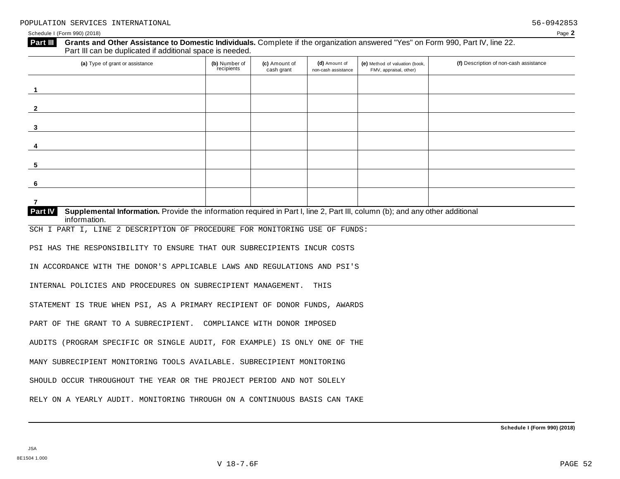| (a) Type of grant or assistance                                                                                                                                | (b) Number of<br>recipients | (c) Amount of<br>cash grant | (d) Amount of<br>non-cash assistance | (e) Method of valuation (book,<br>FMV, appraisal, other) | (f) Description of non-cash assistance |
|----------------------------------------------------------------------------------------------------------------------------------------------------------------|-----------------------------|-----------------------------|--------------------------------------|----------------------------------------------------------|----------------------------------------|
| $\mathbf{1}$                                                                                                                                                   |                             |                             |                                      |                                                          |                                        |
| $\mathbf{2}$                                                                                                                                                   |                             |                             |                                      |                                                          |                                        |
| 3                                                                                                                                                              |                             |                             |                                      |                                                          |                                        |
| 4                                                                                                                                                              |                             |                             |                                      |                                                          |                                        |
| 5                                                                                                                                                              |                             |                             |                                      |                                                          |                                        |
| 6                                                                                                                                                              |                             |                             |                                      |                                                          |                                        |
| $\overline{7}$                                                                                                                                                 |                             |                             |                                      |                                                          |                                        |
| Supplemental Information. Provide the information required in Part I, line 2, Part III, column (b); and any other additional<br><b>Part IV</b><br>information. |                             |                             |                                      |                                                          |                                        |
| SCH I PART I, LINE 2 DESCRIPTION OF PROCEDURE FOR MONITORING USE OF FUNDS:                                                                                     |                             |                             |                                      |                                                          |                                        |
| PSI HAS THE RESPONSIBILITY TO ENSURE THAT OUR SUBRECIPIENTS INCUR COSTS                                                                                        |                             |                             |                                      |                                                          |                                        |
| IN ACCORDANCE WITH THE DONOR'S APPLICABLE LAWS AND REGULATIONS AND PSI'S                                                                                       |                             |                             |                                      |                                                          |                                        |
| INTERNAL POLICIES AND PROCEDURES ON SUBRECIPIENT MANAGEMENT.                                                                                                   |                             |                             | THIS                                 |                                                          |                                        |
| STATEMENT IS TRUE WHEN PSI, AS A PRIMARY RECIPIENT OF DONOR FUNDS, AWARDS                                                                                      |                             |                             |                                      |                                                          |                                        |
| PART OF THE GRANT TO A SUBRECIPIENT. COMPLIANCE WITH DONOR IMPOSED                                                                                             |                             |                             |                                      |                                                          |                                        |
| AUDITS (PROGRAM SPECIFIC OR SINGLE AUDIT, FOR EXAMPLE) IS ONLY ONE OF THE                                                                                      |                             |                             |                                      |                                                          |                                        |
|                                                                                                                                                                |                             |                             |                                      |                                                          |                                        |
|                                                                                                                                                                |                             |                             |                                      |                                                          |                                        |
| MANY SUBRECIPIENT MONITORING TOOLS AVAILABLE. SUBRECIPIENT MONITORING<br>SHOULD OCCUR THROUGHOUT THE YEAR OR THE PROJECT PERIOD AND NOT SOLELY                 |                             |                             |                                      |                                                          |                                        |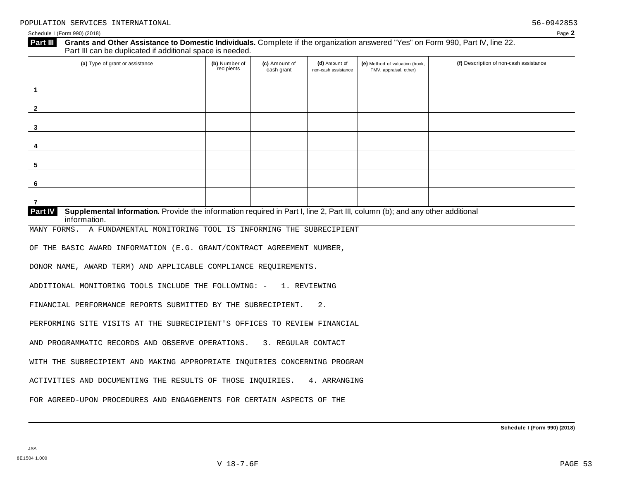| Grants and Other Assistance to Domestic Individuals. Complete if the organization answered "Yes" on Form 990, Part IV, line 22.<br>Part III<br>Part III can be duplicated if additional space is needed. |                             |                             |                                      |                                                          |                                        |
|----------------------------------------------------------------------------------------------------------------------------------------------------------------------------------------------------------|-----------------------------|-----------------------------|--------------------------------------|----------------------------------------------------------|----------------------------------------|
| (a) Type of grant or assistance                                                                                                                                                                          | (b) Number of<br>recipients | (c) Amount of<br>cash grant | (d) Amount of<br>non-cash assistance | (e) Method of valuation (book,<br>FMV, appraisal, other) | (f) Description of non-cash assistance |
| -1                                                                                                                                                                                                       |                             |                             |                                      |                                                          |                                        |
|                                                                                                                                                                                                          |                             |                             |                                      |                                                          |                                        |
| $\mathbf{2}$                                                                                                                                                                                             |                             |                             |                                      |                                                          |                                        |
| $\mathbf{3}$                                                                                                                                                                                             |                             |                             |                                      |                                                          |                                        |
| 4                                                                                                                                                                                                        |                             |                             |                                      |                                                          |                                        |
| 5                                                                                                                                                                                                        |                             |                             |                                      |                                                          |                                        |
| 6                                                                                                                                                                                                        |                             |                             |                                      |                                                          |                                        |
| $\overline{7}$                                                                                                                                                                                           |                             |                             |                                      |                                                          |                                        |
| Supplemental Information. Provide the information required in Part I, line 2, Part III, column (b); and any other additional<br><b>Part IV</b><br>information.                                           |                             |                             |                                      |                                                          |                                        |
| A FUNDAMENTAL MONITORING TOOL IS INFORMING THE SUBRECIPIENT<br>MANY FORMS.                                                                                                                               |                             |                             |                                      |                                                          |                                        |
| OF THE BASIC AWARD INFORMATION (E.G. GRANT/CONTRACT AGREEMENT NUMBER,                                                                                                                                    |                             |                             |                                      |                                                          |                                        |
| DONOR NAME, AWARD TERM) AND APPLICABLE COMPLIANCE REQUIREMENTS.                                                                                                                                          |                             |                             |                                      |                                                          |                                        |
| ADDITIONAL MONITORING TOOLS INCLUDE THE FOLLOWING: -                                                                                                                                                     |                             | 1. REVIEWING                |                                      |                                                          |                                        |
| FINANCIAL PERFORMANCE REPORTS SUBMITTED BY THE SUBRECIPIENT.                                                                                                                                             |                             |                             | 2.                                   |                                                          |                                        |
|                                                                                                                                                                                                          |                             |                             |                                      |                                                          |                                        |
| PERFORMING SITE VISITS AT THE SUBRECIPIENT'S OFFICES TO REVIEW FINANCIAL                                                                                                                                 |                             |                             |                                      |                                                          |                                        |
| AND PROGRAMMATIC RECORDS AND OBSERVE OPERATIONS. 3. REGULAR CONTACT                                                                                                                                      |                             |                             |                                      |                                                          |                                        |
| WITH THE SUBRECIPIENT AND MAKING APPROPRIATE INQUIRIES CONCERNING PROGRAM                                                                                                                                |                             |                             |                                      |                                                          |                                        |
| ACTIVITIES AND DOCUMENTING THE RESULTS OF THOSE INQUIRIES.                                                                                                                                               |                             |                             | 4. ARRANGING                         |                                                          |                                        |
| FOR AGREED-UPON PROCEDURES AND ENGAGEMENTS FOR CERTAIN ASPECTS OF THE                                                                                                                                    |                             |                             |                                      |                                                          |                                        |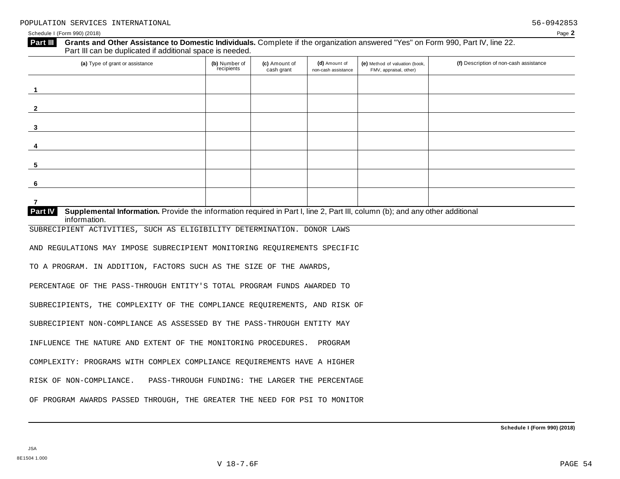| (a) Type of grant or assistance                                                                                                                         | (b) Number of<br>recipients | (c) Amount of<br>cash grant | (d) Amount of<br>non-cash assistance | (e) Method of valuation (book,<br>FMV, appraisal, other) | (f) Description of non-cash assistance |
|---------------------------------------------------------------------------------------------------------------------------------------------------------|-----------------------------|-----------------------------|--------------------------------------|----------------------------------------------------------|----------------------------------------|
| $\overline{1}$                                                                                                                                          |                             |                             |                                      |                                                          |                                        |
| $\mathbf{2}$                                                                                                                                            |                             |                             |                                      |                                                          |                                        |
| 3                                                                                                                                                       |                             |                             |                                      |                                                          |                                        |
| 4                                                                                                                                                       |                             |                             |                                      |                                                          |                                        |
| 5                                                                                                                                                       |                             |                             |                                      |                                                          |                                        |
| 6                                                                                                                                                       |                             |                             |                                      |                                                          |                                        |
| $\overline{7}$                                                                                                                                          |                             |                             |                                      |                                                          |                                        |
| Part IV<br>Supplemental Information. Provide the information required in Part I, line 2, Part III, column (b); and any other additional<br>information. |                             |                             |                                      |                                                          |                                        |
| SUBRECIPIENT ACTIVITIES, SUCH AS ELIGIBILITY DETERMINATION. DONOR LAWS                                                                                  |                             |                             |                                      |                                                          |                                        |
| AND REGULATIONS MAY IMPOSE SUBRECIPIENT MONITORING REQUIREMENTS SPECIFIC                                                                                |                             |                             |                                      |                                                          |                                        |
| TO A PROGRAM. IN ADDITION, FACTORS SUCH AS THE SIZE OF THE AWARDS,                                                                                      |                             |                             |                                      |                                                          |                                        |
| PERCENTAGE OF THE PASS-THROUGH ENTITY'S TOTAL PROGRAM FUNDS AWARDED TO                                                                                  |                             |                             |                                      |                                                          |                                        |
| SUBRECIPIENTS, THE COMPLEXITY OF THE COMPLIANCE REQUIREMENTS, AND RISK OF                                                                               |                             |                             |                                      |                                                          |                                        |
| SUBRECIPIENT NON-COMPLIANCE AS ASSESSED BY THE PASS-THROUGH ENTITY MAY                                                                                  |                             |                             |                                      |                                                          |                                        |
| INFLUENCE THE NATURE AND EXTENT OF THE MONITORING PROCEDURES.                                                                                           |                             |                             | PROGRAM                              |                                                          |                                        |
|                                                                                                                                                         |                             |                             |                                      |                                                          |                                        |
|                                                                                                                                                         |                             |                             |                                      |                                                          |                                        |
| COMPLEXITY: PROGRAMS WITH COMPLEX COMPLIANCE REQUIREMENTS HAVE A HIGHER<br>RISK OF NON-COMPLIANCE.<br>PASS-THROUGH FUNDING: THE LARGER THE PERCENTAGE   |                             |                             |                                      |                                                          |                                        |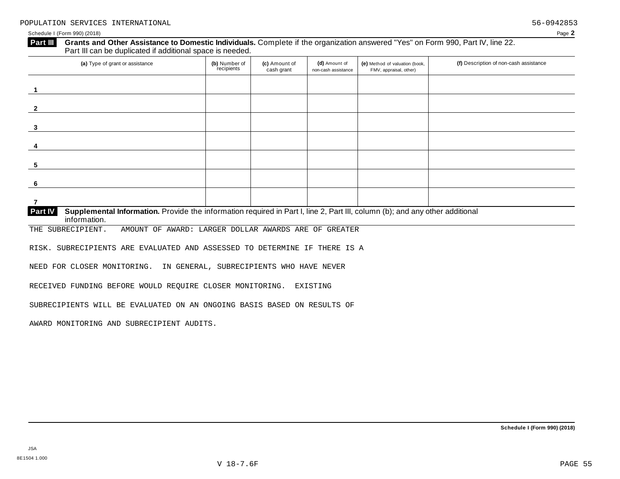| $\mathbf 1$<br>$\mathbf{2}$<br>$\mathbf{3}$<br>5<br>6<br>7<br>Part IV<br>Supplemental Information. Provide the information required in Part I, line 2, Part III, column (b); and any other additional<br>information.<br>THE SUBRECIPIENT.<br>AMOUNT OF AWARD: LARGER DOLLAR AWARDS ARE OF GREATER | (a) Type of grant or assistance | (b) Number of<br>recipients | (c) Amount of<br>cash grant | (d) Amount of<br>non-cash assistance | (e) Method of valuation (book,<br>FMV, appraisal, other) | (f) Description of non-cash assistance |
|----------------------------------------------------------------------------------------------------------------------------------------------------------------------------------------------------------------------------------------------------------------------------------------------------|---------------------------------|-----------------------------|-----------------------------|--------------------------------------|----------------------------------------------------------|----------------------------------------|
|                                                                                                                                                                                                                                                                                                    |                                 |                             |                             |                                      |                                                          |                                        |
|                                                                                                                                                                                                                                                                                                    |                                 |                             |                             |                                      |                                                          |                                        |
|                                                                                                                                                                                                                                                                                                    |                                 |                             |                             |                                      |                                                          |                                        |
|                                                                                                                                                                                                                                                                                                    |                                 |                             |                             |                                      |                                                          |                                        |
|                                                                                                                                                                                                                                                                                                    |                                 |                             |                             |                                      |                                                          |                                        |
|                                                                                                                                                                                                                                                                                                    |                                 |                             |                             |                                      |                                                          |                                        |
|                                                                                                                                                                                                                                                                                                    |                                 |                             |                             |                                      |                                                          |                                        |
|                                                                                                                                                                                                                                                                                                    |                                 |                             |                             |                                      |                                                          |                                        |
|                                                                                                                                                                                                                                                                                                    |                                 |                             |                             |                                      |                                                          |                                        |
| RISK. SUBRECIPIENTS ARE EVALUATED AND ASSESSED TO DETERMINE IF THERE IS A                                                                                                                                                                                                                          |                                 |                             |                             |                                      |                                                          |                                        |
| NEED FOR CLOSER MONITORING. IN GENERAL, SUBRECIPIENTS WHO HAVE NEVER                                                                                                                                                                                                                               |                                 |                             |                             |                                      |                                                          |                                        |

SUBRECIPIENTS WILL BE EVALUATED ON AN ONGOING BASIS BASED ON RESULTS OF

AWARD MONITORING AND SUBRECIPIENT AUDITS.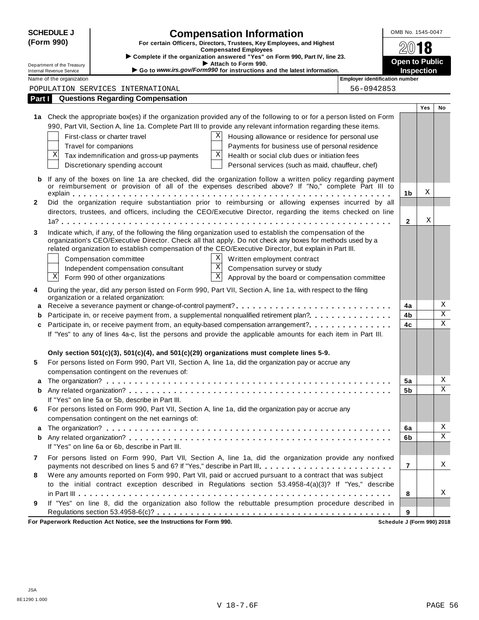|              | <b>SCHEDULE J</b>          |                                                                    | <b>Compensation Information</b>                                                                                                                                                                                     |                                       | OMB No. 1545-0047     |            |                         |
|--------------|----------------------------|--------------------------------------------------------------------|---------------------------------------------------------------------------------------------------------------------------------------------------------------------------------------------------------------------|---------------------------------------|-----------------------|------------|-------------------------|
|              | (Form 990)                 |                                                                    | For certain Officers, Directors, Trustees, Key Employees, and Highest                                                                                                                                               |                                       |                       | 18         |                         |
|              |                            |                                                                    | <b>Compensated Employees</b><br>Complete if the organization answered "Yes" on Form 990, Part IV, line 23.                                                                                                          |                                       |                       |            |                         |
|              | Department of the Treasury |                                                                    | Attach to Form 990.                                                                                                                                                                                                 |                                       | <b>Open to Public</b> |            |                         |
|              | Internal Revenue Service   |                                                                    | Go to www.irs.gov/Form990 for instructions and the latest information.                                                                                                                                              |                                       | <b>Inspection</b>     |            |                         |
|              | Name of the organization   |                                                                    |                                                                                                                                                                                                                     | <b>Employer identification number</b> |                       |            |                         |
|              |                            | POPULATION SERVICES INTERNATIONAL                                  |                                                                                                                                                                                                                     | 56-0942853                            |                       |            |                         |
| Part I       |                            | <b>Questions Regarding Compensation</b>                            |                                                                                                                                                                                                                     |                                       |                       | <b>Yes</b> | No                      |
|              |                            |                                                                    | 1a Check the appropriate box(es) if the organization provided any of the following to or for a person listed on Form                                                                                                |                                       |                       |            |                         |
|              |                            |                                                                    | 990, Part VII, Section A, line 1a. Complete Part III to provide any relevant information regarding these items.                                                                                                     |                                       |                       |            |                         |
|              |                            | First-class or charter travel                                      | Χ                                                                                                                                                                                                                   |                                       |                       |            |                         |
|              |                            |                                                                    | Housing allowance or residence for personal use                                                                                                                                                                     |                                       |                       |            |                         |
|              | Χ                          | Travel for companions<br>Tax indemnification and gross-up payments | Payments for business use of personal residence<br>Χ<br>Health or social club dues or initiation fees                                                                                                               |                                       |                       |            |                         |
|              |                            |                                                                    |                                                                                                                                                                                                                     |                                       |                       |            |                         |
|              |                            | Discretionary spending account                                     | Personal services (such as maid, chauffeur, chef)                                                                                                                                                                   |                                       |                       |            |                         |
| b            |                            |                                                                    | If any of the boxes on line 1a are checked, did the organization follow a written policy regarding payment<br>or reimbursement or provision of all of the expenses described above? If "No," complete Part III to   |                                       |                       |            |                         |
|              |                            |                                                                    |                                                                                                                                                                                                                     |                                       | 1 <sub>b</sub>        | Χ          |                         |
| $\mathbf{2}$ |                            |                                                                    | Did the organization require substantiation prior to reimbursing or allowing expenses incurred by all                                                                                                               |                                       |                       |            |                         |
|              |                            |                                                                    | directors, trustees, and officers, including the CEO/Executive Director, regarding the items checked on line                                                                                                        |                                       | $\mathbf{2}$          | Χ          |                         |
|              |                            |                                                                    |                                                                                                                                                                                                                     |                                       |                       |            |                         |
| 3            |                            |                                                                    | Indicate which, if any, of the following the filing organization used to establish the compensation of the                                                                                                          |                                       |                       |            |                         |
|              |                            |                                                                    | organization's CEO/Executive Director. Check all that apply. Do not check any boxes for methods used by a<br>related organization to establish compensation of the CEO/Executive Director, but explain in Part III. |                                       |                       |            |                         |
|              |                            | Compensation committee                                             | Χ<br>Written employment contract                                                                                                                                                                                    |                                       |                       |            |                         |
|              |                            | Independent compensation consultant                                | $\boldsymbol{\mathrm{X}}$<br>Compensation survey or study                                                                                                                                                           |                                       |                       |            |                         |
|              | Χ                          | Form 990 of other organizations                                    | $\overline{\mathbf{X}}$<br>Approval by the board or compensation committee                                                                                                                                          |                                       |                       |            |                         |
|              |                            |                                                                    |                                                                                                                                                                                                                     |                                       |                       |            |                         |
| 4            |                            |                                                                    | During the year, did any person listed on Form 990, Part VII, Section A, line 1a, with respect to the filing                                                                                                        |                                       |                       |            |                         |
| a            |                            | organization or a related organization:                            | Receive a severance payment or change-of-control payment?                                                                                                                                                           |                                       | 4a                    |            | Χ                       |
| b            |                            |                                                                    | Participate in, or receive payment from, a supplemental nonqualified retirement plan?                                                                                                                               |                                       | 4b                    |            | $\mathbf X$             |
| c            |                            |                                                                    | Participate in, or receive payment from, an equity-based compensation arrangement?                                                                                                                                  |                                       | 4c                    |            | $\overline{\mathbf{x}}$ |
|              |                            |                                                                    | If "Yes" to any of lines 4a-c, list the persons and provide the applicable amounts for each item in Part III.                                                                                                       |                                       |                       |            |                         |
|              |                            |                                                                    |                                                                                                                                                                                                                     |                                       |                       |            |                         |
|              |                            |                                                                    | Only section $501(c)(3)$ , $501(c)(4)$ , and $501(c)(29)$ organizations must complete lines 5-9.                                                                                                                    |                                       |                       |            |                         |
| 5            |                            |                                                                    | For persons listed on Form 990, Part VII, Section A, line 1a, did the organization pay or accrue any                                                                                                                |                                       |                       |            |                         |
|              |                            | compensation contingent on the revenues of:                        |                                                                                                                                                                                                                     |                                       |                       |            |                         |
|              |                            |                                                                    |                                                                                                                                                                                                                     |                                       | 5a                    |            | Χ                       |
| b            |                            |                                                                    |                                                                                                                                                                                                                     |                                       | 5b                    |            | $\mathbf X$             |
|              |                            | If "Yes" on line 5a or 5b, describe in Part III.                   |                                                                                                                                                                                                                     |                                       |                       |            |                         |
| 6            |                            |                                                                    | For persons listed on Form 990, Part VII, Section A, line 1a, did the organization pay or accrue any                                                                                                                |                                       |                       |            |                         |
|              |                            | compensation contingent on the net earnings of:                    |                                                                                                                                                                                                                     |                                       |                       |            |                         |
| a            |                            |                                                                    |                                                                                                                                                                                                                     |                                       | 6a                    |            | Χ                       |
| b            |                            |                                                                    |                                                                                                                                                                                                                     |                                       | 6b                    |            | $\mathbf X$             |
|              |                            | If "Yes" on line 6a or 6b, describe in Part III.                   |                                                                                                                                                                                                                     |                                       |                       |            |                         |
| 7            |                            |                                                                    | For persons listed on Form 990, Part VII, Section A, line 1a, did the organization provide any nonfixed                                                                                                             |                                       |                       |            |                         |
|              |                            |                                                                    | payments not described on lines 5 and 6? If "Yes," describe in Part III.                                                                                                                                            |                                       | 7                     |            | Χ                       |
| 8            |                            |                                                                    | Were any amounts reported on Form 990, Part VII, paid or accrued pursuant to a contract that was subject                                                                                                            |                                       |                       |            |                         |
|              |                            |                                                                    | to the initial contract exception described in Regulations section 53.4958-4(a)(3)? If "Yes," describe                                                                                                              |                                       |                       |            |                         |
|              |                            |                                                                    |                                                                                                                                                                                                                     |                                       | 8                     |            | X                       |
|              |                            |                                                                    |                                                                                                                                                                                                                     |                                       |                       |            |                         |
| 9            |                            |                                                                    | If "Yes" on line 8, did the organization also follow the rebuttable presumption procedure described in                                                                                                              |                                       |                       |            |                         |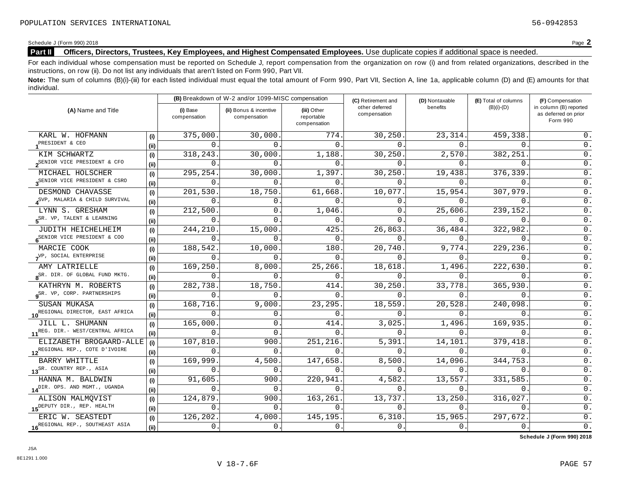# Schedule J (Form 990) 2018<br>**Part II** Officers, Directors, Trustees, Key Employees, and Highest Compensated Employees. Use duplicate copies if additional space is needed. **Part II Officers, Directors, Trustees, Key Employees, and Highest Compensated Employees.** Use duplicate copies ifadditional space is needed.

For each individual whose compensation must be reported on Schedule J, report compensation from the organization on row (i) and from related organizations, described in the instructions, on row (ii). Do not list any individuals that aren't listed on Form 990, Part VII.

**Note:** The sum of columns (B)(i)-(iii) for each listed individual must equal the total amount of Form 990, Part VII, Section A, line 1a, applicable column (D) and (E) amounts for that individual.

|                                              |      |                          | (B) Breakdown of W-2 and/or 1099-MISC compensation |                                           | (C) Retirement and             | (D) Nontaxable | (E) Total of columns | (F) Compensation                                           |
|----------------------------------------------|------|--------------------------|----------------------------------------------------|-------------------------------------------|--------------------------------|----------------|----------------------|------------------------------------------------------------|
| (A) Name and Title                           |      | (i) Base<br>compensation | (ii) Bonus & incentive<br>compensation             | (iii) Other<br>reportable<br>compensation | other deferred<br>compensation | benefits       | $(B)(i)-(D)$         | in column (B) reported<br>as deferred on prior<br>Form 990 |
| KARL W. HOFMANN                              | (i)  | 375,000                  | 30,000.                                            | 774                                       | 30,250                         | 23, 314.       | 459,338              | 0.                                                         |
| PRESIDENT & CEO                              | (ii) | 0                        | $\Omega$                                           | $\mathbf{0}$                              | $\Omega$                       | 0.             | 0                    | 0.                                                         |
| KIM SCHWARTZ                                 | (i)  | 318,243                  | 30,000.                                            | 1,188.                                    | 30,250.                        | 2,570.         | 382,251              | 0.                                                         |
| 2 <sup>SENIOR</sup> VICE PRESIDENT & CFO     | (ii) | $\mathbf 0$              | $\Omega$                                           | $\Omega$                                  | $\Omega$                       | $\Omega$ .     | $\Omega$             | 0.                                                         |
| MICHAEL HOLSCHER                             | (i)  | 295,254                  | 30,000                                             | 1,397.                                    | 30,250                         | 19,438.        | 376,339              | 0.                                                         |
| 3 <sup>SENIOR</sup> VICE PRESIDENT & CSRO    | (ii) | $\mathbf 0$              | $\Omega$                                           | $\Omega$                                  | 0.                             | $\Omega$ .     | $\Omega$             | 0.                                                         |
| DESMOND CHAVASSE                             | (i)  | 201,530                  | 18,750                                             | 61,668.                                   | 10,077                         | 15,954.        | 307,979              | $0$ .                                                      |
| SVP, MALARIA & CHILD SURVIVAL                | (i)  | $\Omega$                 | $\overline{0}$                                     | $\Omega$ .                                | $\Omega$ .                     | $0$ .          | $\mathbf{0}$ .       | 0.                                                         |
| LYNN S. GRESHAM                              | (i)  | 212,500                  | 0                                                  | 1,046                                     | 0.                             | 25,606.        | 239,152              | 0.                                                         |
| $5^{SR}$ . VP, TALENT & LEARNING             | (ii) | 0                        | 0                                                  | 0                                         | $\Omega$ .                     | 0.             | $\mathbf{0}$ .       | 0.                                                         |
| JUDITH HEICHELHEIM                           | (i)  | 244,210                  | 15,000                                             | 425                                       | 26,863                         | 36,484.        | 322,982              | 0.                                                         |
| 6 <sup>SENIOR</sup> VICE PRESIDENT & COO     | (ii) | 0                        | 0                                                  | 0                                         | 0                              | 0.             | $\mathsf{O}$ .       | $0$ .                                                      |
| MARCIE COOK                                  | (i)  | 188,542                  | 10,000.                                            | 180                                       | 20,740.                        | 9,774.         | 229,236.             | $0$ .                                                      |
| VP, SOCIAL ENTERPRISE                        | (ii) | $\Omega$                 | $\Omega$                                           | $\Omega$                                  | $\Omega$ .                     | 0.             | $\mathbf{0}$ .       | $0$ .                                                      |
| AMY LATRIELLE                                | (i)  | 169,250                  | 8,000                                              | 25,266.                                   | 18,618.                        | 1,496.         | 222,630.             | 0.                                                         |
| 8 <sup>SR. DIR. OF GLOBAL FUND MKTG.</sup>   | (ii) | 0                        | $\Omega$                                           | $\overline{0}$                            | 0                              | $\Omega$ .     | $\Omega$             | 0.                                                         |
| KATHRYN M. ROBERTS                           | (i)  | 282,738                  | 18,750.                                            | 414                                       | 30,250.                        | 33,778.        | 365,930              | $\overline{0}$ .                                           |
| 9 <sup>SR.</sup> VP, CORP. PARTNERSHIPS      | (ii) | 0                        | $\Omega$                                           | $\mathbf{0}$                              | $\Omega$                       | 0.             | 0                    | 0.                                                         |
| SUSAN MUKASA                                 | (i)  | 168,716                  | 9,000                                              | 23,295                                    | 18,559.                        | 20,528.        | 240,098              | $0$ .                                                      |
| 10 <sup>REGIONAL</sup> DIRECTOR, EAST AFRICA | (i)  | $\Omega$                 | $\overline{0}$                                     | $\Omega$                                  | $0$ .                          | 0.             | $\Omega$ .           | 0.                                                         |
| JILL L. SHUMANN                              | (i)  | 165,000                  | $\mathbf{0}$ .                                     | 414                                       | 3,025                          | 1,496.         | 169,935              | 0.                                                         |
| 11 <sup>REG. DIR.-</sup> WEST/CENTRAL AFRICA | (i)  | $\Omega$                 | $\mathbf 0$                                        | $\Omega$                                  | $\Omega$ .                     | $\Omega$ .     | 0                    | 0.                                                         |
| ELIZABETH BROGAARD-ALLE                      | (i)  | 107,810                  | 900                                                | 251,216                                   | 5,391                          | 14,101.        | 379,418              | 0.                                                         |
| 12 <sup>REGIONAL REP., COTE D'IVOIRE</sup>   | (ii) | 0                        | 0                                                  | $\Omega$                                  | $\mathbf 0$ .                  | 0.             | $\Omega$ .           | 0.                                                         |
| BARRY WHITTLE                                | (i)  | 169,999                  | 4,500                                              | 147,658                                   | 8,500                          | 14,096.        | 344,753              | 0.                                                         |
| 13 <sup>SR.</sup> COUNTRY REP., ASIA         | (ii) | 0                        | $\overline{0}$                                     | $\Omega$                                  | 0.                             | 0.             | $\mathbf{0}$ .       | 0.                                                         |
| HANNA M. BALDWIN                             | (i)  | 91,605                   | 900                                                | 220,941                                   | 4,582                          | 13,557.        | 331,585              | 0.                                                         |
| 14 <sup>DIR. OPS. AND MGMT., UGANDA</sup>    | (ii) | 0                        | $\overline{0}$                                     | 0.                                        | $0$ .                          | 0.             | $\mathsf{O}$ .       | 0.                                                         |
| ALISON MALMQVIST                             | (i)  | 124,879                  | 900                                                | 163,261                                   | 13,737.                        | 13,250         | 316,027              | $0$ .                                                      |
| 15 <sup>DEPUTY DIR., REP. HEALTH</sup>       | (ii) | $\mathbf 0$              | $\Omega$                                           | $\mathbf 0$ .                             | $0$ .                          | 0.             | $\mathsf{O}$ .       | 0.                                                         |
| ERIC W. SEASTEDT                             | (i)  | 126,202                  | 4,000                                              | 145,195                                   | 6,310.                         | 15,965.        | 297,672.             | $0$ .                                                      |
| 16 REGIONAL REP., SOUTHEAST ASIA             | (i)  | 0.                       | 0.                                                 | 0.                                        | 0.                             | $0$ .          | $\mathsf{0}$ .       | $\overline{0}$ .                                           |

**Schedule J (Form 990) 2018**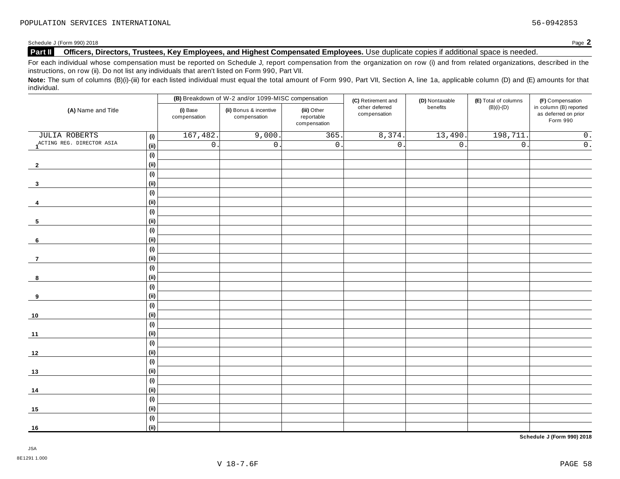## Schedule J (Form 990) 2018<br>**Part II** Officers, Directors, Trustees, Key Employees, and Highest Compensated Employees. Use duplicate copies if additional space is needed. **Part II Officers, Directors, Trustees, Key Employees, and Highest Compensated Employees.** Use duplicate copies ifadditional space is needed.

For each individual whose compensation must be reported on Schedule J, report compensation from the organization on row (i) and from related organizations, described in the instructions, on row (ii). Do not list any individuals that aren't listed on Form 990, Part VII.

Note: The sum of columns (B)(i)-(iii) for each listed individual must equal the total amount of Form 990, Part VII, Section A, line 1a, applicable column (D) and (E) amounts for that individual.

|                           |                              |                          | (B) Breakdown of W-2 and/or 1099-MISC compensation |                                           | (C) Retirement and             | (D) Nontaxable   | (E) Total of columns | (F) Compensation                                           |
|---------------------------|------------------------------|--------------------------|----------------------------------------------------|-------------------------------------------|--------------------------------|------------------|----------------------|------------------------------------------------------------|
| (A) Name and Title        |                              | (i) Base<br>compensation | (ii) Bonus & incentive<br>compensation             | (iii) Other<br>reportable<br>compensation | other deferred<br>compensation | benefits         | $(B)(i)-(D)$         | in column (B) reported<br>as deferred on prior<br>Form 990 |
| <b>JULIA ROBERTS</b>      | (i)                          | 167,482                  | 9,000.                                             | 365.                                      | 8,374.                         | 13,490.          | 198,711.             | $\overline{0}$ .                                           |
| ACTING REG. DIRECTOR ASIA | (ii)                         | $\mathsf{O}$ .           | $0$ .                                              | $\mathsf{0}$ .                            | $\overline{0}$ .               | $\overline{0}$ . | $\overline{0}$ .     | $\overline{0}$ .                                           |
|                           | (i)                          |                          |                                                    |                                           |                                |                  |                      |                                                            |
| $\overline{2}$            | (ii)                         |                          |                                                    |                                           |                                |                  |                      |                                                            |
|                           | (i)                          |                          |                                                    |                                           |                                |                  |                      |                                                            |
| 3                         | (ii)                         |                          |                                                    |                                           |                                |                  |                      |                                                            |
|                           | $\qquad \qquad \textbf{(i)}$ |                          |                                                    |                                           |                                |                  |                      |                                                            |
| 4                         | (ii)                         |                          |                                                    |                                           |                                |                  |                      |                                                            |
|                           | (i)                          |                          |                                                    |                                           |                                |                  |                      |                                                            |
| $5\phantom{.0}$           | (ii)                         |                          |                                                    |                                           |                                |                  |                      |                                                            |
|                           | (i)                          |                          |                                                    |                                           |                                |                  |                      |                                                            |
| 6                         | (ii)                         |                          |                                                    |                                           |                                |                  |                      |                                                            |
|                           | $\qquad \qquad \textbf{(i)}$ |                          |                                                    |                                           |                                |                  |                      |                                                            |
| $\overline{7}$            | (ii)                         |                          |                                                    |                                           |                                |                  |                      |                                                            |
|                           | (i)                          |                          |                                                    |                                           |                                |                  |                      |                                                            |
| 8                         | (ii)                         |                          |                                                    |                                           |                                |                  |                      |                                                            |
|                           | (i)                          |                          |                                                    |                                           |                                |                  |                      |                                                            |
| 9                         | (ii)                         |                          |                                                    |                                           |                                |                  |                      |                                                            |
|                           | (i)                          |                          |                                                    |                                           |                                |                  |                      |                                                            |
| $10$                      | (ii)                         |                          |                                                    |                                           |                                |                  |                      |                                                            |
|                           | (i)                          |                          |                                                    |                                           |                                |                  |                      |                                                            |
| $11$                      | (ii)                         |                          |                                                    |                                           |                                |                  |                      |                                                            |
|                           | (i)                          |                          |                                                    |                                           |                                |                  |                      |                                                            |
| 12                        | (ii)                         |                          |                                                    |                                           |                                |                  |                      |                                                            |
|                           | (i)                          |                          |                                                    |                                           |                                |                  |                      |                                                            |
| 13                        | (ii)                         |                          |                                                    |                                           |                                |                  |                      |                                                            |
|                           | (i)                          |                          |                                                    |                                           |                                |                  |                      |                                                            |
| 14                        | (ii)                         |                          |                                                    |                                           |                                |                  |                      |                                                            |
|                           | (i)                          |                          |                                                    |                                           |                                |                  |                      |                                                            |
| 15                        | (ii)                         |                          |                                                    |                                           |                                |                  |                      |                                                            |
|                           | (i)                          |                          |                                                    |                                           |                                |                  |                      |                                                            |
| 16                        | (ii)                         |                          |                                                    |                                           |                                |                  |                      |                                                            |

**Schedule J (Form 990) 2018**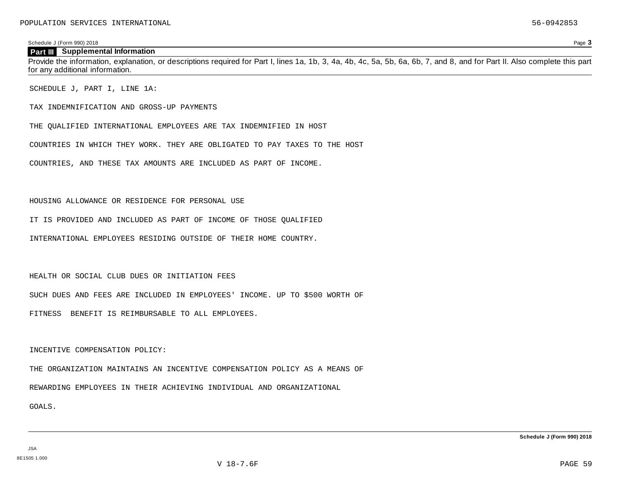### **Part III Supplemental Information**

Provide the information, explanation, or descriptions required for Part I, lines 1a, 1b, 3, 4a, 4b, 4c, 5a, 5b, 6a, 6b, 7, and 8, and for Part II. Also complete this part for any additional information.

SCHEDULE J, PART I, LINE 1A:

TAX INDEMNIFICATION AND GROSS-UP PAYMENTS

THE QUALIFIED INTERNATIONAL EMPLOYEES ARE TAX INDEMNIFIED IN HOST

COUNTRIES IN WHICH THEY WORK. THEY ARE OBLIGATED TO PAY TAXES TO THE HOST

COUNTRIES, AND THESE TAX AMOUNTS ARE INCLUDED AS PART OF INCOME.

### HOUSING ALLOWANCE OR RESIDENCE FOR PERSONAL USE

IT IS PROVIDED AND INCLUDED AS PART OF INCOME OF THOSE QUALIFIED

INTERNATIONAL EMPLOYEES RESIDING OUTSIDE OF THEIR HOME COUNTRY.

HEALTH OR SOCIAL CLUB DUES OR INITIATION FEES

SUCH DUES AND FEES ARE INCLUDED IN EMPLOYEES' INCOME. UP TO \$500 WORTH OF

FITNESS BENEFIT IS REIMBURSABLE TO ALL EMPLOYEES.

### INCENTIVE COMPENSATION POLICY:

THE ORGANIZATION MAINTAINS AN INCENTIVE COMPENSATION POLICY AS A MEANS OF

REWARDING EMPLOYEES IN THEIR ACHIEVING INDIVIDUAL AND ORGANIZATIONAL

GOALS.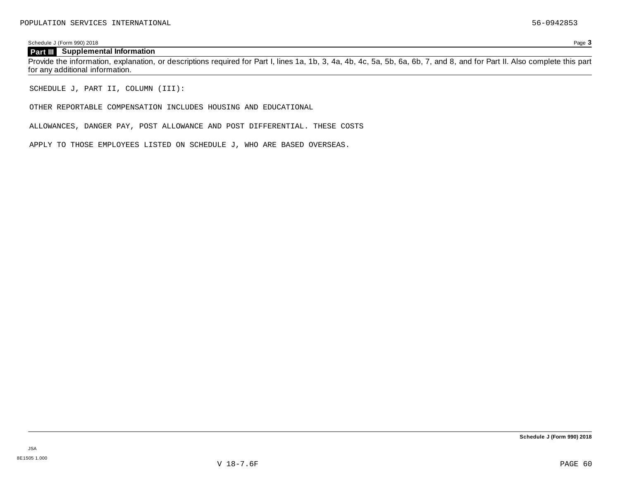## **Part III Supplemental Information**

Provide the information, explanation, or descriptions required for Part I, lines 1a, 1b, 3, 4a, 4b, 4c, 5a, 5b, 6a, 6b, 7, and 8, and for Part II. Also complete this part for any additional information.

SCHEDULE J, PART II, COLUMN (III):

OTHER REPORTABLE COMPENSATION INCLUDES HOUSING AND EDUCATIONAL

ALLOWANCES, DANGER PAY, POST ALLOWANCE AND POST DIFFERENTIAL. THESE COSTS

APPLY TO THOSE EMPLOYEES LISTED ON SCHEDULE J, WHO ARE BASED OVERSEAS.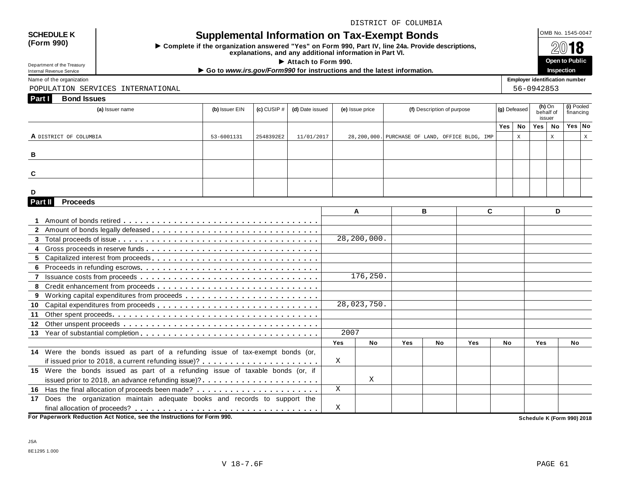## DISTRICT OF COLUMBIA

# SCHEDULE K  $\bigcup_{\text{OMB No. 1545-0047}}$  **Supplemental Information on Tax-Exempt Bonds**

 $\triangleright$  Complete if the organization answered "Yes" on Form 990, Part IV, line 24a. Provide descriptions,<br>explanations, and any additional information in Part VI.

Department of the Treasury<br>
Inspection ■ Department of the Treasury<br>
Name of the organization **Department of the Treasury** ● Go to www.irs.gov/Form990 for instructions and the latest information.

Department of the Treasury<br>Internal Revenue Service

**(Form 990)**

POPULATION SERVICES INTERNATIONAL 56-0942853

| Part I          | <b>Bond Issues</b>                                                             |                |                 |                 |            |                 |                                                |    |                            |   |              |              |                                 |              |                            |              |
|-----------------|--------------------------------------------------------------------------------|----------------|-----------------|-----------------|------------|-----------------|------------------------------------------------|----|----------------------------|---|--------------|--------------|---------------------------------|--------------|----------------------------|--------------|
|                 | (a) Issuer name                                                                | (b) Issuer EIN | $(c)$ CUSIP $#$ | (d) Date issued |            | (e) Issue price |                                                |    | (f) Description of purpose |   | (g) Defeased |              | $(h)$ On<br>behalf of<br>issuer |              | (i) Pooled<br>financing    |              |
|                 |                                                                                |                |                 |                 |            |                 |                                                |    |                            |   | Yes          | No           | Yes   No                        |              | Yes No                     |              |
|                 | A DISTRICT OF COLUMBIA                                                         | 53-6001131     | 2548392E2       | 11/01/2017      |            |                 | 28,200,000. PURCHASE OF LAND, OFFICE BLDG, IMP |    |                            |   |              | $\mathbf{x}$ |                                 | $\mathbf{x}$ |                            | $\mathbf{x}$ |
|                 |                                                                                |                |                 |                 |            |                 |                                                |    |                            |   |              |              |                                 |              |                            |              |
| в               |                                                                                |                |                 |                 |            |                 |                                                |    |                            |   |              |              |                                 |              |                            |              |
|                 |                                                                                |                |                 |                 |            |                 |                                                |    |                            |   |              |              |                                 |              |                            |              |
| C               |                                                                                |                |                 |                 |            |                 |                                                |    |                            |   |              |              |                                 |              |                            |              |
|                 |                                                                                |                |                 |                 |            |                 |                                                |    |                            |   |              |              |                                 |              |                            |              |
| D               |                                                                                |                |                 |                 |            |                 |                                                |    |                            |   |              |              |                                 |              |                            |              |
| Part II         | <b>Proceeds</b>                                                                |                |                 |                 |            |                 |                                                |    |                            |   |              |              |                                 |              |                            |              |
|                 |                                                                                |                |                 |                 |            | A               |                                                | B  |                            | C |              |              |                                 | D            |                            |              |
|                 |                                                                                |                |                 |                 |            |                 |                                                |    |                            |   |              |              |                                 |              |                            |              |
|                 |                                                                                |                |                 |                 |            | 28, 200, 000.   |                                                |    |                            |   |              |              |                                 |              |                            |              |
|                 |                                                                                |                |                 |                 |            |                 |                                                |    |                            |   |              |              |                                 |              |                            |              |
|                 |                                                                                |                |                 |                 |            |                 |                                                |    |                            |   |              |              |                                 |              |                            |              |
| 6.              |                                                                                |                |                 |                 |            |                 |                                                |    |                            |   |              |              |                                 |              |                            |              |
|                 |                                                                                |                |                 |                 |            | 176, 250.       |                                                |    |                            |   |              |              |                                 |              |                            |              |
|                 |                                                                                |                |                 |                 |            |                 |                                                |    |                            |   |              |              |                                 |              |                            |              |
|                 |                                                                                |                |                 |                 |            |                 |                                                |    |                            |   |              |              |                                 |              |                            |              |
| 10              |                                                                                |                |                 |                 |            | 28,023,750.     |                                                |    |                            |   |              |              |                                 |              |                            |              |
| 11              |                                                                                |                |                 |                 |            |                 |                                                |    |                            |   |              |              |                                 |              |                            |              |
| 12 <sup>1</sup> |                                                                                |                |                 |                 |            |                 |                                                |    |                            |   |              |              |                                 |              |                            |              |
|                 |                                                                                |                |                 |                 | 2007       |                 |                                                |    |                            |   |              |              |                                 |              |                            |              |
|                 |                                                                                |                |                 |                 | <b>Yes</b> | <b>No</b>       | <b>Yes</b>                                     | No | Yes                        |   | <b>No</b>    |              | Yes                             |              | No                         |              |
|                 | 14 Were the bonds issued as part of a refunding issue of tax-exempt bonds (or, |                |                 |                 |            |                 |                                                |    |                            |   |              |              |                                 |              |                            |              |
|                 |                                                                                |                |                 |                 | X          |                 |                                                |    |                            |   |              |              |                                 |              |                            |              |
|                 | 15 Were the bonds issued as part of a refunding issue of taxable bonds (or, if |                |                 |                 |            |                 |                                                |    |                            |   |              |              |                                 |              |                            |              |
|                 | issued prior to 2018, an advance refunding issue)?                             |                |                 |                 |            | Χ               |                                                |    |                            |   |              |              |                                 |              |                            |              |
|                 |                                                                                |                |                 |                 | X          |                 |                                                |    |                            |   |              |              |                                 |              |                            |              |
| 17              | Does the organization maintain adequate books and records to support the       |                |                 |                 |            |                 |                                                |    |                            |   |              |              |                                 |              |                            |              |
|                 |                                                                                |                |                 |                 | X          |                 |                                                |    |                            |   |              |              |                                 |              |                            |              |
|                 | For Paperwork Reduction Act Notice, see the Instructions for Form 990.         |                |                 |                 |            |                 |                                                |    |                            |   |              |              |                                 |              | Schedule K (Form 990) 2018 |              |

The any additional information in Part VI.<br>► Attach to Form 990. **Open** to Public<br>monod for instructions and the latest information **Inspection**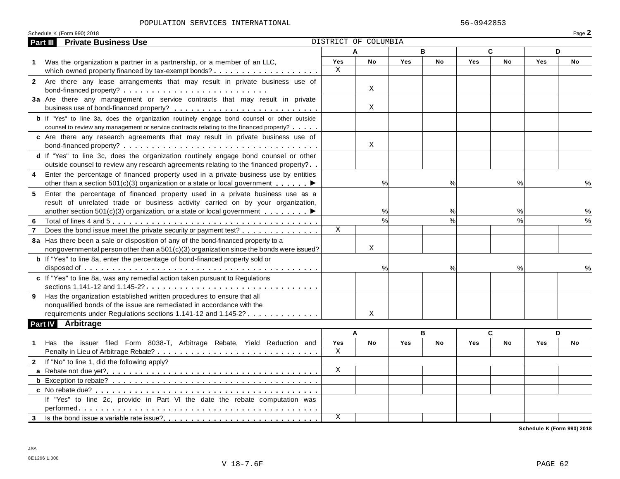### POPULATION SERVICES INTERNATIONAL 56-0942853

| DISTRICT OF COLUMBIA<br><b>Part III</b><br>B<br>C<br>A<br>D<br>Yes<br><b>Yes</b><br>No<br>Yes<br>No<br><b>No</b><br><b>Yes</b><br>No<br>Was the organization a partner in a partnership, or a member of an LLC,<br>$\mathbf 1$<br>X<br>2 Are there any lease arrangements that may result in private business use of<br>Χ<br>3a Are there any management or service contracts that may result in private<br>Χ<br>b If "Yes" to line 3a, does the organization routinely engage bond counsel or other outside<br>counsel to review any management or service contracts relating to the financed property?<br>c Are there any research agreements that may result in private business use of<br>X<br>d If "Yes" to line 3c, does the organization routinely engage bond counsel or other<br>outside counsel to review any research agreements relating to the financed property?<br>Enter the percentage of financed property used in a private business use by entities<br>4<br>$\%$<br>$\%$<br>$\%$<br>other than a section 501(c)(3) organization or a state or local government $\dots \dots$<br>Enter the percentage of financed property used in a private business use as a<br>5<br>result of unrelated trade or business activity carried on by your organization,<br>%<br>%<br>another section 501(c)(3) organization, or a state or local government $\ldots \ldots$<br>% | Schedule K (Form 990) 2018  |  |  |  | Page 2 |
|-----------------------------------------------------------------------------------------------------------------------------------------------------------------------------------------------------------------------------------------------------------------------------------------------------------------------------------------------------------------------------------------------------------------------------------------------------------------------------------------------------------------------------------------------------------------------------------------------------------------------------------------------------------------------------------------------------------------------------------------------------------------------------------------------------------------------------------------------------------------------------------------------------------------------------------------------------------------------------------------------------------------------------------------------------------------------------------------------------------------------------------------------------------------------------------------------------------------------------------------------------------------------------------------------------------------------------------------------------------------------------------|-----------------------------|--|--|--|--------|
|                                                                                                                                                                                                                                                                                                                                                                                                                                                                                                                                                                                                                                                                                                                                                                                                                                                                                                                                                                                                                                                                                                                                                                                                                                                                                                                                                                                   | <b>Private Business Use</b> |  |  |  |        |
|                                                                                                                                                                                                                                                                                                                                                                                                                                                                                                                                                                                                                                                                                                                                                                                                                                                                                                                                                                                                                                                                                                                                                                                                                                                                                                                                                                                   |                             |  |  |  |        |
|                                                                                                                                                                                                                                                                                                                                                                                                                                                                                                                                                                                                                                                                                                                                                                                                                                                                                                                                                                                                                                                                                                                                                                                                                                                                                                                                                                                   |                             |  |  |  |        |
|                                                                                                                                                                                                                                                                                                                                                                                                                                                                                                                                                                                                                                                                                                                                                                                                                                                                                                                                                                                                                                                                                                                                                                                                                                                                                                                                                                                   |                             |  |  |  |        |
|                                                                                                                                                                                                                                                                                                                                                                                                                                                                                                                                                                                                                                                                                                                                                                                                                                                                                                                                                                                                                                                                                                                                                                                                                                                                                                                                                                                   |                             |  |  |  |        |
|                                                                                                                                                                                                                                                                                                                                                                                                                                                                                                                                                                                                                                                                                                                                                                                                                                                                                                                                                                                                                                                                                                                                                                                                                                                                                                                                                                                   |                             |  |  |  |        |
|                                                                                                                                                                                                                                                                                                                                                                                                                                                                                                                                                                                                                                                                                                                                                                                                                                                                                                                                                                                                                                                                                                                                                                                                                                                                                                                                                                                   |                             |  |  |  |        |
|                                                                                                                                                                                                                                                                                                                                                                                                                                                                                                                                                                                                                                                                                                                                                                                                                                                                                                                                                                                                                                                                                                                                                                                                                                                                                                                                                                                   |                             |  |  |  |        |
|                                                                                                                                                                                                                                                                                                                                                                                                                                                                                                                                                                                                                                                                                                                                                                                                                                                                                                                                                                                                                                                                                                                                                                                                                                                                                                                                                                                   |                             |  |  |  |        |
|                                                                                                                                                                                                                                                                                                                                                                                                                                                                                                                                                                                                                                                                                                                                                                                                                                                                                                                                                                                                                                                                                                                                                                                                                                                                                                                                                                                   |                             |  |  |  |        |
|                                                                                                                                                                                                                                                                                                                                                                                                                                                                                                                                                                                                                                                                                                                                                                                                                                                                                                                                                                                                                                                                                                                                                                                                                                                                                                                                                                                   |                             |  |  |  |        |
|                                                                                                                                                                                                                                                                                                                                                                                                                                                                                                                                                                                                                                                                                                                                                                                                                                                                                                                                                                                                                                                                                                                                                                                                                                                                                                                                                                                   |                             |  |  |  |        |
|                                                                                                                                                                                                                                                                                                                                                                                                                                                                                                                                                                                                                                                                                                                                                                                                                                                                                                                                                                                                                                                                                                                                                                                                                                                                                                                                                                                   |                             |  |  |  |        |
|                                                                                                                                                                                                                                                                                                                                                                                                                                                                                                                                                                                                                                                                                                                                                                                                                                                                                                                                                                                                                                                                                                                                                                                                                                                                                                                                                                                   |                             |  |  |  |        |
|                                                                                                                                                                                                                                                                                                                                                                                                                                                                                                                                                                                                                                                                                                                                                                                                                                                                                                                                                                                                                                                                                                                                                                                                                                                                                                                                                                                   |                             |  |  |  |        |
|                                                                                                                                                                                                                                                                                                                                                                                                                                                                                                                                                                                                                                                                                                                                                                                                                                                                                                                                                                                                                                                                                                                                                                                                                                                                                                                                                                                   |                             |  |  |  | %      |
|                                                                                                                                                                                                                                                                                                                                                                                                                                                                                                                                                                                                                                                                                                                                                                                                                                                                                                                                                                                                                                                                                                                                                                                                                                                                                                                                                                                   |                             |  |  |  |        |
|                                                                                                                                                                                                                                                                                                                                                                                                                                                                                                                                                                                                                                                                                                                                                                                                                                                                                                                                                                                                                                                                                                                                                                                                                                                                                                                                                                                   |                             |  |  |  |        |
|                                                                                                                                                                                                                                                                                                                                                                                                                                                                                                                                                                                                                                                                                                                                                                                                                                                                                                                                                                                                                                                                                                                                                                                                                                                                                                                                                                                   |                             |  |  |  | %      |
| $\frac{1}{2}$<br>$\frac{1}{6}$<br>$\frac{0}{0}$<br>6                                                                                                                                                                                                                                                                                                                                                                                                                                                                                                                                                                                                                                                                                                                                                                                                                                                                                                                                                                                                                                                                                                                                                                                                                                                                                                                              |                             |  |  |  | $\%$   |
| $\mathbf X$<br>Does the bond issue meet the private security or payment test?                                                                                                                                                                                                                                                                                                                                                                                                                                                                                                                                                                                                                                                                                                                                                                                                                                                                                                                                                                                                                                                                                                                                                                                                                                                                                                     |                             |  |  |  |        |
| 8a Has there been a sale or disposition of any of the bond-financed property to a                                                                                                                                                                                                                                                                                                                                                                                                                                                                                                                                                                                                                                                                                                                                                                                                                                                                                                                                                                                                                                                                                                                                                                                                                                                                                                 |                             |  |  |  |        |
| Χ<br>nongovernmental person other than a 501(c)(3) organization since the bonds were issued?                                                                                                                                                                                                                                                                                                                                                                                                                                                                                                                                                                                                                                                                                                                                                                                                                                                                                                                                                                                                                                                                                                                                                                                                                                                                                      |                             |  |  |  |        |
| <b>b</b> If "Yes" to line 8a, enter the percentage of bond-financed property sold or                                                                                                                                                                                                                                                                                                                                                                                                                                                                                                                                                                                                                                                                                                                                                                                                                                                                                                                                                                                                                                                                                                                                                                                                                                                                                              |                             |  |  |  |        |
| %<br>%<br>%                                                                                                                                                                                                                                                                                                                                                                                                                                                                                                                                                                                                                                                                                                                                                                                                                                                                                                                                                                                                                                                                                                                                                                                                                                                                                                                                                                       |                             |  |  |  |        |
| c If "Yes" to line 8a, was any remedial action taken pursuant to Regulations                                                                                                                                                                                                                                                                                                                                                                                                                                                                                                                                                                                                                                                                                                                                                                                                                                                                                                                                                                                                                                                                                                                                                                                                                                                                                                      |                             |  |  |  |        |
|                                                                                                                                                                                                                                                                                                                                                                                                                                                                                                                                                                                                                                                                                                                                                                                                                                                                                                                                                                                                                                                                                                                                                                                                                                                                                                                                                                                   |                             |  |  |  |        |
| 9 Has the organization established written procedures to ensure that all                                                                                                                                                                                                                                                                                                                                                                                                                                                                                                                                                                                                                                                                                                                                                                                                                                                                                                                                                                                                                                                                                                                                                                                                                                                                                                          |                             |  |  |  |        |
| nonqualified bonds of the issue are remediated in accordance with the                                                                                                                                                                                                                                                                                                                                                                                                                                                                                                                                                                                                                                                                                                                                                                                                                                                                                                                                                                                                                                                                                                                                                                                                                                                                                                             |                             |  |  |  |        |
| requirements under Regulations sections 1.141-12 and 1.145-2?<br>X                                                                                                                                                                                                                                                                                                                                                                                                                                                                                                                                                                                                                                                                                                                                                                                                                                                                                                                                                                                                                                                                                                                                                                                                                                                                                                                |                             |  |  |  |        |
| <b>Part IV</b><br>Arbitrage                                                                                                                                                                                                                                                                                                                                                                                                                                                                                                                                                                                                                                                                                                                                                                                                                                                                                                                                                                                                                                                                                                                                                                                                                                                                                                                                                       |                             |  |  |  |        |
| C<br>B<br>D<br>A                                                                                                                                                                                                                                                                                                                                                                                                                                                                                                                                                                                                                                                                                                                                                                                                                                                                                                                                                                                                                                                                                                                                                                                                                                                                                                                                                                  |                             |  |  |  |        |
| Has the issuer filed Form 8038-T, Arbitrage Rebate, Yield Reduction and<br><b>No</b><br>Yes<br>Yes<br>Yes<br><b>No</b><br><b>No</b><br><b>Yes</b><br>1.<br>No                                                                                                                                                                                                                                                                                                                                                                                                                                                                                                                                                                                                                                                                                                                                                                                                                                                                                                                                                                                                                                                                                                                                                                                                                     |                             |  |  |  |        |
| X                                                                                                                                                                                                                                                                                                                                                                                                                                                                                                                                                                                                                                                                                                                                                                                                                                                                                                                                                                                                                                                                                                                                                                                                                                                                                                                                                                                 |                             |  |  |  |        |
| 2 If "No" to line 1, did the following apply?                                                                                                                                                                                                                                                                                                                                                                                                                                                                                                                                                                                                                                                                                                                                                                                                                                                                                                                                                                                                                                                                                                                                                                                                                                                                                                                                     |                             |  |  |  |        |
| X                                                                                                                                                                                                                                                                                                                                                                                                                                                                                                                                                                                                                                                                                                                                                                                                                                                                                                                                                                                                                                                                                                                                                                                                                                                                                                                                                                                 |                             |  |  |  |        |
|                                                                                                                                                                                                                                                                                                                                                                                                                                                                                                                                                                                                                                                                                                                                                                                                                                                                                                                                                                                                                                                                                                                                                                                                                                                                                                                                                                                   |                             |  |  |  |        |
|                                                                                                                                                                                                                                                                                                                                                                                                                                                                                                                                                                                                                                                                                                                                                                                                                                                                                                                                                                                                                                                                                                                                                                                                                                                                                                                                                                                   |                             |  |  |  |        |
| If "Yes" to line 2c, provide in Part VI the date the rebate computation was                                                                                                                                                                                                                                                                                                                                                                                                                                                                                                                                                                                                                                                                                                                                                                                                                                                                                                                                                                                                                                                                                                                                                                                                                                                                                                       |                             |  |  |  |        |
|                                                                                                                                                                                                                                                                                                                                                                                                                                                                                                                                                                                                                                                                                                                                                                                                                                                                                                                                                                                                                                                                                                                                                                                                                                                                                                                                                                                   |                             |  |  |  |        |
| Χ<br>$3^{\circ}$                                                                                                                                                                                                                                                                                                                                                                                                                                                                                                                                                                                                                                                                                                                                                                                                                                                                                                                                                                                                                                                                                                                                                                                                                                                                                                                                                                  |                             |  |  |  |        |

**Schedule K (Form 990) 2018**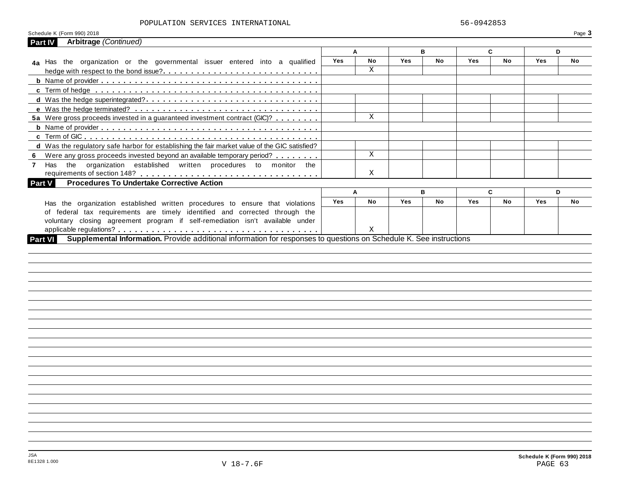### POPULATION SERVICES INTERNATIONAL 56-0942853

| Arbitrage (Continued)<br>Part IV                                                                                               |            | A         |            | в         |            | C         |            | D         |
|--------------------------------------------------------------------------------------------------------------------------------|------------|-----------|------------|-----------|------------|-----------|------------|-----------|
|                                                                                                                                | Yes        | <b>No</b> | Yes        | <b>No</b> | <b>Yes</b> | <b>No</b> | Yes        | <b>No</b> |
| 4a Has the organization or the governmental issuer entered into a qualified                                                    |            | X         |            |           |            |           |            |           |
|                                                                                                                                |            |           |            |           |            |           |            |           |
|                                                                                                                                |            |           |            |           |            |           |            |           |
|                                                                                                                                |            |           |            |           |            |           |            |           |
|                                                                                                                                |            |           |            |           |            |           |            |           |
|                                                                                                                                |            |           |            |           |            |           |            |           |
| 5a Were gross proceeds invested in a guaranteed investment contract (GIC)?                                                     |            | X         |            |           |            |           |            |           |
|                                                                                                                                |            |           |            |           |            |           |            |           |
|                                                                                                                                |            |           |            |           |            |           |            |           |
| d Was the regulatory safe harbor for establishing the fair market value of the GIC satisfied?                                  |            |           |            |           |            |           |            |           |
| 6 Were any gross proceeds invested beyond an available temporary period?                                                       |            | X         |            |           |            |           |            |           |
| Has the organization established written procedures to monitor the<br>$\overline{7}$                                           |            |           |            |           |            |           |            |           |
|                                                                                                                                |            | X         |            |           |            |           |            |           |
| <b>Procedures To Undertake Corrective Action</b><br><b>Part V</b>                                                              |            |           |            |           |            |           |            |           |
|                                                                                                                                |            | A         |            | в         |            | C         |            | D         |
| Has the organization established written procedures to ensure that violations                                                  | <b>Yes</b> | No        | <b>Yes</b> | No        | <b>Yes</b> | <b>No</b> | <b>Yes</b> | No        |
|                                                                                                                                |            |           |            |           |            |           |            |           |
| of federal tax requirements are timely identified and corrected through the                                                    |            |           |            |           |            |           |            |           |
| voluntary closing agreement program if self-remediation isn't available under                                                  |            |           |            |           |            |           |            |           |
| Supplemental Information. Provide additional information for responses to questions on Schedule K. See instructions<br>Part VI |            | Χ         |            |           |            |           |            |           |
|                                                                                                                                |            |           |            |           |            |           |            |           |
|                                                                                                                                |            |           |            |           |            |           |            |           |
|                                                                                                                                |            |           |            |           |            |           |            |           |
|                                                                                                                                |            |           |            |           |            |           |            |           |
|                                                                                                                                |            |           |            |           |            |           |            |           |
|                                                                                                                                |            |           |            |           |            |           |            |           |
|                                                                                                                                |            |           |            |           |            |           |            |           |
|                                                                                                                                |            |           |            |           |            |           |            |           |
|                                                                                                                                |            |           |            |           |            |           |            |           |
|                                                                                                                                |            |           |            |           |            |           |            |           |
|                                                                                                                                |            |           |            |           |            |           |            |           |
|                                                                                                                                |            |           |            |           |            |           |            |           |
|                                                                                                                                |            |           |            |           |            |           |            |           |
|                                                                                                                                |            |           |            |           |            |           |            |           |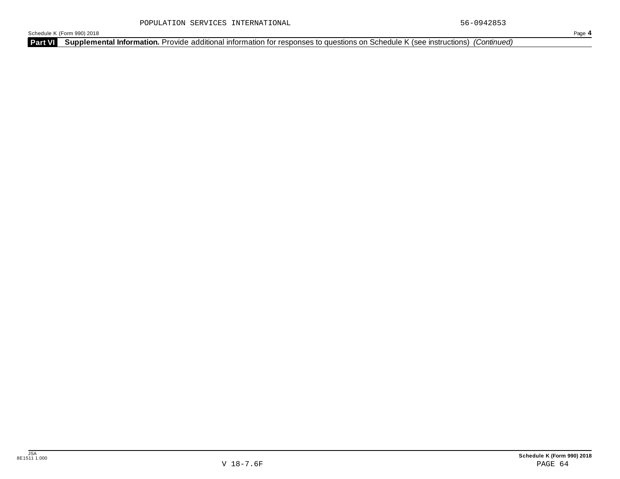**Part VI Supplemental Information.** Provide additional information for responses to questions on Schedule K (see instructions) *(Continued)*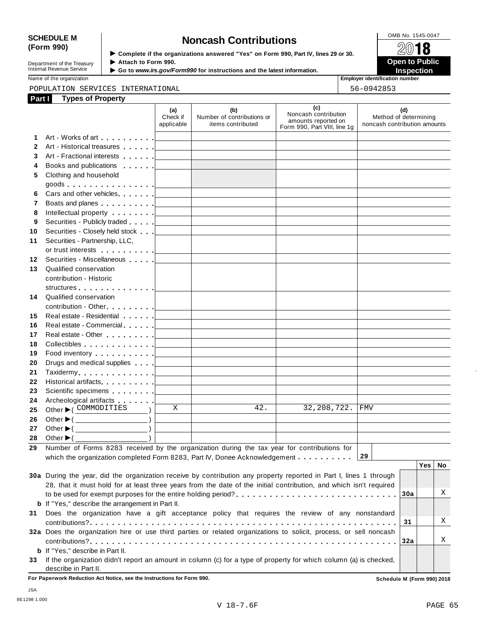# SCHEDULE M<br>
(Form 990) **Schedule Moncash Contributions**<br>  $\begin{array}{r} \boxed{\text{OMB No. 1545-0047}} \\ \text{Complete if the organizations answered "Yes" on Form 990 Part IV lines 29 or 30.} \end{array}$

| Department of the Treasury |
|----------------------------|
| Internal Revenue Service   |
|                            |

**Examplete** if the organizations answered "Yes" on Form 990, Part IV, lines 29 or 30. △<del>Ⅳ</del><br>▶ Attach to Form 990.  $\blacktriangleright$  Attach to Form 990. **Department of the Treasury ▶ Attach to Form 990.**<br>Internal Revenue Service ▶ Go to *www.irs.gov/Form990* for instructions and the latest information.<br>Nome of the organization aumhor

Name of the organization **intervalse of the organization intervalse of the organization <b>intervalse of the organization intervalse of the organization intervalse of the organization intervalse of the organization**

# POPULATION SERVICES INTERNATIONAL 56-0942853

| Part I       | <b>Types of Property</b>                                                                                                                                                                                                      |                               |                                                                                                                     |                                                                                    |                                                              |
|--------------|-------------------------------------------------------------------------------------------------------------------------------------------------------------------------------------------------------------------------------|-------------------------------|---------------------------------------------------------------------------------------------------------------------|------------------------------------------------------------------------------------|--------------------------------------------------------------|
|              |                                                                                                                                                                                                                               | (a)<br>Check if<br>applicable | (b)<br>Number of contributions or<br>items contributed                                                              | (c)<br>Noncash contribution<br>amounts reported on<br>Form 990, Part VIII, line 1g | (d)<br>Method of determining<br>noncash contribution amounts |
| 1.           |                                                                                                                                                                                                                               |                               | <u> 1989 - Johann Barn, mars ann an t-Amhain an t-Amhain an t-Amhain an t-Amhain an t-Amhain an t-Amhain an t-A</u> |                                                                                    |                                                              |
| $\mathbf{2}$ | Art - Historical treasures                                                                                                                                                                                                    |                               | <u> 1989 - Johann Barn, amerikansk politiker (</u>                                                                  |                                                                                    |                                                              |
| 3            |                                                                                                                                                                                                                               |                               |                                                                                                                     |                                                                                    |                                                              |
| 4            |                                                                                                                                                                                                                               |                               | <u> 1980 - Johann Barbara, martxa alemaniar arg</u>                                                                 |                                                                                    |                                                              |
| 5            | Clothing and household                                                                                                                                                                                                        |                               |                                                                                                                     |                                                                                    |                                                              |
|              |                                                                                                                                                                                                                               |                               |                                                                                                                     |                                                                                    |                                                              |
| 6            |                                                                                                                                                                                                                               |                               |                                                                                                                     | the control of the control of the control of the control of                        |                                                              |
| 7            |                                                                                                                                                                                                                               |                               |                                                                                                                     | the control of the control of the control of the control of the control of         |                                                              |
| 8            |                                                                                                                                                                                                                               |                               |                                                                                                                     |                                                                                    |                                                              |
| 9            |                                                                                                                                                                                                                               |                               |                                                                                                                     | the control of the control of the control of the control of the control of         |                                                              |
| 10           |                                                                                                                                                                                                                               |                               | <u> 1989 - Johann Barbara, martxa alemaniar a</u>                                                                   |                                                                                    |                                                              |
| 11           | Securities - Partnership, LLC,                                                                                                                                                                                                |                               |                                                                                                                     |                                                                                    |                                                              |
|              |                                                                                                                                                                                                                               |                               |                                                                                                                     |                                                                                    |                                                              |
| 12           | Securities - Miscellaneous                                                                                                                                                                                                    |                               |                                                                                                                     |                                                                                    |                                                              |
| 13           | Qualified conservation                                                                                                                                                                                                        |                               |                                                                                                                     |                                                                                    |                                                              |
|              | contribution - Historic                                                                                                                                                                                                       |                               |                                                                                                                     |                                                                                    |                                                              |
|              | structures experience and the structures                                                                                                                                                                                      |                               |                                                                                                                     |                                                                                    |                                                              |
| 14           | Qualified conservation                                                                                                                                                                                                        |                               |                                                                                                                     |                                                                                    |                                                              |
|              |                                                                                                                                                                                                                               |                               |                                                                                                                     |                                                                                    |                                                              |
| 15           |                                                                                                                                                                                                                               |                               |                                                                                                                     | the control of the control of the control of the control of the control of         |                                                              |
| 16           |                                                                                                                                                                                                                               |                               |                                                                                                                     | the control of the control of the control of the control of                        |                                                              |
| 17           |                                                                                                                                                                                                                               |                               |                                                                                                                     |                                                                                    |                                                              |
| 18           |                                                                                                                                                                                                                               |                               |                                                                                                                     |                                                                                    |                                                              |
| 19           | Food inventory $\ldots \ldots \ldots$ . $\Box$                                                                                                                                                                                |                               |                                                                                                                     |                                                                                    |                                                              |
| 20           | Drugs and medical supplies equal to the state of the state of the state of the state of the state of the state of the state of the state of the state of the state of the state of the state of the state of the state of the |                               |                                                                                                                     |                                                                                    |                                                              |
| 21           |                                                                                                                                                                                                                               |                               |                                                                                                                     | the control of the control of the control of the control of                        |                                                              |
| 22           |                                                                                                                                                                                                                               |                               |                                                                                                                     | the control of the control of the control of the                                   |                                                              |
| 23           |                                                                                                                                                                                                                               |                               |                                                                                                                     |                                                                                    |                                                              |
| 24           | Archeological artifacts [1996]                                                                                                                                                                                                |                               |                                                                                                                     |                                                                                    |                                                              |
| 25           | Other $\blacktriangleright$ ( COMMODITIES                                                                                                                                                                                     | X                             | 42.                                                                                                                 | 32, 208, 722.                                                                      | FMV                                                          |
| 26           | Other $\blacktriangleright$ ( $\_\_\_\_\_\_\_\_$ )                                                                                                                                                                            |                               |                                                                                                                     |                                                                                    |                                                              |
| 27           | Other $\blacktriangleright$ ( $\_\_\_\_\_\_\_\_\_$ )                                                                                                                                                                          |                               |                                                                                                                     |                                                                                    |                                                              |
| 28           | Other $\blacktriangleright$ ( $\_$                                                                                                                                                                                            |                               |                                                                                                                     |                                                                                    |                                                              |
|              | 29 Number of Forms 8283 received by the organization during the tax year for contributions for                                                                                                                                |                               |                                                                                                                     |                                                                                    |                                                              |
|              | which the organization completed Form 8283, Part IV, Donee Acknowledgement                                                                                                                                                    |                               |                                                                                                                     |                                                                                    | 29                                                           |
|              |                                                                                                                                                                                                                               |                               |                                                                                                                     |                                                                                    | Yes  <br>No                                                  |
|              | 30a During the year, did the organization receive by contribution any property reported in Part I, lines 1 through                                                                                                            |                               |                                                                                                                     |                                                                                    |                                                              |
|              | 28, that it must hold for at least three years from the date of the initial contribution, and which isn't required                                                                                                            |                               |                                                                                                                     |                                                                                    |                                                              |
|              |                                                                                                                                                                                                                               |                               |                                                                                                                     |                                                                                    | Χ<br>30a                                                     |
|              | <b>b</b> If "Yes," describe the arrangement in Part II.                                                                                                                                                                       |                               |                                                                                                                     |                                                                                    |                                                              |
| 31           | Does the organization have a gift acceptance policy that requires the review of any nonstandard                                                                                                                               |                               |                                                                                                                     |                                                                                    |                                                              |
|              |                                                                                                                                                                                                                               |                               |                                                                                                                     |                                                                                    | Χ<br>31                                                      |
|              | 32a Does the organization hire or use third parties or related organizations to solicit, process, or sell noncash                                                                                                             |                               |                                                                                                                     |                                                                                    |                                                              |
|              |                                                                                                                                                                                                                               |                               |                                                                                                                     |                                                                                    | Χ<br>32a                                                     |
|              | <b>b</b> If "Yes," describe in Part II.                                                                                                                                                                                       |                               |                                                                                                                     |                                                                                    |                                                              |
|              | 33 If the organization didn't report an amount in column (c) for a type of property for which column (a) is checked,                                                                                                          |                               |                                                                                                                     |                                                                                    |                                                              |
|              | describe in Part II.                                                                                                                                                                                                          |                               |                                                                                                                     |                                                                                    |                                                              |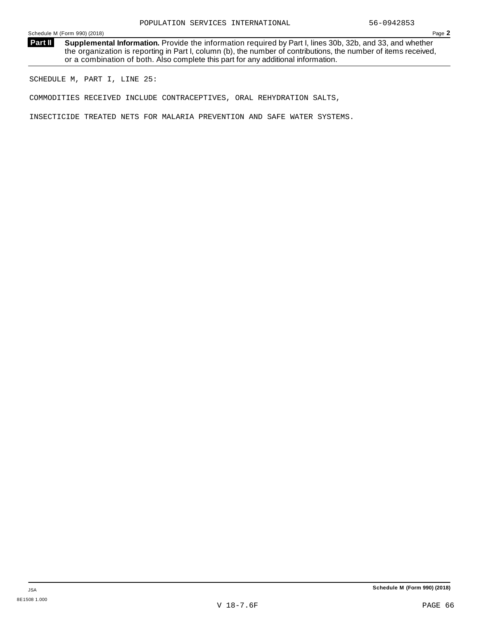**Supplemental Information.** Provide the information required by Part I, lines 30b, 32b, and 33, and whether the organization is reporting in Part I, column (b), the number of contributions, the number of items received, or a combination of both. Also complete this part for any additional information. **Part II**

SCHEDULE M, PART I, LINE 25:

COMMODITIES RECEIVED INCLUDE CONTRACEPTIVES, ORAL REHYDRATION SALTS,

INSECTICIDE TREATED NETS FOR MALARIA PREVENTION AND SAFE WATER SYSTEMS.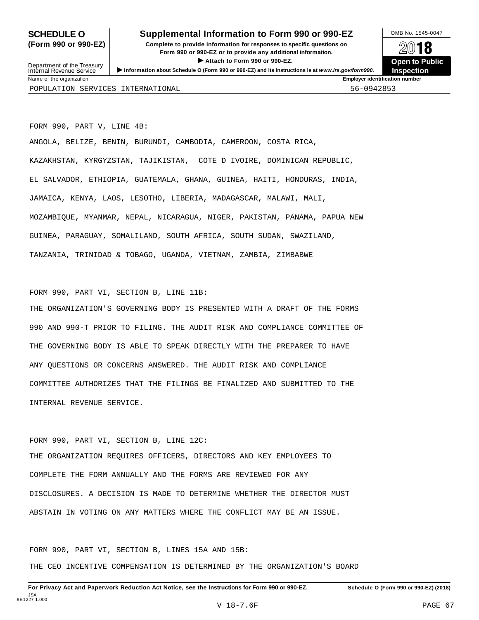# **SCHEDULE O** Supplemental Information to Form 990 or 990-EZ DAMB No. 1545-0047

**(Form 990 or 990-EZ) Complete to provide information for responses to specific questions on** plete to provide information for responses to specific questions on  $\mathbb{Z}^{0}$  **18 EV TO**<br>
■ Attach to Form 990 or 990-EZ. Depen to Public<br>
■ Public Corporation of the Security of the Security of the Security of the Security of the Security of the Security of the Security of the Security of the Securit



Department of the Treasury<br>Internal Revenue Service Department of the Treasury between to Public<br>
Internal Revenue Service between to Public<br>
Name of the organization<br>
Name of the organization POPULATION SERVICES INTERNATIONAL 56-0942853

FORM 990, PART V, LINE 4B:

ANGOLA, BELIZE, BENIN, BURUNDI, CAMBODIA, CAMEROON, COSTA RICA, KAZAKHSTAN, KYRGYZSTAN, TAJIKISTAN, COTE D IVOIRE, DOMINICAN REPUBLIC, EL SALVADOR, ETHIOPIA, GUATEMALA, GHANA, GUINEA, HAITI, HONDURAS, INDIA, JAMAICA, KENYA, LAOS, LESOTHO, LIBERIA, MADAGASCAR, MALAWI, MALI, MOZAMBIQUE, MYANMAR, NEPAL, NICARAGUA, NIGER, PAKISTAN, PANAMA, PAPUA NEW GUINEA, PARAGUAY, SOMALILAND, SOUTH AFRICA, SOUTH SUDAN, SWAZILAND, TANZANIA, TRINIDAD & TOBAGO, UGANDA, VIETNAM, ZAMBIA, ZIMBABWE

FORM 990, PART VI, SECTION B, LINE 11B:

THE ORGANIZATION'S GOVERNING BODY IS PRESENTED WITH A DRAFT OF THE FORMS 990 AND 990-T PRIOR TO FILING. THE AUDIT RISK AND COMPLIANCE COMMITTEE OF THE GOVERNING BODY IS ABLE TO SPEAK DIRECTLY WITH THE PREPARER TO HAVE ANY QUESTIONS OR CONCERNS ANSWERED. THE AUDIT RISK AND COMPLIANCE COMMITTEE AUTHORIZES THAT THE FILINGS BE FINALIZED AND SUBMITTED TO THE INTERNAL REVENUE SERVICE.

FORM 990, PART VI, SECTION B, LINE 12C: THE ORGANIZATION REQUIRES OFFICERS, DIRECTORS AND KEY EMPLOYEES TO COMPLETE THE FORM ANNUALLY AND THE FORMS ARE REVIEWED FOR ANY DISCLOSURES. A DECISION IS MADE TO DETERMINE WHETHER THE DIRECTOR MUST ABSTAIN IN VOTING ON ANY MATTERS WHERE THE CONFLICT MAY BE AN ISSUE.

FORM 990, PART VI, SECTION B, LINES 15A AND 15B: THE CEO INCENTIVE COMPENSATION IS DETERMINED BY THE ORGANIZATION'S BOARD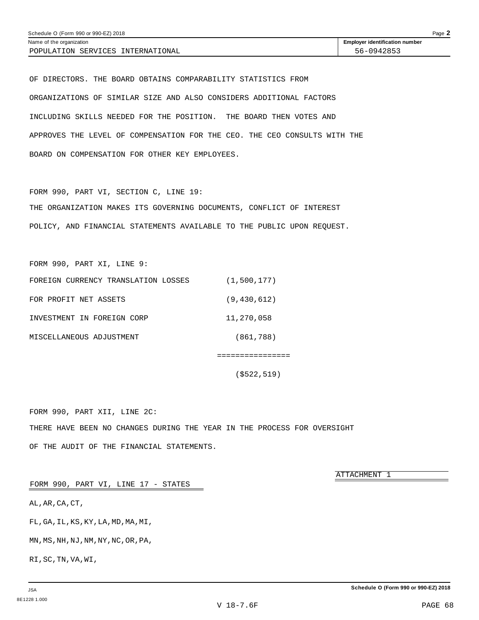POPULATION SERVICES INTERNATIONAL  $\vert$  56-0942853

OF DIRECTORS. THE BOARD OBTAINS COMPARABILITY STATISTICS FROM ORGANIZATIONS OF SIMILAR SIZE AND ALSO CONSIDERS ADDITIONAL FACTORS INCLUDING SKILLS NEEDED FOR THE POSITION. THE BOARD THEN VOTES AND APPROVES THE LEVEL OF COMPENSATION FOR THE CEO. THE CEO CONSULTS WITH THE BOARD ON COMPENSATION FOR OTHER KEY EMPLOYEES.

FORM 990, PART VI, SECTION C, LINE 19: THE ORGANIZATION MAKES ITS GOVERNING DOCUMENTS, CONFLICT OF INTEREST POLICY, AND FINANCIAL STATEMENTS AVAILABLE TO THE PUBLIC UPON REQUEST.

FORM 990, PART XI, LINE 9:

| FOREIGN CURRENCY TRANSLATION LOSSES | (1,500,177)   |
|-------------------------------------|---------------|
| FOR PROFIT NET ASSETS               | (9, 430, 612) |
| INVESTMENT IN FOREIGN CORP          | 11,270,058    |
| MISCELLANEOUS ADJUSTMENT            | (861,788)     |

(\$522,519)

================

FORM 990, PART XII, LINE 2C: THERE HAVE BEEN NO CHANGES DURING THE YEAR IN THE PROCESS FOR OVERSIGHT OF THE AUDIT OF THE FINANCIAL STATEMENTS.

ATTACHMENT 1

FORM 990, PART VI, LINE 17 - STATES

AL,AR,CA,CT,

FL,GA,IL,KS,KY,LA,MD,MA,MI,

MN,MS,NH,NJ,NM,NY,NC,OR,PA,

RI,SC,TN,VA,WI,

**Schedule O (Form 990 or 990-EZ) 2018**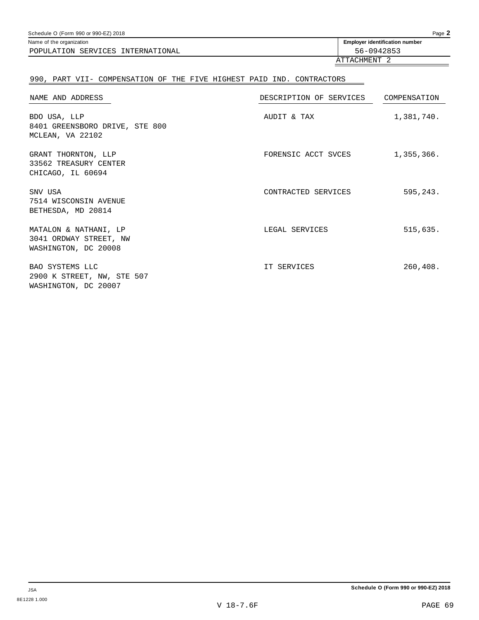| Page 2<br>Schedule O (Form 990 or 990-EZ) 2018 |                                       |  |
|------------------------------------------------|---------------------------------------|--|
| Name of the organization                       | <b>Employer identification number</b> |  |
| POPULATION SERVICES INTERNATIONAL              | 56-0942853                            |  |
|                                                | ATTACHMENT                            |  |
|                                                |                                       |  |

# 990, PART VII- COMPENSATION OF THE FIVE HIGHEST PAID IND. CONTRACTORS

| NAME AND ADDRESS                                                        | DESCRIPTION OF SERVICES | COMPENSATION |
|-------------------------------------------------------------------------|-------------------------|--------------|
| BDO USA, LLP<br>8401 GREENSBORO DRIVE, STE 800<br>MCLEAN, VA 22102      | AUDIT & TAX             | 1,381,740.   |
| GRANT THORNTON, LLP<br>33562 TREASURY CENTER<br>CHICAGO, IL 60694       | FORENSIC ACCT SVCES     | 1,355,366.   |
| SNV USA<br>7514 WISCONSIN AVENUE<br>BETHESDA, MD 20814                  | CONTRACTED SERVICES     | 595,243.     |
| MATALON & NATHANI, LP<br>3041 ORDWAY STREET, NW<br>WASHINGTON, DC 20008 | LEGAL SERVICES          | 515,635.     |
| BAO SYSTEMS LLC<br>2900 K STREET, NW, STE 507<br>WASHINGTON, DC 20007   | IT SERVICES             | 260,408.     |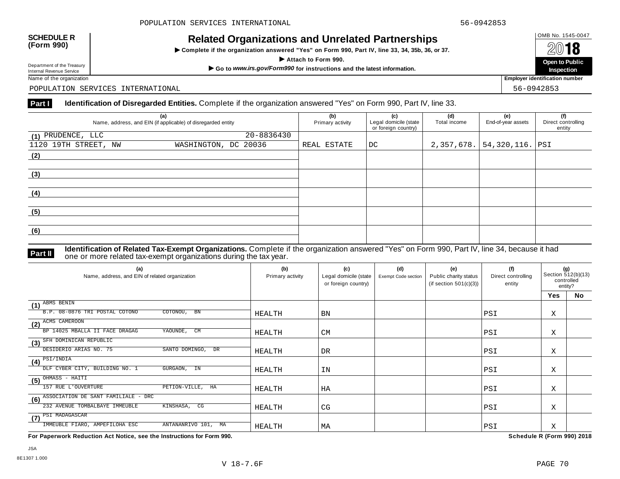$\triangleright$  Complete if the organization answered "Yes" on Form 990, Part IV, line 33, 34, 35b, 36, or 37.



Department of the Treasury

POPULATION SERVICES INTERNATIONAL 56-0942853

## **Part I Identification of Disregarded Entities.** Complete if the organization answered "Yes" on Form 990, Part IV, line 33.

|                      | (a)<br>Name, address, and EIN (if applicable) of disregarded entity | (b)<br>Primary activity | (c)<br>Legal domicile (state<br>or foreign country) | (d)<br>Total income | (e)<br>End-of-year assets | (f)<br>Direct controlling<br>entity |
|----------------------|---------------------------------------------------------------------|-------------------------|-----------------------------------------------------|---------------------|---------------------------|-------------------------------------|
| $(1)$ PRUDENCE, LLC  | 20-8836430                                                          |                         |                                                     |                     |                           |                                     |
| 1120 19TH STREET, NW | WASHINGTON, DC 20036                                                | REAL ESTATE             | $\overline{\mathsf{DC}}$                            | 2,357,678.          | $ 54,320,116.$ PSI        |                                     |
| (2)                  |                                                                     |                         |                                                     |                     |                           |                                     |
|                      |                                                                     |                         |                                                     |                     |                           |                                     |
| (3)                  |                                                                     |                         |                                                     |                     |                           |                                     |
|                      |                                                                     |                         |                                                     |                     |                           |                                     |
| (4)                  |                                                                     |                         |                                                     |                     |                           |                                     |
|                      |                                                                     |                         |                                                     |                     |                           |                                     |
| (5)                  |                                                                     |                         |                                                     |                     |                           |                                     |
|                      |                                                                     |                         |                                                     |                     |                           |                                     |
| (6)                  |                                                                     |                         |                                                     |                     |                           |                                     |
|                      |                                                                     |                         |                                                     |                     |                           |                                     |

**Identification of Related Tax-Exempt Organizations.** Complete if the organization answered "Yes" on Form 990, Part IV, line 34, because it had **Part II** one or more related tax-exempt organizations during the tax year.

| (a)<br>Name, address, and EIN of related organization              | (b)<br>Primary activity | (c)<br>Legal domicile (state<br>or foreign country) | (d)<br>Exempt Code section | (e)<br>Public charity status<br>(if section $501(c)(3)$ ) | (f)<br>Direct controlling<br>entity | (g)<br>Section 512(b)(13)<br>controlled<br>entity? |    |
|--------------------------------------------------------------------|-------------------------|-----------------------------------------------------|----------------------------|-----------------------------------------------------------|-------------------------------------|----------------------------------------------------|----|
|                                                                    |                         |                                                     |                            |                                                           |                                     | <b>Yes</b>                                         | No |
| ABMS BENIN<br>(1)<br>B.P. 08-0876 TRI POSTAL COTONO<br>COTONOU, BN | HEALTH                  | <b>BN</b>                                           |                            |                                                           | PSI                                 | Χ                                                  |    |
| (2) ACMS CAMEROON                                                  |                         |                                                     |                            |                                                           |                                     |                                                    |    |
| CM<br>BP 14025 MBALLA II FACE DRAGAG<br>YAOUNDE,                   | <b>HEALTH</b>           | <b>CM</b>                                           |                            |                                                           | PSI                                 | Χ                                                  |    |
| (3) SFH DOMINICAN REPUBLIC                                         |                         |                                                     |                            |                                                           |                                     |                                                    |    |
| DESIDERIO ARIAS NO. 75<br>SANTO DOMINGO, DR                        | <b>HEALTH</b>           | DR                                                  |                            |                                                           | PSI                                 | X                                                  |    |
| $\overline{\textbf{(4)}}^{\text{PSI/INDIA}}$                       |                         |                                                     |                            |                                                           |                                     |                                                    |    |
| DLF CYBER CITY, BUILDING NO. 1<br>GURGAON, IN                      | <b>HEALTH</b>           | IN                                                  |                            |                                                           | PSI                                 | Χ                                                  |    |
| OHMASS - HAITI<br>(5)                                              |                         |                                                     |                            |                                                           |                                     |                                                    |    |
| 157 RUE L'OUVERTURE<br>PETION-VILLE, HA                            | <b>HEALTH</b>           | HA                                                  |                            |                                                           | PSI                                 | X                                                  |    |
| ASSOCIATION DE SANT FAMILIALE - DRC<br>(6)                         |                         |                                                     |                            |                                                           |                                     |                                                    |    |
| 232 AVENUE TOMBALBAYE IMMEUBLE<br>KINSHASA, CG                     | HEALTH                  | CG                                                  |                            |                                                           | PSI                                 | Χ                                                  |    |
| $(7)$ $\overline{PSI}$ MADAGASCAR                                  |                         |                                                     |                            |                                                           |                                     |                                                    |    |
| IMMEUBLE FIARO, AMPEFILOHA ESC<br>ANTANANRIVO 101, MA              | HEALTH                  | МA                                                  |                            |                                                           | PSI                                 | Χ                                                  |    |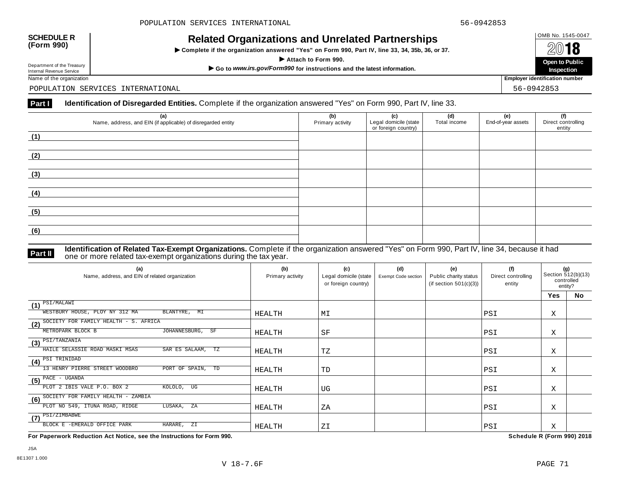$\triangleright$  Complete if the organization answered "Yes" on Form 990, Part IV, line 33, 34, 35b, 36, or 37.



Department of the Treasury

POPULATION SERVICES INTERNATIONAL 56-0942853

# Part **I Identification of Disregarded Entities.** Complete if the organization answered "Yes" on Form 990, Part IV, line 33.

| (a)<br>Name, address, and EIN (if applicable) of disregarded entity | (b)<br>Primary activity | (c)<br>Legal domicile (state<br>or foreign country) | (d)<br>Total income | (e)<br>End-of-year assets | (f)<br>Direct controlling<br>entity |
|---------------------------------------------------------------------|-------------------------|-----------------------------------------------------|---------------------|---------------------------|-------------------------------------|
| (1)                                                                 |                         |                                                     |                     |                           |                                     |
|                                                                     |                         |                                                     |                     |                           |                                     |
| (2)                                                                 |                         |                                                     |                     |                           |                                     |
|                                                                     |                         |                                                     |                     |                           |                                     |
| (3)                                                                 |                         |                                                     |                     |                           |                                     |
|                                                                     |                         |                                                     |                     |                           |                                     |
| (4)                                                                 |                         |                                                     |                     |                           |                                     |
| (5)                                                                 |                         |                                                     |                     |                           |                                     |
| (6)                                                                 |                         |                                                     |                     |                           |                                     |
|                                                                     |                         |                                                     |                     |                           |                                     |

**Identification of Related Tax-Exempt Organizations.** Complete if the organization answered "Yes" on Form 990, Part IV, line 34, because it had **Part II** one or more related tax-exempt organizations during the tax year.

| (a)<br>Name, address, and EIN of related organization     | (b)<br>Primary activity | (c)<br>Legal domicile (state<br>or foreign country) | (d)<br>Exempt Code section | (e)<br>Public charity status<br>(if section $501(c)(3)$ ) | (f)<br>Direct controlling<br>entity | (g)<br>Section 512(b)(13)<br>controlled<br>entity? |           |
|-----------------------------------------------------------|-------------------------|-----------------------------------------------------|----------------------------|-----------------------------------------------------------|-------------------------------------|----------------------------------------------------|-----------|
|                                                           |                         |                                                     |                            |                                                           |                                     | Yes                                                | <b>No</b> |
| $(1)$ $\overline{PSI/MALAWI}$                             |                         |                                                     |                            |                                                           |                                     |                                                    |           |
| WESTBURY HOUSE, PLOY NY 312 MA<br>BLANTYRE, MI            | HEALTH                  | MΙ                                                  |                            |                                                           | PSI                                 | X                                                  |           |
| (2) SOCIETY FOR FAMILY HEALTH - S. AFRICA                 |                         |                                                     |                            |                                                           |                                     |                                                    |           |
| JOHANNESBURG, SF<br>METROPARK BLOCK B                     | HEALTH                  | SF                                                  |                            |                                                           | PSI                                 | Χ                                                  |           |
| PSI/TANZANIA<br>(3)                                       |                         |                                                     |                            |                                                           |                                     |                                                    |           |
| HAILE SELASSIE ROAD MASKI MSAS<br>SAR ES SALAAM, TZ       | HEALTH                  | TZ                                                  |                            |                                                           | PSI                                 | Χ                                                  |           |
| $\sqrt{(4)^{\frac{\text{PSI TRINIDAD}}{\text{}}}}$        |                         |                                                     |                            |                                                           |                                     |                                                    |           |
| 13 HENRY PIERRE STREET WOODBRO<br>PORT OF SPAIN, TD       | HEALTH                  | TD                                                  |                            |                                                           | PSI                                 | Χ                                                  |           |
| $\overline{\text{(5)}}$ $\overline{\text{PACE}}$ - UGANDA |                         |                                                     |                            |                                                           |                                     |                                                    |           |
| PLOT 2 IBIS VALE P.O. BOX 2<br>KOLOLO, UG                 | HEALTH                  | UG                                                  |                            |                                                           | PSI                                 | Χ                                                  |           |
| (6) SOCIETY FOR FAMILY HEALTH - ZAMBIA                    |                         |                                                     |                            |                                                           |                                     |                                                    |           |
| PLOT NO 549, ITUNA ROAD, RIDGE<br>LUSAKA, ZA              | HEALTH                  | ΖA                                                  |                            |                                                           | PSI                                 | Χ                                                  |           |
| $\overline{(\mathbf{7})}$ PSI/ZIMBABWE                    |                         |                                                     |                            |                                                           |                                     |                                                    |           |
| BLOCK E -EMERALD OFFICE PARK<br>HARARE,<br>ZI             | HEALTH                  | ZΙ                                                  |                            |                                                           | <b>PSI</b>                          | Χ                                                  |           |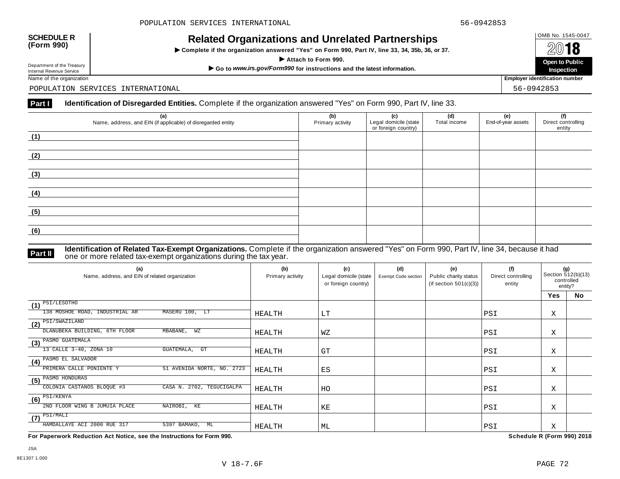$\triangleright$  Complete if the organization answered "Yes" on Form 990, Part IV, line 33, 34, 35b, 36, or 37.



Department of the Treasury

POPULATION SERVICES INTERNATIONAL 56-0942853

# Part **I Identification of Disregarded Entities.** Complete if the organization answered "Yes" on Form 990, Part IV, line 33.

| (a)<br>Name, address, and EIN (if applicable) of disregarded entity | (b)<br>Primary activity | (c)<br>Legal domicile (state<br>or foreign country) | (d)<br>Total income | (e)<br>End-of-year assets | (f)<br>Direct controlling<br>entity |
|---------------------------------------------------------------------|-------------------------|-----------------------------------------------------|---------------------|---------------------------|-------------------------------------|
| (1)                                                                 |                         |                                                     |                     |                           |                                     |
| (2)                                                                 |                         |                                                     |                     |                           |                                     |
| (3)                                                                 |                         |                                                     |                     |                           |                                     |
| (4)                                                                 |                         |                                                     |                     |                           |                                     |
| (5)                                                                 |                         |                                                     |                     |                           |                                     |
| (6)                                                                 |                         |                                                     |                     |                           |                                     |

**Identification of Related Tax-Exempt Organizations.** Complete if the organization answered "Yes" on Form 990, Part IV, line 34, because it had **Part II** one or more related tax-exempt organizations during the tax year.

| (a)<br>Name, address, and EIN of related organization   | (b)<br>Primary activity | (c)<br>Legal domicile (state<br>or foreign country) | (d)<br>Exempt Code section | (e)<br>Public charity status<br>(if section $501(c)(3)$ ) | (f)<br>Direct controlling<br>entity | (g)<br>Section 512(b)(13)<br>controlled<br>entity? |    |
|---------------------------------------------------------|-------------------------|-----------------------------------------------------|----------------------------|-----------------------------------------------------------|-------------------------------------|----------------------------------------------------|----|
|                                                         |                         |                                                     |                            |                                                           |                                     | Yes                                                | No |
| PSI/LESOTHO<br>(1)                                      |                         |                                                     |                            |                                                           |                                     |                                                    |    |
| MASERU 100, LT<br>138 MOSHOE ROAD, INDUSTRIAL AR        | HEALTH                  | LT                                                  |                            |                                                           | PSI                                 | Χ                                                  |    |
| $(2)$ PSI/SWAZILAND                                     |                         |                                                     |                            |                                                           |                                     |                                                    |    |
| DLANUBEKA BUILDING, 6TH FLOOR<br>MBABANE,<br>WZ         | HEALTH                  | WΖ                                                  |                            |                                                           | PSI                                 | Χ                                                  |    |
| $(3)$ PASMO GUATEMALA                                   |                         |                                                     |                            |                                                           |                                     |                                                    |    |
| 13 CALLE 3-40, ZONA 10<br>GUATEMALA,<br>GT              | HEALTH                  | GT                                                  |                            |                                                           | PSI                                 | Χ                                                  |    |
| (4) PASMO EL SALVADOR                                   |                         |                                                     |                            |                                                           |                                     |                                                    |    |
| PRIMERA CALLE PONIENTE Y<br>51 AVENIDA NORTE, NO. 2723  | HEALTH                  | ES                                                  |                            |                                                           | PSI                                 | Χ                                                  |    |
| (5) PASMO HONDURAS                                      |                         |                                                     |                            |                                                           |                                     |                                                    |    |
| COLONIA CASTANOS BLOQUE #3<br>CASA N. 2702, TEGUCIGALPA | HEALTH                  | HO                                                  |                            |                                                           | PSI                                 | Χ                                                  |    |
| $\overline{\textbf{(6)}}^{\text{PSI/KENYA}}$            |                         |                                                     |                            |                                                           |                                     |                                                    |    |
| 2ND FLOOR WING B JUMUIA PLACE<br>NAIROBI, KE            | HEALTH                  | ΚE                                                  |                            |                                                           | PSI                                 | Χ                                                  |    |
| $\left(7\right)$ PSI/MALI                               |                         |                                                     |                            |                                                           |                                     |                                                    |    |
| HAMDALLAYE ACI 2000 RUE 317<br>5397 BAMAKO,<br>ML       | HEALTH                  | ML                                                  |                            |                                                           | PSI                                 | Χ                                                  |    |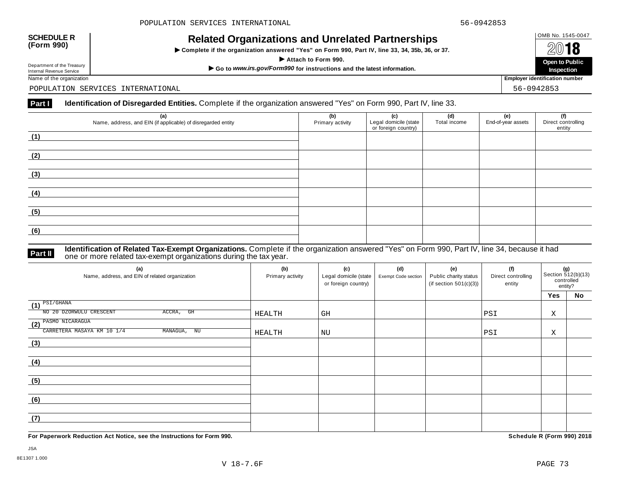$\triangleright$  Complete if the organization answered "Yes" on Form 990, Part IV, line 33, 34, 35b, 36, or 37.

 $\overline{A}$  **I O**<br>
Attach to Form 990.<br>  $\overline{A}$  Attach to Form 990. **Inspection** Department of the Treasury Depent to Public<br>Internal Revenue Service Marketing of the Channel Service Marketing of the United Service of the organization<br>Name of the organization **Public Service Service Service Service** In

Department of the Treasury<br>Internal Revenue Service

POPULATION SERVICES INTERNATIONAL 56-0942853

# **Part I Identification of Disregarded Entities.** Complete if the organization answered "Yes" on Form 990, Part IV, line 33.

| (a)<br>Name, address, and EIN (if applicable) of disregarded entity | (b)<br>Primary activity | (c)<br>Legal domicile (state<br>or foreign country) | (d)<br>Total income | (e)<br>End-of-year assets | (f)<br>Direct controlling<br>entity |
|---------------------------------------------------------------------|-------------------------|-----------------------------------------------------|---------------------|---------------------------|-------------------------------------|
| (1)                                                                 |                         |                                                     |                     |                           |                                     |
| (2)                                                                 |                         |                                                     |                     |                           |                                     |
| (3)                                                                 |                         |                                                     |                     |                           |                                     |
| (4)                                                                 |                         |                                                     |                     |                           |                                     |
| (5)                                                                 |                         |                                                     |                     |                           |                                     |
| (6)                                                                 |                         |                                                     |                     |                           |                                     |

**Identification of Related Tax-Exempt Organizations.** Complete if the organization answered "Yes" on Form 990, Part IV, line 34, because it had **Part II** one or more related tax-exempt organizations during the tax year.

| (a)<br>Name, address, and EIN of related organization                             | (b)<br>Primary activity | (c)<br>Legal domicile (state  <br>or foreign country) | (d)<br>Exempt Code section | (e)<br>Public charity status<br>(if section $501(c)(3)$ ) | (f)<br>Direct controlling<br>entity | (g)<br>Section 512(b)(13)<br>controlled<br>entity? |    |
|-----------------------------------------------------------------------------------|-------------------------|-------------------------------------------------------|----------------------------|-----------------------------------------------------------|-------------------------------------|----------------------------------------------------|----|
|                                                                                   |                         |                                                       |                            |                                                           |                                     | Yes                                                | No |
| $\overline{\text{11}}^{\text{PSI/GHANA}}$<br>NO 20 DZORWULU CRESCENT<br>ACCRA, GH | HEALTH                  | GH                                                    |                            |                                                           | PSI                                 | Χ                                                  |    |
| (2) PASMO NICARAGUA<br>CARRETERA MASAYA KM 10 1/4<br>MANAGUA, NU                  | HEALTH                  | NU                                                    |                            |                                                           | PSI                                 | Χ                                                  |    |
| (3)                                                                               |                         |                                                       |                            |                                                           |                                     |                                                    |    |
| (4)                                                                               |                         |                                                       |                            |                                                           |                                     |                                                    |    |
| (5)                                                                               |                         |                                                       |                            |                                                           |                                     |                                                    |    |
| (6)                                                                               |                         |                                                       |                            |                                                           |                                     |                                                    |    |
| (7)                                                                               |                         |                                                       |                            |                                                           |                                     |                                                    |    |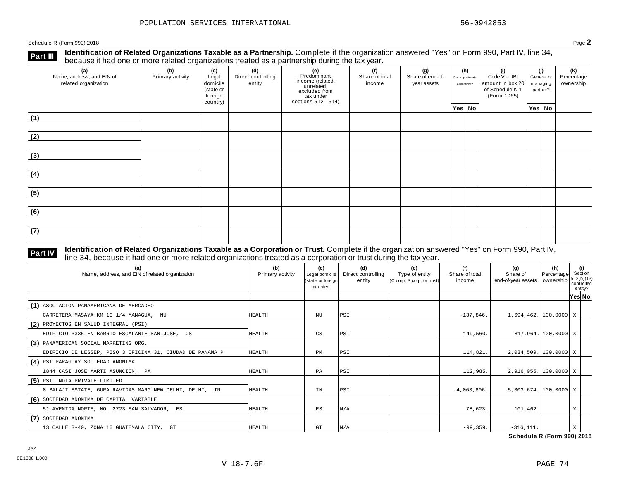**Identification of Related Organizations Taxable as a Partnership.** Complete if the organization answered "Yes" on Form 990, Part IV, line 34, **because it had one or more related organizations Taxable as a Partnership.** Complete if the organization of Related organizations treated as a partnership during the tax year.

| (a)<br>Name, address, and EIN of<br>related organization | ັ<br>(b)<br>Primary activity | (c)<br>Legal<br>domicile<br>(state or<br>foreign<br>country) | (d)<br>Direct controlling<br>entity | ັ<br>(e)<br>Predominant<br>income (related,<br>unrelated,<br>excluded from<br>$\frac{3}{10}$ tax under<br>sections 512 - 514) | (f)<br>(g)<br>Share of total<br>Share of end-of-<br>income<br>year assets |  | (h)<br>(i)<br>Disproportionate<br>allocations? |  | Code V - UBI<br>amount in box 20<br>of Schedule K-1<br>(Form 1065) | (i)<br>General or<br>managing<br>partner? |        | (k)<br>Percentage<br>ownership |
|----------------------------------------------------------|------------------------------|--------------------------------------------------------------|-------------------------------------|-------------------------------------------------------------------------------------------------------------------------------|---------------------------------------------------------------------------|--|------------------------------------------------|--|--------------------------------------------------------------------|-------------------------------------------|--------|--------------------------------|
|                                                          |                              |                                                              |                                     |                                                                                                                               |                                                                           |  | Yes No                                         |  |                                                                    |                                           | Yes No |                                |
| (1)                                                      |                              |                                                              |                                     |                                                                                                                               |                                                                           |  |                                                |  |                                                                    |                                           |        |                                |
| (2)                                                      |                              |                                                              |                                     |                                                                                                                               |                                                                           |  |                                                |  |                                                                    |                                           |        |                                |
| (3)                                                      |                              |                                                              |                                     |                                                                                                                               |                                                                           |  |                                                |  |                                                                    |                                           |        |                                |
| (4)                                                      |                              |                                                              |                                     |                                                                                                                               |                                                                           |  |                                                |  |                                                                    |                                           |        |                                |
| (5)                                                      |                              |                                                              |                                     |                                                                                                                               |                                                                           |  |                                                |  |                                                                    |                                           |        |                                |
| (6)                                                      |                              |                                                              |                                     |                                                                                                                               |                                                                           |  |                                                |  |                                                                    |                                           |        |                                |
| (7)                                                      |                              |                                                              |                                     |                                                                                                                               |                                                                           |  |                                                |  |                                                                    |                                           |        |                                |

## **Identification of Related Organizations Taxable as a Corporation or Trust.** Complete if the organization answered "Yes" on Form 990, Part IV, **Part IV** Identification of Related Organizations Taxable as a Corporation or Trust. Complete if the organization ansignation control line 34, because it had one or more related organizations treated as a corporation or tr

| (a)<br>Name, address, and EIN of related organization     | (b)<br>Primary activity | (c)<br>Legal domicile<br>(state or foreign<br>country) | (d)<br>Direct controlling<br>entity | (e)<br>Type of entity<br>(C corp, S corp, or trust) | (f)<br>Share of total<br>income | (g)<br>Share of<br>end-of-year assets   ownership | (h)<br>Percentage   | (i)<br>Section<br>512(b)(13)<br>controlled<br>entity? |  |
|-----------------------------------------------------------|-------------------------|--------------------------------------------------------|-------------------------------------|-----------------------------------------------------|---------------------------------|---------------------------------------------------|---------------------|-------------------------------------------------------|--|
|                                                           |                         |                                                        |                                     |                                                     |                                 |                                                   |                     | Yes No                                                |  |
| (1) ASOCIACION PANAMERICANA DE MERCADEO                   |                         |                                                        |                                     |                                                     |                                 |                                                   |                     |                                                       |  |
| CARRETERA MASAYA KM 10 1/4 MANAGUA, NU                    | HEALTH                  | NU                                                     | PSI                                 |                                                     | $-137,846$ .                    | $1,694,462.$ [100.0000] X                         |                     |                                                       |  |
| (2) PROYECTOS EN SALUD INTEGRAL (PSI)                     |                         |                                                        |                                     |                                                     |                                 |                                                   |                     |                                                       |  |
| EDIFICIO 3335 EN BARRIO ESCALANTE SAN JOSE, CS            | <b>HEALTH</b>           | CS                                                     | PSI                                 |                                                     | 149,560                         |                                                   | 817,964. 100.0000 X |                                                       |  |
| (3) PANAMERICAN SOCIAL MARKETING ORG.                     |                         |                                                        |                                     |                                                     |                                 |                                                   |                     |                                                       |  |
| EDIFICIO DE LESSEP, PISO 3 OFICINA 31, CIUDAD DE PANAMA P | HEALTH                  | PM                                                     | PSI                                 |                                                     | 114,821                         | $2,034,509.$ [100.0000] X                         |                     |                                                       |  |
| (4) PSI PARAGUAY SOCIEDAD ANONIMA                         |                         |                                                        |                                     |                                                     |                                 |                                                   |                     |                                                       |  |
| 1844 CASI JOSE MARTI ASUNCION, PA                         | <b>HEALTH</b>           | PA                                                     | PSI                                 |                                                     | 112,985.                        | $2,916,055.$ 100.0000 X                           |                     |                                                       |  |
| (5) PSI INDIA PRIVATE LIMITED                             |                         |                                                        |                                     |                                                     |                                 |                                                   |                     |                                                       |  |
| 8 BALAJI ESTATE, GURA RAVIDAS MARG NEW DELHI, DELHI, IN   | HEALTH                  | IN                                                     | PSI                                 |                                                     | $-4,063,806$ .                  | $5,303,674.$ [100.0000] X                         |                     |                                                       |  |
| (6) SOCIEDAD ANONIMA DE CAPITAL VARIABLE                  |                         |                                                        |                                     |                                                     |                                 |                                                   |                     |                                                       |  |
| 51 AVENIDA NORTE, NO. 2723 SAN SALVADOR, ES               | HEALTH                  | ES                                                     | N/A                                 |                                                     | 78,623.                         | 101,462.                                          |                     | X                                                     |  |
| (7) SOCIEDAD ANONIMA                                      |                         |                                                        |                                     |                                                     |                                 |                                                   |                     |                                                       |  |
| 13 CALLE 3-40, ZONA 10 GUATEMALA CITY, GT                 | HEALTH                  | GT                                                     | N/A                                 |                                                     | $-99,359.$                      | $-316, 111.$                                      |                     | X                                                     |  |

**Schedule R (Form 990) 2018**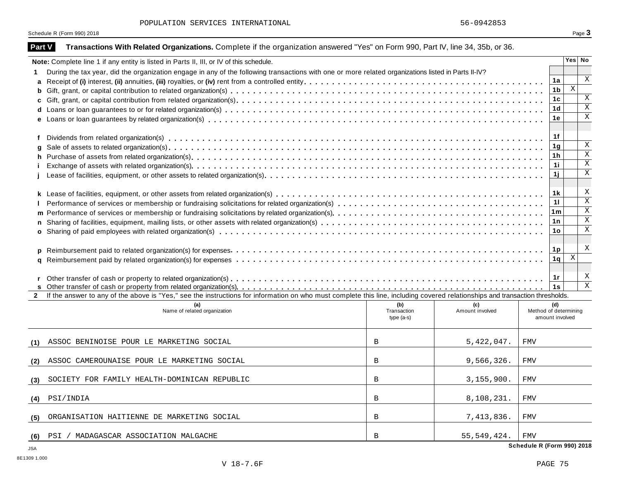| POPULATION SERVICES INTERNATIONAL |  |
|-----------------------------------|--|
|-----------------------------------|--|

| Part V       | Transactions With Related Organizations. Complete if the organization answered "Yes" on Form 990, Part IV, line 34, 35b, or 36.                                              |                            |                 |                                          |                      |             |              |  |  |
|--------------|------------------------------------------------------------------------------------------------------------------------------------------------------------------------------|----------------------------|-----------------|------------------------------------------|----------------------|-------------|--------------|--|--|
|              | Note: Complete line 1 if any entity is listed in Parts II, III, or IV of this schedule.                                                                                      |                            |                 |                                          |                      | Yes No      |              |  |  |
| 1.           | During the tax year, did the organization engage in any of the following transactions with one or more related organizations listed in Parts II-IV?                          |                            |                 |                                          |                      |             |              |  |  |
|              |                                                                                                                                                                              |                            |                 |                                          | 1a                   |             | X            |  |  |
|              |                                                                                                                                                                              |                            |                 |                                          | 1b<br>1 <sub>c</sub> | $\mathbf X$ | X            |  |  |
|              |                                                                                                                                                                              |                            |                 |                                          |                      |             |              |  |  |
|              |                                                                                                                                                                              |                            |                 |                                          |                      |             |              |  |  |
|              |                                                                                                                                                                              |                            |                 |                                          | 1e                   |             | $\mathbf x$  |  |  |
|              |                                                                                                                                                                              |                            |                 |                                          | 1f                   |             |              |  |  |
| f<br>q       |                                                                                                                                                                              |                            |                 |                                          | 1 <sub>g</sub>       |             | X            |  |  |
|              |                                                                                                                                                                              |                            |                 |                                          | 1h                   |             | $\mathbf X$  |  |  |
|              |                                                                                                                                                                              |                            |                 |                                          | 1i                   |             | X            |  |  |
|              |                                                                                                                                                                              |                            |                 |                                          | 1j                   |             | X            |  |  |
|              |                                                                                                                                                                              |                            |                 |                                          |                      |             |              |  |  |
|              |                                                                                                                                                                              |                            |                 |                                          | 1k                   |             | Χ            |  |  |
|              |                                                                                                                                                                              |                            |                 |                                          | 11                   |             | $\mathbf x$  |  |  |
|              |                                                                                                                                                                              |                            |                 |                                          | 1 <sub>m</sub>       |             | $\mathbf X$  |  |  |
|              |                                                                                                                                                                              |                            |                 |                                          | 1n                   |             | $\mathbf X$  |  |  |
|              |                                                                                                                                                                              |                            |                 |                                          | 1 <sub>o</sub>       |             | X            |  |  |
|              |                                                                                                                                                                              |                            |                 |                                          |                      |             |              |  |  |
|              |                                                                                                                                                                              |                            |                 |                                          | 1 <sub>p</sub>       |             | Χ            |  |  |
|              |                                                                                                                                                                              |                            |                 |                                          | 1q                   | Χ           |              |  |  |
|              |                                                                                                                                                                              |                            |                 |                                          | 1r                   |             | X            |  |  |
|              |                                                                                                                                                                              |                            |                 |                                          | 1s                   |             | $\mathbf{x}$ |  |  |
| $\mathbf{2}$ | If the answer to any of the above is "Yes," see the instructions for information on who must complete this line, including covered relationships and transaction thresholds. |                            |                 |                                          |                      |             |              |  |  |
|              | (a)                                                                                                                                                                          | (b)                        | (c)             | (d)                                      |                      |             |              |  |  |
|              | Name of related organization                                                                                                                                                 | Transaction<br>$type(a-s)$ | Amount involved | Method of determining<br>amount involved |                      |             |              |  |  |
|              |                                                                                                                                                                              |                            |                 |                                          |                      |             |              |  |  |
|              | ASSOC BENINOISE POUR LE MARKETING SOCIAL                                                                                                                                     | $\overline{B}$             | 5,422,047.      | <b>FMV</b>                               |                      |             |              |  |  |
| (1)          |                                                                                                                                                                              |                            |                 |                                          |                      |             |              |  |  |
| (2)          | ASSOC CAMEROUNAISE POUR LE MARKETING SOCIAL                                                                                                                                  | B                          | 9,566,326.      | <b>FMV</b>                               |                      |             |              |  |  |
| (3)          | SOCIETY FOR FAMILY HEALTH-DOMINICAN REPUBLIC                                                                                                                                 | $\overline{B}$             | 3, 155, 900.    | <b>FMV</b>                               |                      |             |              |  |  |
|              |                                                                                                                                                                              |                            |                 |                                          |                      |             |              |  |  |
| (4)          | PSI/INDIA                                                                                                                                                                    | B                          | 8,108,231.      | <b>FMV</b>                               |                      |             |              |  |  |
| (5)          | ORGANISATION HAITIENNE DE MARKETING SOCIAL                                                                                                                                   | B                          | 7,413,836.      | <b>FMV</b>                               |                      |             |              |  |  |
| (6)          | PSI / MADAGASCAR ASSOCIATION MALGACHE                                                                                                                                        | $\overline{B}$             | 55, 549, 424.   | <b>FMV</b>                               |                      |             |              |  |  |
|              |                                                                                                                                                                              |                            |                 | Schedule R (Form 990) 2018               |                      |             |              |  |  |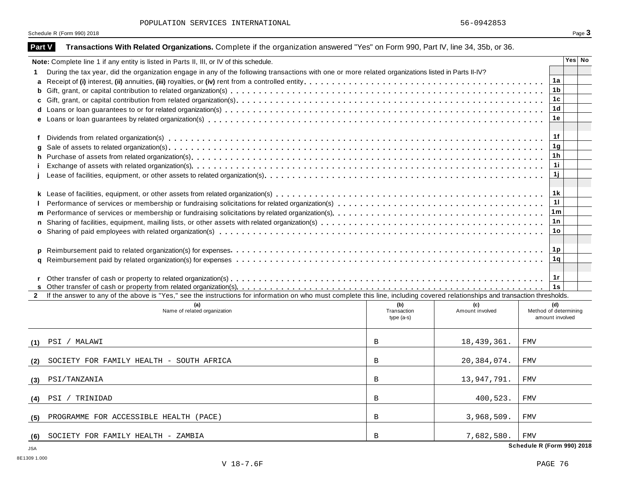| POPULATION SERVICES INTERNATIONAL |  |
|-----------------------------------|--|
|-----------------------------------|--|

| Part V       | Transactions With Related Organizations. Complete if the organization answered "Yes" on Form 990, Part IV, line 34, 35b, or 36.                                              |                                   |                        |                                                 |                |        |  |  |  |
|--------------|------------------------------------------------------------------------------------------------------------------------------------------------------------------------------|-----------------------------------|------------------------|-------------------------------------------------|----------------|--------|--|--|--|
|              | Note: Complete line 1 if any entity is listed in Parts II, III, or IV of this schedule.                                                                                      |                                   |                        |                                                 |                | Yes No |  |  |  |
| 1.           | During the tax year, did the organization engage in any of the following transactions with one or more related organizations listed in Parts II-IV?                          |                                   |                        |                                                 |                |        |  |  |  |
|              |                                                                                                                                                                              |                                   |                        |                                                 | 1a             |        |  |  |  |
|              |                                                                                                                                                                              |                                   |                        |                                                 | 1b             |        |  |  |  |
|              |                                                                                                                                                                              |                                   |                        |                                                 |                |        |  |  |  |
|              |                                                                                                                                                                              |                                   |                        |                                                 | 1d             |        |  |  |  |
|              |                                                                                                                                                                              |                                   |                        |                                                 | 1e             |        |  |  |  |
| f            |                                                                                                                                                                              |                                   |                        |                                                 | 1f             |        |  |  |  |
| q            |                                                                                                                                                                              |                                   |                        |                                                 | 1 <sub>g</sub> |        |  |  |  |
|              |                                                                                                                                                                              |                                   |                        |                                                 | 1h             |        |  |  |  |
|              |                                                                                                                                                                              |                                   |                        |                                                 | 11             |        |  |  |  |
|              |                                                                                                                                                                              |                                   |                        | 1j                                              |                |        |  |  |  |
|              |                                                                                                                                                                              |                                   |                        |                                                 | 1k             |        |  |  |  |
|              |                                                                                                                                                                              |                                   |                        |                                                 | 11             |        |  |  |  |
|              |                                                                                                                                                                              |                                   |                        |                                                 | 1 <sub>m</sub> |        |  |  |  |
|              | 1 n                                                                                                                                                                          |                                   |                        |                                                 |                |        |  |  |  |
|              |                                                                                                                                                                              |                                   |                        |                                                 | 1o             |        |  |  |  |
|              |                                                                                                                                                                              |                                   |                        | 1p                                              |                |        |  |  |  |
|              |                                                                                                                                                                              |                                   |                        |                                                 | 1q             |        |  |  |  |
|              |                                                                                                                                                                              |                                   |                        |                                                 |                |        |  |  |  |
|              |                                                                                                                                                                              |                                   |                        |                                                 | 1r             |        |  |  |  |
|              |                                                                                                                                                                              |                                   |                        |                                                 | 1s             |        |  |  |  |
| $\mathbf{2}$ | If the answer to any of the above is "Yes," see the instructions for information on who must complete this line, including covered relationships and transaction thresholds. |                                   |                        |                                                 |                |        |  |  |  |
|              | (a)<br>Name of related organization                                                                                                                                          | (b)<br>Transaction<br>$type(a-s)$ | (c)<br>Amount involved | (d)<br>Method of determining<br>amount involved |                |        |  |  |  |
| (1)          | PSI / MALAWI                                                                                                                                                                 | $\overline{B}$                    | 18,439,361.            | <b>FMV</b>                                      |                |        |  |  |  |
| (2)          | SOCIETY FOR FAMILY HEALTH - SOUTH AFRICA                                                                                                                                     | B                                 | 20, 384, 074.          | <b>FMV</b>                                      |                |        |  |  |  |
| (3)          | PSI/TANZANIA                                                                                                                                                                 | B                                 | 13,947,791.            | <b>FMV</b>                                      |                |        |  |  |  |
| (4)          | PSI / TRINIDAD                                                                                                                                                               | B                                 | 400,523.               | <b>FMV</b>                                      |                |        |  |  |  |
| (5)          | PROGRAMME FOR ACCESSIBLE HEALTH (PACE)                                                                                                                                       | B                                 | 3,968,509.             | <b>FMV</b>                                      |                |        |  |  |  |
| (6)          | SOCIETY FOR FAMILY HEALTH - ZAMBIA                                                                                                                                           | $\overline{B}$                    | 7,682,580.             | <b>FMV</b>                                      |                |        |  |  |  |
|              |                                                                                                                                                                              |                                   |                        | Schedule R (Form 990) 2018                      |                |        |  |  |  |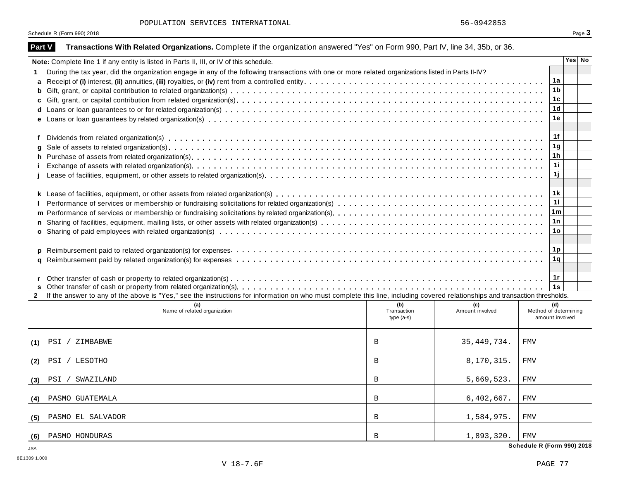| POPULATION SERVICES INTERNATIONAL |  |
|-----------------------------------|--|
|-----------------------------------|--|

| Part V       | Transactions With Related Organizations. Complete if the organization answered "Yes" on Form 990, Part IV, line 34, 35b, or 36.                                              |              |                 |                            |  |        |  |
|--------------|------------------------------------------------------------------------------------------------------------------------------------------------------------------------------|--------------|-----------------|----------------------------|--|--------|--|
|              | Note: Complete line 1 if any entity is listed in Parts II, III, or IV of this schedule.                                                                                      |              |                 |                            |  | Yes No |  |
| 1.           | During the tax year, did the organization engage in any of the following transactions with one or more related organizations listed in Parts II-IV?                          |              |                 |                            |  |        |  |
| a            |                                                                                                                                                                              |              |                 | 1a                         |  |        |  |
|              |                                                                                                                                                                              |              |                 | 1 <sub>b</sub>             |  |        |  |
|              |                                                                                                                                                                              |              |                 | 1 <sub>c</sub>             |  |        |  |
|              |                                                                                                                                                                              |              |                 | 1d                         |  |        |  |
|              |                                                                                                                                                                              |              |                 | 1e                         |  |        |  |
|              |                                                                                                                                                                              |              |                 |                            |  |        |  |
| f            |                                                                                                                                                                              |              |                 | 1f                         |  |        |  |
|              |                                                                                                                                                                              |              |                 | 1 <sub>g</sub>             |  |        |  |
|              |                                                                                                                                                                              |              |                 | 1h                         |  |        |  |
|              |                                                                                                                                                                              |              |                 | 11                         |  |        |  |
|              |                                                                                                                                                                              |              |                 | 1j                         |  |        |  |
|              |                                                                                                                                                                              |              |                 |                            |  |        |  |
|              |                                                                                                                                                                              |              |                 | 1 k                        |  |        |  |
|              |                                                                                                                                                                              |              |                 | 11                         |  |        |  |
|              |                                                                                                                                                                              |              |                 | 1 <sub>m</sub>             |  |        |  |
|              | 1n                                                                                                                                                                           |              |                 |                            |  |        |  |
|              |                                                                                                                                                                              |              |                 | 1o                         |  |        |  |
|              |                                                                                                                                                                              |              |                 |                            |  |        |  |
|              |                                                                                                                                                                              |              |                 | 1p                         |  |        |  |
|              |                                                                                                                                                                              |              |                 | 1q                         |  |        |  |
|              |                                                                                                                                                                              |              |                 |                            |  |        |  |
|              |                                                                                                                                                                              |              |                 | 1r                         |  |        |  |
| $\mathbf{2}$ | If the answer to any of the above is "Yes," see the instructions for information on who must complete this line, including covered relationships and transaction thresholds. |              |                 | 1s                         |  |        |  |
|              | (a)                                                                                                                                                                          | (b)          | (c)             | (d)                        |  |        |  |
|              | Name of related organization                                                                                                                                                 | Transaction  | Amount involved | Method of determining      |  |        |  |
|              |                                                                                                                                                                              | $type(a-s)$  |                 | amount involved            |  |        |  |
|              |                                                                                                                                                                              |              |                 |                            |  |        |  |
| (1)          | PSI / ZIMBABWE                                                                                                                                                               | B            | 35, 449, 734.   | <b>FMV</b>                 |  |        |  |
|              | PSI / LESOTHO                                                                                                                                                                | $\mathbf B$  | 8,170,315.      | <b>FMV</b>                 |  |        |  |
| (2)          |                                                                                                                                                                              |              |                 |                            |  |        |  |
| (3)          | / SWAZILAND<br>PSI                                                                                                                                                           | B            | 5,669,523.      | <b>FMV</b>                 |  |        |  |
|              |                                                                                                                                                                              |              |                 |                            |  |        |  |
| (4)          | PASMO GUATEMALA                                                                                                                                                              | B            | 6,402,667.      | <b>FMV</b>                 |  |        |  |
|              |                                                                                                                                                                              |              |                 |                            |  |        |  |
| (5)          | PASMO EL SALVADOR                                                                                                                                                            | B            | 1,584,975.      | <b>FMV</b>                 |  |        |  |
| (6)          | PASMO HONDURAS                                                                                                                                                               | $\mathbf{B}$ | 1,893,320.      | <b>FMV</b>                 |  |        |  |
| ICA          |                                                                                                                                                                              |              |                 | Schedule R (Form 990) 2018 |  |        |  |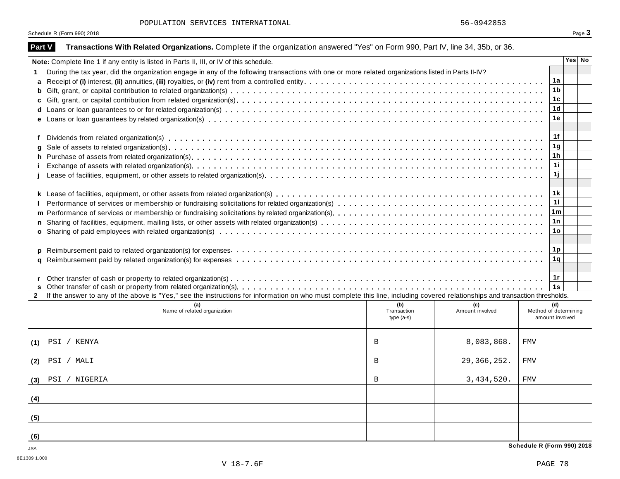| POPULATION SERVICES INTERNATIONAL |  |  |
|-----------------------------------|--|--|
|-----------------------------------|--|--|

| <b>Part V</b> | Transactions With Related Organizations. Complete if the organization answered "Yes" on Form 990, Part IV, line 34, 35b, or 36.                                              |                                   |                        |            |                                                 |
|---------------|------------------------------------------------------------------------------------------------------------------------------------------------------------------------------|-----------------------------------|------------------------|------------|-------------------------------------------------|
|               | Note: Complete line 1 if any entity is listed in Parts II, III, or IV of this schedule.                                                                                      |                                   |                        |            | Yes No                                          |
| 1.            | During the tax year, did the organization engage in any of the following transactions with one or more related organizations listed in Parts II-IV?                          |                                   |                        |            |                                                 |
| a             |                                                                                                                                                                              |                                   |                        |            | 1a                                              |
| b             |                                                                                                                                                                              |                                   |                        |            | 1b                                              |
| C             |                                                                                                                                                                              |                                   |                        |            | 1c                                              |
|               |                                                                                                                                                                              |                                   |                        |            | 1d                                              |
| e             |                                                                                                                                                                              |                                   |                        |            | 1e                                              |
| f             |                                                                                                                                                                              |                                   |                        |            | 1f                                              |
|               |                                                                                                                                                                              |                                   |                        |            | 1 <sub>g</sub>                                  |
|               |                                                                                                                                                                              |                                   |                        |            | 1 <sub>h</sub>                                  |
|               |                                                                                                                                                                              |                                   |                        |            | 11                                              |
|               |                                                                                                                                                                              |                                   |                        |            | 1j                                              |
|               |                                                                                                                                                                              |                                   |                        |            | 1 k                                             |
|               |                                                                                                                                                                              |                                   |                        |            | 11                                              |
|               |                                                                                                                                                                              |                                   |                        |            | 1 <sub>m</sub>                                  |
|               |                                                                                                                                                                              |                                   |                        |            | 1n                                              |
| $\mathbf{o}$  |                                                                                                                                                                              |                                   |                        |            | 1o                                              |
| D             |                                                                                                                                                                              |                                   |                        |            | <u>1p</u>                                       |
| a             |                                                                                                                                                                              |                                   |                        |            | 1q                                              |
|               |                                                                                                                                                                              |                                   |                        |            |                                                 |
|               |                                                                                                                                                                              |                                   |                        |            | 1r<br>1s                                        |
| $\mathbf{2}$  | If the answer to any of the above is "Yes," see the instructions for information on who must complete this line, including covered relationships and transaction thresholds. |                                   |                        |            |                                                 |
|               | (a)<br>Name of related organization                                                                                                                                          | (b)<br>Transaction<br>$type(a-s)$ | (c)<br>Amount involved |            | (d)<br>Method of determining<br>amount involved |
|               | PSI / KENYA                                                                                                                                                                  | B                                 | 8,083,868.             | <b>FMV</b> |                                                 |
|               | PSI / MALI                                                                                                                                                                   | B                                 | 29, 366, 252.          | <b>FMV</b> |                                                 |
|               |                                                                                                                                                                              |                                   |                        |            |                                                 |
| (3)           | PSI / NIGERIA                                                                                                                                                                | B                                 | 3,434,520.             | <b>FMV</b> |                                                 |
| (4)           |                                                                                                                                                                              |                                   |                        |            |                                                 |
| (5)           |                                                                                                                                                                              |                                   |                        |            |                                                 |
| (6)           |                                                                                                                                                                              |                                   |                        |            |                                                 |
| <b>JSA</b>    |                                                                                                                                                                              |                                   |                        |            | Schedule R (Form 990) 2018                      |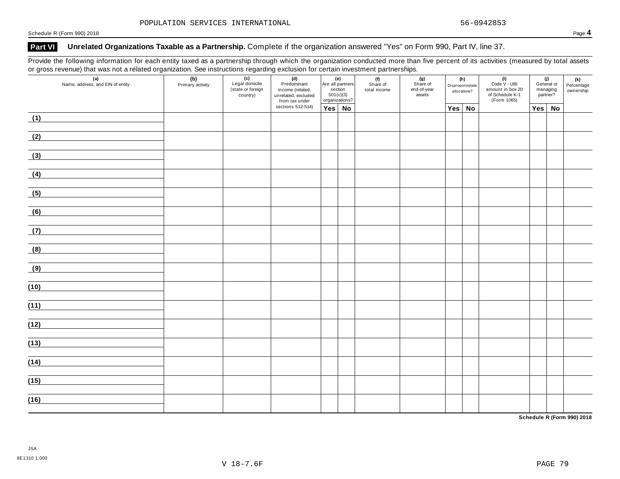## **Part VI Unrelated Organizations Taxable as a Partnership.** Complete if the organization answered "Yes" on Form 990, Part IV, line 37.

Provide the following information for each entity taxed as a partnership through which the organization conducted more than five percent of its activities (measured by total assets or gross revenue) that was not a related organization. See instructions regarding exclusion for certain investment partnerships.

| $\overline{\phantom{0}}$ | $\overline{\phantom{a}}$<br>$\check{ }$<br>(a)<br>Name, address, and EIN of entity | (b)<br>Primary activity | $\overline{\phantom{a}}$<br>(c)<br>Legal domicile<br>(state or foreign<br>country) | (d)<br>Predominant<br>income (related,<br>unrelated, excluded<br>from tax under | (e)<br>Are all partners<br>section<br>501(c)(3)<br>organizations? |  | . .<br>(f)<br>Share of<br>total income | (g)<br>Share of<br>end-of-year<br>assets |          | (h)<br>Disproportionate<br>allocations? | (i)<br>Code V - UBI<br>amount in box 20<br>of Schedule K-1<br>(Form 1065) |               | (j)<br>General or<br>managing<br>partner? | (k)<br>Percentage<br>ownership |
|--------------------------|------------------------------------------------------------------------------------|-------------------------|------------------------------------------------------------------------------------|---------------------------------------------------------------------------------|-------------------------------------------------------------------|--|----------------------------------------|------------------------------------------|----------|-----------------------------------------|---------------------------------------------------------------------------|---------------|-------------------------------------------|--------------------------------|
|                          |                                                                                    |                         |                                                                                    | sections 512-514)                                                               | Yes No                                                            |  |                                        |                                          | Yes   No |                                         |                                                                           | $Yes \mid No$ |                                           |                                |
| (1)                      |                                                                                    |                         |                                                                                    |                                                                                 |                                                                   |  |                                        |                                          |          |                                         |                                                                           |               |                                           |                                |
| (2)                      |                                                                                    |                         |                                                                                    |                                                                                 |                                                                   |  |                                        |                                          |          |                                         |                                                                           |               |                                           |                                |
| (3)                      |                                                                                    |                         |                                                                                    |                                                                                 |                                                                   |  |                                        |                                          |          |                                         |                                                                           |               |                                           |                                |
| (4)                      |                                                                                    |                         |                                                                                    |                                                                                 |                                                                   |  |                                        |                                          |          |                                         |                                                                           |               |                                           |                                |
| (5)                      |                                                                                    |                         |                                                                                    |                                                                                 |                                                                   |  |                                        |                                          |          |                                         |                                                                           |               |                                           |                                |
| (6)                      |                                                                                    |                         |                                                                                    |                                                                                 |                                                                   |  |                                        |                                          |          |                                         |                                                                           |               |                                           |                                |
| (7)                      |                                                                                    |                         |                                                                                    |                                                                                 |                                                                   |  |                                        |                                          |          |                                         |                                                                           |               |                                           |                                |
| (8)                      |                                                                                    |                         |                                                                                    |                                                                                 |                                                                   |  |                                        |                                          |          |                                         |                                                                           |               |                                           |                                |
| (9)                      |                                                                                    |                         |                                                                                    |                                                                                 |                                                                   |  |                                        |                                          |          |                                         |                                                                           |               |                                           |                                |
| (10)                     |                                                                                    |                         |                                                                                    |                                                                                 |                                                                   |  |                                        |                                          |          |                                         |                                                                           |               |                                           |                                |
| (11)                     |                                                                                    |                         |                                                                                    |                                                                                 |                                                                   |  |                                        |                                          |          |                                         |                                                                           |               |                                           |                                |
| (12)                     |                                                                                    |                         |                                                                                    |                                                                                 |                                                                   |  |                                        |                                          |          |                                         |                                                                           |               |                                           |                                |
| (13)                     |                                                                                    |                         |                                                                                    |                                                                                 |                                                                   |  |                                        |                                          |          |                                         |                                                                           |               |                                           |                                |
| (14)                     |                                                                                    |                         |                                                                                    |                                                                                 |                                                                   |  |                                        |                                          |          |                                         |                                                                           |               |                                           |                                |
| (15)                     |                                                                                    |                         |                                                                                    |                                                                                 |                                                                   |  |                                        |                                          |          |                                         |                                                                           |               |                                           |                                |
|                          |                                                                                    |                         |                                                                                    |                                                                                 |                                                                   |  |                                        |                                          |          |                                         |                                                                           |               |                                           |                                |
| (16)                     |                                                                                    |                         |                                                                                    |                                                                                 |                                                                   |  |                                        |                                          |          |                                         |                                                                           |               |                                           |                                |

**Schedule R (Form 990) 2018**